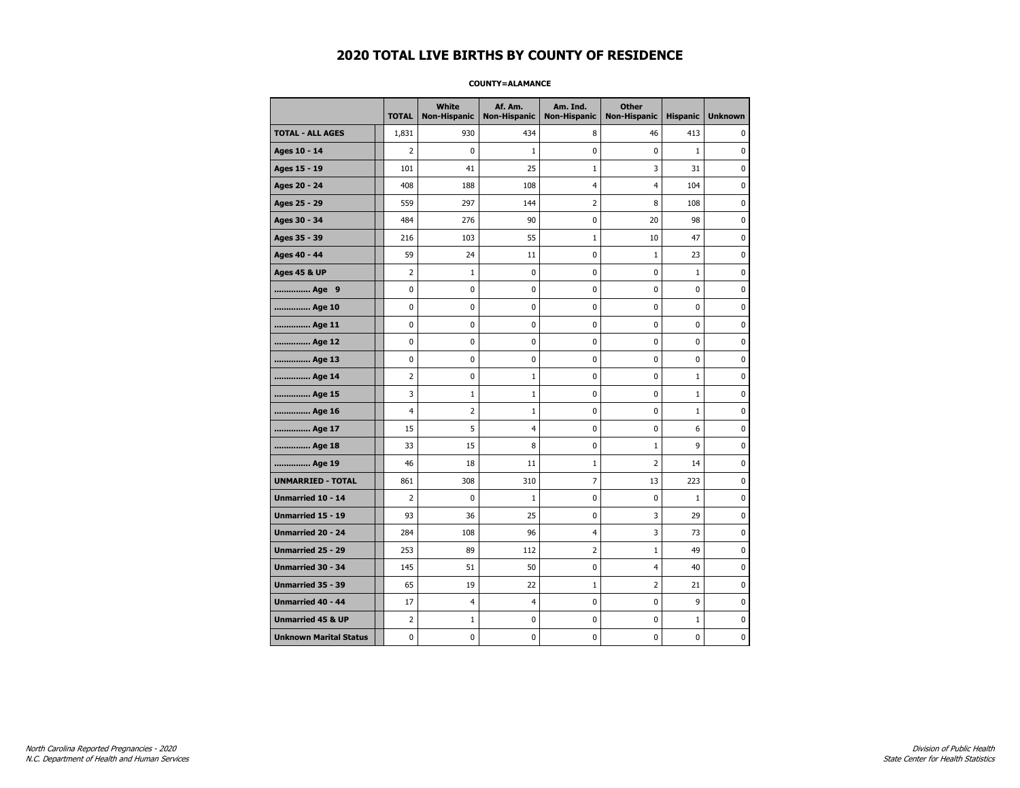#### **COUNTY=ALAMANCE**

|                               | <b>TOTAL</b>   | White<br><b>Non-Hispanic</b> | Af. Am.<br><b>Non-Hispanic</b> | Am. Ind.<br><b>Non-Hispanic</b> | <b>Other</b><br><b>Non-Hispanic</b> | <b>Hispanic</b> | <b>Unknown</b> |
|-------------------------------|----------------|------------------------------|--------------------------------|---------------------------------|-------------------------------------|-----------------|----------------|
| <b>TOTAL - ALL AGES</b>       | 1,831          | 930                          | 434                            | 8                               | 46                                  | 413             | $\Omega$       |
| Ages 10 - 14                  | $\overline{2}$ | $\mathbf 0$                  | 1                              | 0                               | 0                                   | $\mathbf{1}$    | $\mathbf 0$    |
| Ages 15 - 19                  | 101            | 41                           | 25                             | $\mathbf{1}$                    | 3                                   | 31              | $\pmb{0}$      |
| Ages 20 - 24                  | 408            | 188                          | 108                            | 4                               | 4                                   | 104             | $\pmb{0}$      |
| Ages 25 - 29                  | 559            | 297                          | 144                            | 2                               | 8                                   | 108             | 0              |
| Ages 30 - 34                  | 484            | 276                          | 90                             | 0                               | 20                                  | 98              | 0              |
| Ages 35 - 39                  | 216            | 103                          | 55                             | 1                               | 10                                  | 47              | $\mathbf 0$    |
| Ages 40 - 44                  | 59             | 24                           | 11                             | 0                               | $1\,$                               | 23              | 0              |
| <b>Ages 45 &amp; UP</b>       | 2              | $\mathbf{1}$                 | 0                              | 0                               | 0                                   | $\mathbf{1}$    | $\pmb{0}$      |
| Age 9                         | 0              | 0                            | 0                              | 0                               | 0                                   | 0               | 0              |
| Age 10                        | 0              | $\mathbf 0$                  | 0                              | 0                               | 0                                   | 0               | $\mathbf 0$    |
| Age 11                        | 0              | 0                            | 0                              | 0                               | 0                                   | 0               | $\mathbf 0$    |
| Age 12                        | 0              | 0                            | 0                              | 0                               | 0                                   | 0               | 0              |
| Age 13                        | 0              | 0                            | 0                              | 0                               | 0                                   | 0               | 0              |
| Age 14                        | 2              | 0                            | $\mathbf{1}$                   | 0                               | 0                                   | $\mathbf{1}$    | 0              |
| Age 15                        | 3              | $\mathbf{1}$                 | 1                              | 0                               | 0                                   | $\mathbf{1}$    | 0              |
| Age 16                        | 4              | $\overline{2}$               | 1                              | 0                               | 0                                   | $\mathbf{1}$    | $\mathbf 0$    |
| Age 17                        | 15             | 5                            | $\overline{4}$                 | 0                               | 0                                   | 6               | $\pmb{0}$      |
| Age 18                        | 33             | 15                           | 8                              | 0                               | $1\,$                               | 9               | 0              |
| Age 19                        | 46             | 18                           | 11                             | $\mathbf 1$                     | 2                                   | 14              | 0              |
| <b>UNMARRIED - TOTAL</b>      | 861            | 308                          | 310                            | 7                               | 13                                  | 223             | $\mathbf 0$    |
| Unmarried 10 - 14             | $\overline{2}$ | $\mathbf 0$                  | $\mathbf{1}$                   | 0                               | 0                                   | $\mathbf{1}$    | $\mathbf 0$    |
| Unmarried 15 - 19             | 93             | 36                           | 25                             | 0                               | 3                                   | 29              | $\pmb{0}$      |
| Unmarried 20 - 24             | 284            | 108                          | 96                             | 4                               | 3                                   | 73              | 0              |
| Unmarried 25 - 29             | 253            | 89                           | 112                            | 2                               | $\mathbf{1}$                        | 49              | 0              |
| Unmarried 30 - 34             | 145            | 51                           | 50                             | 0                               | 4                                   | 40              | 0              |
| <b>Unmarried 35 - 39</b>      | 65             | 19                           | 22                             | $\mathbf 1$                     | $\overline{2}$                      | 21              | 0              |
| Unmarried 40 - 44             | 17             | 4                            | $\overline{4}$                 | 0                               | 0                                   | 9               | $\pmb{0}$      |
| <b>Unmarried 45 &amp; UP</b>  | 2              | $\mathbf{1}$                 | 0                              | 0                               | 0                                   | $\mathbf{1}$    | 0              |
| <b>Unknown Marital Status</b> | 0              | 0                            | 0                              | 0                               | 0                                   | 0               | 0              |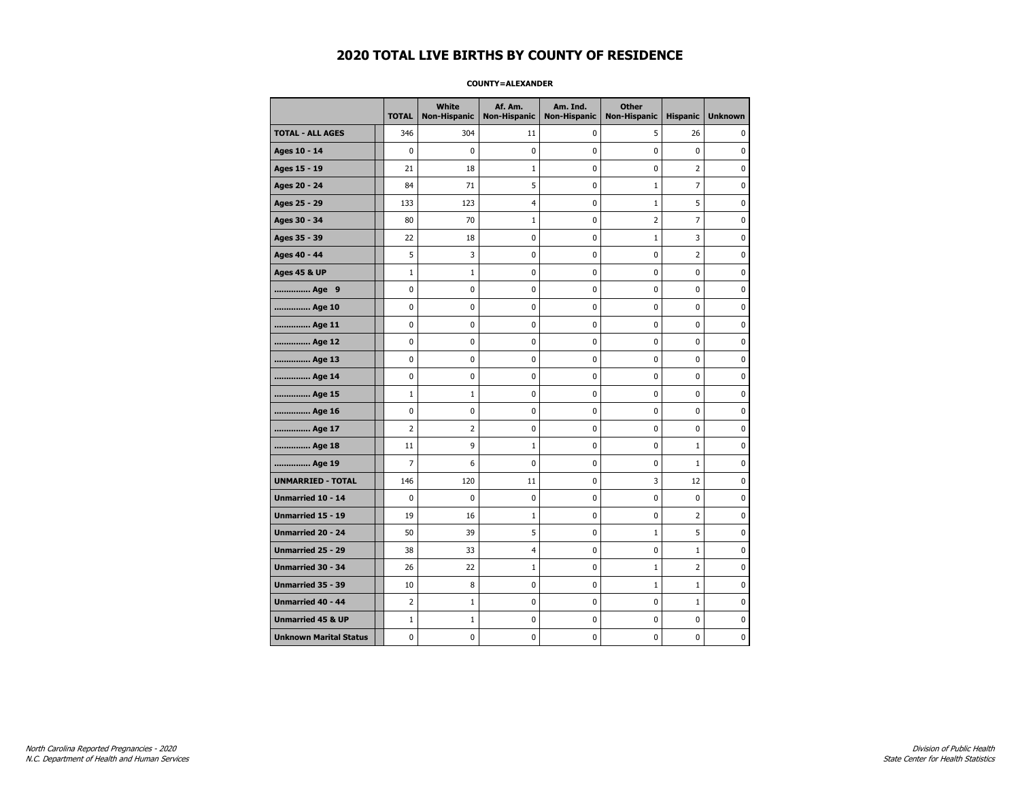#### **COUNTY=ALEXANDER**

|                               | <b>TOTAL</b>   | White<br><b>Non-Hispanic</b> | Af. Am.<br><b>Non-Hispanic</b> | Am. Ind.<br><b>Non-Hispanic</b> | <b>Other</b><br><b>Non-Hispanic</b> | <b>Hispanic</b> | <b>Unknown</b> |
|-------------------------------|----------------|------------------------------|--------------------------------|---------------------------------|-------------------------------------|-----------------|----------------|
| <b>TOTAL - ALL AGES</b>       | 346            | 304                          | 11                             | 0                               | 5                                   | 26              | 0              |
| Ages 10 - 14                  | $\mathbf 0$    | 0                            | $\pmb{0}$                      | 0                               | $\mathbf 0$                         | $\mathbf 0$     | 0              |
| Ages 15 - 19                  | 21             | 18                           | 1                              | $\mathbf 0$                     | $\mathbf 0$                         | $\overline{2}$  | 0              |
| Ages 20 - 24                  | 84             | 71                           | 5                              | 0                               | $\mathbf{1}$                        | $\overline{7}$  | 0              |
| Ages 25 - 29                  | 133            | 123                          | $\overline{4}$                 | 0                               | $\mathbf{1}$                        | 5               | 0              |
| Ages 30 - 34                  | 80             | 70                           | 1                              | 0                               | $\overline{2}$                      | $\overline{7}$  | 0              |
| Ages 35 - 39                  | 22             | 18                           | 0                              | 0                               | $\mathbf{1}$                        | 3               | 0              |
| Ages 40 - 44                  | 5              | 3                            | 0                              | 0                               | 0                                   | $\overline{2}$  | 0              |
| <b>Ages 45 &amp; UP</b>       | $1\,$          | $\mathbf{1}$                 | $\mathbf 0$                    | 0                               | $\mathbf 0$                         | $\mathbf 0$     | 0              |
| Age 9                         | $\mathbf 0$    | 0                            | $\mathbf 0$                    | 0                               | $\mathbf 0$                         | $\mathbf 0$     | 0              |
| Age 10                        | $\mathbf 0$    | 0                            | $\mathbf 0$                    | $\mathbf 0$                     | $\mathbf 0$                         | $\mathbf 0$     | 0              |
| Age 11                        | $\pmb{0}$      | $\pmb{0}$                    | $\pmb{0}$                      | $\pmb{0}$                       | $\pmb{0}$                           | $\pmb{0}$       | 0              |
| Age 12                        | $\pmb{0}$      | 0                            | $\pmb{0}$                      | 0                               | 0                                   | 0               | 0              |
| Age 13                        | $\mathbf 0$    | 0                            | $\mathbf 0$                    | 0                               | $\mathbf 0$                         | $\mathbf 0$     | 0              |
| Age 14                        | 0              | 0                            | $\pmb{0}$                      | 0                               | 0                                   | 0               | 0              |
| Age 15                        | $\mathbf{1}$   | 1                            | $\pmb{0}$                      | 0                               | 0                                   | 0               | 0              |
| Age 16                        | $\mathbf 0$    | 0                            | $\mathbf 0$                    | $\mathbf 0$                     | $\mathbf 0$                         | $\mathbf 0$     | 0              |
| Age 17                        | $\overline{2}$ | $\overline{2}$               | $\mathbf 0$                    | $\mathbf 0$                     | $\mathbf 0$                         | $\mathbf 0$     | 0              |
| Age 18                        | 11             | 9                            | $\mathbf{1}$                   | $\mathbf 0$                     | $\mathbf 0$                         | $\mathbf{1}$    | 0              |
| Age 19                        | $\overline{7}$ | 6                            | $\pmb{0}$                      | $\pmb{0}$                       | 0                                   | $\mathbf 1$     | 0              |
| <b>UNMARRIED - TOTAL</b>      | 146            | 120                          | 11                             | 0                               | 3                                   | 12              | 0              |
| Unmarried 10 - 14             | $\mathbf 0$    | 0                            | $\mathbf 0$                    | $\mathbf 0$                     | $\mathbf 0$                         | $\mathbf 0$     | 0              |
| Unmarried 15 - 19             | 19             | 16                           | $\mathbf{1}$                   | 0                               | 0                                   | $\overline{2}$  | 0              |
| <b>Unmarried 20 - 24</b>      | 50             | 39                           | 5                              | 0                               | 1                                   | 5               | 0              |
| <b>Unmarried 25 - 29</b>      | 38             | 33                           | $\overline{4}$                 | $\mathbf 0$                     | $\mathbf 0$                         | $\mathbf{1}$    | 0              |
| Unmarried 30 - 34             | 26             | 22                           | $\mathbf{1}$                   | $\pmb{0}$                       | $\mathbf{1}$                        | $\overline{2}$  | 0              |
| Unmarried 35 - 39             | 10             | 8                            | $\pmb{0}$                      | $\pmb{0}$                       | $1\,$                               | $\mathbf 1$     | $\pmb{0}$      |
| Unmarried 40 - 44             | $\overline{2}$ | $\mathbf{1}$                 | 0                              | 0                               | 0                                   | $\mathbf{1}$    | 0              |
| <b>Unmarried 45 &amp; UP</b>  | $1\,$          | $\mathbf{1}$                 | 0                              | 0                               | $\mathbf 0$                         | $\mathbf 0$     | 0              |
| <b>Unknown Marital Status</b> | $\mathbf 0$    | 0                            | $\pmb{0}$                      | 0                               | $\mathbf 0$                         | 0               | 0              |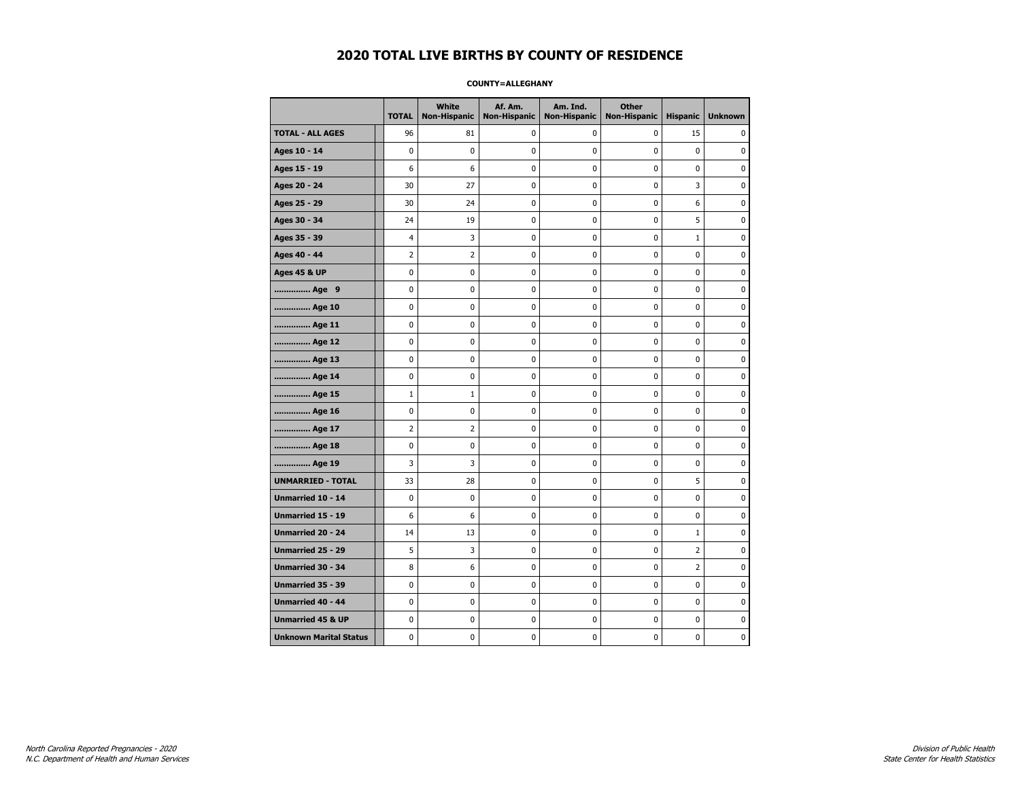#### **COUNTY=ALLEGHANY**

|                               | <b>TOTAL</b>   | White<br><b>Non-Hispanic</b> | Af. Am.<br><b>Non-Hispanic</b> | Am. Ind.<br><b>Non-Hispanic</b> | <b>Other</b><br><b>Non-Hispanic</b> | <b>Hispanic</b> | <b>Unknown</b> |
|-------------------------------|----------------|------------------------------|--------------------------------|---------------------------------|-------------------------------------|-----------------|----------------|
| <b>TOTAL - ALL AGES</b>       | 96             | 81                           | 0                              | 0                               | 0                                   | 15              | 0              |
| Ages 10 - 14                  | $\mathbf 0$    | $\mathbf 0$                  | $\mathbf 0$                    | 0                               | $\mathbf 0$                         | $\mathbf 0$     | 0              |
| Ages 15 - 19                  | 6              | 6                            | $\mathbf 0$                    | $\mathbf 0$                     | $\mathbf 0$                         | $\mathbf 0$     | 0              |
| Ages 20 - 24                  | 30             | 27                           | 0                              | $\pmb{0}$                       | $\pmb{0}$                           | 3               | 0              |
| Ages 25 - 29                  | 30             | 24                           | $\pmb{0}$                      | 0                               | 0                                   | 6               | $\pmb{0}$      |
| Ages 30 - 34                  | 24             | 19                           | 0                              | 0                               | $\mathbf 0$                         | 5               | 0              |
| Ages 35 - 39                  | $\overline{4}$ | 3                            | $\mathbf 0$                    | 0                               | $\mathbf 0$                         | $\mathbf 1$     | 0              |
| Ages 40 - 44                  | $\overline{2}$ | $\overline{2}$               | $\mathbf 0$                    | 0                               | $\mathbf 0$                         | $\mathbf 0$     | 0              |
| <b>Ages 45 &amp; UP</b>       | $\mathbf 0$    | 0                            | $\mathbf 0$                    | $\mathbf 0$                     | $\mathbf 0$                         | $\mathbf 0$     | 0              |
| Age 9                         | $\mathbf 0$    | 0                            | $\pmb{0}$                      | $\pmb{0}$                       | $\mathbf 0$                         | $\pmb{0}$       | 0              |
| Age 10                        | $\mathbf 0$    | 0                            | 0                              | 0                               | 0                                   | 0               | 0              |
| Age 11                        | $\mathbf 0$    | 0                            | 0                              | 0                               | 0                                   | 0               | 0              |
| Age 12                        | 0              | 0                            | 0                              | 0                               | 0                                   | 0               | 0              |
| Age 13                        | $\mathbf 0$    | 0                            | $\mathbf 0$                    | $\mathbf 0$                     | $\mathbf 0$                         | $\mathbf 0$     | 0              |
| Age 14                        | $\mathbf 0$    | 0                            | $\mathbf 0$                    | $\pmb{0}$                       | $\mathbf 0$                         | $\mathbf 0$     | 0              |
| Age 15                        | $1\,$          | $\mathbf{1}$                 | $\pmb{0}$                      | 0                               | $\pmb{0}$                           | 0               | 0              |
| Age 16                        | 0              | 0                            | 0                              | 0                               | 0                                   | 0               | 0              |
| Age 17                        | $\overline{2}$ | $\overline{2}$               | $\mathbf 0$                    | 0                               | $\mathbf 0$                         | $\mathbf 0$     | 0              |
| Age 18                        | 0              | 0                            | 0                              | 0                               | 0                                   | 0               | 0              |
| Age 19                        | 3              | 3                            | $\mathbf 0$                    | $\mathbf 0$                     | $\mathbf 0$                         | $\mathbf 0$     | 0              |
| <b>UNMARRIED - TOTAL</b>      | 33             | 28                           | $\pmb{0}$                      | $\pmb{0}$                       | $\mathbf 0$                         | 5               | 0              |
| Unmarried 10 - 14             | $\pmb{0}$      | 0                            | $\pmb{0}$                      | $\pmb{0}$                       | $\pmb{0}$                           | $\pmb{0}$       | 0              |
| Unmarried 15 - 19             | 6              | 6                            | 0                              | 0                               | 0                                   | 0               | 0              |
| Unmarried 20 - 24             | 14             | 13                           | 0                              | 0                               | 0                                   | $\mathbf{1}$    | 0              |
| Unmarried 25 - 29             | 5              | 3                            | $\mathbf 0$                    | $\mathbf 0$                     | $\mathbf 0$                         | $\overline{2}$  | 0              |
| <b>Unmarried 30 - 34</b>      | 8              | 6                            | $\mathbf 0$                    | $\pmb{0}$                       | $\mathbf 0$                         | $\overline{2}$  | 0              |
| Unmarried 35 - 39             | 0              | 0                            | $\pmb{0}$                      | 0                               | 0                                   | 0               | $\pmb{0}$      |
| <b>Unmarried 40 - 44</b>      | $\mathbf 0$    | 0                            | $\pmb{0}$                      | 0                               | 0                                   | $\mathbf 0$     | 0              |
| <b>Unmarried 45 &amp; UP</b>  | 0              | 0                            | 0                              | 0                               | 0                                   | 0               | 0              |
| <b>Unknown Marital Status</b> | $\mathbf 0$    | 0                            | $\mathbf 0$                    | 0                               | $\mathbf 0$                         | $\mathbf 0$     | 0              |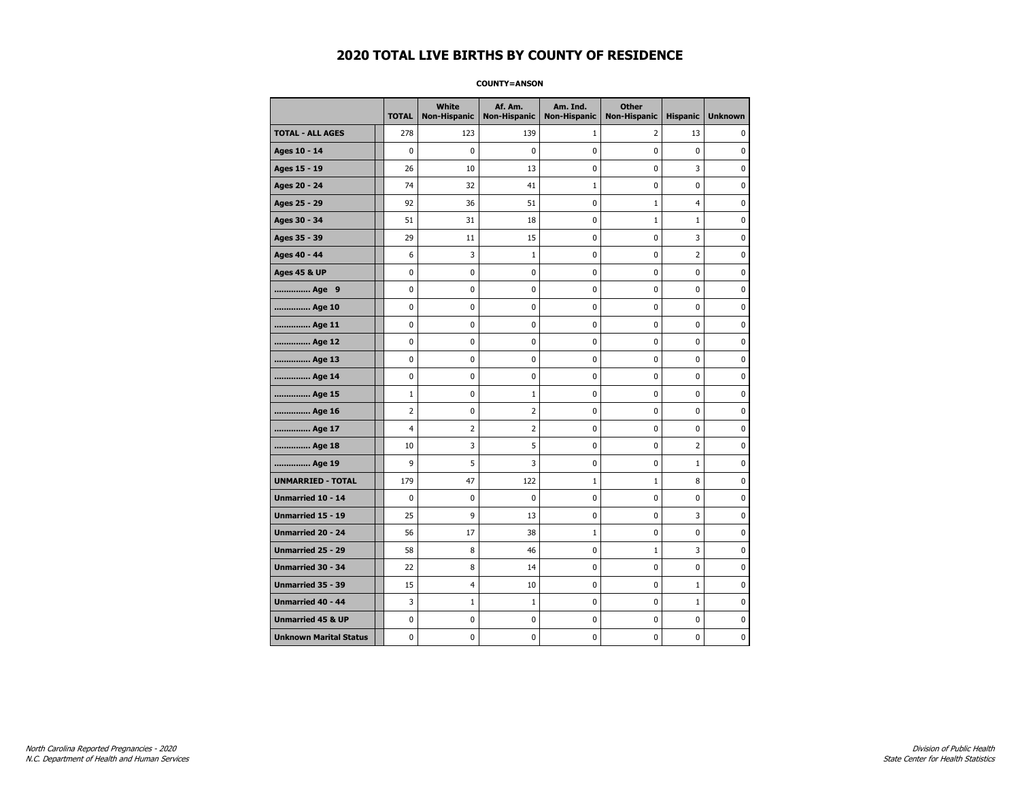**COUNTY=ANSON** 

|                               | <b>TOTAL</b>   | White<br><b>Non-Hispanic</b> | Af. Am.<br><b>Non-Hispanic</b> | Am. Ind.<br><b>Non-Hispanic</b> | <b>Other</b><br><b>Non-Hispanic</b> | <b>Hispanic</b> | <b>Unknown</b> |
|-------------------------------|----------------|------------------------------|--------------------------------|---------------------------------|-------------------------------------|-----------------|----------------|
| <b>TOTAL - ALL AGES</b>       | 278            | 123                          | 139                            | $\mathbf{1}$                    | 2                                   | 13              | 0              |
| Ages 10 - 14                  | 0              | $\mathbf 0$                  | 0                              | $\mathbf 0$                     | 0                                   | 0               | 0              |
| Ages 15 - 19                  | 26             | 10                           | 13                             | 0                               | 0                                   | 3               | $\mathbf 0$    |
| Ages 20 - 24                  | 74             | 32                           | 41                             | $\mathbf 1$                     | 0                                   | 0               | 0              |
| Ages 25 - 29                  | 92             | 36                           | 51                             | 0                               | $1\,$                               | $\overline{4}$  | 0              |
| Ages 30 - 34                  | 51             | 31                           | 18                             | 0                               | $\mathbf{1}$                        | $\mathbf{1}$    | 0              |
| Ages 35 - 39                  | 29             | 11                           | 15                             | 0                               | 0                                   | 3               | 0              |
| Ages 40 - 44                  | 6              | 3                            | $\mathbf{1}$                   | 0                               | $\mathbf 0$                         | $\overline{2}$  | $\mathbf 0$    |
| <b>Ages 45 &amp; UP</b>       | 0              | 0                            | 0                              | 0                               | $\pmb{0}$                           | 0               | $\pmb{0}$      |
| Age 9                         | 0              | 0                            | 0                              | 0                               | 0                                   | 0               | 0              |
| Age 10                        | 0              | 0                            | 0                              | 0                               | 0                                   | 0               | 0              |
| Age 11                        | 0              | 0                            | 0                              | 0                               | 0                                   | 0               | $\mathbf 0$    |
| Age 12                        | 0              | 0                            | 0                              | 0                               | 0                                   | 0               | $\mathbf 0$    |
| Age 13                        | 0              | 0                            | 0                              | 0                               | $\pmb{0}$                           | 0               | 0              |
| Age 14                        | 0              | 0                            | 0                              | 0                               | 0                                   | 0               | 0              |
| Age 15                        | $\mathbf{1}$   | 0                            | 1                              | 0                               | 0                                   | 0               | $\mathbf 0$    |
| Age 16                        | $\overline{2}$ | 0                            | 2                              | 0                               | 0                                   | 0               | $\mathbf 0$    |
| Age 17                        | $\overline{4}$ | $\overline{2}$               | $\overline{2}$                 | 0                               | 0                                   | 0               | $\mathbf 0$    |
| Age 18                        | 10             | 3                            | 5                              | 0                               | $\pmb{0}$                           | 2               | $\pmb{0}$      |
| Age 19                        | 9              | 5                            | 3                              | 0                               | 0                                   | $\mathbf{1}$    | 0              |
| <b>UNMARRIED - TOTAL</b>      | 179            | 47                           | 122                            | $\mathbf 1$                     | $\mathbf{1}$                        | 8               | 0              |
| Unmarried 10 - 14             | $\mathbf 0$    | 0                            | 0                              | 0                               | $\pmb{0}$                           | 0               | $\mathbf 0$    |
| <b>Unmarried 15 - 19</b>      | 25             | 9                            | 13                             | 0                               | 0                                   | 3               | $\mathbf 0$    |
| Unmarried 20 - 24             | 56             | 17                           | 38                             | $\mathbf 1$                     | $\pmb{0}$                           | 0               | $\pmb{0}$      |
| Unmarried 25 - 29             | 58             | 8                            | 46                             | 0                               | $\mathbf{1}$                        | 3               | 0              |
| <b>Unmarried 30 - 34</b>      | 22             | 8                            | 14                             | 0                               | 0                                   | 0               | $\mathbf 0$    |
| Unmarried 35 - 39             | 15             | 4                            | 10                             | 0                               | 0                                   | $\mathbf 1$     | $\mathbf 0$    |
| <b>Unmarried 40 - 44</b>      | 3              | $\mathbf{1}$                 | $\mathbf 1$                    | 0                               | $\pmb{0}$                           | $\mathbf 1$     | 0              |
| <b>Unmarried 45 &amp; UP</b>  | 0              | 0                            | 0                              | 0                               | 0                                   | 0               | 0              |
| <b>Unknown Marital Status</b> | 0              | 0                            | 0                              | 0                               | 0                                   | 0               | 0              |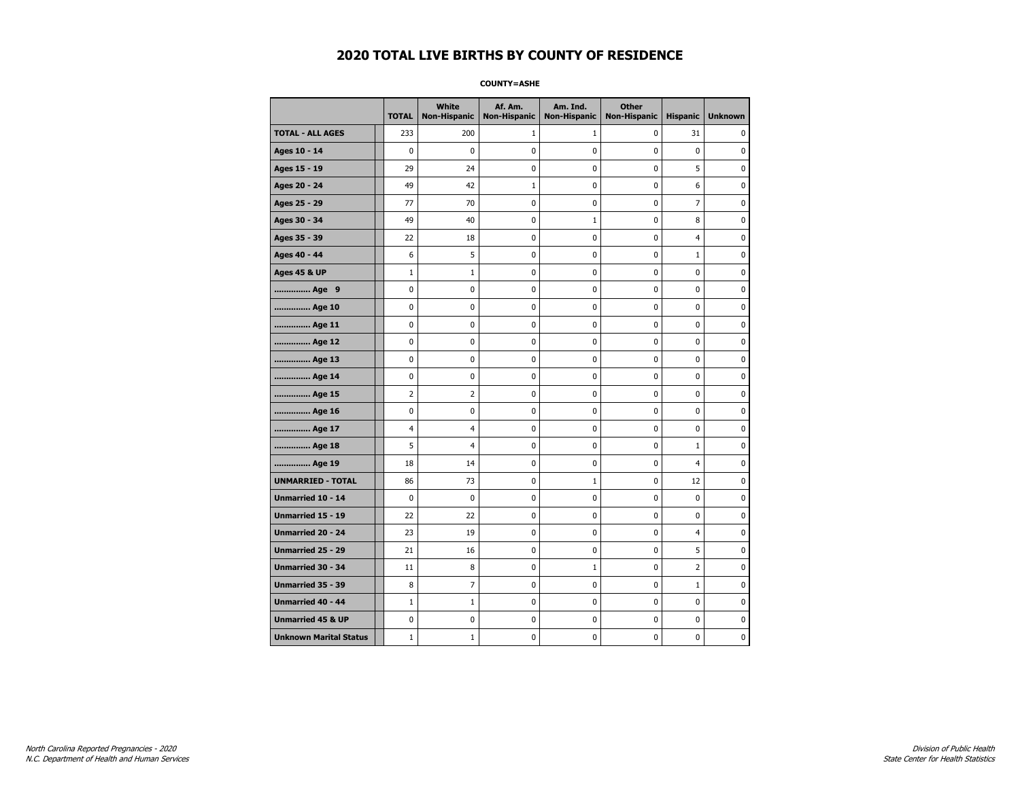**COUNTY=ASHE** 

|                               | <b>TOTAL</b>   | White<br>Non-Hispanic | Af. Am.<br><b>Non-Hispanic</b> | Am. Ind.<br><b>Non-Hispanic</b> | <b>Other</b><br>Non-Hispanic | <b>Hispanic</b> | <b>Unknown</b> |
|-------------------------------|----------------|-----------------------|--------------------------------|---------------------------------|------------------------------|-----------------|----------------|
| <b>TOTAL - ALL AGES</b>       | 233            | 200                   | 1                              | 1                               | 0                            | 31              | 0              |
| Ages 10 - 14                  | $\mathbf 0$    | $\mathbf{0}$          | 0                              | 0                               | $\mathbf{0}$                 | $\mathbf 0$     | 0              |
| Ages 15 - 19                  | 29             | 24                    | 0                              | $\mathbf 0$                     | 0                            | 5               | 0              |
| Ages 20 - 24                  | 49             | 42                    | 1                              | 0                               | $\mathbf{0}$                 | 6               | 0              |
| Ages 25 - 29                  | 77             | 70                    | 0                              | $\pmb{0}$                       | $\mathbf 0$                  | $\overline{7}$  | 0              |
| Ages 30 - 34                  | 49             | 40                    | 0                              | $1\,$                           | $\mathbf{0}$                 | 8               | 0              |
| Ages 35 - 39                  | 22             | 18                    | 0                              | 0                               | 0                            | 4               | 0              |
| Ages 40 - 44                  | 6              | 5                     | 0                              | $\mathbf 0$                     | $\mathbf 0$                  | $\mathbf 1$     | 0              |
| <b>Ages 45 &amp; UP</b>       | $\mathbf{1}$   | 1                     | 0                              | 0                               | 0                            | 0               | 0              |
| Age 9                         | 0              | $\mathbf{0}$          | 0                              | $\mathbf 0$                     | $\mathbf{0}$                 | $\mathbf 0$     | 0              |
| Age 10                        | 0              | 0                     | 0                              | 0                               | $\pmb{0}$                    | 0               | 0              |
| Age 11                        | 0              | 0                     | 0                              | 0                               | 0                            | $\mathbf 0$     | 0              |
| Age 12                        | 0              | 0                     | 0                              | 0                               | $\pmb{0}$                    | 0               | 0              |
| Age 13                        | 0              | $\mathbf 0$           | 0                              | 0                               | 0                            | $\mathbf 0$     | 0              |
| Age 14                        | 0              | 0                     | 0                              | 0                               | $\mathbf 0$                  | $\mathbf 0$     | 0              |
| Age 15                        | $\overline{2}$ | $\overline{2}$        | 0                              | $\pmb{0}$                       | $\pmb{0}$                    | $\pmb{0}$       | 0              |
| Age 16                        | 0              | $\mathbf{0}$          | $\bf{0}$                       | $\pmb{0}$                       | $\mathbf 0$                  | $\mathbf 0$     | 0              |
| Age 17                        | 4              | 4                     | 0                              | 0                               | 0                            | 0               | 0              |
| Age 18                        | 5              | $\overline{4}$        | 0                              | 0                               | $\mathbf 0$                  | $\mathbf 1$     | 0              |
| Age 19                        | 18             | 14                    | 0                              | 0                               | 0                            | 4               | 0              |
| <b>UNMARRIED - TOTAL</b>      | 86             | 73                    | 0                              | $\mathbf{1}$                    | $\mathbf{0}$                 | 12              | 0              |
| Unmarried 10 - 14             | 0              | $\pmb{0}$             | 0                              | 0                               | $\pmb{0}$                    | 0               | 0              |
| Unmarried 15 - 19             | 22             | 22                    | 0                              | 0                               | $\mathbf 0$                  | $\mathbf 0$     | 0              |
| <b>Unmarried 20 - 24</b>      | 23             | 19                    | 0                              | 0                               | $\mathbf 0$                  | $\overline{4}$  | 0              |
| <b>Unmarried 25 - 29</b>      | 21             | 16                    | 0                              | 0                               | 0                            | 5               | 0              |
| <b>Unmarried 30 - 34</b>      | 11             | 8                     | 0                              | $\mathbf{1}$                    | $\mathbf 0$                  | $\overline{2}$  | $\mathbf 0$    |
| Unmarried 35 - 39             | 8              | $\overline{7}$        | 0                              | $\mathbf 0$                     | 0                            | $\mathbf 1$     | 0              |
| <b>Unmarried 40 - 44</b>      | $\mathbf{1}$   | $1\,$                 | $\pmb{0}$                      | $\pmb{0}$                       | $\mathbf{0}$                 | $\pmb{0}$       | 0              |
| <b>Unmarried 45 &amp; UP</b>  | 0              | 0                     | 0                              | 0                               | 0                            | 0               | 0              |
| <b>Unknown Marital Status</b> | $\mathbf{1}$   | $\mathbf{1}$          | 0                              | 0                               | 0                            | 0               | 0              |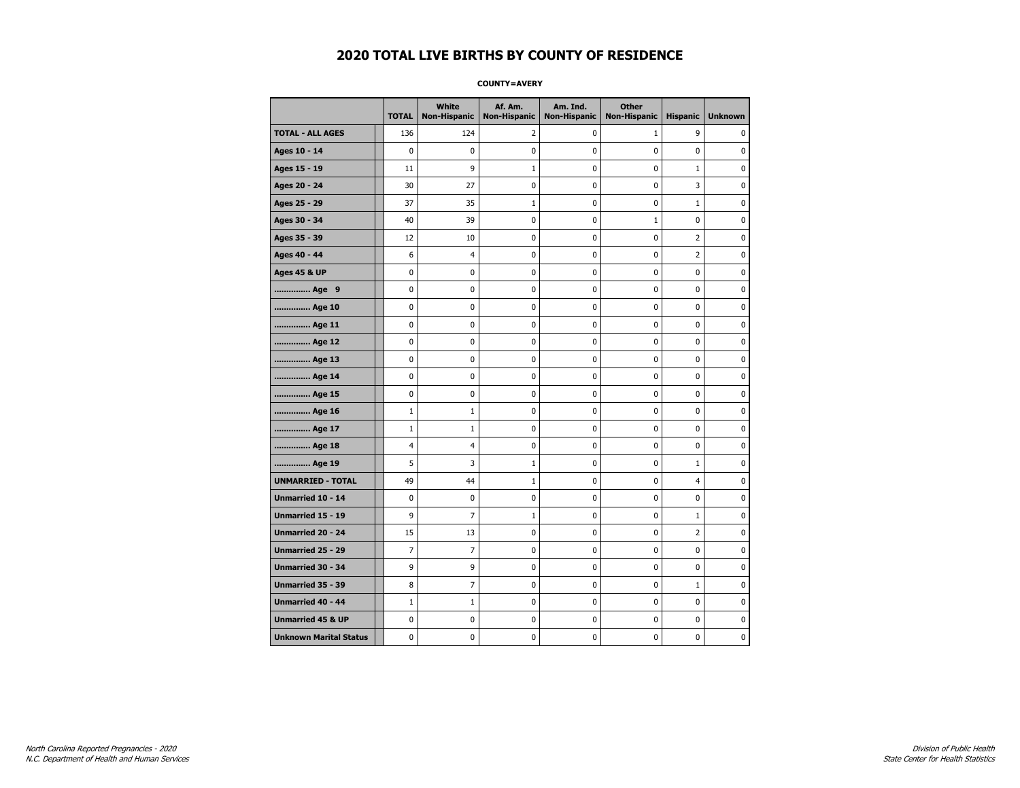**COUNTY=AVERY** 

|                               | <b>TOTAL</b>   | White<br>Non-Hispanic | Af. Am.<br><b>Non-Hispanic</b> | Am. Ind.<br><b>Non-Hispanic</b> | <b>Other</b><br>Non-Hispanic | <b>Hispanic</b> | <b>Unknown</b> |
|-------------------------------|----------------|-----------------------|--------------------------------|---------------------------------|------------------------------|-----------------|----------------|
| <b>TOTAL - ALL AGES</b>       | 136            | 124                   | 2                              | 0                               | $\mathbf{1}$                 | 9               | 0              |
| Ages 10 - 14                  | $\mathbf 0$    | 0                     | 0                              | 0                               | $\mathbf 0$                  | 0               | 0              |
| Ages 15 - 19                  | 11             | 9                     | 1                              | $\mathbf 0$                     | $\mathbf 0$                  | $\mathbf{1}$    | 0              |
| Ages 20 - 24                  | 30             | 27                    | 0                              | 0                               | 0                            | 3               | 0              |
| Ages 25 - 29                  | 37             | 35                    | $\mathbf{1}$                   | 0                               | $\pmb{0}$                    | $\mathbf{1}$    | $\pmb{0}$      |
| Ages 30 - 34                  | 40             | 39                    | 0                              | 0                               | $1\,$                        | 0               | 0              |
| Ages 35 - 39                  | 12             | 10                    | 0                              | 0                               | 0                            | 2               | 0              |
| Ages 40 - 44                  | 6              | 4                     | 0                              | $\mathbf 0$                     | $\mathbf 0$                  | 2               | $\mathbf 0$    |
| <b>Ages 45 &amp; UP</b>       | $\mathbf 0$    | 0                     | 0                              | 0                               | 0                            | 0               | 0              |
| Age 9                         | $\mathbf 0$    | 0                     | 0                              | $\mathbf 0$                     | $\mathbf 0$                  | 0               | $\mathbf 0$    |
| Age 10                        | 0              | 0                     | 0                              | 0                               | 0                            | 0               | 0              |
| Age 11                        | $\mathbf 0$    | 0                     | 0                              | 0                               | 0                            | 0               | 0              |
| Age 12                        | $\mathbf 0$    | 0                     | 0                              | 0                               | 0                            | 0               | 0              |
| Age 13                        | 0              | 0                     | 0                              | 0                               | 0                            | 0               | 0              |
| Age 14                        | 0              | 0                     | 0                              | 0                               | 0                            | 0               | 0              |
| Age 15                        | $\pmb{0}$      | 0                     | 0                              | 0                               | 0                            | 0               | $\pmb{0}$      |
| Age 16                        | $\mathbf{1}$   | $\mathbf 1$           | $\bf{0}$                       | $\pmb{0}$                       | $\mathbf 0$                  | 0               | $\pmb{0}$      |
| Age 17                        | $\mathbf{1}$   | $\mathbf{1}$          | 0                              | 0                               | 0                            | 0               | 0              |
| Age 18                        | 4              | 4                     | 0                              | $\mathbf 0$                     | 0                            | $\mathbf 0$     | $\pmb{0}$      |
| Age 19                        | 5              | 3                     | $\mathbf{1}$                   | 0                               | 0                            | $\mathbf{1}$    | 0              |
| <b>UNMARRIED - TOTAL</b>      | 49             | 44                    | 1                              | 0                               | $\mathbf 0$                  | 4               | 0              |
| Unmarried 10 - 14             | 0              | 0                     | 0                              | 0                               | 0                            | 0               | 0              |
| Unmarried 15 - 19             | 9              | $\overline{7}$        | $\mathbf{1}$                   | $\pmb{0}$                       | 0                            | $\mathbf{1}$    | $\pmb{0}$      |
| Unmarried 20 - 24             | 15             | 13                    | 0                              | 0                               | $\mathbf 0$                  | 2               | 0              |
| Unmarried 25 - 29             | $\overline{7}$ | 7                     | 0                              | 0                               | 0                            | 0               | 0              |
| <b>Unmarried 30 - 34</b>      | 9              | 9                     | 0                              | 0                               | 0                            | 0               | $\mathbf 0$    |
| <b>Unmarried 35 - 39</b>      | 8              | $\overline{7}$        | 0                              | 0                               | $\mathbf 0$                  | $\mathbf{1}$    | 0              |
| <b>Unmarried 40 - 44</b>      | $\mathbf{1}$   | $1\,$                 | $\pmb{0}$                      | $\pmb{0}$                       | $\pmb{0}$                    | $\pmb{0}$       | $\pmb{0}$      |
| <b>Unmarried 45 &amp; UP</b>  | 0              | 0                     | 0                              | 0                               | 0                            | 0               | 0              |
| <b>Unknown Marital Status</b> | 0              | 0                     | 0                              | 0                               | 0                            | 0               | 0              |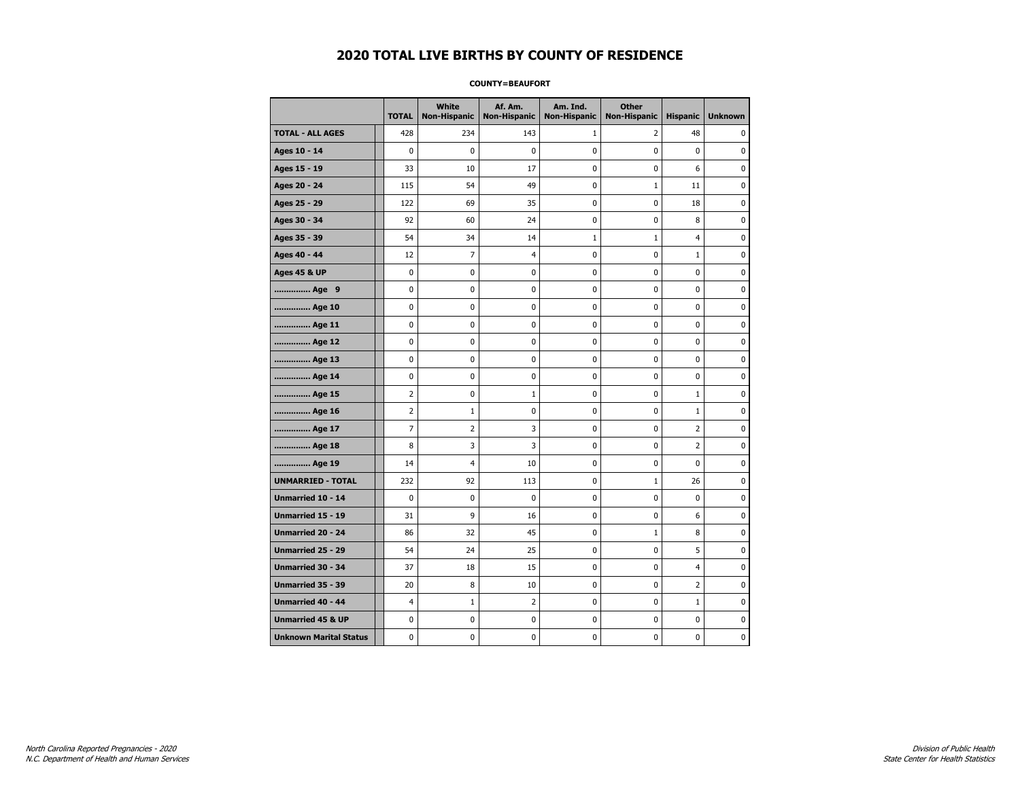#### **COUNTY=BEAUFORT**

|                               | <b>TOTAL</b>   | <b>White</b><br>Non-Hispanic | Af. Am.<br><b>Non-Hispanic</b> | Am. Ind.<br><b>Non-Hispanic</b> | <b>Other</b><br><b>Non-Hispanic</b> | <b>Hispanic</b> | <b>Unknown</b> |
|-------------------------------|----------------|------------------------------|--------------------------------|---------------------------------|-------------------------------------|-----------------|----------------|
| <b>TOTAL - ALL AGES</b>       | 428            | 234                          | 143                            | 1                               | 2                                   | 48              | 0              |
| Ages 10 - 14                  | $\mathbf 0$    | 0                            | 0                              | $\pmb{0}$                       | $\mathbf 0$                         | $\mathbf 0$     | 0              |
| Ages 15 - 19                  | 33             | 10                           | 17                             | $\mathbf 0$                     | $\mathbf 0$                         | 6               | 0              |
| Ages 20 - 24                  | 115            | 54                           | 49                             | $\mathbf 0$                     | $\mathbf{1}$                        | 11              | $\mathbf 0$    |
| Ages 25 - 29                  | 122            | 69                           | 35                             | 0                               | $\pmb{0}$                           | 18              | 0              |
| Ages 30 - 34                  | 92             | 60                           | 24                             | $\pmb{0}$                       | $\pmb{0}$                           | 8               | 0              |
| Ages 35 - 39                  | 54             | 34                           | 14                             | $\mathbf 1$                     | $1\,$                               | $\overline{4}$  | 0              |
| Ages 40 - 44                  | 12             | 7                            | 4                              | 0                               | 0                                   | $\mathbf{1}$    | 0              |
| <b>Ages 45 &amp; UP</b>       | $\mathbf 0$    | 0                            | 0                              | 0                               | 0                                   | 0               | 0              |
| Age 9                         | 0              | 0                            | 0                              | 0                               | 0                                   | 0               | 0              |
| Age 10                        | 0              | 0                            | 0                              | $\mathbf 0$                     | $\mathbf 0$                         | $\mathbf 0$     | 0              |
| Age 11                        | 0              | 0                            | 0                              | 0                               | $\mathbf 0$                         | $\mathbf 0$     | 0              |
| Age 12                        | $\pmb{0}$      | 0                            | 0                              | 0                               | $\pmb{0}$                           | 0               | 0              |
| Age 13                        | 0              | 0                            | 0                              | 0                               | 0                                   | 0               | 0              |
| Age 14                        | 0              | 0                            | 0                              | 0                               | 0                                   | 0               | 0              |
| Age 15                        | $\overline{2}$ | 0                            | $\mathbf{1}$                   | 0                               | 0                                   | $\mathbf{1}$    | 0              |
| Age 16                        | $\overline{2}$ | $1\,$                        | 0                              | 0                               | $\mathbf 0$                         | $\mathbf 1$     | 0              |
| Age 17                        | $\overline{7}$ | $\overline{2}$               | 3                              | 0                               | $\mathbf 0$                         | $\overline{2}$  | 0              |
| Age 18                        | 8              | 3                            | 3                              | $\mathbf 0$                     | $\mathbf 0$                         | $\overline{2}$  | 0              |
| Age 19                        | 14             | 4                            | 10                             | $\pmb{0}$                       | $\pmb{0}$                           | $\pmb{0}$       | $\pmb{0}$      |
| <b>UNMARRIED - TOTAL</b>      | 232            | 92                           | 113                            | 0                               | $1\,$                               | 26              | 0              |
| Unmarried 10 - 14             | $\mathbf 0$    | 0                            | 0                              | $\mathbf 0$                     | $\mathbf 0$                         | $\mathbf 0$     | 0              |
| Unmarried 15 - 19             | 31             | 9                            | 16                             | 0                               | 0                                   | 6               | 0              |
| Unmarried 20 - 24             | 86             | 32                           | 45                             | 0                               | $\mathbf{1}$                        | 8               | 0              |
| <b>Unmarried 25 - 29</b>      | 54             | 24                           | 25                             | 0                               | $\mathbf 0$                         | 5               | 0              |
| <b>Unmarried 30 - 34</b>      | 37             | 18                           | 15                             | $\mathbf 0$                     | $\mathbf 0$                         | $\overline{4}$  | 0              |
| Unmarried 35 - 39             | 20             | 8                            | 10                             | 0                               | $\pmb{0}$                           | $\mathbf 2$     | $\pmb{0}$      |
| Unmarried 40 - 44             | 4              | $1\,$                        | $\overline{2}$                 | 0                               | 0                                   | $1\,$           | 0              |
| <b>Unmarried 45 &amp; UP</b>  | 0              | 0                            | 0                              | 0                               | 0                                   | 0               | 0              |
| <b>Unknown Marital Status</b> | 0              | 0                            | 0                              | 0                               | 0                                   | 0               | 0              |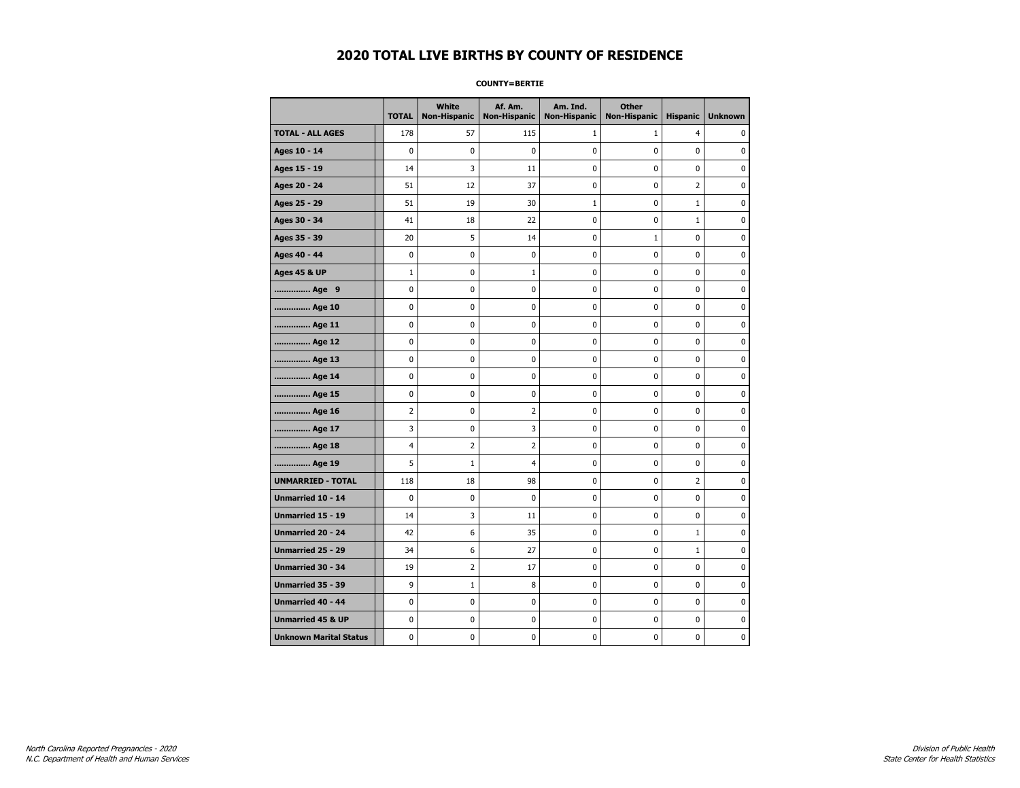#### **COUNTY=BERTIE**

|                               | <b>TOTAL</b>   | <b>White</b><br>Non-Hispanic | Af. Am.<br><b>Non-Hispanic</b> | Am. Ind.<br><b>Non-Hispanic</b> | <b>Other</b><br><b>Non-Hispanic</b> | <b>Hispanic</b> | <b>Unknown</b> |
|-------------------------------|----------------|------------------------------|--------------------------------|---------------------------------|-------------------------------------|-----------------|----------------|
| <b>TOTAL - ALL AGES</b>       | 178            | 57                           | 115                            | 1                               | $\mathbf{1}$                        | $\overline{4}$  | 0              |
| Ages 10 - 14                  | 0              | 0                            | 0                              | $\pmb{0}$                       | $\mathbf 0$                         | $\mathbf 0$     | 0              |
| Ages 15 - 19                  | 14             | 3                            | 11                             | $\mathbf 0$                     | $\mathbf 0$                         | $\mathbf 0$     | 0              |
| Ages 20 - 24                  | 51             | 12                           | 37                             | $\mathbf 0$                     | $\mathbf 0$                         | $\overline{2}$  | $\mathbf 0$    |
| Ages 25 - 29                  | 51             | 19                           | 30                             | $1\,$                           | $\pmb{0}$                           | $1\,$           | 0              |
| Ages 30 - 34                  | 41             | 18                           | 22                             | $\pmb{0}$                       | $\pmb{0}$                           | $\mathbf 1$     | 0              |
| Ages 35 - 39                  | 20             | 5                            | 14                             | 0                               | $1\,$                               | $\mathbf 0$     | 0              |
| Ages 40 - 44                  | 0              | 0                            | 0                              | 0                               | 0                                   | 0               | 0              |
| <b>Ages 45 &amp; UP</b>       | $\mathbf 1$    | 0                            | 1                              | 0                               | 0                                   | 0               | 0              |
| Age 9                         | 0              | 0                            | 0                              | 0                               | 0                                   | 0               | 0              |
| Age 10                        | 0              | 0                            | 0                              | $\mathbf 0$                     | $\mathbf 0$                         | $\mathbf 0$     | 0              |
| Age 11                        | 0              | 0                            | 0                              | 0                               | $\mathbf 0$                         | $\mathbf 0$     | 0              |
| Age 12                        | $\pmb{0}$      | 0                            | 0                              | 0                               | $\pmb{0}$                           | 0               | 0              |
| Age 13                        | 0              | 0                            | 0                              | 0                               | 0                                   | 0               | 0              |
| Age 14                        | 0              | 0                            | 0                              | 0                               | 0                                   | $\mathbf 0$     | 0              |
| Age 15                        | 0              | 0                            | 0                              | 0                               | 0                                   | 0               | 0              |
| Age 16                        | $\overline{2}$ | 0                            | $\overline{2}$                 | 0                               | $\mathbf 0$                         | $\mathbf 0$     | 0              |
| Age 17                        | 3              | 0                            | 3                              | 0                               | $\mathbf 0$                         | $\mathbf 0$     | 0              |
| Age 18                        | $\overline{4}$ | $\overline{2}$               | $\overline{2}$                 | $\mathbf 0$                     | $\mathbf 0$                         | $\mathbf 0$     | 0              |
| Age 19                        | 5              | $\mathbf 1$                  | $\overline{4}$                 | $\pmb{0}$                       | $\pmb{0}$                           | $\pmb{0}$       | 0              |
| <b>UNMARRIED - TOTAL</b>      | 118            | 18                           | 98                             | 0                               | $\pmb{0}$                           | $\overline{2}$  | 0              |
| Unmarried 10 - 14             | $\mathbf 0$    | 0                            | 0                              | $\mathbf 0$                     | $\mathbf 0$                         | $\mathbf 0$     | 0              |
| Unmarried 15 - 19             | 14             | 3                            | 11                             | 0                               | 0                                   | 0               | 0              |
| Unmarried 20 - 24             | 42             | 6                            | 35                             | 0                               | $\mathbf 0$                         | $\mathbf{1}$    | 0              |
| <b>Unmarried 25 - 29</b>      | 34             | 6                            | 27                             | 0                               | $\mathbf 0$                         | $\mathbf 1$     | 0              |
| <b>Unmarried 30 - 34</b>      | 19             | $\overline{2}$               | 17                             | $\mathbf 0$                     | $\mathbf 0$                         | $\mathbf 0$     | 0              |
| Unmarried 35 - 39             | 9              | 1                            | 8                              | 0                               | $\pmb{0}$                           | $\pmb{0}$       | $\pmb{0}$      |
| Unmarried 40 - 44             | 0              | 0                            | 0                              | 0                               | 0                                   | 0               | 0              |
| <b>Unmarried 45 &amp; UP</b>  | 0              | 0                            | 0                              | 0                               | 0                                   | 0               | 0              |
| <b>Unknown Marital Status</b> | 0              | 0                            | 0                              | 0                               | 0                                   | 0               | 0              |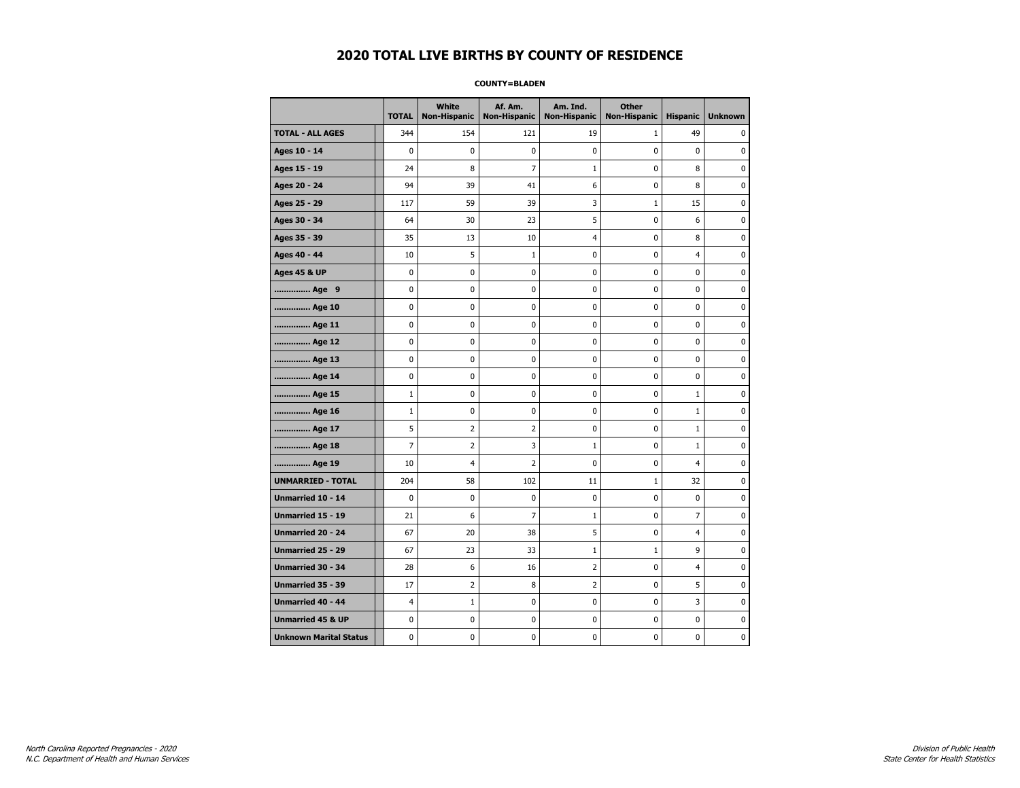#### **COUNTY=BLADEN**

|                               | <b>TOTAL</b>   | <b>White</b><br>Non-Hispanic | Af. Am.<br><b>Non-Hispanic</b> | Am. Ind.<br><b>Non-Hispanic</b> | <b>Other</b><br><b>Non-Hispanic</b> | <b>Hispanic</b> | <b>Unknown</b> |
|-------------------------------|----------------|------------------------------|--------------------------------|---------------------------------|-------------------------------------|-----------------|----------------|
| <b>TOTAL - ALL AGES</b>       | 344            | 154                          | 121                            | 19                              | $\mathbf{1}$                        | 49              | 0              |
| Ages 10 - 14                  | $\mathbf 0$    | 0                            | 0                              | $\mathbf 0$                     | $\mathbf 0$                         | $\mathbf 0$     | 0              |
| Ages 15 - 19                  | 24             | 8                            | $\overline{7}$                 | $1\,$                           | $\pmb{0}$                           | 8               | 0              |
| Ages 20 - 24                  | 94             | 39                           | 41                             | 6                               | $\pmb{0}$                           | 8               | 0              |
| Ages 25 - 29                  | 117            | 59                           | 39                             | 3                               | $\mathbf{1}$                        | 15              | 0              |
| Ages 30 - 34                  | 64             | 30                           | 23                             | 5                               | $\mathbf 0$                         | 6               | 0              |
| Ages 35 - 39                  | 35             | 13                           | 10                             | $\overline{4}$                  | 0                                   | 8               | 0              |
| Ages 40 - 44                  | 10             | 5                            | $\mathbf 1$                    | 0                               | $\pmb{0}$                           | $\overline{4}$  | 0              |
| <b>Ages 45 &amp; UP</b>       | $\pmb{0}$      | $\pmb{0}$                    | $\bf{0}$                       | $\pmb{0}$                       | $\pmb{0}$                           | 0               | 0              |
| Age 9                         | 0              | 0                            | 0                              | 0                               | 0                                   | 0               | 0              |
| Age 10                        | $\mathbf 0$    | 0                            | 0                              | $\mathbf 0$                     | $\mathbf 0$                         | $\mathbf 0$     | 0              |
| Age 11                        | 0              | 0                            | 0                              | 0                               | $\mathbf 0$                         | $\mathbf 0$     | 0              |
| Age 12                        | $\pmb{0}$      | 0                            | 0                              | 0                               | $\pmb{0}$                           | 0               | 0              |
| Age 13                        | 0              | 0                            | 0                              | 0                               | 0                                   | $\mathbf 0$     | 0              |
| Age 14                        | 0              | 0                            | 0                              | 0                               | 0                                   | 0               | 0              |
| Age 15                        | $\mathbf{1}$   | 0                            | 0                              | 0                               | $\mathbf 0$                         | $\mathbf{1}$    | 0              |
| Age 16                        | $\mathbf 1$    | 0                            | 0                              | $\mathbf 0$                     | $\mathbf 0$                         | $\mathbf{1}$    | 0              |
| Age 17                        | 5              | 2                            | $\overline{2}$                 | 0                               | $\pmb{0}$                           | $\mathbf 1$     | 0              |
| Age 18                        | 7              | 2                            | 3                              | $\mathbf{1}$                    | 0                                   | $1\,$           | 0              |
| Age 19                        | 10             | 4                            | $\overline{2}$                 | 0                               | 0                                   | 4               | 0              |
| <b>UNMARRIED - TOTAL</b>      | 204            | 58                           | 102                            | 11                              | $1\,$                               | 32              | 0              |
| Unmarried 10 - 14             | $\mathbf 0$    | 0                            | 0                              | $\mathbf 0$                     | $\mathbf 0$                         | $\mathbf 0$     | 0              |
| Unmarried 15 - 19             | 21             | 6                            | $\overline{7}$                 | $\mathbf 1$                     | $\pmb{0}$                           | $\overline{7}$  | 0              |
| Unmarried 20 - 24             | 67             | 20                           | 38                             | 5                               | 0                                   | $\overline{4}$  | 0              |
| <b>Unmarried 25 - 29</b>      | 67             | 23                           | 33                             | $1\,$                           | $\mathbf{1}$                        | 9               | 0              |
| Unmarried 30 - 34             | 28             | 6                            | 16                             | $\mathbf 2$                     | $\pmb{0}$                           | 4               | 0              |
| <b>Unmarried 35 - 39</b>      | 17             | $\overline{2}$               | 8                              | $\overline{2}$                  | $\mathbf 0$                         | 5               | $\pmb{0}$      |
| Unmarried 40 - 44             | $\overline{4}$ | $\mathbf 1$                  | $\bf{0}$                       | $\pmb{0}$                       | $\pmb{0}$                           | 3               | 0              |
| <b>Unmarried 45 &amp; UP</b>  | 0              | 0                            | 0                              | 0                               | 0                                   | 0               | 0              |
| <b>Unknown Marital Status</b> | 0              | 0                            | 0                              | 0                               | 0                                   | $\mathbf 0$     | 0              |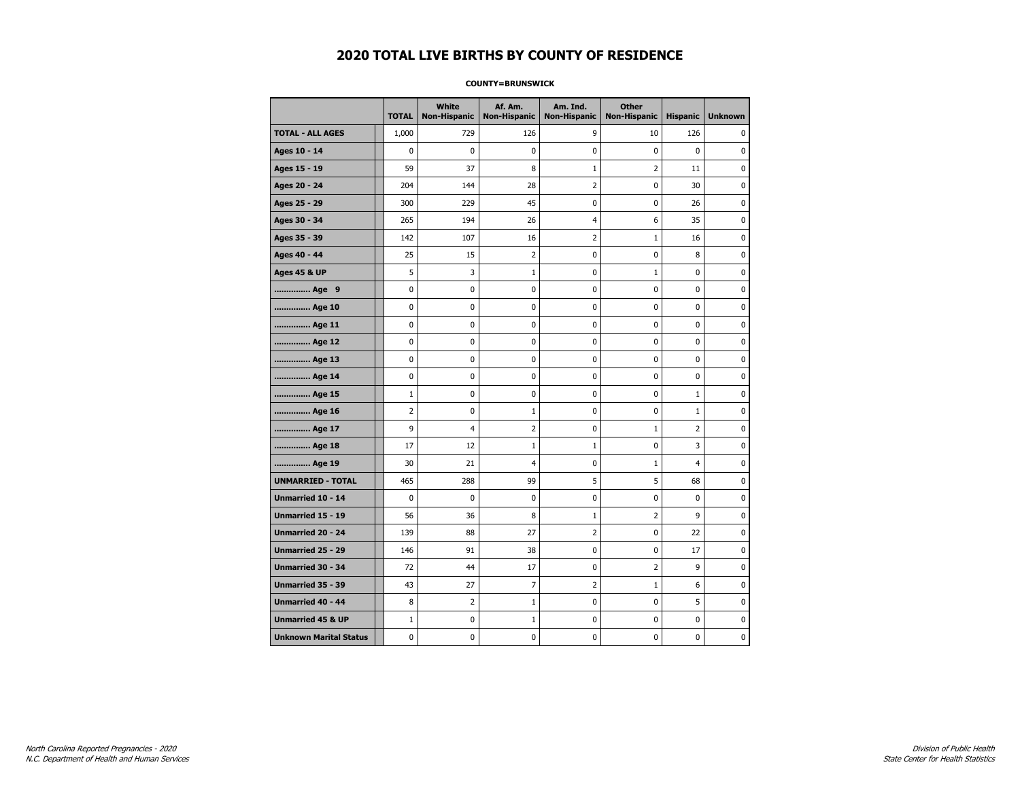#### **COUNTY=BRUNSWICK**

|                               | <b>TOTAL</b>   | White<br><b>Non-Hispanic</b> | Af. Am.<br><b>Non-Hispanic</b> | Am. Ind.<br><b>Non-Hispanic</b> | <b>Other</b><br><b>Non-Hispanic</b> | <b>Hispanic</b> | <b>Unknown</b> |
|-------------------------------|----------------|------------------------------|--------------------------------|---------------------------------|-------------------------------------|-----------------|----------------|
| <b>TOTAL - ALL AGES</b>       | 1,000          | 729                          | 126                            | 9                               | 10                                  | 126             | 0              |
| Ages 10 - 14                  | 0              | 0                            | 0                              | 0                               | 0                                   | $\mathbf{0}$    | 0              |
| Ages 15 - 19                  | 59             | 37                           | 8                              | 1                               | 2                                   | 11              | $\mathbf 0$    |
| Ages 20 - 24                  | 204            | 144                          | 28                             | $\overline{2}$                  | 0                                   | 30              | 0              |
| Ages 25 - 29                  | 300            | 229                          | 45                             | 0                               | 0                                   | 26              | 0              |
| Ages 30 - 34                  | 265            | 194                          | 26                             | $\overline{4}$                  | 6                                   | 35              | 0              |
| Ages 35 - 39                  | 142            | 107                          | 16                             | $\overline{2}$                  | $1\,$                               | 16              | $\pmb{0}$      |
| Ages 40 - 44                  | 25             | 15                           | $\overline{2}$                 | 0                               | $\pmb{0}$                           | 8               | 0              |
| <b>Ages 45 &amp; UP</b>       | 5              | 3                            | $\mathbf{1}$                   | 0                               | 1                                   | 0               | 0              |
| Age 9                         | 0              | 0                            | 0                              | 0                               | 0                                   | 0               | 0              |
| Age 10                        | 0              | 0                            | $\mathbf 0$                    | $\mathbf 0$                     | 0                                   | $\mathbf 0$     | 0              |
| Age 11                        | 0              | 0                            | 0                              | 0                               | 0                                   | $\mathbf 0$     | 0              |
| Age 12                        | 0              | 0                            | 0                              | 0                               | 0                                   | 0               | 0              |
| Age 13                        | 0              | 0                            | $\mathbf 0$                    | $\mathbf 0$                     | 0                                   | $\mathbf 0$     | $\mathbf 0$    |
| Age 14                        | $\mathbf 0$    | 0                            | $\mathbf 0$                    | $\mathbf 0$                     | 0                                   | $\mathbf 0$     | $\mathbf 0$    |
| Age 15                        | $\mathbf 1$    | 0                            | $\mathbf 0$                    | $\pmb{0}$                       | 0                                   | $\mathbf{1}$    | $\pmb{0}$      |
| Age 16                        | $\overline{2}$ | 0                            | $\mathbf 1$                    | 0                               | 0                                   | $\mathbf{1}$    | 0              |
| Age 17                        | 9              | 4                            | $\overline{2}$                 | 0                               | $1\,$                               | 2               | 0              |
| Age 18                        | 17             | 12                           | 1                              | $\mathbf{1}$                    | 0                                   | 3               | 0              |
| Age 19                        | 30             | 21                           | 4                              | 0                               | 1                                   | 4               | 0              |
| <b>UNMARRIED - TOTAL</b>      | 465            | 288                          | 99                             | 5                               | 5                                   | 68              | 0              |
| Unmarried 10 - 14             | 0              | 0                            | $\mathbf 0$                    | $\mathbf 0$                     | $\mathbf 0$                         | $\mathbf{0}$    | 0              |
| Unmarried 15 - 19             | 56             | 36                           | 8                              | $\mathbf{1}$                    | 2                                   | 9               | 0              |
| <b>Unmarried 20 - 24</b>      | 139            | 88                           | 27                             | $\overline{2}$                  | 0                                   | 22              | 0              |
| <b>Unmarried 25 - 29</b>      | 146            | 91                           | 38                             | $\pmb{0}$                       | 0                                   | 17              | $\bf{0}$       |
| Unmarried 30 - 34             | 72             | 44                           | 17                             | 0                               | $\overline{2}$                      | 9               | 0              |
| Unmarried 35 - 39             | 43             | 27                           | $\overline{7}$                 | $\overline{2}$                  | $\mathbf 1$                         | 6               | 0              |
| Unmarried 40 - 44             | 8              | 2                            | $\mathbf{1}$                   | 0                               | 0                                   | 5               | 0              |
| <b>Unmarried 45 &amp; UP</b>  | $\mathbf 1$    | 0                            | 1                              | 0                               | 0                                   | 0               | 0              |
| <b>Unknown Marital Status</b> | 0              | 0                            | $\pmb{0}$                      | 0                               | 0                                   | 0               | 0              |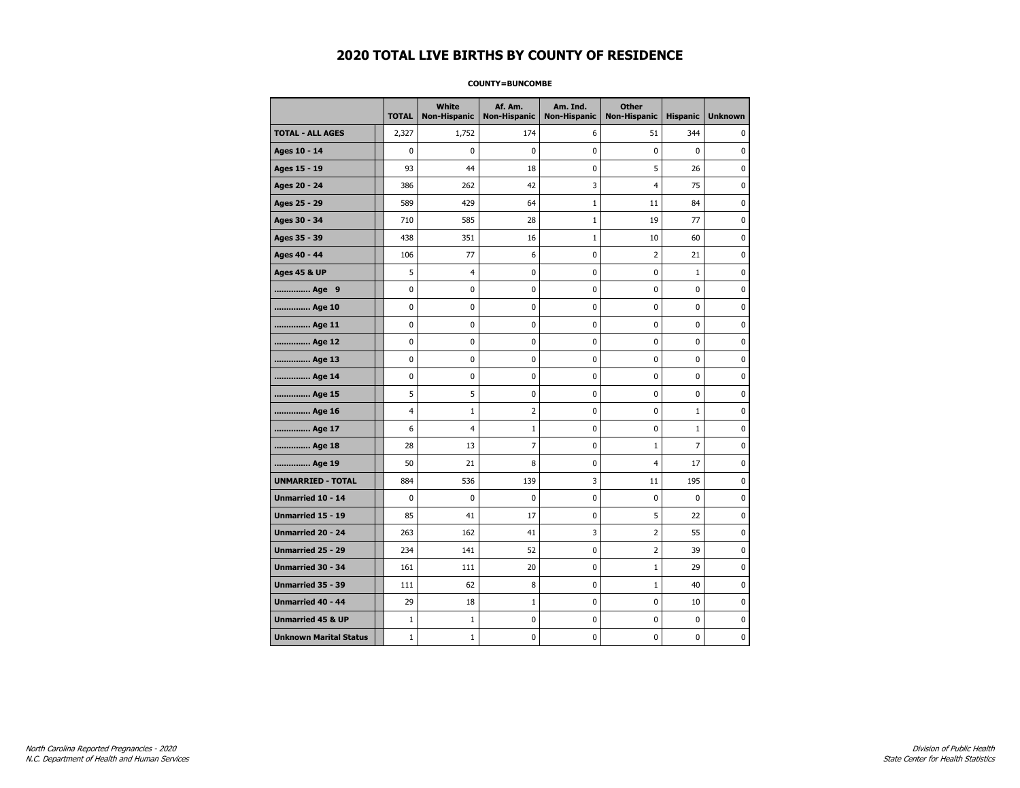#### **COUNTY=BUNCOMBE**

|                               | <b>TOTAL</b> | White<br><b>Non-Hispanic</b> | Af. Am.<br><b>Non-Hispanic</b> | Am. Ind.<br><b>Non-Hispanic</b> | <b>Other</b><br>Non-Hispanic | <b>Hispanic</b> | <b>Unknown</b> |
|-------------------------------|--------------|------------------------------|--------------------------------|---------------------------------|------------------------------|-----------------|----------------|
| <b>TOTAL - ALL AGES</b>       | 2,327        | 1,752                        | 174                            | 6                               | 51                           | 344             | 0              |
| Ages 10 - 14                  | 0            | $\mathbf 0$                  | 0                              | 0                               | 0                            | $\mathbf 0$     | 0              |
| Ages 15 - 19                  | 93           | 44                           | 18                             | 0                               | 5                            | 26              | $\mathbf 0$    |
| Ages 20 - 24                  | 386          | 262                          | 42                             | 3                               | $\overline{4}$               | 75              | $\mathbf 0$    |
| Ages 25 - 29                  | 589          | 429                          | 64                             | $\mathbf{1}$                    | 11                           | 84              | $\pmb{0}$      |
| Ages 30 - 34                  | 710          | 585                          | 28                             | $\mathbf 1$                     | 19                           | 77              | 0              |
| Ages 35 - 39                  | 438          | 351                          | 16                             | $\mathbf 1$                     | 10                           | 60              | 0              |
| Ages 40 - 44                  | 106          | 77                           | 6                              | 0                               | 2                            | 21              | 0              |
| <b>Ages 45 &amp; UP</b>       | 5            | 4                            | 0                              | 0                               | 0                            | $\mathbf{1}$    | 0              |
| Age 9                         | 0            | 0                            | 0                              | 0                               | 0                            | 0               | 0              |
| Age 10                        | 0            | $\mathbf 0$                  | 0                              | 0                               | 0                            | 0               | $\mathbf 0$    |
| Age 11                        | 0            | 0                            | 0                              | 0                               | 0                            | 0               | $\mathbf 0$    |
| Age 12                        | 0            | 0                            | 0                              | 0                               | 0                            | 0               | 0              |
| Age 13                        | 0            | 0                            | 0                              | 0                               | 0                            | 0               | 0              |
| Age 14                        | 0            | $\mathbf 0$                  | 0                              | 0                               | 0                            | 0               | $\mathbf 0$    |
| Age 15                        | 5            | 5                            | 0                              | 0                               | 0                            | 0               | 0              |
| Age 16                        | 4            | $\mathbf{1}$                 | 2                              | 0                               | 0                            | $\mathbf 1$     | $\mathbf 0$    |
| Age 17                        | 6            | 4                            | 1                              | 0                               | 0                            | $\mathbf{1}$    | $\mathbf 0$    |
| Age 18                        | 28           | 13                           | $\overline{7}$                 | 0                               | $\mathbf{1}$                 | $\overline{7}$  | $\mathbf 0$    |
| Age 19                        | 50           | 21                           | 8                              | 0                               | $\overline{4}$               | 17              | $\pmb{0}$      |
| <b>UNMARRIED - TOTAL</b>      | 884          | 536                          | 139                            | 3                               | 11                           | 195             | 0              |
| Unmarried 10 - 14             | 0            | $\mathbf 0$                  | 0                              | 0                               | 0                            | 0               | 0              |
| Unmarried 15 - 19             | 85           | 41                           | 17                             | 0                               | 5                            | 22              | $\mathbf 0$    |
| <b>Unmarried 20 - 24</b>      | 263          | 162                          | 41                             | 3                               | 2                            | 55              | 0              |
| Unmarried 25 - 29             | 234          | 141                          | 52                             | 0                               | $\overline{2}$               | 39              | $\mathbf 0$    |
| <b>Unmarried 30 - 34</b>      | 161          | 111                          | 20                             | 0                               | $\mathbf{1}$                 | 29              | $\mathbf 0$    |
| Unmarried 35 - 39             | 111          | 62                           | 8                              | 0                               | $1\,$                        | 40              | $\pmb{0}$      |
| Unmarried 40 - 44             | 29           | 18                           | 1                              | 0                               | 0                            | 10              | 0              |
| <b>Unmarried 45 &amp; UP</b>  | $\mathbf 1$  | 1                            | 0                              | 0                               | 0                            | 0               | 0              |
| <b>Unknown Marital Status</b> | $1\,$        | $\mathbf{1}$                 | 0                              | 0                               | 0                            | 0               | 0              |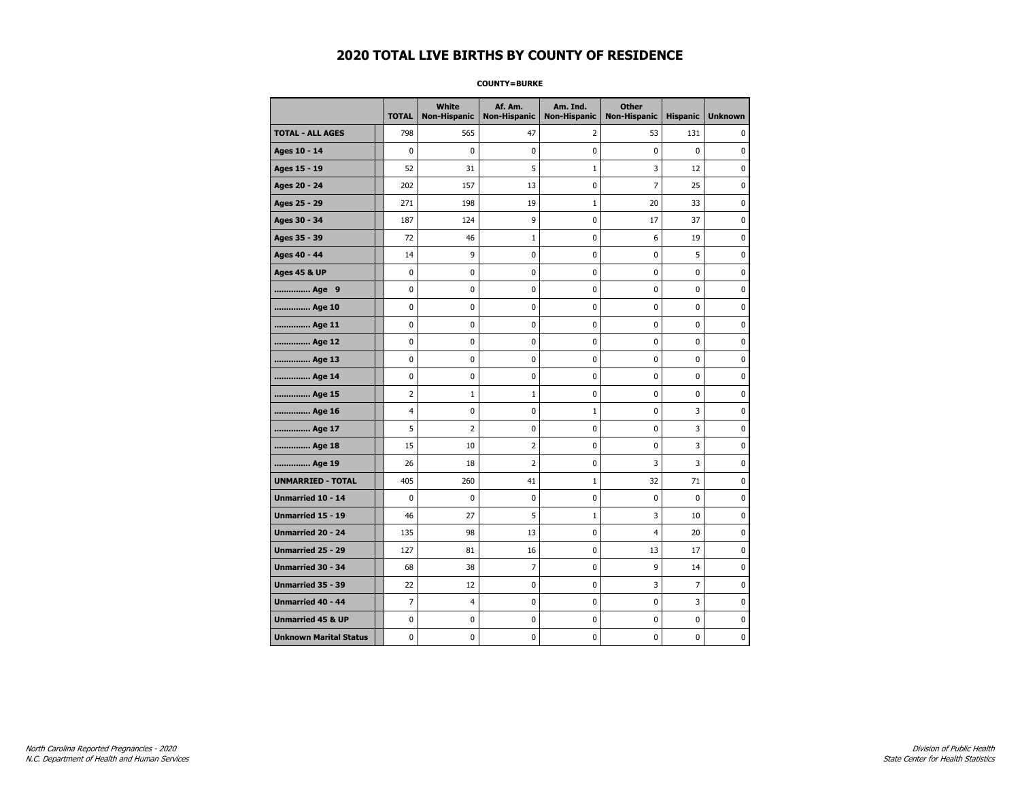#### **COUNTY=BURKE**

|                               | <b>TOTAL</b>   | White<br><b>Non-Hispanic</b> | Af. Am.<br><b>Non-Hispanic</b> | Am. Ind.<br><b>Non-Hispanic</b> | <b>Other</b><br><b>Non-Hispanic</b> | <b>Hispanic</b> | <b>Unknown</b> |
|-------------------------------|----------------|------------------------------|--------------------------------|---------------------------------|-------------------------------------|-----------------|----------------|
| <b>TOTAL - ALL AGES</b>       | 798            | 565                          | 47                             | 2                               | 53                                  | 131             | 0              |
| Ages 10 - 14                  | $\mathbf 0$    | $\mathbf 0$                  | $\pmb{0}$                      | 0                               | $\mathbf 0$                         | $\mathbf 0$     | 0              |
| Ages 15 - 19                  | 52             | 31                           | 5                              | $\mathbf 1$                     | 3                                   | 12              | 0              |
| Ages 20 - 24                  | 202            | 157                          | 13                             | $\mathbf 0$                     | $\overline{7}$                      | 25              | 0              |
| Ages 25 - 29                  | 271            | 198                          | 19                             | $\mathbf 1$                     | 20                                  | 33              | 0              |
| Ages 30 - 34                  | 187            | 124                          | 9                              | $\pmb{0}$                       | 17                                  | 37              | 0              |
| Ages 35 - 39                  | 72             | 46                           | 1                              | 0                               | 6                                   | 19              | 0              |
| Ages 40 - 44                  | 14             | 9                            | $\pmb{0}$                      | 0                               | 0                                   | 5               | 0              |
| <b>Ages 45 &amp; UP</b>       | 0              | 0                            | $\pmb{0}$                      | 0                               | 0                                   | 0               | 0              |
| Age 9                         | $\mathbf 0$    | 0                            | $\mathbf 0$                    | 0                               | $\mathbf 0$                         | 0               | 0              |
| Age 10                        | $\mathbf 0$    | 0                            | $\mathbf 0$                    | $\mathbf 0$                     | $\mathbf 0$                         | $\mathbf 0$     | 0              |
| Age 11                        | $\mathbf 0$    | 0                            | $\mathbf 0$                    | $\mathbf 0$                     | $\mathbf 0$                         | $\mathbf 0$     | 0              |
| Age 12                        | $\pmb{0}$      | 0                            | $\pmb{0}$                      | 0                               | 0                                   | 0               | 0              |
| Age 13                        | 0              | 0                            | $\pmb{0}$                      | 0                               | 0                                   | 0               | 0              |
| Age 14                        | $\mathbf 0$    | 0                            | $\mathbf 0$                    | 0                               | $\mathbf 0$                         | $\mathbf 0$     | 0              |
| Age 15                        | $\overline{2}$ | $\mathbf{1}$                 | $\mathbf{1}$                   | 0                               | $\mathbf 0$                         | 0               | 0              |
| Age 16                        | $\overline{4}$ | 0                            | $\mathbf 0$                    | $\mathbf 1$                     | $\mathbf 0$                         | 3               | 0              |
| Age 17                        | 5              | $\overline{2}$               | $\mathbf 0$                    | 0                               | 0                                   | 3               | 0              |
| Age 18                        | 15             | 10                           | $\overline{2}$                 | $\mathbf 0$                     | $\mathbf 0$                         | 3               | 0              |
| Age 19                        | 26             | 18                           | $\overline{2}$                 | $\pmb{0}$                       | 3                                   | 3               | 0              |
| <b>UNMARRIED - TOTAL</b>      | 405            | 260                          | 41                             | $\mathbf{1}$                    | 32                                  | 71              | 0              |
| Unmarried 10 - 14             | $\mathbf 0$    | 0                            | $\mathbf 0$                    | 0                               | $\mathbf 0$                         | $\mathbf 0$     | 0              |
| Unmarried 15 - 19             | 46             | 27                           | 5                              | $\mathbf 1$                     | 3                                   | 10              | 0              |
| <b>Unmarried 20 - 24</b>      | 135            | 98                           | 13                             | 0                               | $\overline{4}$                      | 20              | 0              |
| Unmarried 25 - 29             | 127            | 81                           | 16                             | $\mathbf 0$                     | 13                                  | 17              | 0              |
| <b>Unmarried 30 - 34</b>      | 68             | 38                           | $\overline{7}$                 | $\mathbf 0$                     | 9                                   | 14              | 0              |
| Unmarried 35 - 39             | 22             | 12                           | $\pmb{0}$                      | $\pmb{0}$                       | 3                                   | $\overline{7}$  | $\pmb{0}$      |
| Unmarried 40 - 44             | $\overline{7}$ | 4                            | $\pmb{0}$                      | 0                               | 0                                   | 3               | 0              |
| <b>Unmarried 45 &amp; UP</b>  | $\mathbf 0$    | 0                            | 0                              | 0                               | 0                                   | 0               | 0              |
| <b>Unknown Marital Status</b> | $\mathbf 0$    | 0                            | $\pmb{0}$                      | 0                               | $\mathbf 0$                         | 0               | 0              |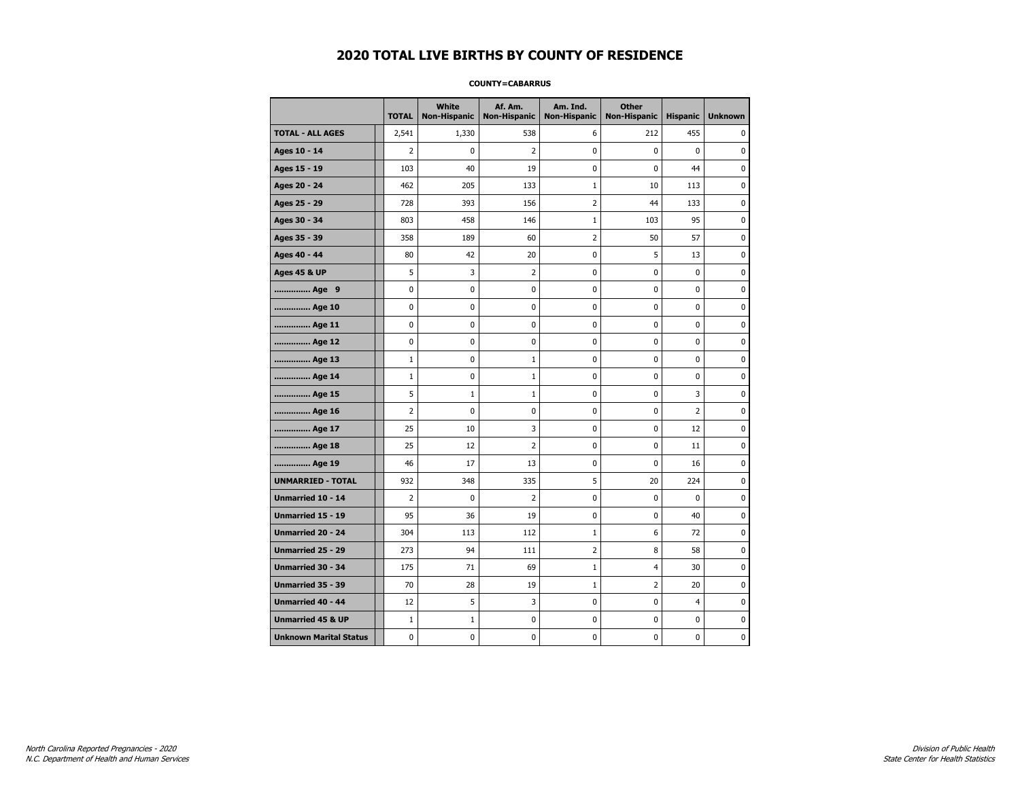#### **COUNTY=CABARRUS**

|                               | <b>TOTAL</b>   | White<br><b>Non-Hispanic</b> | Af. Am.<br><b>Non-Hispanic</b> | Am. Ind.<br><b>Non-Hispanic</b> | <b>Other</b><br>Non-Hispanic | <b>Hispanic</b> | <b>Unknown</b> |
|-------------------------------|----------------|------------------------------|--------------------------------|---------------------------------|------------------------------|-----------------|----------------|
| <b>TOTAL - ALL AGES</b>       | 2,541          | 1,330                        | 538                            | 6                               | 212                          | 455             | 0              |
| Ages 10 - 14                  | $\overline{2}$ | $\mathbf 0$                  | $\overline{2}$                 | 0                               | 0                            | 0               | $\mathbf 0$    |
| Ages 15 - 19                  | 103            | 40                           | 19                             | 0                               | 0                            | 44              | $\pmb{0}$      |
| Ages 20 - 24                  | 462            | 205                          | 133                            | $\mathbf 1$                     | 10                           | 113             | $\pmb{0}$      |
| Ages 25 - 29                  | 728            | 393                          | 156                            | 2                               | 44                           | 133             | 0              |
| Ages 30 - 34                  | 803            | 458                          | 146                            | $\mathbf 1$                     | 103                          | 95              | 0              |
| Ages 35 - 39                  | 358            | 189                          | 60                             | 2                               | 50                           | 57              | $\mathbf 0$    |
| Ages 40 - 44                  | 80             | 42                           | 20                             | 0                               | 5                            | 13              | 0              |
| <b>Ages 45 &amp; UP</b>       | 5              | 3                            | $\overline{2}$                 | 0                               | 0                            | 0               | $\pmb{0}$      |
| Age 9                         | 0              | 0                            | 0                              | 0                               | 0                            | 0               | 0              |
| Age 10                        | 0              | $\mathbf 0$                  | 0                              | 0                               | 0                            | 0               | $\mathbf 0$    |
| Age 11                        | 0              | 0                            | 0                              | 0                               | 0                            | 0               | $\mathbf 0$    |
| Age 12                        | 0              | 0                            | 0                              | 0                               | 0                            | 0               | 0              |
| Age 13                        | $1\,$          | 0                            | $\mathbf{1}$                   | 0                               | 0                            | 0               | 0              |
| Age 14                        | $1\,$          | 0                            | $\mathbf{1}$                   | 0                               | 0                            | 0               | 0              |
| Age 15                        | 5              | $\mathbf{1}$                 | 1                              | 0                               | 0                            | 3               | 0              |
| Age 16                        | $\overline{2}$ | $\mathbf 0$                  | 0                              | 0                               | 0                            | $\overline{2}$  | $\mathbf 0$    |
| Age 17                        | 25             | 10                           | 3                              | 0                               | 0                            | 12              | $\pmb{0}$      |
| Age 18                        | 25             | 12                           | $\overline{2}$                 | 0                               | 0                            | 11              | 0              |
| Age 19                        | 46             | 17                           | 13                             | 0                               | 0                            | 16              | 0              |
| <b>UNMARRIED - TOTAL</b>      | 932            | 348                          | 335                            | 5                               | 20                           | 224             | $\mathbf 0$    |
| Unmarried 10 - 14             | $\overline{2}$ | $\mathbf 0$                  | $\overline{2}$                 | 0                               | 0                            | 0               | $\mathbf 0$    |
| Unmarried 15 - 19             | 95             | 36                           | 19                             | 0                               | 0                            | 40              | $\pmb{0}$      |
| Unmarried 20 - 24             | 304            | 113                          | 112                            | 1                               | 6                            | 72              | 0              |
| Unmarried 25 - 29             | 273            | 94                           | 111                            | 2                               | 8                            | 58              | 0              |
| <b>Unmarried 30 - 34</b>      | 175            | 71                           | 69                             | $\mathbf{1}$                    | 4                            | 30              | $\mathbf 0$    |
| <b>Unmarried 35 - 39</b>      | 70             | 28                           | 19                             | $\mathbf 1$                     | $\overline{2}$               | 20              | 0              |
| Unmarried 40 - 44             | 12             | 5                            | 3                              | 0                               | 0                            | $\overline{4}$  | $\pmb{0}$      |
| <b>Unmarried 45 &amp; UP</b>  | $\mathbf{1}$   | $\mathbf{1}$                 | 0                              | 0                               | 0                            | 0               | 0              |
| <b>Unknown Marital Status</b> | 0              | 0                            | 0                              | 0                               | 0                            | 0               | 0              |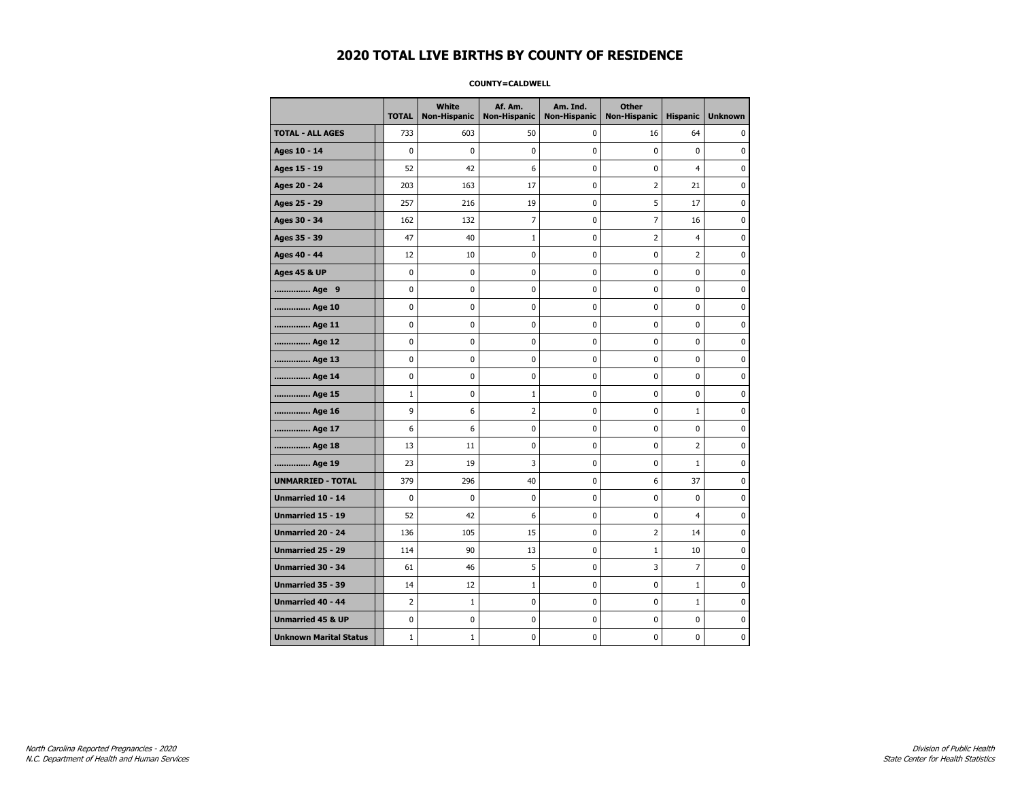#### **COUNTY=CALDWELL**

|                               | <b>TOTAL</b>   | White<br><b>Non-Hispanic</b> | Af. Am.<br><b>Non-Hispanic</b> | Am. Ind.<br><b>Non-Hispanic</b> | <b>Other</b><br><b>Non-Hispanic</b> | <b>Hispanic</b> | <b>Unknown</b> |
|-------------------------------|----------------|------------------------------|--------------------------------|---------------------------------|-------------------------------------|-----------------|----------------|
| <b>TOTAL - ALL AGES</b>       | 733            | 603                          | 50                             | 0                               | 16                                  | 64              | 0              |
| Ages 10 - 14                  | $\mathbf 0$    | 0                            | $\mathbf 0$                    | 0                               | 0                                   | 0               | 0              |
| Ages 15 - 19                  | 52             | 42                           | 6                              | $\mathbf 0$                     | 0                                   | 4               | $\mathbf 0$    |
| Ages 20 - 24                  | 203            | 163                          | 17                             | 0                               | 2                                   | 21              | 0              |
| Ages 25 - 29                  | 257            | 216                          | 19                             | 0                               | 5                                   | 17              | 0              |
| Ages 30 - 34                  | 162            | 132                          | 7                              | 0                               | 7                                   | 16              | 0              |
| Ages 35 - 39                  | 47             | 40                           | 1                              | 0                               | 2                                   | $\overline{4}$  | 0              |
| Ages 40 - 44                  | 12             | 10                           | 0                              | 0                               | 0                                   | 2               | 0              |
| <b>Ages 45 &amp; UP</b>       | 0              | 0                            | $\mathbf 0$                    | 0                               | 0                                   | $\mathbf 0$     | 0              |
| Age 9                         | $\mathbf 0$    | 0                            | $\mathbf 0$                    | 0                               | 0                                   | $\mathbf 0$     | 0              |
| Age 10                        | 0              | 0                            | $\mathbf 0$                    | $\mathbf 0$                     | 0                                   | $\mathbf 0$     | 0              |
| Age 11                        | 0              | $\pmb{0}$                    | 0                              | $\pmb{0}$                       | 0                                   | $\pmb{0}$       | $\pmb{0}$      |
| Age 12                        | 0              | 0                            | $\pmb{0}$                      | 0                               | 0                                   | 0               | 0              |
| Age 13                        | 0              | $\mathbf 0$                  | $\mathbf 0$                    | 0                               | 0                                   | $\mathbf 0$     | 0              |
| Age 14                        | 0              | 0                            | 0                              | 0                               | 0                                   | 0               | 0              |
| Age 15                        | $\mathbf{1}$   | 0                            | $\mathbf{1}$                   | 0                               | 0                                   | 0               | 0              |
| Age 16                        | 9              | 6                            | $\overline{2}$                 | $\mathbf 0$                     | 0                                   | $\mathbf{1}$    | 0              |
| Age 17                        | 6              | 6                            | $\mathbf 0$                    | $\mathbf 0$                     | 0                                   | $\mathbf 0$     | $\mathbf 0$    |
| Age 18                        | 13             | 11                           | $\mathbf 0$                    | $\mathbf 0$                     | 0                                   | $\overline{2}$  | 0              |
| Age 19                        | 23             | 19                           | 3                              | $\pmb{0}$                       | 0                                   | 1               | 0              |
| <b>UNMARRIED - TOTAL</b>      | 379            | 296                          | 40                             | 0                               | 6                                   | 37              | 0              |
| Unmarried 10 - 14             | 0              | 0                            | 0                              | 0                               | 0                                   | $\mathbf 0$     | 0              |
| Unmarried 15 - 19             | 52             | 42                           | 6                              | 0                               | 0                                   | 4               | 0              |
| Unmarried 20 - 24             | 136            | 105                          | 15                             | 0                               | 2                                   | 14              | 0              |
| <b>Unmarried 25 - 29</b>      | 114            | 90                           | 13                             | $\mathbf 0$                     | $1\,$                               | 10              | $\mathbf 0$    |
| Unmarried 30 - 34             | 61             | 46                           | 5                              | 0                               | 3                                   | $\overline{7}$  | 0              |
| Unmarried 35 - 39             | 14             | 12                           | $\mathbf 1$                    | $\pmb{0}$                       | $\pmb{0}$                           | $\mathbf 1$     | $\pmb{0}$      |
| Unmarried 40 - 44             | $\overline{2}$ | $\mathbf{1}$                 | 0                              | 0                               | 0                                   | $\mathbf{1}$    | 0              |
| <b>Unmarried 45 &amp; UP</b>  | 0              | 0                            | 0                              | 0                               | 0                                   | $\mathbf 0$     | 0              |
| <b>Unknown Marital Status</b> | $1\,$          | $\mathbf{1}$                 | $\pmb{0}$                      | 0                               | 0                                   | 0               | 0              |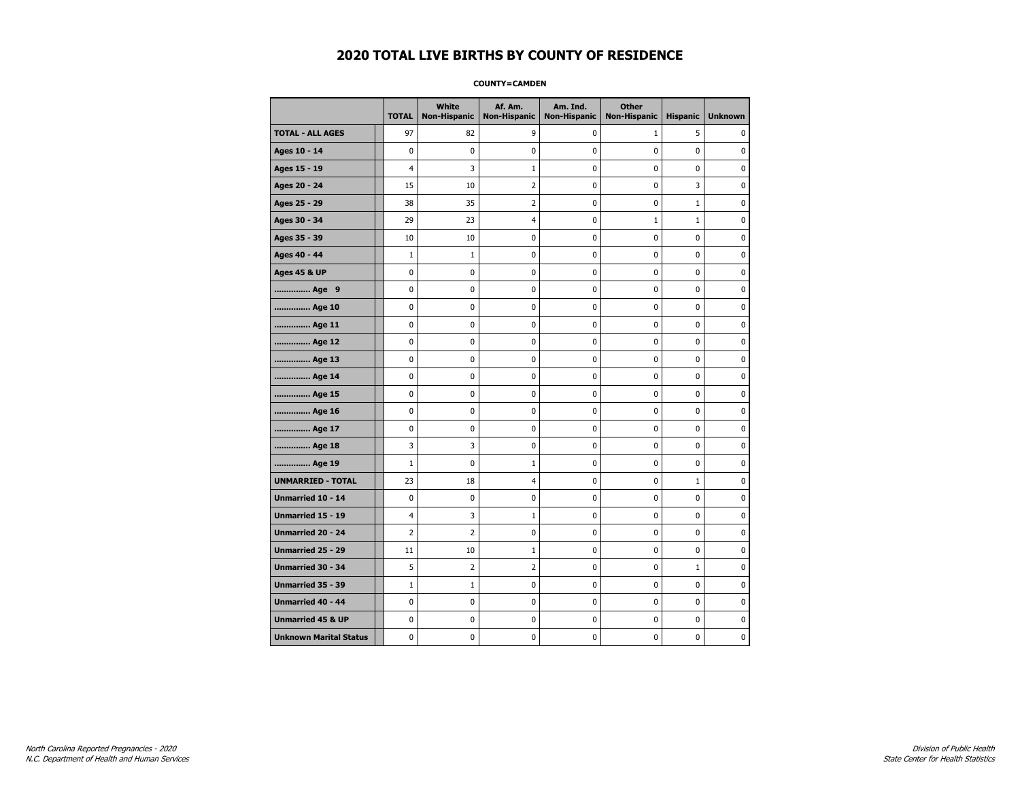#### **COUNTY=CAMDEN**

|                               | <b>TOTAL</b>   | <b>White</b><br><b>Non-Hispanic</b> | Af. Am.<br><b>Non-Hispanic</b> | Am. Ind.<br><b>Non-Hispanic</b> | <b>Other</b><br><b>Non-Hispanic</b> | <b>Hispanic</b> | <b>Unknown</b> |
|-------------------------------|----------------|-------------------------------------|--------------------------------|---------------------------------|-------------------------------------|-----------------|----------------|
| <b>TOTAL - ALL AGES</b>       | 97             | 82                                  | 9                              | 0                               | $\mathbf{1}$                        | 5               | 0              |
| Ages 10 - 14                  | 0              | 0                                   | 0                              | 0                               | $\mathbf 0$                         | 0               | 0              |
| Ages 15 - 19                  | 4              | 3                                   | $\mathbf{1}$                   | $\mathbf 0$                     | $\mathbf 0$                         | $\mathbf 0$     | 0              |
| Ages 20 - 24                  | 15             | 10                                  | $\overline{2}$                 | 0                               | $\mathbf 0$                         | 3               | 0              |
| Ages 25 - 29                  | 38             | 35                                  | $\overline{2}$                 | $\pmb{0}$                       | $\pmb{0}$                           | $\mathbf 1$     | 0              |
| Ages 30 - 34                  | 29             | 23                                  | $\overline{4}$                 | 0                               | $1\,$                               | $\mathbf 1$     | 0              |
| Ages 35 - 39                  | 10             | 10                                  | 0                              | 0                               | 0                                   | $\mathbf 0$     | 0              |
| Ages 40 - 44                  | $\mathbf{1}$   | 1                                   | 0                              | 0                               | 0                                   | 0               | 0              |
| <b>Ages 45 &amp; UP</b>       | 0              | 0                                   | 0                              | $\pmb{0}$                       | 0                                   | $\mathbf 0$     | 0              |
| Age 9                         | 0              | 0                                   | 0                              | 0                               | $\mathbf 0$                         | $\mathbf 0$     | 0              |
| Age 10                        | $\mathbf 0$    | 0                                   | 0                              | $\mathbf 0$                     | $\mathbf 0$                         | $\mathbf 0$     | 0              |
| Age 11                        | $\pmb{0}$      | 0                                   | $\bf{0}$                       | $\pmb{0}$                       | $\pmb{0}$                           | $\pmb{0}$       | 0              |
| Age 12                        | $\pmb{0}$      | 0                                   | 0                              | 0                               | $\pmb{0}$                           | 0               | 0              |
| Age 13                        | 0              | 0                                   | 0                              | 0                               | 0                                   | $\mathbf 0$     | 0              |
| Age 14                        | 0              | 0                                   | 0                              | 0                               | 0                                   | 0               | 0              |
| Age 15                        | $\mathbf 0$    | 0                                   | 0                              | 0                               | 0                                   | 0               | 0              |
| Age 16                        | $\mathbf 0$    | 0                                   | 0                              | 0                               | $\mathbf 0$                         | $\mathbf 0$     | 0              |
| Age 17                        | 0              | 0                                   | 0                              | $\mathbf 0$                     | 0                                   | $\mathbf 0$     | 0              |
| Age 18                        | 3              | 3                                   | 0                              | $\mathbf 0$                     | $\mathbf 0$                         | $\mathbf 0$     | 0              |
| Age 19                        | $\mathbf 1$    | $\pmb{0}$                           | $\mathbf 1$                    | $\pmb{0}$                       | $\pmb{0}$                           | 0               | 0              |
| <b>UNMARRIED - TOTAL</b>      | 23             | 18                                  | $\overline{a}$                 | 0                               | 0                                   | $\mathbf 1$     | 0              |
| Unmarried 10 - 14             | 0              | 0                                   | 0                              | 0                               | $\mathbf 0$                         | $\mathbf 0$     | 0              |
| Unmarried 15 - 19             | 4              | 3                                   | $\mathbf{1}$                   | 0                               | 0                                   | 0               | 0              |
| Unmarried 20 - 24             | $\overline{2}$ | 2                                   | 0                              | 0                               | 0                                   | 0               | 0              |
| <b>Unmarried 25 - 29</b>      | 11             | 10                                  | $\mathbf 1$                    | $\mathbf 0$                     | $\mathbf 0$                         | $\mathbf 0$     | 0              |
| Unmarried 30 - 34             | 5              | 2                                   | $\overline{2}$                 | $\pmb{0}$                       | $\bf{0}$                            | $1\,$           | 0              |
| Unmarried 35 - 39             | $\mathbf 1$    | $\mathbf 1$                         | $\pmb{0}$                      | $\pmb{0}$                       | $\pmb{0}$                           | $\pmb{0}$       | $\pmb{0}$      |
| Unmarried 40 - 44             | 0              | 0                                   | 0                              | 0                               | 0                                   | 0               | 0              |
| <b>Unmarried 45 &amp; UP</b>  | 0              | 0                                   | 0                              | 0                               | 0                                   | $\mathbf 0$     | 0              |
| <b>Unknown Marital Status</b> | 0              | 0                                   | 0                              | 0                               | 0                                   | 0               | 0              |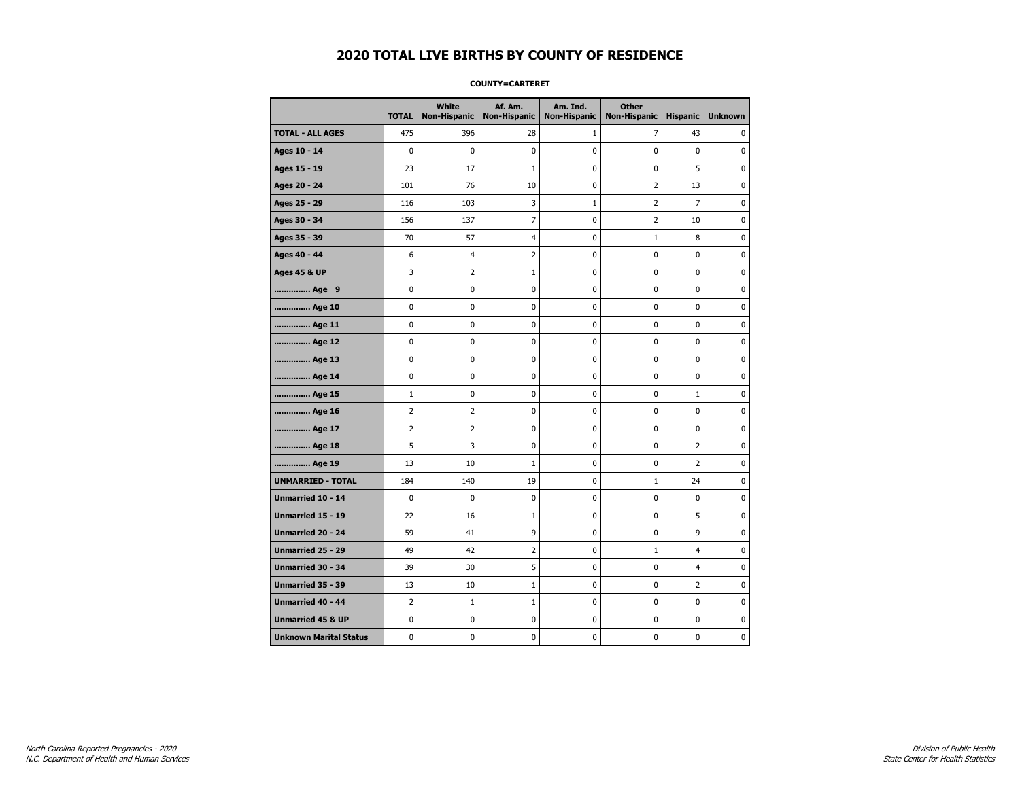#### **COUNTY=CARTERET**

|                               | <b>TOTAL</b>   | White<br>Non-Hispanic | Af. Am.<br><b>Non-Hispanic</b> | Am. Ind.<br><b>Non-Hispanic</b> | <b>Other</b><br><b>Non-Hispanic</b> | <b>Hispanic</b> | <b>Unknown</b> |
|-------------------------------|----------------|-----------------------|--------------------------------|---------------------------------|-------------------------------------|-----------------|----------------|
| <b>TOTAL - ALL AGES</b>       | 475            | 396                   | 28                             | 1                               | 7                                   | 43              | 0              |
| Ages 10 - 14                  | $\mathbf 0$    | $\mathbf 0$           | $\pmb{0}$                      | 0                               | $\mathbf 0$                         | $\mathbf 0$     | 0              |
| Ages 15 - 19                  | 23             | 17                    | $\mathbf{1}$                   | $\mathbf 0$                     | $\mathbf 0$                         | 5               | 0              |
| Ages 20 - 24                  | 101            | 76                    | 10                             | $\mathbf 0$                     | $\overline{2}$                      | 13              | 0              |
| Ages 25 - 29                  | 116            | 103                   | 3                              | $\mathbf 1$                     | $\overline{2}$                      | $\overline{7}$  | 0              |
| Ages 30 - 34                  | 156            | 137                   | 7                              | $\pmb{0}$                       | $\overline{2}$                      | 10              | 0              |
| Ages 35 - 39                  | 70             | 57                    | 4                              | 0                               | 1                                   | 8               | 0              |
| Ages 40 - 44                  | 6              | 4                     | $\overline{2}$                 | 0                               | 0                                   | $\mathbf 0$     | 0              |
| <b>Ages 45 &amp; UP</b>       | 3              | $\overline{2}$        | 1                              | 0                               | 0                                   | 0               | 0              |
| Age 9                         | $\mathbf 0$    | 0                     | $\pmb{0}$                      | 0                               | $\mathbf 0$                         | 0               | 0              |
| Age 10                        | $\mathbf 0$    | 0                     | $\mathbf 0$                    | $\mathbf 0$                     | $\mathbf 0$                         | $\mathbf 0$     | 0              |
| Age 11                        | $\mathbf 0$    | 0                     | $\mathbf 0$                    | $\mathbf 0$                     | $\mathbf 0$                         | $\mathbf 0$     | 0              |
| Age 12                        | $\pmb{0}$      | 0                     | $\pmb{0}$                      | 0                               | 0                                   | 0               | 0              |
| Age 13                        | 0              | 0                     | $\pmb{0}$                      | 0                               | 0                                   | 0               | 0              |
| Age 14                        | $\mathbf 0$    | 0                     | $\mathbf 0$                    | 0                               | $\mathbf 0$                         | $\mathbf 0$     | 0              |
| Age 15                        | $\mathbf{1}$   | 0                     | 0                              | 0                               | 0                                   | $\mathbf{1}$    | 0              |
| Age 16                        | $\overline{2}$ | 2                     | $\mathbf 0$                    | $\mathbf 0$                     | $\mathbf 0$                         | $\mathbf 0$     | 0              |
| Age 17                        | $\overline{2}$ | $\overline{2}$        | $\mathbf 0$                    | 0                               | 0                                   | $\mathbf 0$     | 0              |
| Age 18                        | 5              | 3                     | $\mathbf 0$                    | $\mathbf 0$                     | $\mathbf 0$                         | $\overline{2}$  | 0              |
| Age 19                        | 13             | 10                    | $1\,$                          | $\pmb{0}$                       | $\pmb{0}$                           | $\mathbf 2$     | 0              |
| <b>UNMARRIED - TOTAL</b>      | 184            | 140                   | 19                             | $\pmb{0}$                       | $\mathbf{1}$                        | 24              | 0              |
| Unmarried 10 - 14             | $\mathbf 0$    | 0                     | $\pmb{0}$                      | $\mathbf 0$                     | $\mathbf 0$                         | $\mathbf 0$     | 0              |
| Unmarried 15 - 19             | 22             | 16                    | 1                              | 0                               | 0                                   | 5               | 0              |
| Unmarried 20 - 24             | 59             | 41                    | 9                              | 0                               | $\mathbf 0$                         | 9               | 0              |
| Unmarried 25 - 29             | 49             | 42                    | $\overline{2}$                 | $\mathbf 0$                     | $\mathbf{1}$                        | $\overline{4}$  | 0              |
| <b>Unmarried 30 - 34</b>      | 39             | 30                    | 5                              | $\mathbf 0$                     | $\mathbf 0$                         | $\overline{4}$  | 0              |
| Unmarried 35 - 39             | 13             | 10                    | $1\,$                          | $\pmb{0}$                       | $\pmb{0}$                           | $\mathbf 2$     | $\pmb{0}$      |
| Unmarried 40 - 44             | $\overline{2}$ | $1\,$                 | $\mathbf{1}$                   | 0                               | 0                                   | 0               | 0              |
| <b>Unmarried 45 &amp; UP</b>  | $\mathbf 0$    | 0                     | 0                              | 0                               | 0                                   | 0               | 0              |
| <b>Unknown Marital Status</b> | $\mathbf 0$    | 0                     | $\pmb{0}$                      | 0                               | $\mathbf 0$                         | 0               | 0              |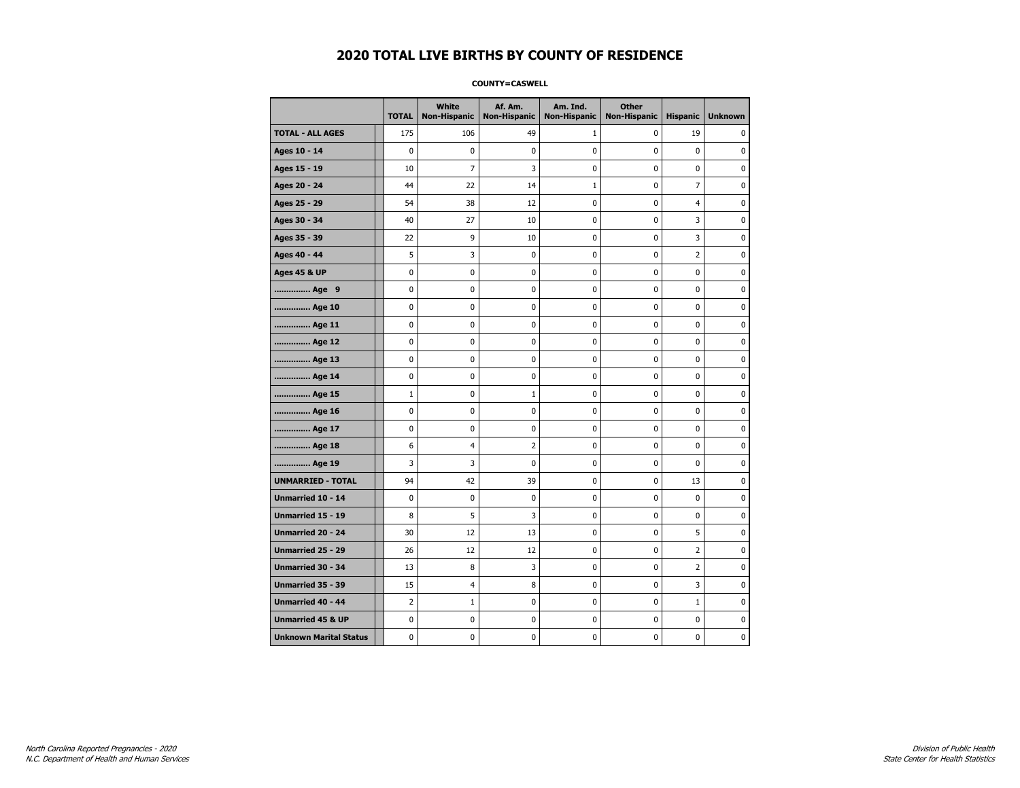#### **COUNTY=CASWELL**

|                               | <b>TOTAL</b>   | White<br><b>Non-Hispanic</b> | Af. Am.<br><b>Non-Hispanic</b> | Am. Ind.<br><b>Non-Hispanic</b> | <b>Other</b><br><b>Non-Hispanic</b> | <b>Hispanic</b> | <b>Unknown</b> |
|-------------------------------|----------------|------------------------------|--------------------------------|---------------------------------|-------------------------------------|-----------------|----------------|
| <b>TOTAL - ALL AGES</b>       | 175            | 106                          | 49                             | 1                               | 0                                   | 19              | 0              |
| Ages 10 - 14                  | 0              | 0                            | 0                              | 0                               | 0                                   | 0               | 0              |
| Ages 15 - 19                  | 10             | $\overline{7}$               | 3                              | $\mathbf 0$                     | 0                                   | $\mathbf 0$     | $\mathbf 0$    |
| Ages 20 - 24                  | 44             | 22                           | 14                             | $\mathbf{1}$                    | 0                                   | $\overline{7}$  | 0              |
| Ages 25 - 29                  | 54             | 38                           | 12                             | 0                               | $\pmb{0}$                           | 4               | 0              |
| Ages 30 - 34                  | 40             | 27                           | 10                             | 0                               | 0                                   | 3               | 0              |
| Ages 35 - 39                  | 22             | 9                            | 10                             | 0                               | 0                                   | 3               | 0              |
| Ages 40 - 44                  | 5              | 3                            | 0                              | 0                               | 0                                   | 2               | 0              |
| <b>Ages 45 &amp; UP</b>       | 0              | 0                            | $\mathbf 0$                    | 0                               | 0                                   | $\mathbf 0$     | 0              |
| Age 9                         | $\mathbf 0$    | 0                            | $\mathbf 0$                    | 0                               | 0                                   | 0               | 0              |
| Age 10                        | 0              | 0                            | $\mathbf 0$                    | $\mathbf 0$                     | 0                                   | $\mathbf 0$     | 0              |
| Age 11                        | 0              | $\pmb{0}$                    | 0                              | $\pmb{0}$                       | 0                                   | $\pmb{0}$       | $\pmb{0}$      |
| Age 12                        | 0              | 0                            | $\pmb{0}$                      | 0                               | 0                                   | 0               | 0              |
| Age 13                        | 0              | $\mathbf 0$                  | $\mathbf 0$                    | 0                               | 0                                   | $\mathbf 0$     | 0              |
| Age 14                        | 0              | 0                            | 0                              | 0                               | 0                                   | 0               | 0              |
| Age 15                        | $\mathbf{1}$   | 0                            | $\mathbf{1}$                   | 0                               | 0                                   | 0               | 0              |
| Age 16                        | 0              | 0                            | $\mathbf 0$                    | $\mathbf 0$                     | 0                                   | $\mathbf 0$     | 0              |
| Age 17                        | $\mathbf 0$    | 0                            | $\mathbf 0$                    | $\mathbf 0$                     | 0                                   | $\mathbf 0$     | $\mathbf 0$    |
| Age 18                        | 6              | $\overline{4}$               | $\overline{2}$                 | $\mathbf 0$                     | 0                                   | $\mathbf{0}$    | 0              |
| Age 19                        | 3              | 3                            | 0                              | $\pmb{0}$                       | $\pmb{0}$                           | 0               | 0              |
| <b>UNMARRIED - TOTAL</b>      | 94             | 42                           | 39                             | 0                               | 0                                   | 13              | 0              |
| Unmarried 10 - 14             | 0              | 0                            | 0                              | 0                               | 0                                   | $\mathbf 0$     | 0              |
| Unmarried 15 - 19             | 8              | 5                            | 3                              | 0                               | 0                                   | 0               | 0              |
| Unmarried 20 - 24             | 30             | 12                           | 13                             | 0                               | 0                                   | 5               | 0              |
| <b>Unmarried 25 - 29</b>      | 26             | 12                           | 12                             | $\mathbf 0$                     | 0                                   | $\overline{2}$  | $\mathbf 0$    |
| Unmarried 30 - 34             | 13             | 8                            | 3                              | 0                               | 0                                   | $\overline{2}$  | 0              |
| Unmarried 35 - 39             | 15             | 4                            | 8                              | $\pmb{0}$                       | $\pmb{0}$                           | 3               | $\pmb{0}$      |
| Unmarried 40 - 44             | $\overline{2}$ | $\mathbf{1}$                 | 0                              | 0                               | 0                                   | $\mathbf{1}$    | 0              |
| <b>Unmarried 45 &amp; UP</b>  | 0              | 0                            | 0                              | 0                               | 0                                   | $\mathbf 0$     | 0              |
| <b>Unknown Marital Status</b> | 0              | 0                            | $\pmb{0}$                      | 0                               | 0                                   | 0               | 0              |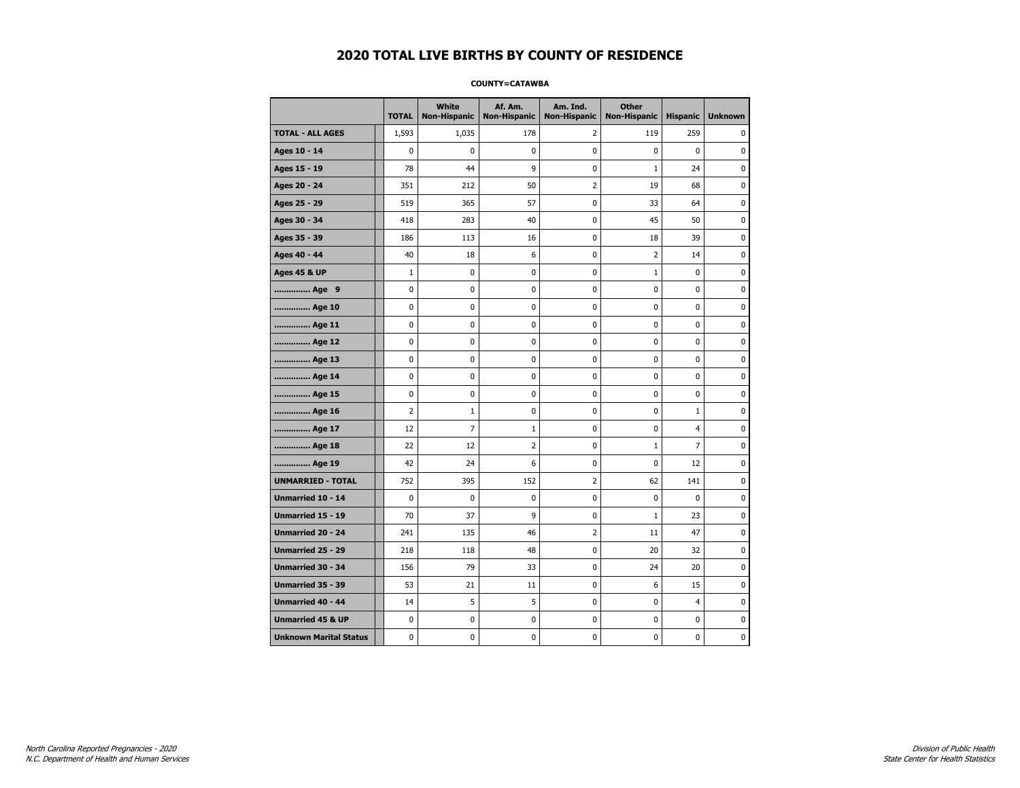#### **COUNTY=CATAWBA**

|                               | <b>TOTAL</b>   | White<br><b>Non-Hispanic</b> | Af. Am.<br><b>Non-Hispanic</b> | Am. Ind.<br><b>Non-Hispanic</b> | <b>Other</b><br><b>Non-Hispanic</b> | <b>Hispanic</b> | <b>Unknown</b> |
|-------------------------------|----------------|------------------------------|--------------------------------|---------------------------------|-------------------------------------|-----------------|----------------|
| <b>TOTAL - ALL AGES</b>       | 1,593          | 1,035                        | 178                            | 2                               | 119                                 | 259             | 0              |
| Ages 10 - 14                  | 0              | 0                            | $\mathbf 0$                    | $\mathbf 0$                     | 0                                   | $\mathbf 0$     | 0              |
| Ages 15 - 19                  | 78             | 44                           | 9                              | $\pmb{0}$                       | $1\,$                               | 24              | $\bf{0}$       |
| Ages 20 - 24                  | 351            | 212                          | 50                             | $\overline{2}$                  | 19                                  | 68              | 0              |
| Ages 25 - 29                  | 519            | 365                          | 57                             | 0                               | 33                                  | 64              | 0              |
| Ages 30 - 34                  | 418            | 283                          | 40                             | 0                               | 45                                  | 50              | 0              |
| Ages 35 - 39                  | 186            | 113                          | 16                             | $\mathbf 0$                     | 18                                  | 39              | $\mathbf 0$    |
| Ages 40 - 44                  | 40             | 18                           | 6                              | 0                               | 2                                   | 14              | 0              |
| <b>Ages 45 &amp; UP</b>       | $\mathbf 1$    | 0                            | 0                              | $\pmb{0}$                       | $\mathbf 1$                         | $\pmb{0}$       | 0              |
| Age 9                         | 0              | 0                            | 0                              | 0                               | 0                                   | 0               | 0              |
| Age 10                        | 0              | 0                            | $\mathbf 0$                    | $\mathbf 0$                     | 0                                   | $\mathbf 0$     | 0              |
| Age 11                        | 0              | 0                            | $\mathbf 0$                    | $\pmb{0}$                       | 0                                   | $\mathbf 0$     | 0              |
| Age 12                        | 0              | 0                            | $\pmb{0}$                      | 0                               | 0                                   | 0               | 0              |
| Age 13                        | 0              | 0                            | $\mathbf 0$                    | 0                               | 0                                   | 0               | 0              |
| Age 14                        | 0              | 0                            | 0                              | 0                               | 0                                   | 0               | 0              |
| Age 15                        | 0              | 0                            | $\mathbf 0$                    | 0                               | 0                                   | $\mathbf 0$     | 0              |
| Age 16                        | $\overline{2}$ | $\mathbf{1}$                 | $\mathbf 0$                    | $\mathbf 0$                     | 0                                   | $\mathbf{1}$    | 0              |
| Age 17                        | 12             | $\overline{7}$               | 1                              | $\pmb{0}$                       | 0                                   | $\overline{4}$  | $\bf{0}$       |
| Age 18                        | 22             | 12                           | $\overline{2}$                 | 0                               | $1\,$                               | $\overline{7}$  | 0              |
| Age 19                        | 42             | 24                           | 6                              | 0                               | 0                                   | 12              | 0              |
| <b>UNMARRIED - TOTAL</b>      | 752            | 395                          | 152                            | $\overline{2}$                  | 62                                  | 141             | 0              |
| Unmarried 10 - 14             | 0              | 0                            | $\mathbf 0$                    | $\mathbf 0$                     | 0                                   | $\mathbf 0$     | 0              |
| Unmarried 15 - 19             | 70             | 37                           | 9                              | $\pmb{0}$                       | $1\,$                               | 23              | $\pmb{0}$      |
| Unmarried 20 - 24             | 241            | 135                          | 46                             | 2                               | 11                                  | 47              | 0              |
| Unmarried 25 - 29             | 218            | 118                          | 48                             | 0                               | 20                                  | 32              | 0              |
| Unmarried 30 - 34             | 156            | 79                           | 33                             | $\pmb{0}$                       | 24                                  | 20              | 0              |
| <b>Unmarried 35 - 39</b>      | 53             | 21                           | 11                             | 0                               | 6                                   | 15              | 0              |
| Unmarried 40 - 44             | 14             | 5                            | 5                              | $\pmb{0}$                       | 0                                   | $\overline{4}$  | $\bf{0}$       |
| <b>Unmarried 45 &amp; UP</b>  | 0              | 0                            | 0                              | 0                               | 0                                   | 0               | 0              |
| <b>Unknown Marital Status</b> | 0              | 0                            | $\mathbf 0$                    | 0                               | 0                                   | $\mathbf 0$     | 0              |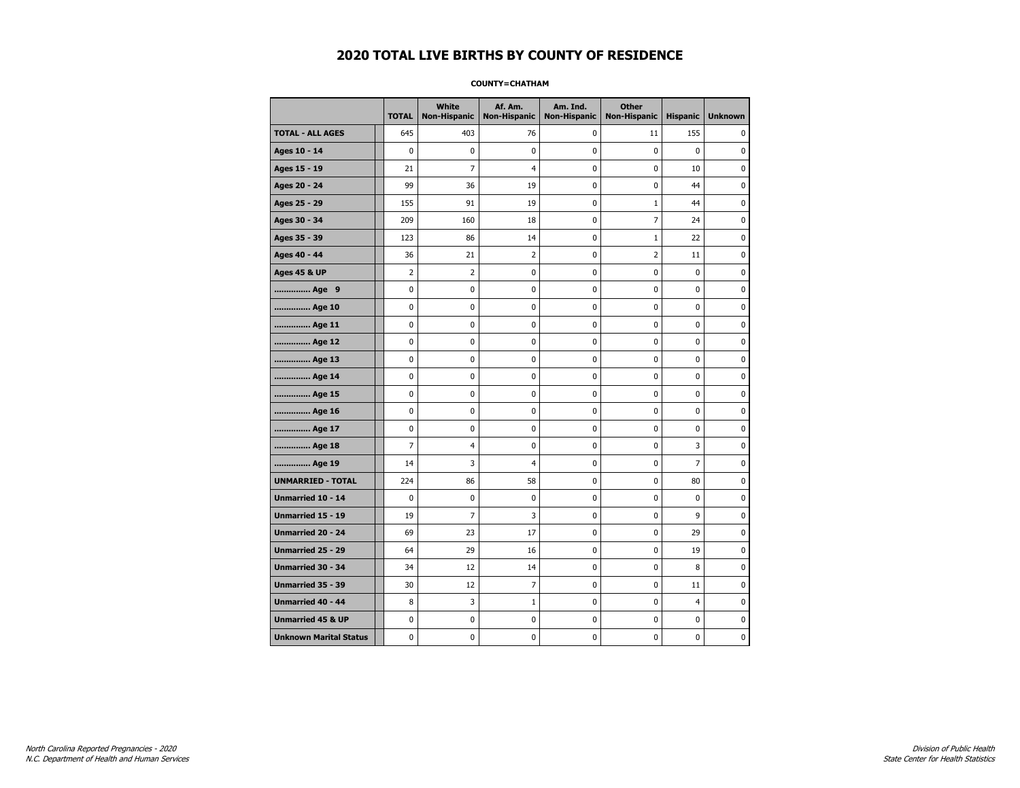#### **COUNTY=CHATHAM**

|                               | <b>TOTAL</b>            | White<br>Non-Hispanic | Af. Am.<br><b>Non-Hispanic</b> | Am. Ind.<br><b>Non-Hispanic</b> | <b>Other</b><br>Non-Hispanic | <b>Hispanic</b> | <b>Unknown</b> |
|-------------------------------|-------------------------|-----------------------|--------------------------------|---------------------------------|------------------------------|-----------------|----------------|
| <b>TOTAL - ALL AGES</b>       | 645                     | 403                   | 76                             | $\mathbf 0$                     | 11                           | 155             | 0              |
| Ages 10 - 14                  | $\mathbf 0$             | $\mathbf 0$           | $\mathbf 0$                    | $\mathbf 0$                     | 0                            | $\mathbf{0}$    | $\mathbf 0$    |
| Ages 15 - 19                  | 21                      | $\overline{7}$        | $\overline{4}$                 | $\mathbf 0$                     | 0                            | 10              | 0              |
| Ages 20 - 24                  | 99                      | 36                    | 19                             | $\pmb{0}$                       | 0                            | 44              | $\bf{0}$       |
| Ages 25 - 29                  | 155                     | 91                    | 19                             | 0                               | 1                            | 44              | 0              |
| Ages 30 - 34                  | 209                     | 160                   | 18                             | $\mathbf 0$                     | 7                            | 24              | 0              |
| Ages 35 - 39                  | 123                     | 86                    | 14                             | 0                               | $\mathbf{1}$                 | 22              | 0              |
| Ages 40 - 44                  | 36                      | 21                    | $\overline{2}$                 | $\mathbf 0$                     | $\overline{2}$               | 11              | $\mathbf 0$    |
| <b>Ages 45 &amp; UP</b>       | $\overline{\mathbf{c}}$ | $\overline{2}$        | 0                              | $\pmb{0}$                       | $\pmb{0}$                    | $\pmb{0}$       | $\pmb{0}$      |
| Age 9                         | 0                       | 0                     | 0                              | 0                               | 0                            | 0               | 0              |
| Age 10                        | 0                       | 0                     | $\mathbf 0$                    | $\pmb{0}$                       | $\mathbf 0$                  | $\mathbf 0$     | $\pmb{0}$      |
| Age 11                        | 0                       | $\mathbf 0$           | $\mathbf 0$                    | 0                               | 0                            | $\mathbf 0$     | 0              |
| Age 12                        | 0                       | 0                     | 0                              | 0                               | 0                            | 0               | 0              |
| Age 13                        | 0                       | 0                     | 0                              | 0                               | 0                            | 0               | 0              |
| Age 14                        | 0                       | 0                     | $\mathbf 0$                    | 0                               | 0                            | $\mathbf 0$     | 0              |
| Age 15                        | 0                       | 0                     | 0                              | 0                               | 0                            | 0               | 0              |
| Age 16                        | 0                       | 0                     | $\mathbf 0$                    | $\mathbf 0$                     | 0                            | $\mathbf 0$     | 0              |
| Age 17                        | 0                       | 0                     | 0                              | 0                               | 0                            | 0               | $\bf{0}$       |
| Age 18                        | 7                       | 4                     | 0                              | 0                               | 0                            | 3               | $\pmb{0}$      |
| Age 19                        | 14                      | 3                     | 4                              | 0                               | 0                            | 7               | 0              |
| <b>UNMARRIED - TOTAL</b>      | 224                     | 86                    | 58                             | 0                               | 0                            | 80              | 0              |
| Unmarried 10 - 14             | 0                       | 0                     | $\mathbf 0$                    | $\mathbf 0$                     | 0                            | $\mathbf 0$     | $\mathbf 0$    |
| Unmarried 15 - 19             | 19                      | $\overline{7}$        | 3                              | 0                               | 0                            | 9               | 0              |
| Unmarried 20 - 24             | 69                      | 23                    | 17                             | 0                               | 0                            | 29              | 0              |
| <b>Unmarried 25 - 29</b>      | 64                      | 29                    | 16                             | $\mathbf 0$                     | 0                            | 19              | $\mathbf 0$    |
| Unmarried 30 - 34             | 34                      | 12                    | 14                             | 0                               | 0                            | 8               | 0              |
| <b>Unmarried 35 - 39</b>      | 30                      | 12                    | $\overline{7}$                 | $\pmb{0}$                       | 0                            | 11              | $\pmb{0}$      |
| Unmarried 40 - 44             | 8                       | 3                     | $\mathbf 1$                    | 0                               | 0                            | 4               | 0              |
| <b>Unmarried 45 &amp; UP</b>  | 0                       | 0                     | 0                              | 0                               | 0                            | 0               | 0              |
| <b>Unknown Marital Status</b> | 0                       | 0                     | $\pmb{0}$                      | 0                               | 0                            | 0               | 0              |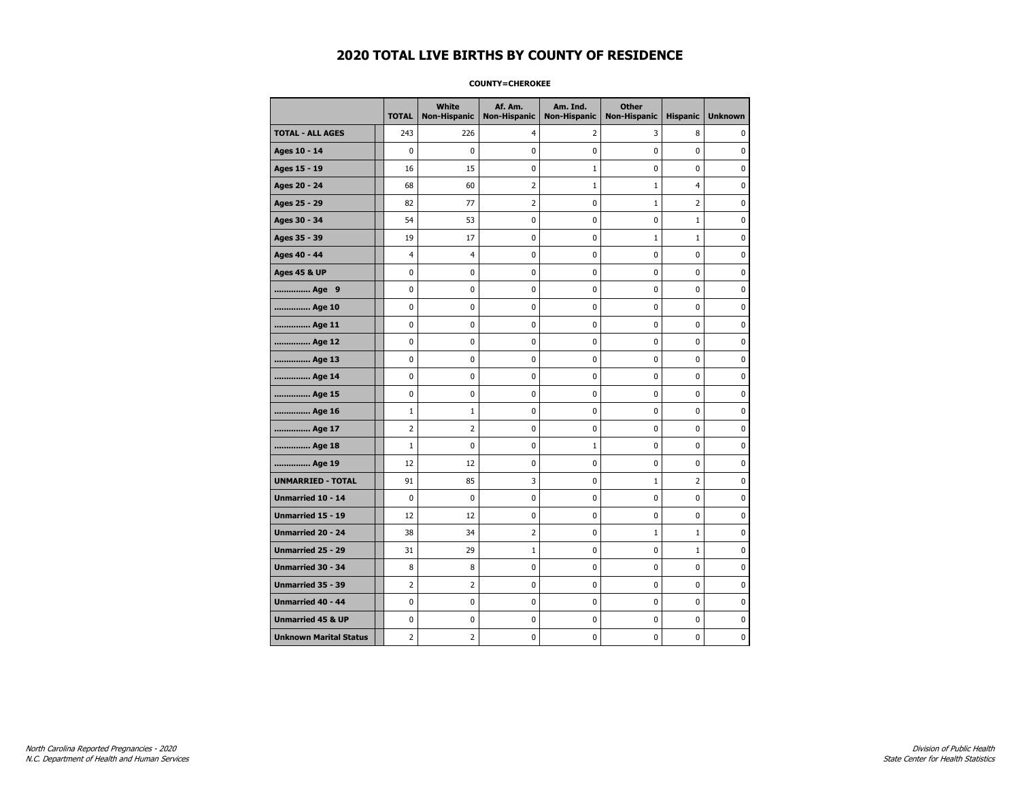#### **COUNTY=CHEROKEE**

|                               | <b>TOTAL</b>   | White<br>Non-Hispanic | Af. Am.<br><b>Non-Hispanic</b> | Am. Ind.<br><b>Non-Hispanic</b> | <b>Other</b><br><b>Non-Hispanic</b> | <b>Hispanic</b> | <b>Unknown</b> |
|-------------------------------|----------------|-----------------------|--------------------------------|---------------------------------|-------------------------------------|-----------------|----------------|
| <b>TOTAL - ALL AGES</b>       | 243            | 226                   | 4                              | 2                               | 3                                   | 8               | 0              |
| Ages 10 - 14                  | 0              | 0                     | $\pmb{0}$                      | 0                               | 0                                   | 0               | 0              |
| Ages 15 - 19                  | 16             | 15                    | $\mathbf 0$                    | 1                               | 0                                   | $\mathbf 0$     | $\mathbf 0$    |
| Ages 20 - 24                  | 68             | 60                    | $\overline{2}$                 | $\mathbf{1}$                    | $\mathbf{1}$                        | $\overline{4}$  | 0              |
| Ages 25 - 29                  | 82             | 77                    | $\overline{2}$                 | 0                               | 1                                   | $\overline{2}$  | 0              |
| Ages 30 - 34                  | 54             | 53                    | 0                              | 0                               | 0                                   | $\mathbf{1}$    | 0              |
| Ages 35 - 39                  | 19             | 17                    | 0                              | 0                               | $\mathbf{1}$                        | $\mathbf{1}$    | 0              |
| Ages 40 - 44                  | 4              | 4                     | 0                              | 0                               | 0                                   | 0               | 0              |
| <b>Ages 45 &amp; UP</b>       | 0              | 0                     | $\mathbf 0$                    | 0                               | 0                                   | $\mathbf 0$     | 0              |
| Age 9                         | $\mathbf 0$    | 0                     | $\mathbf 0$                    | 0                               | 0                                   | 0               | 0              |
| Age 10                        | 0              | 0                     | $\mathbf 0$                    | $\mathbf 0$                     | 0                                   | $\mathbf 0$     | 0              |
| Age 11                        | 0              | 0                     | 0                              | $\pmb{0}$                       | 0                                   | $\pmb{0}$       | $\pmb{0}$      |
| Age 12                        | 0              | 0                     | $\pmb{0}$                      | 0                               | 0                                   | 0               | 0              |
| Age 13                        | 0              | $\mathbf 0$           | $\mathbf 0$                    | 0                               | 0                                   | $\mathbf 0$     | 0              |
| Age 14                        | 0              | 0                     | 0                              | 0                               | 0                                   | 0               | 0              |
| Age 15                        | 0              | 0                     | 0                              | 0                               | 0                                   | 0               | 0              |
| Age 16                        | $\mathbf 1$    | $\mathbf{1}$          | $\mathbf 0$                    | 0                               | 0                                   | $\mathbf 0$     | 0              |
| Age 17                        | $\overline{2}$ | $\overline{2}$        | $\mathbf 0$                    | $\mathbf 0$                     | 0                                   | $\mathbf 0$     | $\mathbf 0$    |
| Age 18                        | $\mathbf 1$    | $\mathbf 0$           | $\mathbf 0$                    | $\mathbf{1}$                    | 0                                   | $\mathbf{0}$    | 0              |
| Age 19                        | 12             | 12                    | 0                              | $\pmb{0}$                       | 0                                   | $\pmb{0}$       | 0              |
| <b>UNMARRIED - TOTAL</b>      | 91             | 85                    | 3                              | 0                               | $1\,$                               | $\overline{2}$  | 0              |
| Unmarried 10 - 14             | 0              | $\mathbf 0$           | $\mathbf 0$                    | 0                               | 0                                   | $\mathbf 0$     | 0              |
| Unmarried 15 - 19             | 12             | 12                    | 0                              | 0                               | 0                                   | 0               | 0              |
| Unmarried 20 - 24             | 38             | 34                    | 2                              | 0                               | $\mathbf{1}$                        | $\mathbf{1}$    | 0              |
| <b>Unmarried 25 - 29</b>      | 31             | 29                    | $\mathbf 1$                    | $\mathbf 0$                     | 0                                   | $\mathbf{1}$    | $\mathbf 0$    |
| Unmarried 30 - 34             | 8              | 8                     | 0                              | 0                               | 0                                   | 0               | 0              |
| Unmarried 35 - 39             | $\overline{2}$ | $\overline{2}$        | $\pmb{0}$                      | $\pmb{0}$                       | $\pmb{0}$                           | $\pmb{0}$       | $\pmb{0}$      |
| Unmarried 40 - 44             | 0              | 0                     | 0                              | 0                               | 0                                   | 0               | 0              |
| <b>Unmarried 45 &amp; UP</b>  | 0              | 0                     | 0                              | 0                               | 0                                   | 0               | 0              |
| <b>Unknown Marital Status</b> | $\overline{2}$ | 2                     | $\pmb{0}$                      | 0                               | 0                                   | 0               | 0              |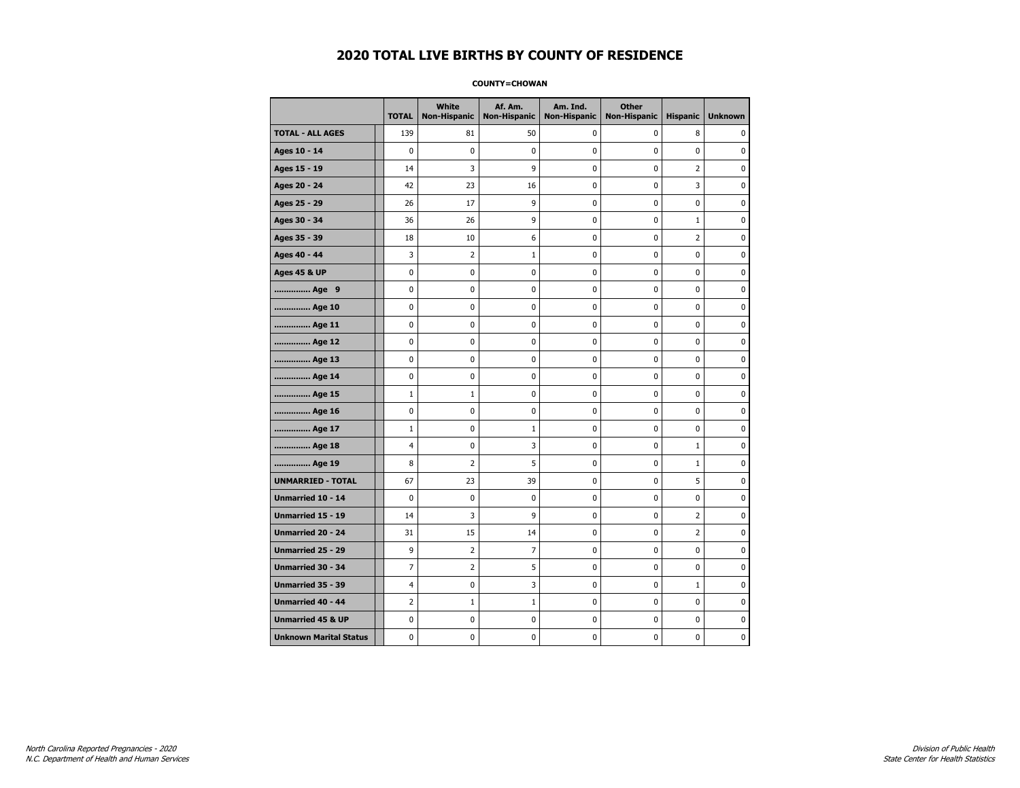#### **COUNTY=CHOWAN**

|                               | <b>TOTAL</b>   | White<br>Non-Hispanic | Af. Am.<br><b>Non-Hispanic</b> | Am. Ind.<br><b>Non-Hispanic</b> | <b>Other</b><br><b>Non-Hispanic</b> | <b>Hispanic</b> | <b>Unknown</b> |
|-------------------------------|----------------|-----------------------|--------------------------------|---------------------------------|-------------------------------------|-----------------|----------------|
| <b>TOTAL - ALL AGES</b>       | 139            | 81                    | 50                             | 0                               | 0                                   | 8               | 0              |
| Ages 10 - 14                  | $\mathbf 0$    | $\mathbf 0$           | $\pmb{0}$                      | 0                               | $\mathbf 0$                         | 0               | 0              |
| Ages 15 - 19                  | 14             | 3                     | 9                              | $\mathbf 0$                     | $\mathbf 0$                         | $\overline{2}$  | 0              |
| Ages 20 - 24                  | 42             | 23                    | 16                             | $\mathbf 0$                     | $\mathbf 0$                         | 3               | 0              |
| Ages 25 - 29                  | 26             | 17                    | 9                              | $\pmb{0}$                       | $\pmb{0}$                           | $\pmb{0}$       | 0              |
| Ages 30 - 34                  | 36             | 26                    | 9                              | $\pmb{0}$                       | $\pmb{0}$                           | $\mathbf 1$     | 0              |
| Ages 35 - 39                  | 18             | 10                    | 6                              | 0                               | $\mathbf 0$                         | $\overline{2}$  | 0              |
| Ages 40 - 44                  | 3              | $\overline{2}$        | $\mathbf{1}$                   | 0                               | 0                                   | 0               | 0              |
| <b>Ages 45 &amp; UP</b>       | 0              | 0                     | $\pmb{0}$                      | 0                               | 0                                   | 0               | 0              |
| Age 9                         | $\mathbf 0$    | 0                     | $\pmb{0}$                      | 0                               | $\mathbf 0$                         | 0               | 0              |
| Age 10                        | $\mathbf 0$    | 0                     | $\mathbf 0$                    | $\mathbf 0$                     | $\mathbf 0$                         | $\mathbf 0$     | 0              |
| Age 11                        | $\mathbf 0$    | 0                     | $\mathbf 0$                    | $\mathbf 0$                     | $\mathbf 0$                         | $\mathbf 0$     | 0              |
| Age 12                        | $\pmb{0}$      | 0                     | $\pmb{0}$                      | 0                               | 0                                   | 0               | 0              |
| Age 13                        | 0              | 0                     | $\pmb{0}$                      | 0                               | 0                                   | 0               | 0              |
| Age 14                        | $\mathbf 0$    | 0                     | $\mathbf 0$                    | 0                               | $\mathbf 0$                         | $\mathbf 0$     | 0              |
| Age 15                        | $\mathbf{1}$   | $\mathbf{1}$          | 0                              | 0                               | 0                                   | 0               | 0              |
| Age 16                        | $\mathbf 0$    | 0                     | $\mathbf 0$                    | $\mathbf 0$                     | $\mathbf 0$                         | $\mathbf 0$     | 0              |
| Age 17                        | $\mathbf{1}$   | 0                     | 1                              | 0                               | $\mathbf 0$                         | $\mathbf 0$     | 0              |
| Age 18                        | $\overline{4}$ | 0                     | 3                              | $\mathbf 0$                     | $\mathbf 0$                         | $\mathbf{1}$    | 0              |
| Age 19                        | 8              | $\overline{2}$        | 5                              | $\pmb{0}$                       | $\pmb{0}$                           | $\mathbf 1$     | 0              |
| <b>UNMARRIED - TOTAL</b>      | 67             | 23                    | 39                             | $\pmb{0}$                       | $\pmb{0}$                           | 5               | 0              |
| Unmarried 10 - 14             | $\mathbf 0$    | 0                     | $\mathbf 0$                    | $\mathbf 0$                     | $\mathbf 0$                         | $\mathbf 0$     | 0              |
| Unmarried 15 - 19             | 14             | 3                     | 9                              | 0                               | 0                                   | $\overline{2}$  | 0              |
| Unmarried 20 - 24             | 31             | 15                    | 14                             | 0                               | $\mathbf 0$                         | $\overline{2}$  | 0              |
| Unmarried 25 - 29             | 9              | $\overline{2}$        | $\overline{7}$                 | $\mathbf 0$                     | $\mathbf 0$                         | $\mathbf 0$     | 0              |
| <b>Unmarried 30 - 34</b>      | $\overline{7}$ | $\overline{2}$        | 5                              | $\mathbf 0$                     | $\mathbf 0$                         | $\mathbf 0$     | 0              |
| Unmarried 35 - 39             | 4              | 0                     | 3                              | $\pmb{0}$                       | $\pmb{0}$                           | $\mathbf 1$     | $\pmb{0}$      |
| Unmarried 40 - 44             | $\overline{2}$ | $1\,$                 | $\mathbf{1}$                   | 0                               | 0                                   | 0               | 0              |
| <b>Unmarried 45 &amp; UP</b>  | $\mathbf 0$    | 0                     | 0                              | 0                               | 0                                   | 0               | 0              |
| <b>Unknown Marital Status</b> | $\mathbf 0$    | 0                     | $\pmb{0}$                      | 0                               | $\mathbf 0$                         | 0               | 0              |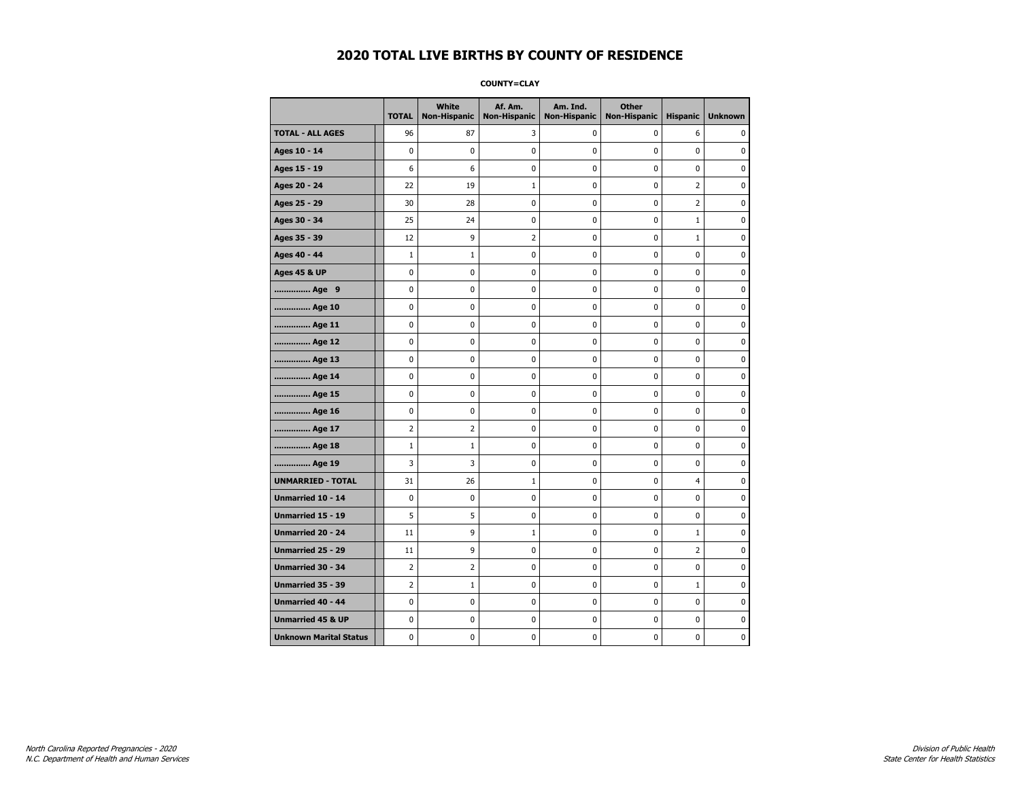**COUNTY=CLAY** 

|                               | <b>TOTAL</b>   | White<br>Non-Hispanic | Af. Am.<br><b>Non-Hispanic</b> | Am. Ind.<br><b>Non-Hispanic</b> | <b>Other</b><br>Non-Hispanic | <b>Hispanic</b> | <b>Unknown</b> |
|-------------------------------|----------------|-----------------------|--------------------------------|---------------------------------|------------------------------|-----------------|----------------|
| <b>TOTAL - ALL AGES</b>       | 96             | 87                    | 3                              | 0                               | 0                            | 6               | 0              |
| Ages 10 - 14                  | $\mathbf 0$    | $\mathbf 0$           | 0                              | 0                               | 0                            | 0               | 0              |
| Ages 15 - 19                  | 6              | 6                     | 0                              | 0                               | 0                            | 0               | 0              |
| Ages 20 - 24                  | 22             | 19                    | $\mathbf{1}$                   | 0                               | 0                            | $\overline{2}$  | 0              |
| Ages 25 - 29                  | 30             | 28                    | 0                              | 0                               | 0                            | $\overline{2}$  | $\pmb{0}$      |
| Ages 30 - 34                  | 25             | 24                    | 0                              | 0                               | 0                            | $\mathbf 1$     | 0              |
| Ages 35 - 39                  | 12             | 9                     | 2                              | 0                               | 0                            | $\mathbf{1}$    | 0              |
| Ages 40 - 44                  | $\mathbf{1}$   | $\mathbf{1}$          | 0                              | 0                               | 0                            | 0               | $\mathbf 0$    |
| <b>Ages 45 &amp; UP</b>       | 0              | 0                     | 0                              | 0                               | 0                            | 0               | 0              |
| Age 9                         | $\mathbf 0$    | $\mathbf 0$           | 0                              | 0                               | 0                            | 0               | $\mathbf 0$    |
| Age 10                        | 0              | 0                     | 0                              | 0                               | 0                            | 0               | 0              |
| Age 11                        | 0              | 0                     | 0                              | 0                               | 0                            | 0               | 0              |
| Age 12                        | 0              | 0                     | 0                              | 0                               | 0                            | 0               | 0              |
| Age 13                        | 0              | 0                     | 0                              | 0                               | 0                            | 0               | 0              |
| Age 14                        | 0              | 0                     | 0                              | 0                               | 0                            | 0               | 0              |
| Age 15                        | 0              | 0                     | 0                              | 0                               | 0                            | 0               | $\pmb{0}$      |
| Age 16                        | 0              | 0                     | $\bf{0}$                       | 0                               | 0                            | 0               | $\pmb{0}$      |
| Age 17                        | 2              | 2                     | 0                              | 0                               | 0                            | 0               | 0              |
| Age 18                        | $\mathbf{1}$   | $\mathbf{1}$          | 0                              | 0                               | 0                            | 0               | $\pmb{0}$      |
| Age 19                        | 3              | 3                     | 0                              | 0                               | 0                            | 0               | 0              |
| <b>UNMARRIED - TOTAL</b>      | 31             | 26                    | $\mathbf{1}$                   | 0                               | 0                            | 4               | 0              |
| Unmarried 10 - 14             | $\pmb{0}$      | 0                     | 0                              | 0                               | 0                            | 0               | 0              |
| Unmarried 15 - 19             | 5              | 5                     | 0                              | 0                               | 0                            | 0               | $\pmb{0}$      |
| <b>Unmarried 20 - 24</b>      | 11             | 9                     | $\mathbf{1}$                   | 0                               | 0                            | 1               | 0              |
| <b>Unmarried 25 - 29</b>      | 11             | 9                     | 0                              | 0                               | 0                            | 2               | 0              |
| <b>Unmarried 30 - 34</b>      | $\overline{2}$ | $\overline{2}$        | 0                              | 0                               | 0                            | 0               | $\mathbf 0$    |
| Unmarried 35 - 39             | 2              | $\mathbf{1}$          | 0                              | 0                               | 0                            | $\mathbf{1}$    | $\mathbf 0$    |
| Unmarried 40 - 44             | $\pmb{0}$      | $\pmb{0}$             | $\pmb{0}$                      | 0                               | 0                            | 0               | $\pmb{0}$      |
| <b>Unmarried 45 &amp; UP</b>  | 0              | 0                     | 0                              | 0                               | 0                            | 0               | 0              |
| <b>Unknown Marital Status</b> | 0              | 0                     | 0                              | 0                               | 0                            | 0               | 0              |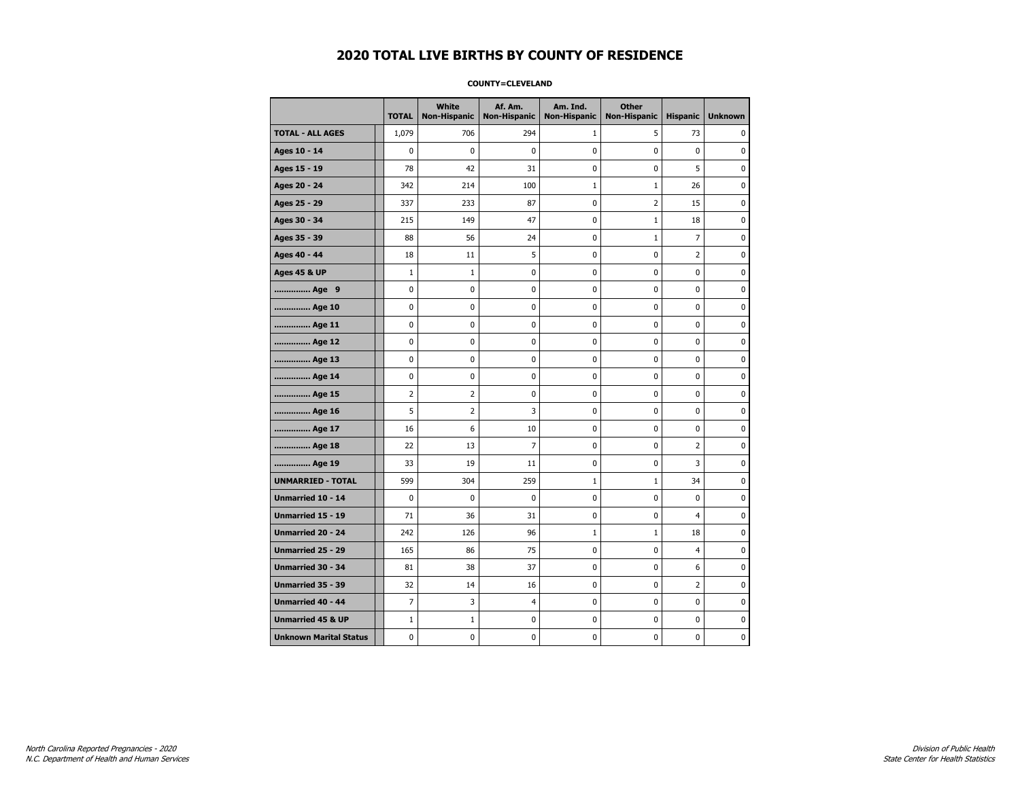#### **COUNTY=CLEVELAND**

|                               | <b>TOTAL</b>   | White<br><b>Non-Hispanic</b> | Af. Am.<br><b>Non-Hispanic</b> | Am. Ind.<br><b>Non-Hispanic</b> | <b>Other</b><br><b>Non-Hispanic</b> | <b>Hispanic</b> | <b>Unknown</b> |
|-------------------------------|----------------|------------------------------|--------------------------------|---------------------------------|-------------------------------------|-----------------|----------------|
| <b>TOTAL - ALL AGES</b>       | 1,079          | 706                          | 294                            | 1                               | 5                                   | 73              | 0              |
| Ages 10 - 14                  | 0              | 0                            | $\mathbf 0$                    | 0                               | 0                                   | $\pmb{0}$       | 0              |
| Ages 15 - 19                  | 78             | 42                           | 31                             | $\mathbf 0$                     | 0                                   | 5               | $\mathbf 0$    |
| Ages 20 - 24                  | 342            | 214                          | 100                            | $\mathbf{1}$                    | $\mathbf{1}$                        | 26              | 0              |
| Ages 25 - 29                  | 337            | 233                          | 87                             | 0                               | $\overline{2}$                      | 15              | 0              |
| Ages 30 - 34                  | 215            | 149                          | 47                             | $\mathbf 0$                     | $1\,$                               | 18              | 0              |
| Ages 35 - 39                  | 88             | 56                           | 24                             | $\pmb{0}$                       | $1\,$                               | $\overline{7}$  | $\pmb{0}$      |
| Ages 40 - 44                  | 18             | 11                           | 5                              | 0                               | 0                                   | $\overline{2}$  | 0              |
| <b>Ages 45 &amp; UP</b>       | $\mathbf{1}$   | $\mathbf{1}$                 | 0                              | 0                               | 0                                   | 0               | 0              |
| Age 9                         | 0              | 0                            | 0                              | 0                               | 0                                   | 0               | 0              |
| Age 10                        | 0              | 0                            | $\mathbf 0$                    | $\mathbf 0$                     | 0                                   | $\mathbf 0$     | 0              |
| Age 11                        | 0              | 0                            | 0                              | 0                               | 0                                   | $\mathbf 0$     | 0              |
| Age 12                        | 0              | 0                            | 0                              | 0                               | 0                                   | 0               | 0              |
| Age 13                        | 0              | 0                            | $\mathbf 0$                    | $\mathbf 0$                     | 0                                   | $\mathbf 0$     | $\mathbf 0$    |
| Age 14                        | $\mathbf 0$    | $\mathbf 0$                  | $\mathbf 0$                    | $\mathbf 0$                     | 0                                   | $\mathbf 0$     | $\mathbf 0$    |
| Age 15                        | $\overline{2}$ | $\overline{2}$               | $\mathbf 0$                    | $\pmb{0}$                       | 0                                   | $\pmb{0}$       | $\pmb{0}$      |
| Age 16                        | 5              | $\overline{2}$               | 3                              | 0                               | 0                                   | 0               | 0              |
| Age 17                        | 16             | 6                            | 10                             | 0                               | 0                                   | $\mathbf 0$     | 0              |
| Age 18                        | 22             | 13                           | $\overline{7}$                 | 0                               | 0                                   | 2               | 0              |
| Age 19                        | 33             | 19                           | 11                             | 0                               | 0                                   | 3               | 0              |
| <b>UNMARRIED - TOTAL</b>      | 599            | 304                          | 259                            | $\mathbf{1}$                    | $\mathbf{1}$                        | 34              | 0              |
| Unmarried 10 - 14             | 0              | 0                            | $\mathbf 0$                    | 0                               | $\mathbf 0$                         | $\mathbf{0}$    | $\pmb{0}$      |
| Unmarried 15 - 19             | 71             | 36                           | 31                             | 0                               | 0                                   | $\overline{4}$  | 0              |
| <b>Unmarried 20 - 24</b>      | 242            | 126                          | 96                             | $\mathbf{1}$                    | $\mathbf{1}$                        | 18              | 0              |
| <b>Unmarried 25 - 29</b>      | 165            | 86                           | 75                             | $\pmb{0}$                       | 0                                   | $\overline{4}$  | $\bf{0}$       |
| Unmarried 30 - 34             | 81             | 38                           | 37                             | 0                               | 0                                   | 6               | 0              |
| Unmarried 35 - 39             | 32             | 14                           | 16                             | 0                               | 0                                   | $\overline{2}$  | 0              |
| Unmarried 40 - 44             | 7              | 3                            | 4                              | 0                               | 0                                   | 0               | 0              |
| <b>Unmarried 45 &amp; UP</b>  | $\mathbf 1$    | $\mathbf{1}$                 | 0                              | 0                               | 0                                   | 0               | 0              |
| <b>Unknown Marital Status</b> | 0              | 0                            | $\pmb{0}$                      | 0                               | 0                                   | 0               | 0              |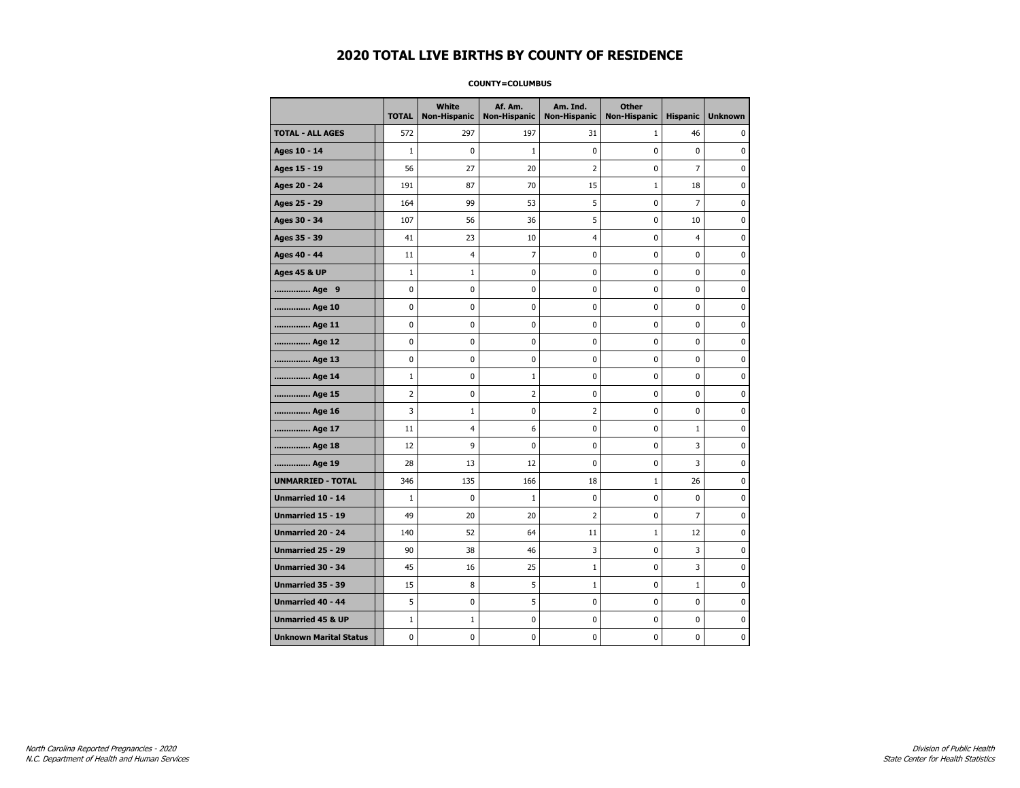#### **COUNTY=COLUMBUS**

|                               | <b>TOTAL</b> | White<br><b>Non-Hispanic</b> | Af. Am.<br><b>Non-Hispanic</b> | Am. Ind.<br><b>Non-Hispanic</b> | <b>Other</b><br><b>Non-Hispanic</b> | <b>Hispanic</b> | <b>Unknown</b> |
|-------------------------------|--------------|------------------------------|--------------------------------|---------------------------------|-------------------------------------|-----------------|----------------|
| <b>TOTAL - ALL AGES</b>       | 572          | 297                          | 197                            | 31                              | $\mathbf{1}$                        | 46              | 0              |
| Ages 10 - 14                  | $\mathbf{1}$ | $\mathbf 0$                  | 1                              | 0                               | 0                                   | 0               | 0              |
| Ages 15 - 19                  | 56           | 27                           | 20                             | $\overline{2}$                  | 0                                   | $\overline{7}$  | $\mathbf 0$    |
| Ages 20 - 24                  | 191          | 87                           | 70                             | 15                              | $\mathbf{1}$                        | 18              | $\mathbf 0$    |
| Ages 25 - 29                  | 164          | 99                           | 53                             | 5                               | 0                                   | $\overline{7}$  | $\pmb{0}$      |
| Ages 30 - 34                  | 107          | 56                           | 36                             | 5                               | 0                                   | 10              | 0              |
| Ages 35 - 39                  | 41           | 23                           | 10                             | 4                               | 0                                   | 4               | 0              |
| Ages 40 - 44                  | 11           | 4                            | 7                              | 0                               | 0                                   | 0               | 0              |
| <b>Ages 45 &amp; UP</b>       | $\mathbf 1$  | $\mathbf{1}$                 | 0                              | 0                               | 0                                   | 0               | 0              |
| Age 9                         | 0            | 0                            | 0                              | 0                               | 0                                   | 0               | 0              |
| Age 10                        | 0            | $\mathbf 0$                  | 0                              | 0                               | 0                                   | 0               | $\mathbf 0$    |
| Age 11                        | 0            | 0                            | 0                              | 0                               | 0                                   | 0               | $\mathbf 0$    |
| Age 12                        | 0            | 0                            | 0                              | 0                               | 0                                   | 0               | 0              |
| Age 13                        | 0            | 0                            | 0                              | 0                               | 0                                   | 0               | 0              |
| Age 14                        | $\mathbf{1}$ | $\mathbf 0$                  | 1                              | 0                               | 0                                   | 0               | $\mathbf 0$    |
| Age 15                        | 2            | 0                            | $\overline{2}$                 | 0                               | 0                                   | 0               | 0              |
| Age 16                        | 3            | $\mathbf{1}$                 | 0                              | $\overline{2}$                  | 0                                   | 0               | $\mathbf 0$    |
| Age 17                        | 11           | 4                            | 6                              | 0                               | 0                                   | $\mathbf{1}$    | $\mathbf 0$    |
| Age 18                        | 12           | 9                            | 0                              | 0                               | 0                                   | 3               | $\mathbf 0$    |
| Age 19                        | 28           | 13                           | 12                             | 0                               | 0                                   | 3               | $\pmb{0}$      |
| <b>UNMARRIED - TOTAL</b>      | 346          | 135                          | 166                            | 18                              | $1\,$                               | 26              | 0              |
| Unmarried 10 - 14             | $\mathbf{1}$ | $\mathbf 0$                  | 1                              | 0                               | 0                                   | 0               | 0              |
| Unmarried 15 - 19             | 49           | 20                           | 20                             | $\overline{2}$                  | 0                                   | 7               | $\mathbf 0$    |
| Unmarried 20 - 24             | 140          | 52                           | 64                             | 11                              | $\mathbf{1}$                        | 12              | 0              |
| Unmarried 25 - 29             | 90           | 38                           | 46                             | 3                               | 0                                   | 3               | $\mathbf 0$    |
| <b>Unmarried 30 - 34</b>      | 45           | 16                           | 25                             | $\mathbf{1}$                    | 0                                   | 3               | $\mathbf 0$    |
| Unmarried 35 - 39             | 15           | 8                            | 5                              | $\mathbf 1$                     | 0                                   | $\mathbf 1$     | $\pmb{0}$      |
| Unmarried 40 - 44             | 5            | 0                            | 5                              | 0                               | 0                                   | 0               | 0              |
| <b>Unmarried 45 &amp; UP</b>  | $1\,$        | $\mathbf{1}$                 | 0                              | 0                               | 0                                   | 0               | 0              |
| <b>Unknown Marital Status</b> | 0            | 0                            | 0                              | 0                               | 0                                   | 0               | 0              |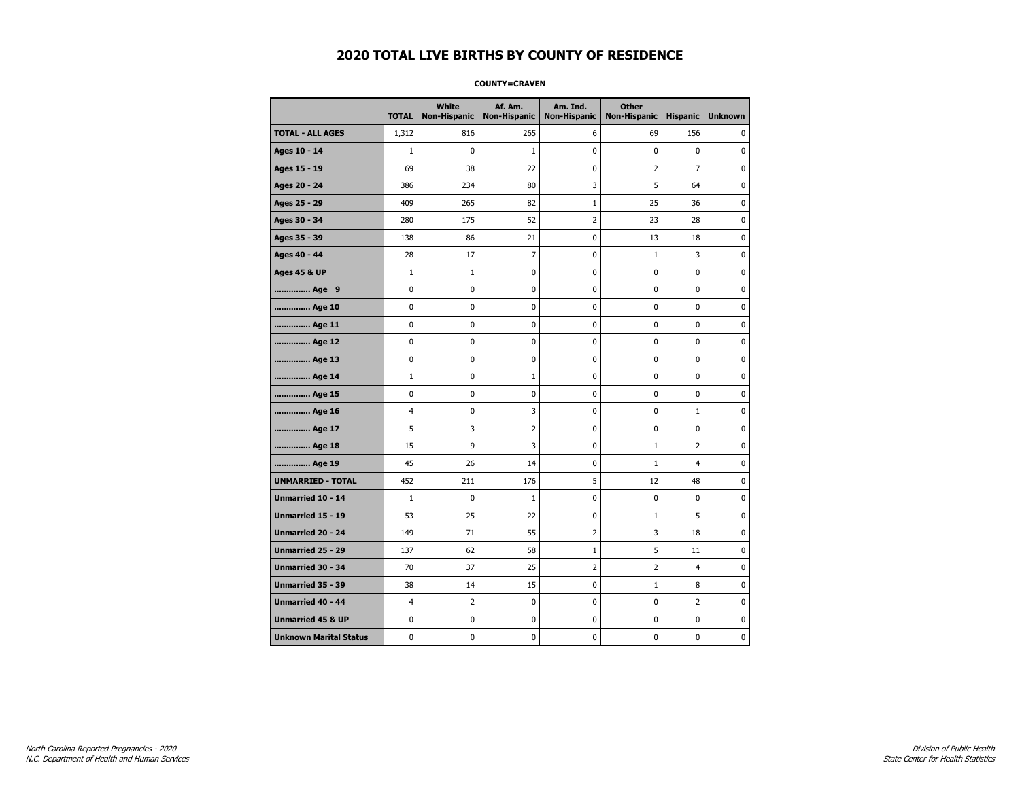#### **COUNTY=CRAVEN**

|                               | <b>TOTAL</b>   | White<br>Non-Hispanic | Af. Am.<br><b>Non-Hispanic</b> | Am. Ind.<br><b>Non-Hispanic</b> | <b>Other</b><br>Non-Hispanic | <b>Hispanic</b> | <b>Unknown</b> |
|-------------------------------|----------------|-----------------------|--------------------------------|---------------------------------|------------------------------|-----------------|----------------|
| <b>TOTAL - ALL AGES</b>       | 1,312          | 816                   | 265                            | 6                               | 69                           | 156             | 0              |
| Ages 10 - 14                  | $\mathbf{1}$   | 0                     | $\mathbf 1$                    | 0                               | 0                            | $\mathbf 0$     | $\mathbf 0$    |
| Ages 15 - 19                  | 69             | 38                    | 22                             | $\mathbf 0$                     | 2                            | $\overline{7}$  | 0              |
| Ages 20 - 24                  | 386            | 234                   | 80                             | 3                               | 5                            | 64              | $\mathbf 0$    |
| Ages 25 - 29                  | 409            | 265                   | 82                             | $\mathbf 1$                     | 25                           | 36              | 0              |
| Ages 30 - 34                  | 280            | 175                   | 52                             | $\overline{2}$                  | 23                           | 28              | 0              |
| Ages 35 - 39                  | 138            | 86                    | 21                             | 0                               | 13                           | 18              | 0              |
| Ages 40 - 44                  | 28             | 17                    | $\overline{7}$                 | $\mathbf 0$                     | $1\,$                        | 3               | 0              |
| <b>Ages 45 &amp; UP</b>       | $\mathbf 1$    | $\mathbf{1}$          | $\mathbf 0$                    | $\pmb{0}$                       | 0                            | $\mathbf 0$     | $\mathbf 0$    |
| Age 9                         | 0              | 0                     | $\pmb{0}$                      | 0                               | 0                            | 0               | $\pmb{0}$      |
| Age 10                        | 0              | $\mathbf 0$           | $\mathbf 0$                    | $\pmb{0}$                       | 0                            | 0               | $\bf{0}$       |
| Age 11                        | 0              | 0                     | 0                              | 0                               | 0                            | 0               | 0              |
| Age 12                        | 0              | 0                     | 0                              | 0                               | 0                            | 0               | 0              |
| Age 13                        | 0              | $\mathbf 0$           | $\mathbf 0$                    | 0                               | 0                            | $\mathbf 0$     | 0              |
| Age 14                        | $\mathbf{1}$   | 0                     | 1                              | $\mathbf 0$                     | 0                            | $\mathbf 0$     | $\mathbf 0$    |
| Age 15                        | 0              | 0                     | 0                              | 0                               | 0                            | 0               | 0              |
| Age 16                        | $\overline{4}$ | 0                     | 3                              | $\pmb{0}$                       | 0                            | $\mathbf{1}$    | 0              |
| Age 17                        | 5              | 3                     | $\overline{2}$                 | 0                               | 0                            | 0               | 0              |
| Age 18                        | 15             | 9                     | 3                              | $\mathbf 0$                     | $\mathbf{1}$                 | $\overline{2}$  | 0              |
| Age 19                        | 45             | 26                    | 14                             | $\pmb{0}$                       | $\mathbf{1}$                 | 4               | 0              |
| <b>UNMARRIED - TOTAL</b>      | 452            | 211                   | 176                            | 5                               | 12                           | 48              | 0              |
| Unmarried 10 - 14             | $\mathbf 1$    | $\mathbf 0$           | $\mathbf 1$                    | $\pmb{0}$                       | 0                            | $\mathbf 0$     | $\mathbf 0$    |
| Unmarried 15 - 19             | 53             | 25                    | 22                             | 0                               | $1\,$                        | 5               | 0              |
| Unmarried 20 - 24             | 149            | 71                    | 55                             | $\overline{2}$                  | 3                            | 18              | 0              |
| Unmarried 25 - 29             | 137            | 62                    | 58                             | $\mathbf{1}$                    | 5                            | 11              | 0              |
| <b>Unmarried 30 - 34</b>      | 70             | 37                    | 25                             | $\overline{2}$                  | 2                            | $\overline{4}$  | $\mathbf 0$    |
| <b>Unmarried 35 - 39</b>      | 38             | 14                    | 15                             | $\pmb{0}$                       | $1\,$                        | 8               | $\mathbf 0$    |
| Unmarried 40 - 44             | 4              | $\overline{2}$        | 0                              | 0                               | 0                            | 2               | 0              |
| <b>Unmarried 45 &amp; UP</b>  | 0              | 0                     | 0                              | 0                               | 0                            | 0               | 0              |
| <b>Unknown Marital Status</b> | 0              | 0                     | $\pmb{0}$                      | 0                               | 0                            | 0               | 0              |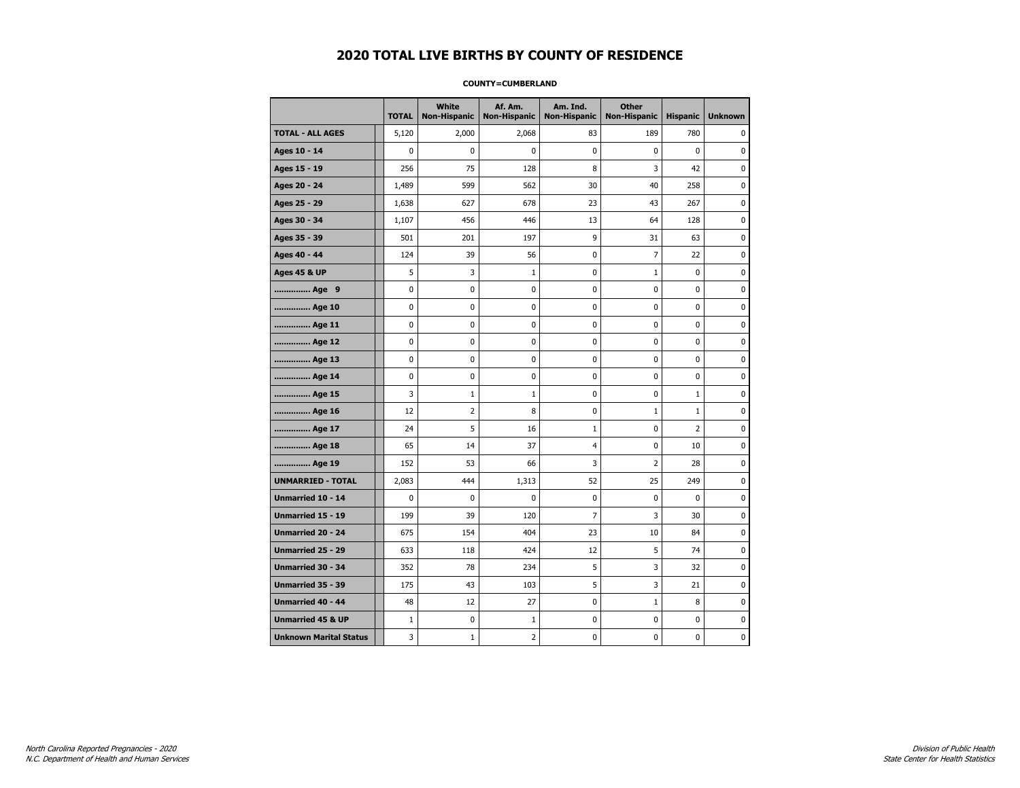#### **COUNTY=CUMBERLAND**

|                               | <b>TOTAL</b> | <b>White</b><br><b>Non-Hispanic</b> | Af. Am.<br><b>Non-Hispanic</b> | Am. Ind.<br><b>Non-Hispanic</b> | <b>Other</b><br>Non-Hispanic | <b>Hispanic</b> | <b>Unknown</b> |
|-------------------------------|--------------|-------------------------------------|--------------------------------|---------------------------------|------------------------------|-----------------|----------------|
| <b>TOTAL - ALL AGES</b>       | 5,120        | 2,000                               | 2,068                          | 83                              | 189                          | 780             | 0              |
| Ages 10 - 14                  | $\mathbf 0$  | 0                                   | 0                              | $\pmb{0}$                       | 0                            | $\mathbf 0$     | 0              |
| Ages 15 - 19                  | 256          | 75                                  | 128                            | 8                               | 3                            | 42              | $\mathbf 0$    |
| Ages 20 - 24                  | 1,489        | 599                                 | 562                            | 30                              | 40                           | 258             | $\mathbf 0$    |
| Ages 25 - 29                  | 1,638        | 627                                 | 678                            | 23                              | 43                           | 267             | $\pmb{0}$      |
| Ages 30 - 34                  | 1,107        | 456                                 | 446                            | 13                              | 64                           | 128             | 0              |
| Ages 35 - 39                  | 501          | 201                                 | 197                            | 9                               | 31                           | 63              | 0              |
| Ages 40 - 44                  | 124          | 39                                  | 56                             | 0                               | 7                            | 22              | 0              |
| <b>Ages 45 &amp; UP</b>       | 5            | 3                                   | $\mathbf{1}$                   | 0                               | $\mathbf{1}$                 | 0               | 0              |
| Age 9                         | 0            | 0                                   | 0                              | 0                               | 0                            | 0               | 0              |
| Age 10                        | 0            | 0                                   | 0                              | $\mathbf 0$                     | 0                            | 0               | $\mathbf 0$    |
| Age 11                        | 0            | 0                                   | 0                              | $\mathbf 0$                     | 0                            | 0               | $\mathbf 0$    |
| Age 12                        | $\pmb{0}$    | 0                                   | $\pmb{0}$                      | 0                               | 0                            | 0               | 0              |
| Age 13                        | 0            | 0                                   | 0                              | 0                               | 0                            | 0               | 0              |
| Age 14                        | 0            | 0                                   | 0                              | 0                               | 0                            | 0               | $\mathbf 0$    |
| Age 15                        | 3            | $\mathbf{1}$                        | 1                              | 0                               | 0                            | $\mathbf{1}$    | 0              |
| Age 16                        | 12           | $\overline{2}$                      | 8                              | 0                               | $1\,$                        | $\mathbf 1$     | $\mathbf 0$    |
| Age 17                        | 24           | 5                                   | 16                             | $\mathbf{1}$                    | 0                            | $\overline{2}$  | $\mathbf 0$    |
| Age 18                        | 65           | 14                                  | 37                             | $\overline{4}$                  | 0                            | 10              | $\mathbf 0$    |
| Age 19                        | 152          | 53                                  | 66                             | 3                               | $\overline{2}$               | 28              | $\pmb{0}$      |
| <b>UNMARRIED - TOTAL</b>      | 2,083        | 444                                 | 1,313                          | 52                              | 25                           | 249             | 0              |
| Unmarried 10 - 14             | 0            | 0                                   | 0                              | $\mathbf 0$                     | 0                            | 0               | 0              |
| Unmarried 15 - 19             | 199          | 39                                  | 120                            | 7                               | 3                            | 30              | $\mathbf 0$    |
| <b>Unmarried 20 - 24</b>      | 675          | 154                                 | 404                            | 23                              | 10                           | 84              | 0              |
| Unmarried 25 - 29             | 633          | 118                                 | 424                            | 12                              | 5                            | 74              | $\mathbf 0$    |
| <b>Unmarried 30 - 34</b>      | 352          | 78                                  | 234                            | 5                               | 3                            | 32              | $\mathbf 0$    |
| Unmarried 35 - 39             | 175          | 43                                  | 103                            | 5                               | 3                            | 21              | $\pmb{0}$      |
| <b>Unmarried 40 - 44</b>      | 48           | 12                                  | 27                             | 0                               | $1\,$                        | 8               | 0              |
| <b>Unmarried 45 &amp; UP</b>  | $\mathbf{1}$ | 0                                   | 1                              | 0                               | 0                            | 0               | 0              |
| <b>Unknown Marital Status</b> | 3            | $1\,$                               | $\overline{2}$                 | 0                               | 0                            | 0               | 0              |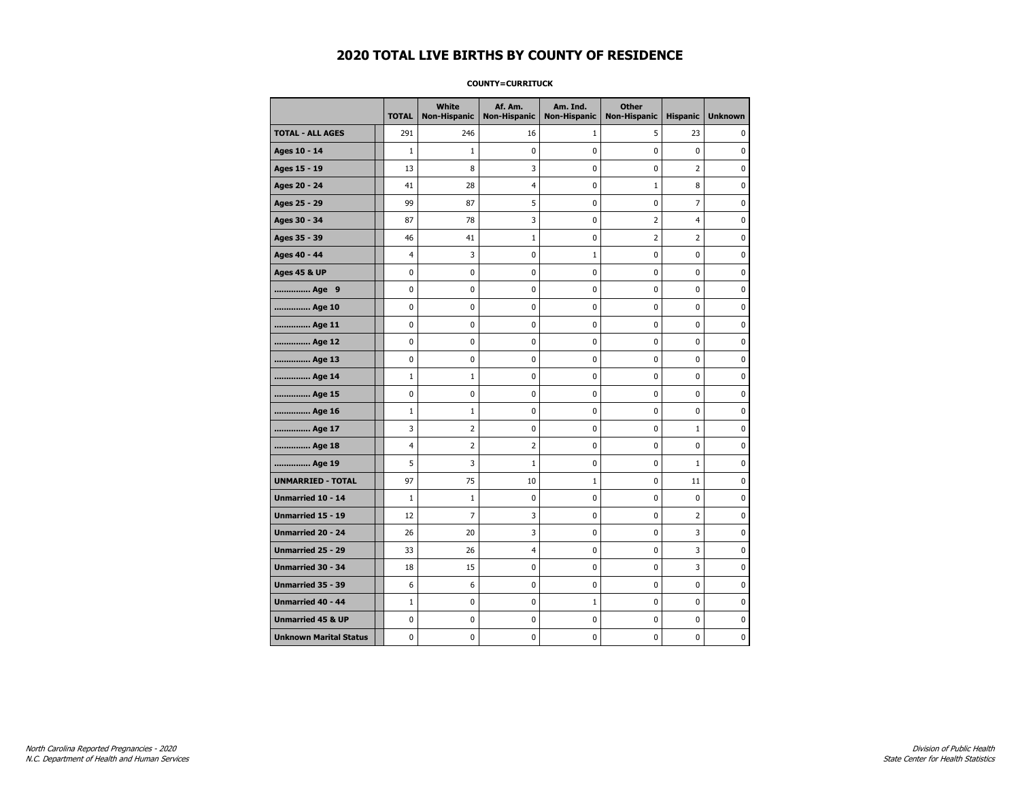#### **COUNTY=CURRITUCK**

|                               | <b>TOTAL</b> | White<br>Non-Hispanic | Af. Am.<br><b>Non-Hispanic</b> | Am. Ind.<br><b>Non-Hispanic</b> | <b>Other</b><br><b>Non-Hispanic</b> | <b>Hispanic</b> | <b>Unknown</b> |
|-------------------------------|--------------|-----------------------|--------------------------------|---------------------------------|-------------------------------------|-----------------|----------------|
| <b>TOTAL - ALL AGES</b>       | 291          | 246                   | 16                             | 1                               | 5                                   | 23              | 0              |
| Ages 10 - 14                  | $\mathbf{1}$ | $\mathbf{1}$          | 0                              | 0                               | $\mathbf 0$                         | $\pmb{0}$       | 0              |
| Ages 15 - 19                  | 13           | 8                     | 3                              | $\mathbf 0$                     | $\mathbf 0$                         | $\overline{2}$  | $\mathbf 0$    |
| Ages 20 - 24                  | 41           | 28                    | 4                              | 0                               | $1\,$                               | 8               | 0              |
| Ages 25 - 29                  | 99           | 87                    | 5                              | 0                               | $\pmb{0}$                           | 7               | 0              |
| Ages 30 - 34                  | 87           | 78                    | 3                              | 0                               | $\overline{2}$                      | $\overline{4}$  | 0              |
| Ages 35 - 39                  | 46           | 41                    | 1                              | 0                               | 2                                   | $\overline{2}$  | 0              |
| Ages 40 - 44                  | 4            | 3                     | 0                              | 1                               | 0                                   | 0               | 0              |
| <b>Ages 45 &amp; UP</b>       | $\mathbf 0$  | 0                     | 0                              | 0                               | 0                                   | $\mathbf 0$     | 0              |
| Age 9                         | 0            | 0                     | 0                              | 0                               | 0                                   | 0               | 0              |
| Age 10                        | $\mathbf 0$  | 0                     | 0                              | $\mathbf 0$                     | 0                                   | 0               | 0              |
| Age 11                        | $\pmb{0}$    | 0                     | $\bf{0}$                       | $\pmb{0}$                       | $\pmb{0}$                           | 0               | $\pmb{0}$      |
| Age 12                        | $\mathbf 0$  | 0                     | 0                              | 0                               | 0                                   | 0               | 0              |
| Age 13                        | $\mathbf 0$  | 0                     | 0                              | $\mathbf 0$                     | 0                                   | 0               | 0              |
| Age 14                        | $\mathbf{1}$ | $\mathbf{1}$          | 0                              | 0                               | 0                                   | 0               | 0              |
| Age 15                        | $\mathbf 0$  | 0                     | 0                              | 0                               | $\mathbf 0$                         | 0               | 0              |
| Age 16                        | $\mathbf{1}$ | $\mathbf{1}$          | 0                              | 0                               | $\mathbf 0$                         | 0               | 0              |
| Age 17                        | 3            | $\overline{2}$        | 0                              | $\mathbf 0$                     | 0                                   | $\mathbf{1}$    | $\mathbf 0$    |
| Age 18                        | 4            | $\overline{2}$        | $\overline{2}$                 | $\mathbf{0}$                    | 0                                   | $\mathbf 0$     | 0              |
| Age 19                        | 5            | 3                     | $\mathbf{1}$                   | $\pmb{0}$                       | 0                                   | $\mathbf{1}$    | 0              |
| <b>UNMARRIED - TOTAL</b>      | 97           | 75                    | 10                             | $\mathbf 1$                     | 0                                   | 11              | 0              |
| Unmarried 10 - 14             | $\mathbf{1}$ | $\mathbf{1}$          | 0                              | 0                               | $\mathbf 0$                         | $\mathbf 0$     | 0              |
| Unmarried 15 - 19             | 12           | $\overline{7}$        | 3                              | 0                               | 0                                   | 2               | 0              |
| <b>Unmarried 20 - 24</b>      | 26           | 20                    | 3                              | 0                               | 0                                   | 3               | 0              |
| <b>Unmarried 25 - 29</b>      | 33           | 26                    | 4                              | $\mathbf 0$                     | 0                                   | 3               | $\mathbf 0$    |
| Unmarried 30 - 34             | 18           | 15                    | 0                              | 0                               | $\pmb{0}$                           | 3               | 0              |
| Unmarried 35 - 39             | 6            | 6                     | $\pmb{0}$                      | $\pmb{0}$                       | $\pmb{0}$                           | $\pmb{0}$       | $\pmb{0}$      |
| Unmarried 40 - 44             | 1            | 0                     | 0                              | 1                               | 0                                   | 0               | 0              |
| <b>Unmarried 45 &amp; UP</b>  | $\mathbf 0$  | 0                     | 0                              | 0                               | 0                                   | 0               | 0              |
| <b>Unknown Marital Status</b> | 0            | 0                     | 0                              | 0                               | 0                                   | 0               | 0              |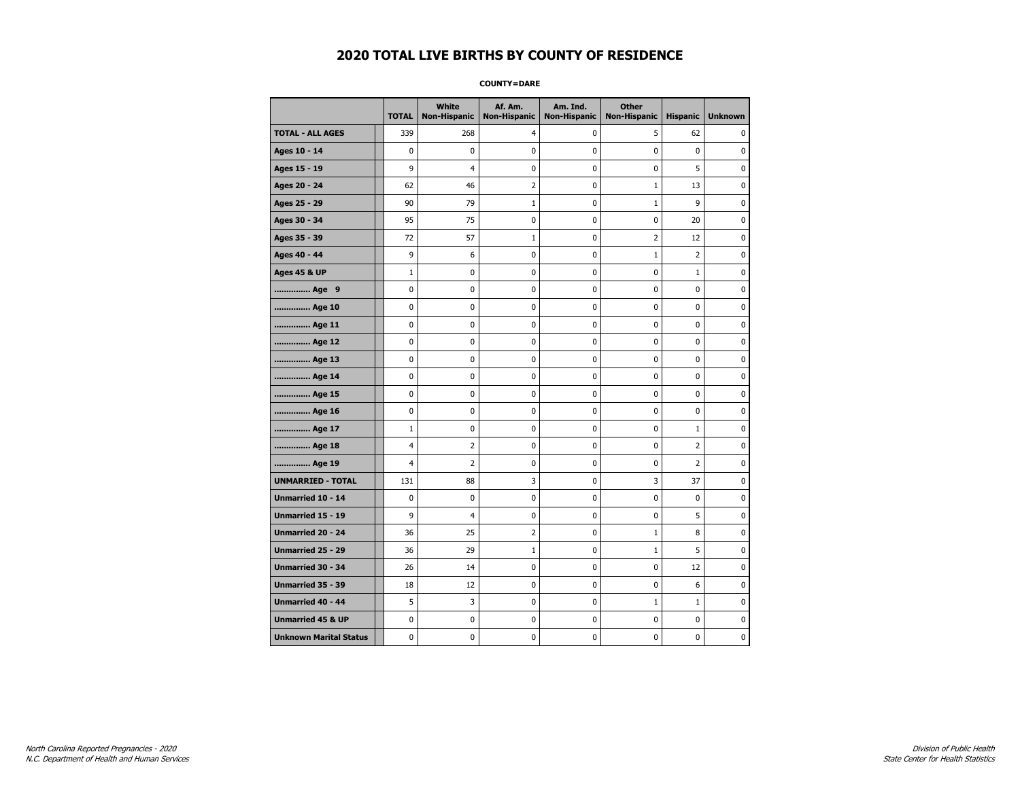**COUNTY=DARE** 

|                               | <b>TOTAL</b>   | White<br>Non-Hispanic | Af. Am.<br><b>Non-Hispanic</b> | Am. Ind.<br><b>Non-Hispanic</b> | <b>Other</b><br><b>Non-Hispanic</b> | <b>Hispanic</b> | <b>Unknown</b> |
|-------------------------------|----------------|-----------------------|--------------------------------|---------------------------------|-------------------------------------|-----------------|----------------|
| <b>TOTAL - ALL AGES</b>       | 339            | 268                   | 4                              | 0                               | 5                                   | 62              | 0              |
| Ages 10 - 14                  | 0              | 0                     | $\mathbf 0$                    | 0                               | 0                                   | $\mathbf 0$     | 0              |
| Ages 15 - 19                  | 9              | $\overline{4}$        | $\mathbf 0$                    | $\mathbf 0$                     | 0                                   | 5               | 0              |
| Ages 20 - 24                  | 62             | 46                    | $\overline{2}$                 | $\mathbf 0$                     | $\mathbf{1}$                        | 13              | 0              |
| Ages 25 - 29                  | 90             | 79                    | $\mathbf{1}$                   | $\pmb{0}$                       | $\mathbf{1}$                        | 9               | $\pmb{0}$      |
| Ages 30 - 34                  | 95             | 75                    | 0                              | 0                               | 0                                   | 20              | 0              |
| Ages 35 - 39                  | 72             | 57                    | 1                              | 0                               | 2                                   | 12              | 0              |
| Ages 40 - 44                  | 9              | 6                     | $\mathbf 0$                    | $\mathbf 0$                     | $\mathbf{1}$                        | $\overline{2}$  | $\pmb{0}$      |
| <b>Ages 45 &amp; UP</b>       | $\mathbf 1$    | 0                     | $\mathbf 0$                    | 0                               | 0                                   | $\mathbf{1}$    | 0              |
| Age 9                         | 0              | $\mathbf 0$           | $\mathbf 0$                    | $\mathbf 0$                     | $\mathbf 0$                         | $\mathbf 0$     | 0              |
| Age 10                        | 0              | 0                     | 0                              | 0                               | 0                                   | 0               | 0              |
| Age 11                        | 0              | 0                     | $\mathbf 0$                    | 0                               | 0                                   | 0               | 0              |
| Age 12                        | 0              | 0                     | 0                              | 0                               | 0                                   | 0               | 0              |
| Age 13                        | 0              | 0                     | $\mathbf 0$                    | 0                               | 0                                   | $\mathbf 0$     | 0              |
| Age 14                        | $\mathbf 0$    | 0                     | 0                              | $\pmb{0}$                       | 0                                   | 0               | 0              |
| Age 15                        | 0              | 0                     | $\mathbf 0$                    | $\pmb{0}$                       | 0                                   | 0               | $\pmb{0}$      |
| Age 16                        | 0              | 0                     | $\mathbf 0$                    | $\pmb{0}$                       | 0                                   | $\pmb{0}$       | $\pmb{0}$      |
| Age 17                        | $\mathbf{1}$   | 0                     | 0                              | 0                               | 0                                   | $\mathbf{1}$    | 0              |
| Age 18                        | $\overline{4}$ | $\mathbf 2$           | $\mathbf 0$                    | 0                               | 0                                   | $\overline{2}$  | $\pmb{0}$      |
| Age 19                        | 4              | $\overline{2}$        | 0                              | 0                               | 0                                   | 2               | 0              |
| <b>UNMARRIED - TOTAL</b>      | 131            | 88                    | 3                              | 0                               | 3                                   | 37              | 0              |
| Unmarried 10 - 14             | 0              | 0                     | 0                              | 0                               | 0                                   | 0               | 0              |
| Unmarried 15 - 19             | 9              | $\overline{4}$        | 0                              | $\pmb{0}$                       | 0                                   | 5               | $\pmb{0}$      |
| Unmarried 20 - 24             | 36             | 25                    | $\overline{2}$                 | 0                               | 1                                   | 8               | 0              |
| Unmarried 25 - 29             | 36             | 29                    | 1                              | 0                               | $1\,$                               | 5               | 0              |
| <b>Unmarried 30 - 34</b>      | 26             | 14                    | 0                              | $\mathbf 0$                     | 0                                   | 12              | $\mathbf 0$    |
| Unmarried 35 - 39             | 18             | 12                    | $\mathbf 0$                    | $\mathbf 0$                     | 0                                   | 6               | 0              |
| Unmarried 40 - 44             | 5              | 3                     | $\mathbf 0$                    | $\pmb{0}$                       | $1\,$                               | $\mathbf{1}$    | $\pmb{0}$      |
| <b>Unmarried 45 &amp; UP</b>  | 0              | 0                     | $\pmb{0}$                      | 0                               | 0                                   | 0               | 0              |
| <b>Unknown Marital Status</b> | 0              | 0                     | 0                              | 0                               | 0                                   | 0               | 0              |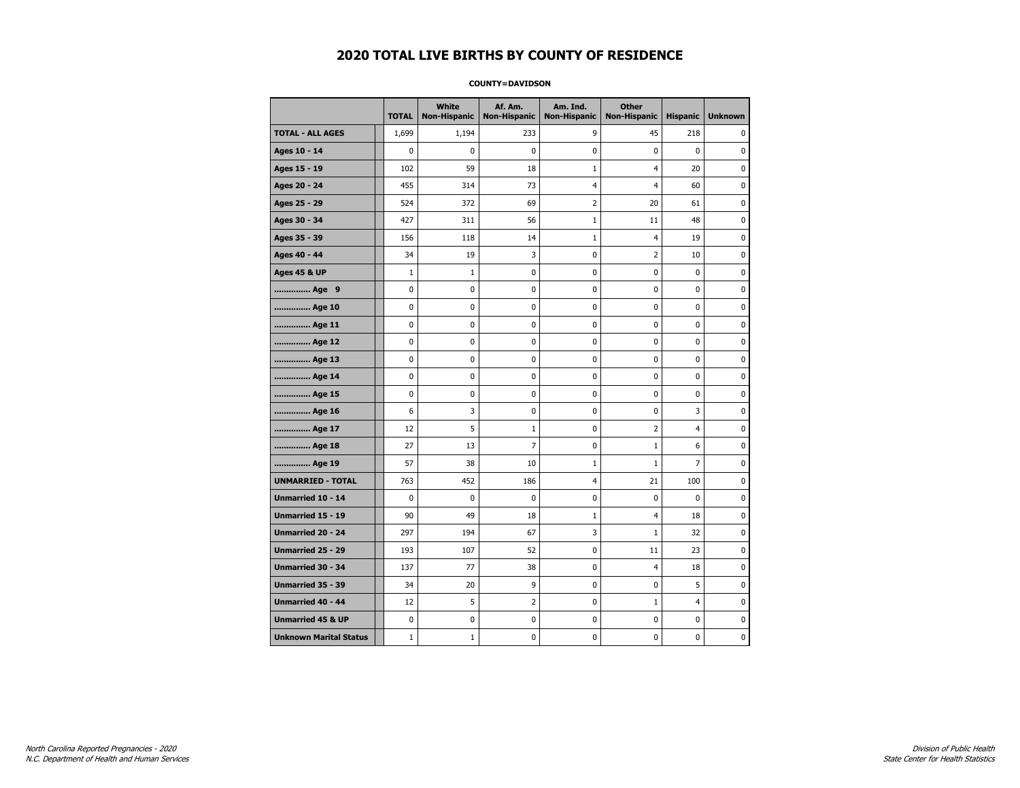#### **COUNTY=DAVIDSON**

|                               | <b>TOTAL</b> | White<br><b>Non-Hispanic</b> | Af. Am.<br><b>Non-Hispanic</b> | Am. Ind.<br><b>Non-Hispanic</b> | <b>Other</b><br><b>Non-Hispanic</b> | <b>Hispanic</b> | <b>Unknown</b> |
|-------------------------------|--------------|------------------------------|--------------------------------|---------------------------------|-------------------------------------|-----------------|----------------|
| <b>TOTAL - ALL AGES</b>       | 1,699        | 1,194                        | 233                            | 9                               | 45                                  | 218             | 0              |
| Ages 10 - 14                  | 0            | $\mathbf 0$                  | 0                              | 0                               | 0                                   | 0               | $\mathbf 0$    |
| Ages 15 - 19                  | 102          | 59                           | 18                             | $\mathbf{1}$                    | $\overline{4}$                      | 20              | $\pmb{0}$      |
| Ages 20 - 24                  | 455          | 314                          | 73                             | 4                               | $\overline{4}$                      | 60              | $\pmb{0}$      |
| Ages 25 - 29                  | 524          | 372                          | 69                             | 2                               | 20                                  | 61              | 0              |
| Ages 30 - 34                  | 427          | 311                          | 56                             | $\mathbf 1$                     | 11                                  | 48              | 0              |
| Ages 35 - 39                  | 156          | 118                          | 14                             | 1                               | 4                                   | 19              | $\mathbf 0$    |
| Ages 40 - 44                  | 34           | 19                           | 3                              | 0                               | 2                                   | 10              | 0              |
| <b>Ages 45 &amp; UP</b>       | $\mathbf{1}$ | $\mathbf{1}$                 | 0                              | 0                               | 0                                   | 0               | $\pmb{0}$      |
| Age 9                         | 0            | 0                            | 0                              | 0                               | 0                                   | 0               | 0              |
| Age 10                        | 0            | $\mathbf 0$                  | 0                              | 0                               | 0                                   | 0               | $\mathbf 0$    |
| Age 11                        | 0            | 0                            | 0                              | 0                               | 0                                   | 0               | $\mathbf 0$    |
| Age 12                        | 0            | 0                            | 0                              | 0                               | 0                                   | 0               | 0              |
| Age 13                        | 0            | 0                            | 0                              | 0                               | 0                                   | 0               | 0              |
| Age 14                        | 0            | 0                            | 0                              | 0                               | 0                                   | 0               | 0              |
| Age 15                        | 0            | 0                            | 0                              | 0                               | 0                                   | 0               | 0              |
| Age 16                        | 6            | 3                            | 0                              | 0                               | 0                                   | 3               | $\mathbf 0$    |
| Age 17                        | 12           | 5                            | $\mathbf{1}$                   | 0                               | $\overline{2}$                      | $\overline{4}$  | $\pmb{0}$      |
| Age 18                        | 27           | 13                           | 7                              | 0                               | $1\,$                               | 6               | 0              |
| Age 19                        | 57           | 38                           | 10                             | $\mathbf{1}$                    | $\mathbf{1}$                        | $\overline{7}$  | 0              |
| <b>UNMARRIED - TOTAL</b>      | 763          | 452                          | 186                            | $\overline{4}$                  | 21                                  | 100             | 0              |
| <b>Unmarried 10 - 14</b>      | 0            | $\mathbf 0$                  | 0                              | 0                               | 0                                   | 0               | $\mathbf 0$    |
| Unmarried 15 - 19             | 90           | 49                           | 18                             | $\mathbf 1$                     | $\overline{4}$                      | 18              | $\pmb{0}$      |
| Unmarried 20 - 24             | 297          | 194                          | 67                             | 3                               | $\mathbf{1}$                        | 32              | 0              |
| Unmarried 25 - 29             | 193          | 107                          | 52                             | 0                               | 11                                  | 23              | 0              |
| Unmarried 30 - 34             | 137          | 77                           | 38                             | 0                               | 4                                   | 18              | $\mathbf 0$    |
| <b>Unmarried 35 - 39</b>      | 34           | 20                           | 9                              | 0                               | 0                                   | 5               | 0              |
| Unmarried 40 - 44             | 12           | 5                            | $\overline{2}$                 | 0                               | $\mathbf 1$                         | $\overline{4}$  | $\pmb{0}$      |
| <b>Unmarried 45 &amp; UP</b>  | 0            | 0                            | 0                              | 0                               | 0                                   | 0               | 0              |
| <b>Unknown Marital Status</b> | $1\,$        | $\mathbf{1}$                 | 0                              | 0                               | 0                                   | 0               | 0              |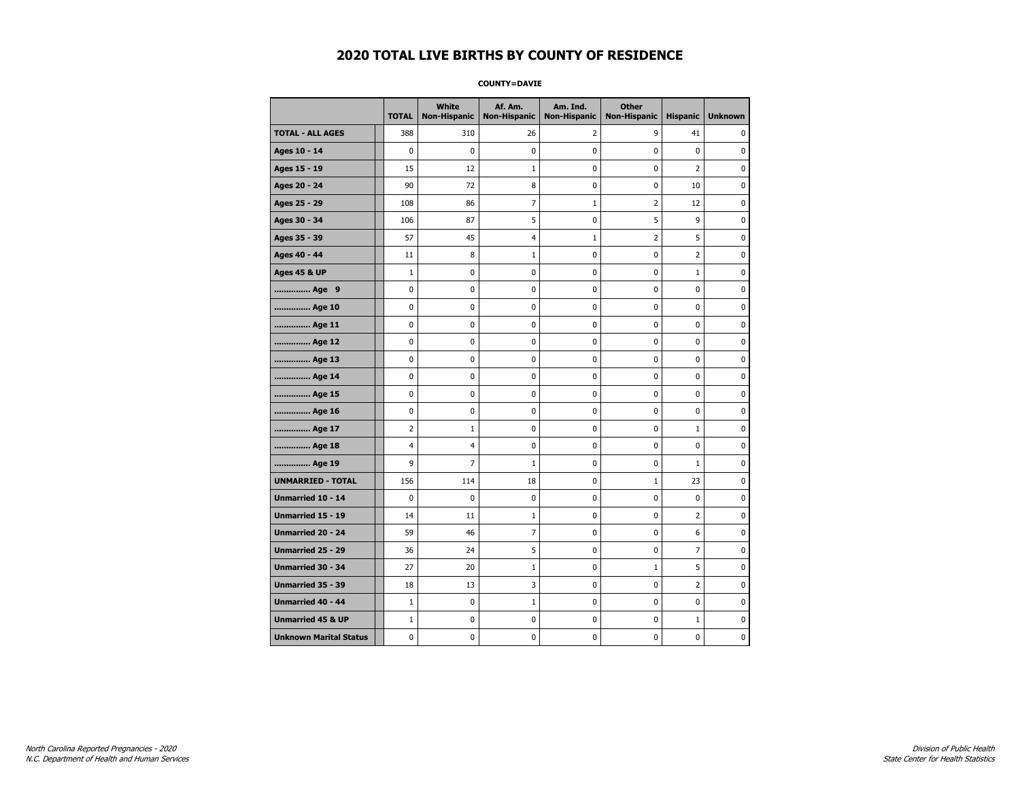**COUNTY=DAVIE** 

|                               | <b>TOTAL</b>   | White<br><b>Non-Hispanic</b> | Af. Am.<br><b>Non-Hispanic</b> | Am. Ind.<br><b>Non-Hispanic</b> | <b>Other</b><br><b>Non-Hispanic</b> | <b>Hispanic</b> | <b>Unknown</b> |
|-------------------------------|----------------|------------------------------|--------------------------------|---------------------------------|-------------------------------------|-----------------|----------------|
| <b>TOTAL - ALL AGES</b>       | 388            | 310                          | 26                             | 2                               | 9                                   | 41              | 0              |
| Ages 10 - 14                  | $\mathbf 0$    | $\mathbf 0$                  | 0                              | 0                               | 0                                   | $\mathbf 0$     | 0              |
| Ages 15 - 19                  | 15             | 12                           | $\mathbf{1}$                   | 0                               | 0                                   | $\overline{2}$  | $\mathbf 0$    |
| Ages 20 - 24                  | 90             | 72                           | 8                              | 0                               | $\mathbf 0$                         | 10              | $\mathbf 0$    |
| Ages 25 - 29                  | 108            | 86                           | 7                              | $\mathbf 1$                     | $\overline{2}$                      | 12              | $\pmb{0}$      |
| Ages 30 - 34                  | 106            | 87                           | 5                              | 0                               | 5                                   | 9               | 0              |
| Ages 35 - 39                  | 57             | 45                           | 4                              | $\mathbf 1$                     | $\overline{2}$                      | 5               | 0              |
| Ages 40 - 44                  | 11             | 8                            | 1                              | 0                               | $\mathbf 0$                         | $\overline{2}$  | 0              |
| <b>Ages 45 &amp; UP</b>       | $\mathbf{1}$   | 0                            | 0                              | 0                               | 0                                   | $\mathbf{1}$    | $\mathbf 0$    |
| Age 9                         | 0              | 0                            | 0                              | 0                               | $\mathbf 0$                         | 0               | $\mathbf 0$    |
| Age 10                        | 0              | 0                            | 0                              | 0                               | $\pmb{0}$                           | 0               | 0              |
| Age 11                        | 0              | 0                            | 0                              | 0                               | 0                                   | 0               | $\mathbf 0$    |
| Age 12                        | 0              | 0                            | 0                              | 0                               | 0                                   | 0               | 0              |
| Age 13                        | 0              | 0                            | 0                              | 0                               | 0                                   | 0               | $\mathbf 0$    |
| Age 14                        | 0              | 0                            | 0                              | 0                               | $\pmb{0}$                           | 0               | $\mathbf 0$    |
| Age 15                        | 0              | 0                            | 0                              | 0                               | $\pmb{0}$                           | 0               | 0              |
| Age 16                        | 0              | $\mathbf 0$                  | 0                              | 0                               | $\pmb{0}$                           | 0               | 0              |
| Age 17                        | 2              | 1                            | 0                              | 0                               | 0                                   | $\mathbf{1}$    | 0              |
| Age 18                        | $\overline{4}$ | 4                            | 0                              | 0                               | $\pmb{0}$                           | 0               | $\pmb{0}$      |
| Age 19                        | 9              | 7                            | $\mathbf{1}$                   | 0                               | 0                                   | $\mathbf{1}$    | $\mathbf 0$    |
| <b>UNMARRIED - TOTAL</b>      | 156            | 114                          | 18                             | 0                               | $1\,$                               | 23              | $\mathbf 0$    |
| Unmarried 10 - 14             | 0              | 0                            | 0                              | 0                               | $\pmb{0}$                           | 0               | 0              |
| Unmarried 15 - 19             | 14             | 11                           | $\mathbf{1}$                   | 0                               | $\pmb{0}$                           | $\overline{2}$  | $\pmb{0}$      |
| <b>Unmarried 20 - 24</b>      | 59             | 46                           | 7                              | 0                               | 0                                   | 6               | 0              |
| Unmarried 25 - 29             | 36             | 24                           | 5                              | 0                               | 0                                   | $\overline{7}$  | 0              |
| <b>Unmarried 30 - 34</b>      | 27             | 20                           | 1                              | 0                               | $1\,$                               | 5               | $\mathbf 0$    |
| <b>Unmarried 35 - 39</b>      | 18             | 13                           | 3                              | 0                               | $\mathbf 0$                         | $\overline{2}$  | $\mathbf 0$    |
| <b>Unmarried 40 - 44</b>      | $\mathbf 1$    | $\pmb{0}$                    | $\mathbf{1}$                   | 0                               | $\pmb{0}$                           | 0               | $\pmb{0}$      |
| <b>Unmarried 45 &amp; UP</b>  | $\mathbf{1}$   | 0                            | 0                              | 0                               | 0                                   | $\mathbf 1$     | 0              |
| <b>Unknown Marital Status</b> | 0              | 0                            | 0                              | 0                               | 0                                   | 0               | $\mathbf 0$    |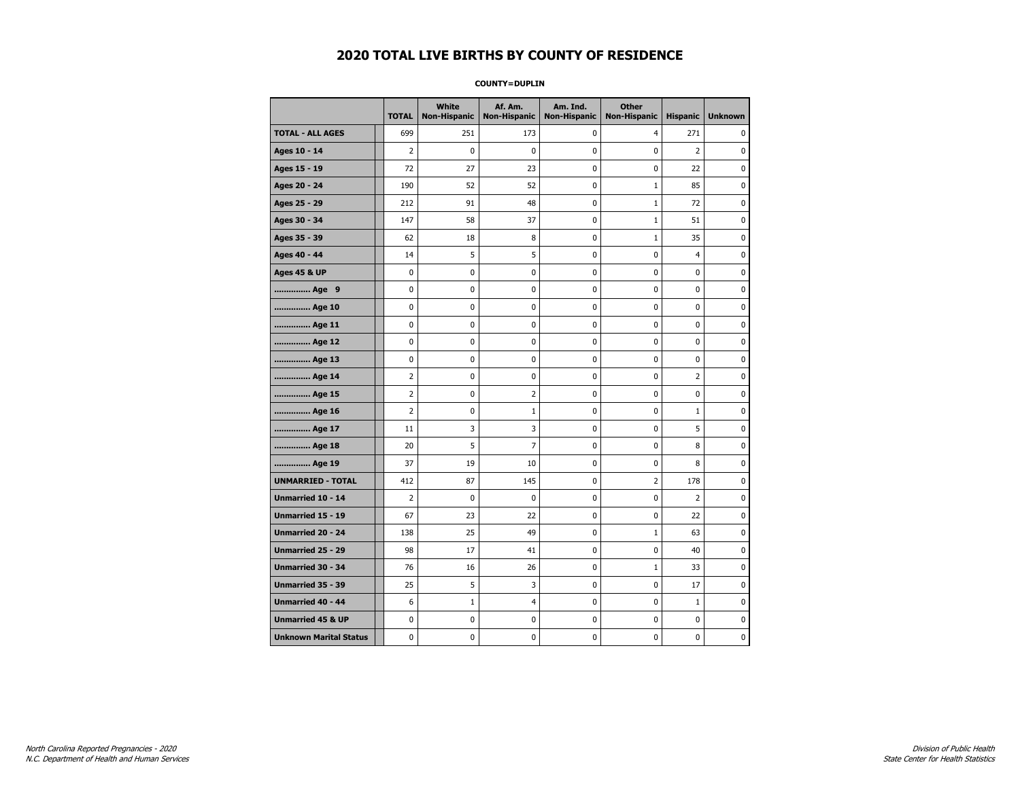**COUNTY=DUPLIN** 

|                               | <b>TOTAL</b>   | White<br>Non-Hispanic | Af. Am.<br><b>Non-Hispanic</b> | Am. Ind.<br><b>Non-Hispanic</b> | <b>Other</b><br><b>Non-Hispanic</b> | <b>Hispanic</b> | <b>Unknown</b> |
|-------------------------------|----------------|-----------------------|--------------------------------|---------------------------------|-------------------------------------|-----------------|----------------|
| <b>TOTAL - ALL AGES</b>       | 699            | 251                   | 173                            | 0                               | 4                                   | 271             | 0              |
| Ages 10 - 14                  | $\overline{2}$ | $\mathbf 0$           | 0                              | 0                               | 0                                   | $\overline{2}$  | $\mathbf 0$    |
| Ages 15 - 19                  | 72             | 27                    | 23                             | 0                               | 0                                   | 22              | $\mathbf 0$    |
| Ages 20 - 24                  | 190            | 52                    | 52                             | 0                               | $1\,$                               | 85              | 0              |
| Ages 25 - 29                  | 212            | 91                    | 48                             | 0                               | $\mathbf 1$                         | 72              | 0              |
| Ages 30 - 34                  | 147            | 58                    | 37                             | 0                               | $1\,$                               | 51              | $\mathbf 0$    |
| Ages 35 - 39                  | 62             | 18                    | 8                              | 0                               | $\mathbf{1}$                        | 35              | $\mathbf 0$    |
| Ages 40 - 44                  | 14             | 5                     | 5                              | 0                               | 0                                   | $\overline{4}$  | 0              |
| <b>Ages 45 &amp; UP</b>       | 0              | $\mathbf 0$           | 0                              | 0                               | 0                                   | 0               | $\mathbf 0$    |
| Age 9                         | 0              | 0                     | 0                              | 0                               | 0                                   | 0               | 0              |
| Age 10                        | 0              | $\mathbf 0$           | 0                              | 0                               | 0                                   | 0               | $\mathbf 0$    |
| Age 11                        | 0              | 0                     | 0                              | 0                               | 0                                   | 0               | $\pmb{0}$      |
| Age 12                        | 0              | 0                     | 0                              | 0                               | 0                                   | 0               | 0              |
| Age 13                        | 0              | 0                     | 0                              | 0                               | 0                                   | 0               | 0              |
| Age 14                        | 2              | 0                     | 0                              | 0                               | 0                                   | $\overline{2}$  | 0              |
| Age 15                        | $\overline{2}$ | 0                     | 2                              | 0                               | 0                                   | 0               | 0              |
| Age 16                        | 2              | 0                     | 1                              | 0                               | 0                                   | $\mathbf 1$     | 0              |
| Age 17                        | 11             | 3                     | 3                              | 0                               | 0                                   | 5               | 0              |
| Age 18                        | 20             | 5                     | $\overline{7}$                 | 0                               | 0                                   | 8               | $\mathbf 0$    |
| Age 19                        | 37             | 19                    | 10                             | 0                               | 0                                   | 8               | $\pmb{0}$      |
| <b>UNMARRIED - TOTAL</b>      | 412            | 87                    | 145                            | 0                               | $\overline{2}$                      | 178             | $\pmb{0}$      |
| Unmarried 10 - 14             | 2              | 0                     | 0                              | 0                               | 0                                   | $\overline{2}$  | 0              |
| Unmarried 15 - 19             | 67             | 23                    | 22                             | 0                               | 0                                   | 22              | $\mathbf 0$    |
| Unmarried 20 - 24             | 138            | 25                    | 49                             | 0                               | $1\,$                               | 63              | $\pmb{0}$      |
| Unmarried 25 - 29             | 98             | 17                    | 41                             | 0                               | 0                                   | 40              | 0              |
| <b>Unmarried 30 - 34</b>      | 76             | 16                    | 26                             | 0                               | $\mathbf 1$                         | 33              | 0              |
| Unmarried 35 - 39             | 25             | 5                     | 3                              | 0                               | 0                                   | 17              | $\mathbf 0$    |
| <b>Unmarried 40 - 44</b>      | 6              | $\mathbf{1}$          | 4                              | 0                               | 0                                   | $\mathbf{1}$    | $\mathbf 0$    |
| <b>Unmarried 45 &amp; UP</b>  | 0              | 0                     | 0                              | 0                               | 0                                   | 0               | 0              |
| <b>Unknown Marital Status</b> | 0              | 0                     | 0                              | 0                               | 0                                   | 0               | 0              |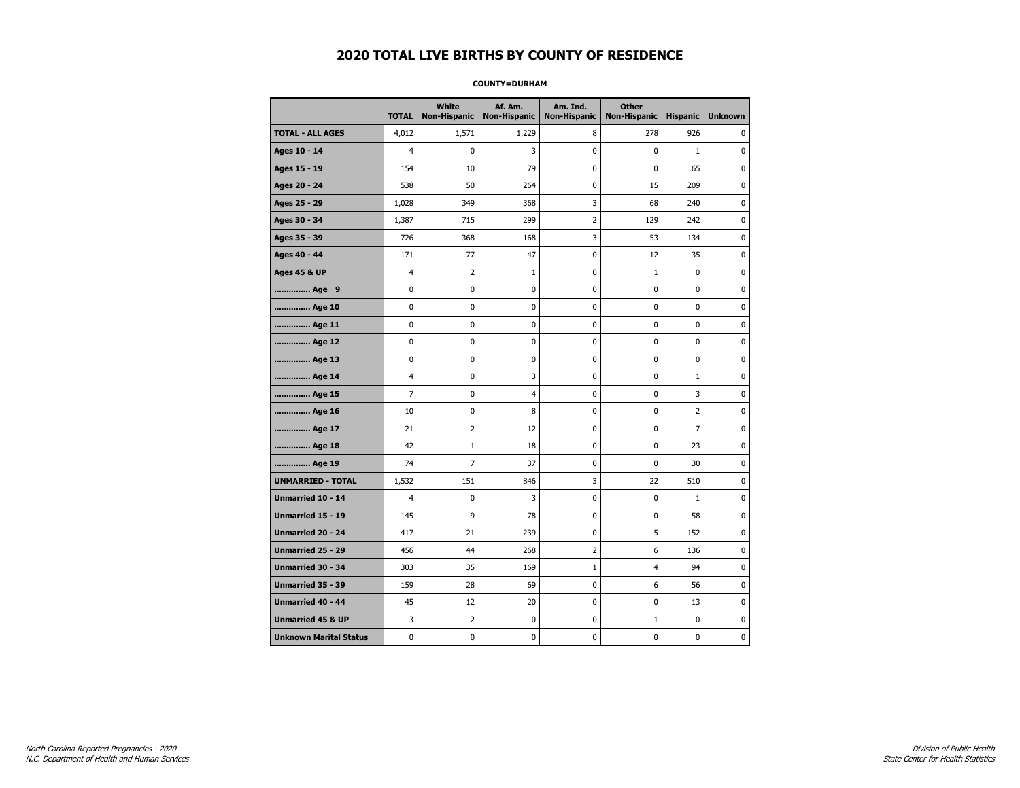#### **COUNTY=DURHAM**

|                               | <b>TOTAL</b>   | White<br><b>Non-Hispanic</b> | Af. Am.<br><b>Non-Hispanic</b> | Am. Ind.<br><b>Non-Hispanic</b> | <b>Other</b><br><b>Non-Hispanic</b> | <b>Hispanic</b> | <b>Unknown</b> |
|-------------------------------|----------------|------------------------------|--------------------------------|---------------------------------|-------------------------------------|-----------------|----------------|
| <b>TOTAL - ALL AGES</b>       | 4,012          | 1,571                        | 1,229                          | 8                               | 278                                 | 926             | 0              |
| Ages 10 - 14                  | $\overline{4}$ | $\mathbf 0$                  | 3                              | $\mathbf 0$                     | $\mathbf 0$                         | $\mathbf{1}$    | 0              |
| Ages 15 - 19                  | 154            | 10                           | 79                             | $\mathbf 0$                     | $\Omega$                            | 65              | 0              |
| Ages 20 - 24                  | 538            | 50                           | 264                            | $\pmb{0}$                       | 15                                  | 209             | 0              |
| Ages 25 - 29                  | 1,028          | 349                          | 368                            | 3                               | 68                                  | 240             | $\pmb{0}$      |
| Ages 30 - 34                  | 1,387          | 715                          | 299                            | $\overline{2}$                  | 129                                 | 242             | 0              |
| Ages 35 - 39                  | 726            | 368                          | 168                            | 3                               | 53                                  | 134             | 0              |
| Ages 40 - 44                  | 171            | 77                           | 47                             | 0                               | 12                                  | 35              | 0              |
| <b>Ages 45 &amp; UP</b>       | $\overline{4}$ | $\overline{2}$               | $\mathbf{1}$                   | $\mathbf 0$                     | $\mathbf{1}$                        | $\mathbf 0$     | 0              |
| Age 9                         | $\mathbf 0$    | $\pmb{0}$                    | $\pmb{0}$                      | $\pmb{0}$                       | $\mathbf 0$                         | $\mathbf 0$     | 0              |
| Age 10                        | $\mathbf 0$    | 0                            | 0                              | 0                               | $\mathbf 0$                         | 0               | 0              |
| Age 11                        | $\mathbf 0$    | 0                            | 0                              | 0                               | 0                                   | 0               | 0              |
| Age 12                        | $\mathbf 0$    | 0                            | 0                              | 0                               | 0                                   | 0               | 0              |
| Age 13                        | $\mathbf 0$    | 0                            | $\mathbf 0$                    | $\mathbf 0$                     | $\mathbf 0$                         | $\mathbf 0$     | 0              |
| Age 14                        | $\overline{4}$ | 0                            | 3                              | $\mathbf 0$                     | $\mathbf 0$                         | $\mathbf 1$     | 0              |
| Age 15                        | $\overline{7}$ | 0                            | $\overline{4}$                 | 0                               | $\pmb{0}$                           | 3               | $\pmb{0}$      |
| Age 16                        | 10             | 0                            | 8                              | 0                               | $\mathbf 0$                         | $\overline{2}$  | 0              |
| Age 17                        | 21             | $\overline{2}$               | 12                             | 0                               | $\mathbf 0$                         | 7               | 0              |
| Age 18                        | 42             | $\mathbf{1}$                 | 18                             | 0                               | $\mathbf 0$                         | 23              | 0              |
| Age 19                        | 74             | $\overline{7}$               | 37                             | $\pmb{0}$                       | $\mathbf 0$                         | 30              | 0              |
| <b>UNMARRIED - TOTAL</b>      | 1,532          | 151                          | 846                            | 3                               | 22                                  | 510             | 0              |
| Unmarried 10 - 14             | $\overline{4}$ | 0                            | 3                              | $\pmb{0}$                       | $\mathbf 0$                         | $\mathbf{1}$    | 0              |
| Unmarried 15 - 19             | 145            | 9                            | 78                             | 0                               | 0                                   | 58              | 0              |
| Unmarried 20 - 24             | 417            | 21                           | 239                            | 0                               | 5                                   | 152             | 0              |
| <b>Unmarried 25 - 29</b>      | 456            | 44                           | 268                            | $\overline{2}$                  | 6                                   | 136             | 0              |
| <b>Unmarried 30 - 34</b>      | 303            | 35                           | 169                            | $1\,$                           | $\overline{4}$                      | 94              | 0              |
| Unmarried 35 - 39             | 159            | 28                           | 69                             | 0                               | 6                                   | 56              | $\pmb{0}$      |
| <b>Unmarried 40 - 44</b>      | 45             | 12                           | 20                             | 0                               | 0                                   | 13              | 0              |
| <b>Unmarried 45 &amp; UP</b>  | 3              | 2                            | 0                              | 0                               | 1                                   | 0               | 0              |
| <b>Unknown Marital Status</b> | $\mathbf 0$    | 0                            | $\mathbf 0$                    | $\pmb{0}$                       | $\mathbf 0$                         | $\mathbf 0$     | 0              |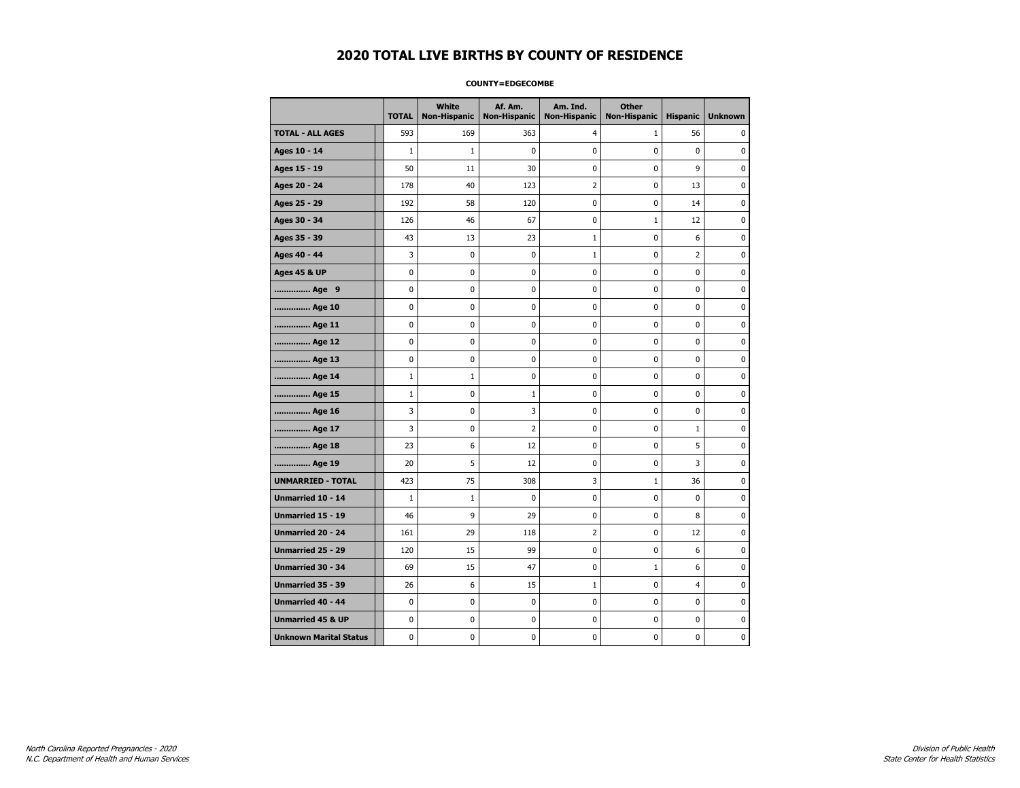#### **COUNTY=EDGECOMBE**

|                               | <b>TOTAL</b> | White<br><b>Non-Hispanic</b> | Af. Am.<br><b>Non-Hispanic</b> | Am. Ind.<br><b>Non-Hispanic</b> | <b>Other</b><br><b>Non-Hispanic</b> | <b>Hispanic</b> | <b>Unknown</b> |
|-------------------------------|--------------|------------------------------|--------------------------------|---------------------------------|-------------------------------------|-----------------|----------------|
| <b>TOTAL - ALL AGES</b>       | 593          | 169                          | 363                            | 4                               | $\mathbf{1}$                        | 56              | 0              |
| Ages 10 - 14                  | $\mathbf{1}$ | $\mathbf{1}$                 | 0                              | 0                               | 0                                   | $\mathbf 0$     | $\mathbf 0$    |
| Ages 15 - 19                  | 50           | 11                           | 30                             | 0                               | $\mathbf 0$                         | 9               | $\mathbf 0$    |
| Ages 20 - 24                  | 178          | 40                           | 123                            | 2                               | $\pmb{0}$                           | 13              | 0              |
| Ages 25 - 29                  | 192          | 58                           | 120                            | 0                               | 0                                   | 14              | 0              |
| Ages 30 - 34                  | 126          | 46                           | 67                             | 0                               | $1\,$                               | 12              | 0              |
| Ages 35 - 39                  | 43           | 13                           | 23                             | $\mathbf{1}$                    | 0                                   | 6               | $\mathbf 0$    |
| Ages 40 - 44                  | 3            | $\mathbf 0$                  | 0                              | $\mathbf{1}$                    | 0                                   | 2               | 0              |
| <b>Ages 45 &amp; UP</b>       | 0            | 0                            | 0                              | 0                               | $\mathbf 0$                         | 0               | $\mathbf 0$    |
| Age 9                         | 0            | 0                            | 0                              | 0                               | $\pmb{0}$                           | 0               | $\pmb{0}$      |
| Age 10                        | 0            | 0                            | 0                              | 0                               | 0                                   | 0               | 0              |
| Age 11                        | 0            | 0                            | 0                              | 0                               | 0                                   | 0               | 0              |
| Age 12                        | 0            | 0                            | 0                              | 0                               | 0                                   | 0               | 0              |
| Age 13                        | 0            | 0                            | 0                              | 0                               | $\mathbf 0$                         | 0               | $\mathbf 0$    |
| Age 14                        | $\mathbf{1}$ | $\mathbf{1}$                 | 0                              | 0                               | $\pmb{0}$                           | 0               | $\mathbf 0$    |
| Age 15                        | $\mathbf{1}$ | 0                            | 1                              | 0                               | $\pmb{0}$                           | 0               | 0              |
| Age 16                        | 3            | 0                            | 3                              | 0                               | 0                                   | 0               | 0              |
| Age 17                        | 3            | 0                            | 2                              | 0                               | 0                                   | $\mathbf{1}$    | $\mathbf 0$    |
| Age 18                        | 23           | 6                            | 12                             | 0                               | 0                                   | 5               | 0              |
| Age 19                        | 20           | 5                            | 12                             | 0                               | 0                                   | 3               | $\mathbf 0$    |
| <b>UNMARRIED - TOTAL</b>      | 423          | 75                           | 308                            | 3                               | $1\,$                               | 36              | $\pmb{0}$      |
| Unmarried 10 - 14             | $1\,$        | $1\,$                        | 0                              | 0                               | $\pmb{0}$                           | 0               | $\pmb{0}$      |
| Unmarried 15 - 19             | 46           | 9                            | 29                             | 0                               | 0                                   | 8               | 0              |
| Unmarried 20 - 24             | 161          | 29                           | 118                            | 2                               | 0                                   | 12              | 0              |
| <b>Unmarried 25 - 29</b>      | 120          | 15                           | 99                             | 0                               | 0                                   | 6               | $\mathbf 0$    |
| <b>Unmarried 30 - 34</b>      | 69           | 15                           | 47                             | 0                               | $1\,$                               | 6               | $\mathbf 0$    |
| Unmarried 35 - 39             | 26           | 6                            | 15                             | $\mathbf 1$                     | 0                                   | $\overline{4}$  | 0              |
| <b>Unmarried 40 - 44</b>      | 0            | 0                            | 0                              | 0                               | $\pmb{0}$                           | 0               | 0              |
| <b>Unmarried 45 &amp; UP</b>  | 0            | 0                            | 0                              | 0                               | 0                                   | 0               | 0              |
| <b>Unknown Marital Status</b> | 0            | 0                            | 0                              | 0                               | 0                                   | 0               | 0              |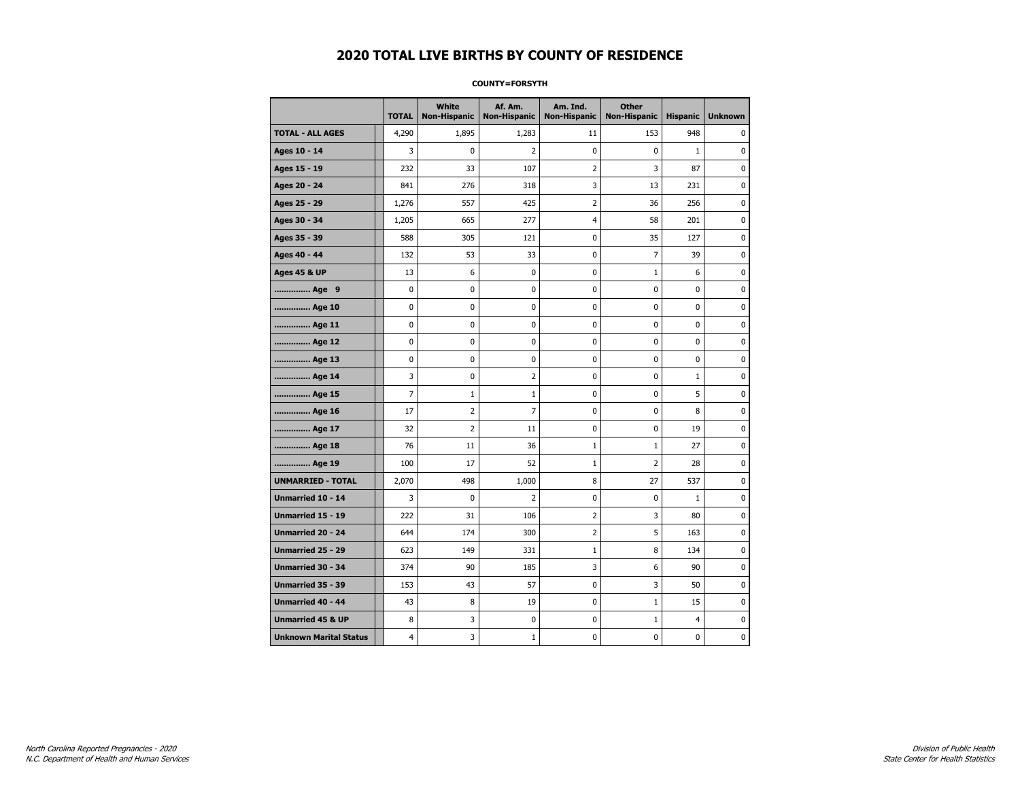#### **COUNTY=FORSYTH**

|                               | <b>TOTAL</b>   | White<br><b>Non-Hispanic</b> | Af. Am.<br><b>Non-Hispanic</b> | Am. Ind.<br><b>Non-Hispanic</b> | <b>Other</b><br><b>Non-Hispanic</b> | <b>Hispanic</b> | <b>Unknown</b> |
|-------------------------------|----------------|------------------------------|--------------------------------|---------------------------------|-------------------------------------|-----------------|----------------|
| <b>TOTAL - ALL AGES</b>       | 4,290          | 1,895                        | 1,283                          | 11                              | 153                                 | 948             | 0              |
| Ages 10 - 14                  | 3              | $\mathbf 0$                  | $\overline{2}$                 | $\mathbf 0$                     | 0                                   | $\mathbf{1}$    | 0              |
| Ages 15 - 19                  | 232            | 33                           | 107                            | $\overline{2}$                  | 3                                   | 87              | $\pmb{0}$      |
| Ages 20 - 24                  | 841            | 276                          | 318                            | 3                               | 13                                  | 231             | $\pmb{0}$      |
| Ages 25 - 29                  | 1,276          | 557                          | 425                            | $\overline{2}$                  | 36                                  | 256             | 0              |
| Ages 30 - 34                  | 1,205          | 665                          | 277                            | $\overline{4}$                  | 58                                  | 201             | 0              |
| Ages 35 - 39                  | 588            | 305                          | 121                            | $\mathbf 0$                     | 35                                  | 127             | $\mathbf 0$    |
| Ages 40 - 44                  | 132            | 53                           | 33                             | 0                               | $\overline{7}$                      | 39              | 0              |
| <b>Ages 45 &amp; UP</b>       | 13             | 6                            | 0                              | $\pmb{0}$                       | $\mathbf 1$                         | 6               | 0              |
| Age 9                         | 0              | 0                            | 0                              | 0                               | 0                                   | 0               | 0              |
| Age 10                        | 0              | 0                            | $\mathbf 0$                    | $\mathbf 0$                     | 0                                   | $\mathbf 0$     | 0              |
| Age 11                        | 0              | 0                            | $\mathbf 0$                    | $\pmb{0}$                       | 0                                   | $\mathbf 0$     | $\mathbf 0$    |
| Age 12                        | 0              | 0                            | $\pmb{0}$                      | 0                               | 0                                   | 0               | $\pmb{0}$      |
| Age 13                        | 0              | 0                            | $\mathbf 0$                    | $\mathbf 0$                     | 0                                   | 0               | 0              |
| Age 14                        | 3              | 0                            | $\overline{2}$                 | 0                               | 0                                   | $\mathbf{1}$    | 0              |
| Age 15                        | $\overline{7}$ | $\mathbf{1}$                 | $\mathbf{1}$                   | 0                               | 0                                   | 5               | 0              |
| Age 16                        | 17             | $\overline{2}$               | $\overline{7}$                 | $\mathbf 0$                     | 0                                   | 8               | 0              |
| Age 17                        | 32             | $\overline{2}$               | 11                             | $\pmb{0}$                       | 0                                   | 19              | $\bf{0}$       |
| Age 18                        | 76             | 11                           | 36                             | $\mathbf 1$                     | $\mathbf 1$                         | 27              | 0              |
| Age 19                        | 100            | 17                           | 52                             | $\mathbf{1}$                    | 2                                   | 28              | 0              |
| <b>UNMARRIED - TOTAL</b>      | 2,070          | 498                          | 1,000                          | 8                               | 27                                  | 537             | 0              |
| <b>Unmarried 10 - 14</b>      | 3              | 0                            | $\overline{2}$                 | $\mathbf 0$                     | 0                                   | $\mathbf{1}$    | 0              |
| Unmarried 15 - 19             | 222            | 31                           | 106                            | $\mathbf 2$                     | 3                                   | 80              | $\pmb{0}$      |
| Unmarried 20 - 24             | 644            | 174                          | 300                            | 2                               | 5                                   | 163             | 0              |
| Unmarried 25 - 29             | 623            | 149                          | 331                            | $\mathbf{1}$                    | 8                                   | 134             | 0              |
| Unmarried 30 - 34             | 374            | 90                           | 185                            | 3                               | 6                                   | 90              | $\mathbf 0$    |
| <b>Unmarried 35 - 39</b>      | 153            | 43                           | 57                             | 0                               | 3                                   | 50              | 0              |
| Unmarried 40 - 44             | 43             | 8                            | 19                             | $\pmb{0}$                       | $\mathbf 1$                         | 15              | $\bf{0}$       |
| <b>Unmarried 45 &amp; UP</b>  | 8              | 3                            | 0                              | 0                               | $\mathbf{1}$                        | 4               | 0              |
| <b>Unknown Marital Status</b> | 4              | 3                            | 1                              | $\pmb{0}$                       | 0                                   | $\mathbf 0$     | $\pmb{0}$      |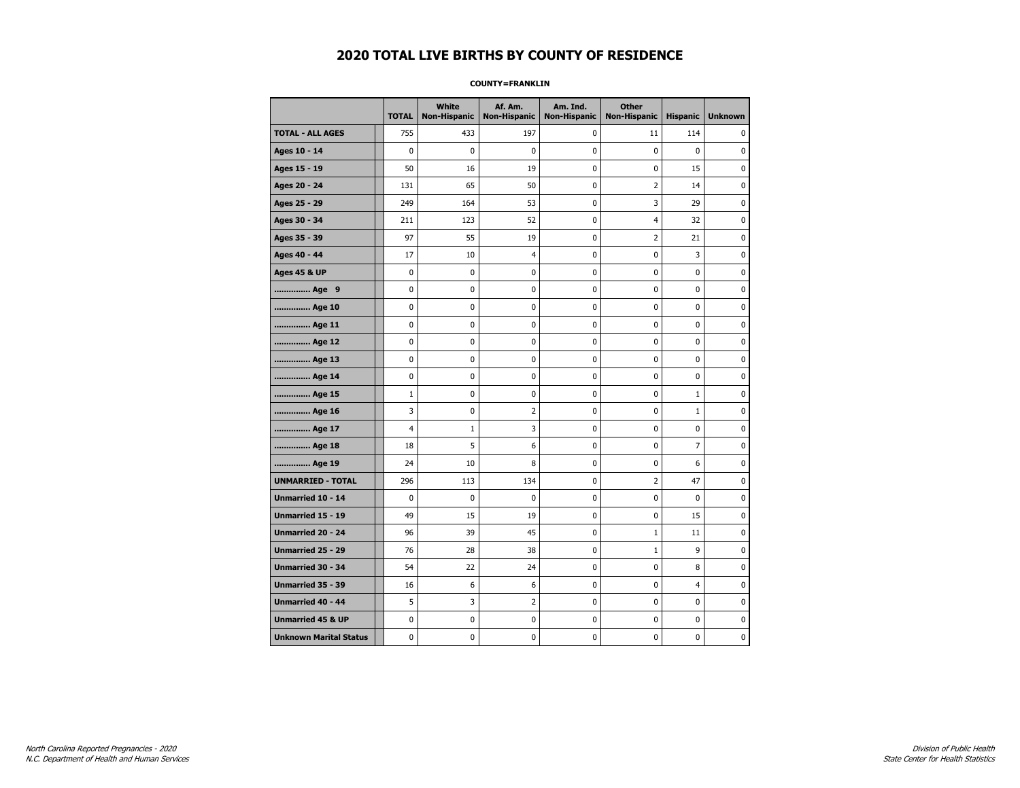#### **COUNTY=FRANKLIN**

|                               | <b>TOTAL</b>   | White<br><b>Non-Hispanic</b> | Af. Am.<br><b>Non-Hispanic</b> | Am. Ind.<br><b>Non-Hispanic</b> | <b>Other</b><br><b>Non-Hispanic</b> | <b>Hispanic</b> | <b>Unknown</b> |
|-------------------------------|----------------|------------------------------|--------------------------------|---------------------------------|-------------------------------------|-----------------|----------------|
| <b>TOTAL - ALL AGES</b>       | 755            | 433                          | 197                            | 0                               | 11                                  | 114             | 0              |
| Ages 10 - 14                  | 0              | 0                            | 0                              | 0                               | 0                                   | $\mathbf{0}$    | 0              |
| Ages 15 - 19                  | 50             | 16                           | 19                             | $\mathbf 0$                     | 0                                   | 15              | $\mathbf 0$    |
| Ages 20 - 24                  | 131            | 65                           | 50                             | 0                               | 2                                   | 14              | 0              |
| Ages 25 - 29                  | 249            | 164                          | 53                             | $\mathbf 0$                     | 3                                   | 29              | 0              |
| Ages 30 - 34                  | 211            | 123                          | 52                             | $\mathbf 0$                     | $\overline{4}$                      | 32              | 0              |
| Ages 35 - 39                  | 97             | 55                           | 19                             | $\pmb{0}$                       | $\overline{2}$                      | 21              | $\pmb{0}$      |
| Ages 40 - 44                  | 17             | 10                           | $\overline{4}$                 | 0                               | $\pmb{0}$                           | 3               | 0              |
| <b>Ages 45 &amp; UP</b>       | 0              | 0                            | 0                              | 0                               | 0                                   | 0               | 0              |
| Age 9                         | 0              | 0                            | 0                              | 0                               | 0                                   | 0               | 0              |
| Age 10                        | 0              | 0                            | $\mathbf 0$                    | $\mathbf 0$                     | 0                                   | $\mathbf 0$     | 0              |
| Age 11                        | 0              | 0                            | 0                              | 0                               | 0                                   | $\mathbf 0$     | 0              |
| Age 12                        | 0              | 0                            | 0                              | 0                               | 0                                   | 0               | 0              |
| Age 13                        | 0              | 0                            | $\mathbf 0$                    | $\mathbf 0$                     | 0                                   | $\mathbf 0$     | $\mathbf 0$    |
| Age 14                        | $\mathbf 0$    | 0                            | $\mathbf 0$                    | $\mathbf 0$                     | 0                                   | $\mathbf 0$     | $\mathbf 0$    |
| Age 15                        | $\mathbf 1$    | 0                            | $\mathbf 0$                    | $\pmb{0}$                       | 0                                   | $\mathbf{1}$    | $\pmb{0}$      |
| Age 16                        | 3              | 0                            | $\overline{2}$                 | 0                               | 0                                   | $\mathbf{1}$    | 0              |
| Age 17                        | $\overline{4}$ | $1\,$                        | 3                              | 0                               | 0                                   | $\mathbf 0$     | 0              |
| Age 18                        | 18             | 5                            | 6                              | 0                               | 0                                   | $\overline{7}$  | 0              |
| Age 19                        | 24             | 10                           | 8                              | 0                               | 0                                   | 6               | 0              |
| <b>UNMARRIED - TOTAL</b>      | 296            | 113                          | 134                            | 0                               | 2                                   | 47              | 0              |
| Unmarried 10 - 14             | 0              | 0                            | $\mathbf 0$                    | 0                               | $\mathbf 0$                         | $\mathbf{0}$    | $\pmb{0}$      |
| Unmarried 15 - 19             | 49             | 15                           | 19                             | 0                               | 0                                   | 15              | 0              |
| <b>Unmarried 20 - 24</b>      | 96             | 39                           | 45                             | 0                               | $\mathbf{1}$                        | 11              | 0              |
| <b>Unmarried 25 - 29</b>      | 76             | 28                           | 38                             | $\pmb{0}$                       | $1\,$                               | 9               | $\bf{0}$       |
| Unmarried 30 - 34             | 54             | 22                           | 24                             | 0                               | 0                                   | 8               | 0              |
| Unmarried 35 - 39             | 16             | 6                            | 6                              | 0                               | 0                                   | 4               | 0              |
| Unmarried 40 - 44             | 5              | 3                            | 2                              | 0                               | 0                                   | 0               | 0              |
| <b>Unmarried 45 &amp; UP</b>  | 0              | 0                            | 0                              | 0                               | 0                                   | 0               | 0              |
| <b>Unknown Marital Status</b> | 0              | 0                            | $\pmb{0}$                      | 0                               | 0                                   | 0               | 0              |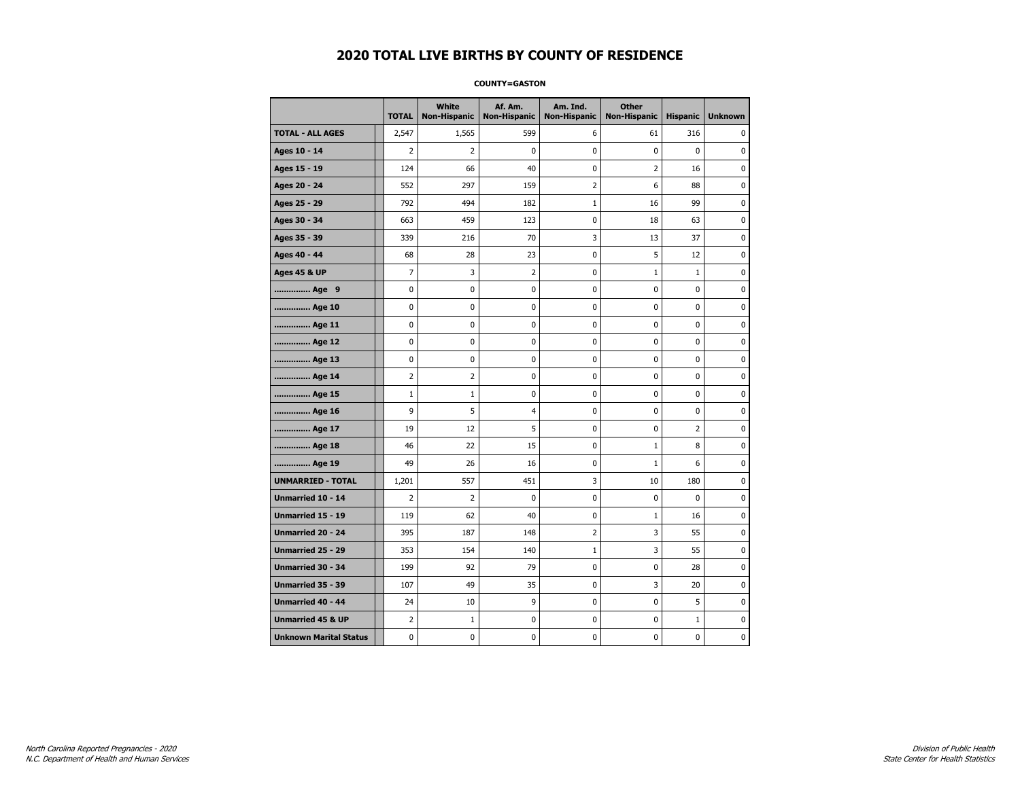#### **COUNTY=GASTON**

|                               | <b>TOTAL</b>   | <b>White</b><br>Non-Hispanic | Af. Am.<br><b>Non-Hispanic</b> | Am. Ind.<br><b>Non-Hispanic</b> | <b>Other</b><br><b>Non-Hispanic</b> | <b>Hispanic</b> | <b>Unknown</b> |
|-------------------------------|----------------|------------------------------|--------------------------------|---------------------------------|-------------------------------------|-----------------|----------------|
| <b>TOTAL - ALL AGES</b>       | 2,547          | 1,565                        | 599                            | 6                               | 61                                  | 316             | 0              |
| Ages 10 - 14                  | 2              | 2                            | 0                              | 0                               | $\mathbf 0$                         | $\mathbf 0$     | $\mathbf 0$    |
| Ages 15 - 19                  | 124            | 66                           | 40                             | $\mathbf 0$                     | $\overline{2}$                      | 16              | 0              |
| Ages 20 - 24                  | 552            | 297                          | 159                            | $\overline{2}$                  | 6                                   | 88              | $\mathbf 0$    |
| Ages 25 - 29                  | 792            | 494                          | 182                            | $1\,$                           | 16                                  | 99              | $\pmb{0}$      |
| Ages 30 - 34                  | 663            | 459                          | 123                            | 0                               | 18                                  | 63              | 0              |
| Ages 35 - 39                  | 339            | 216                          | 70                             | 3                               | 13                                  | 37              | 0              |
| Ages 40 - 44                  | 68             | 28                           | 23                             | 0                               | 5                                   | 12              | 0              |
| <b>Ages 45 &amp; UP</b>       | 7              | 3                            | $\overline{2}$                 | 0                               | $\mathbf{1}$                        | $\mathbf{1}$    | 0              |
| Age 9                         | 0              | 0                            | 0                              | 0                               | $\mathbf 0$                         | 0               | 0              |
| Age 10                        | 0              | 0                            | 0                              | $\mathbf 0$                     | $\mathbf 0$                         | $\mathbf 0$     | 0              |
| Age 11                        | 0              | 0                            | 0                              | $\mathbf 0$                     | $\mathbf 0$                         | $\mathbf 0$     | 0              |
| Age 12                        | $\pmb{0}$      | 0                            | 0                              | 0                               | 0                                   | 0               | 0              |
| Age 13                        | 0              | 0                            | 0                              | 0                               | 0                                   | 0               | 0              |
| Age 14                        | $\overline{2}$ | 2                            | 0                              | 0                               | 0                                   | $\mathbf 0$     | 0              |
| Age 15                        | $\mathbf{1}$   | $\mathbf{1}$                 | 0                              | 0                               | 0                                   | 0               | 0              |
| Age 16                        | 9              | 5                            | $\overline{4}$                 | $\mathbf 0$                     | $\mathbf 0$                         | $\mathbf 0$     | 0              |
| Age 17                        | 19             | 12                           | 5                              | $\mathbf 0$                     | $\mathbf 0$                         | $\overline{2}$  | 0              |
| Age 18                        | 46             | 22                           | 15                             | $\mathbf 0$                     | $\mathbf{1}$                        | 8               | 0              |
| Age 19                        | 49             | 26                           | 16                             | $\pmb{0}$                       | $\mathbf 1$                         | 6               | $\pmb{0}$      |
| <b>UNMARRIED - TOTAL</b>      | 1,201          | 557                          | 451                            | 3                               | 10                                  | 180             | 0              |
| Unmarried 10 - 14             | 2              | 2                            | 0                              | $\mathbf 0$                     | $\mathbf 0$                         | $\mathbf 0$     | 0              |
| Unmarried 15 - 19             | 119            | 62                           | 40                             | 0                               | $1\,$                               | 16              | 0              |
| <b>Unmarried 20 - 24</b>      | 395            | 187                          | 148                            | 2                               | 3                                   | 55              | 0              |
| <b>Unmarried 25 - 29</b>      | 353            | 154                          | 140                            | $1\,$                           | 3                                   | 55              | 0              |
| <b>Unmarried 30 - 34</b>      | 199            | 92                           | 79                             | $\mathbf 0$                     | $\mathbf 0$                         | 28              | 0              |
| Unmarried 35 - 39             | 107            | 49                           | 35                             | 0                               | 3                                   | 20              | $\pmb{0}$      |
| Unmarried 40 - 44             | 24             | 10                           | 9                              | 0                               | 0                                   | 5               | 0              |
| <b>Unmarried 45 &amp; UP</b>  | 2              | 1                            | 0                              | 0                               | 0                                   | $\mathbf{1}$    | 0              |
| <b>Unknown Marital Status</b> | 0              | 0                            | 0                              | 0                               | 0                                   | 0               | 0              |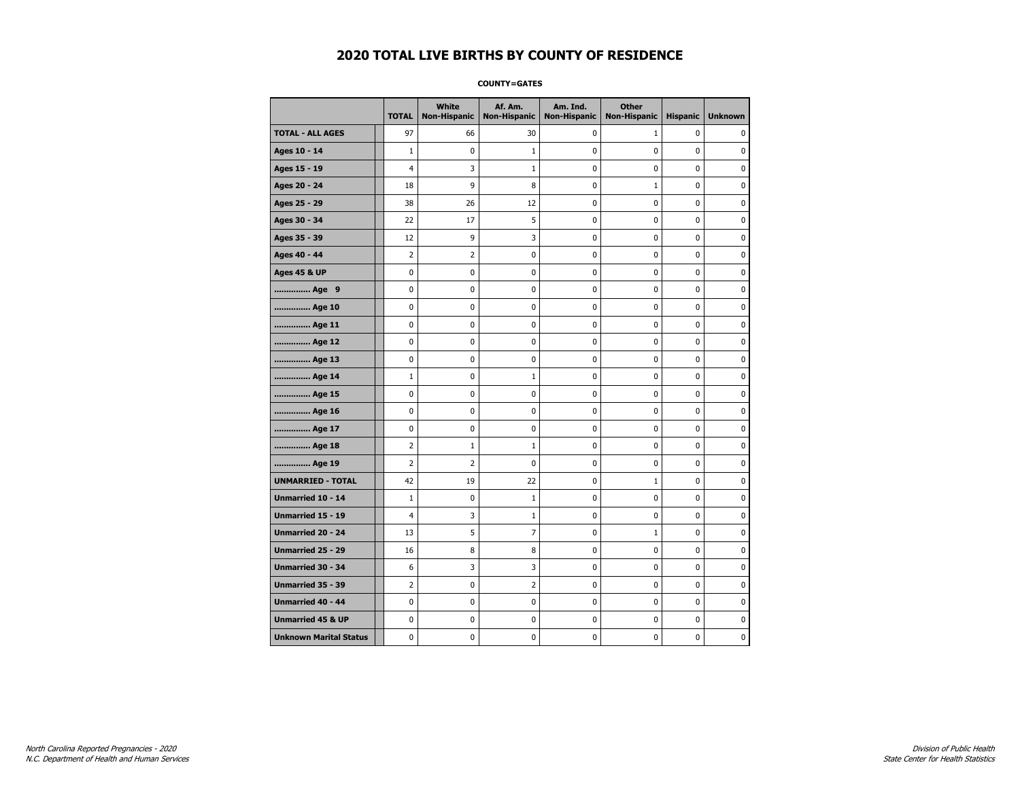**COUNTY=GATES** 

|                               | <b>TOTAL</b>   | White<br>Non-Hispanic | Af. Am.<br><b>Non-Hispanic</b> | Am. Ind.<br><b>Non-Hispanic</b> | <b>Other</b><br><b>Non-Hispanic</b> | <b>Hispanic</b> | <b>Unknown</b> |
|-------------------------------|----------------|-----------------------|--------------------------------|---------------------------------|-------------------------------------|-----------------|----------------|
| <b>TOTAL - ALL AGES</b>       | 97             | 66                    | 30                             | 0                               | $\mathbf{1}$                        | 0               | 0              |
| Ages 10 - 14                  | $\mathbf{1}$   | 0                     | 1                              | $\pmb{0}$                       | 0                                   | $\mathbf 0$     | 0              |
| Ages 15 - 19                  | $\overline{4}$ | 3                     | $\mathbf{1}$                   | 0                               | $\mathbf 0$                         | $\mathbf 0$     | $\mathbf 0$    |
| Ages 20 - 24                  | 18             | 9                     | 8                              | 0                               | $1\,$                               | 0               | 0              |
| Ages 25 - 29                  | 38             | 26                    | 12                             | 0                               | $\mathbf 0$                         | 0               | 0              |
| Ages 30 - 34                  | 22             | 17                    | 5                              | 0                               | 0                                   | 0               | 0              |
| Ages 35 - 39                  | 12             | 9                     | 3                              | 0                               | 0                                   | 0               | 0              |
| Ages 40 - 44                  | $\overline{2}$ | $\overline{2}$        | 0                              | $\mathbf 0$                     | 0                                   | 0               | $\mathbf 0$    |
| <b>Ages 45 &amp; UP</b>       | $\pmb{0}$      | 0                     | $\bf{0}$                       | $\pmb{0}$                       | 0                                   | 0               | 0              |
| Age 9                         | 0              | 0                     | 0                              | 0                               | 0                                   | 0               | 0              |
| Age 10                        | $\mathbf 0$    | 0                     | 0                              | 0                               | 0                                   | 0               | 0              |
| Age 11                        | $\mathbf 0$    | 0                     | 0                              | 0                               | 0                                   | 0               | 0              |
| Age 12                        | $\mathbf 0$    | 0                     | 0                              | $\mathbf 0$                     | 0                                   | $\mathbf 0$     | 0              |
| Age 13                        | $\pmb{0}$      | 0                     | 0                              | $\pmb{0}$                       | 0                                   | 0               | 0              |
| Age 14                        | 1              | 0                     | $\mathbf{1}$                   | 0                               | 0                                   | 0               | 0              |
| Age 15                        | $\mathbf 0$    | 0                     | 0                              | $\mathbf 0$                     | 0                                   | 0               | 0              |
| Age 16                        | $\mathbf 0$    | 0                     | 0                              | 0                               | 0                                   | 0               | 0              |
| Age 17                        | $\mathbf 0$    | 0                     | 0                              | $\mathbf 0$                     | 0                                   | 0               | 0              |
| Age 18                        | $\overline{2}$ | $\mathbf 1$           | $\mathbf{1}$                   | 0                               | 0                                   | 0               | $\bf{0}$       |
| Age 19                        | 2              | $\overline{2}$        | 0                              | 0                               | 0                                   | 0               | 0              |
| <b>UNMARRIED - TOTAL</b>      | 42             | 19                    | 22                             | 0                               | $\mathbf{1}$                        | 0               | 0              |
| Unmarried 10 - 14             | $\mathbf{1}$   | 0                     | 1                              | 0                               | 0                                   | 0               | 0              |
| <b>Unmarried 15 - 19</b>      | $\overline{4}$ | 3                     | 1                              | 0                               | 0                                   | 0               | 0              |
| Unmarried 20 - 24             | 13             | 5                     | 7                              | 0                               | $1\,$                               | 0               | $\pmb{0}$      |
| Unmarried 25 - 29             | 16             | 8                     | 8                              | 0                               | 0                                   | 0               | 0              |
| <b>Unmarried 30 - 34</b>      | 6              | 3                     | 3                              | 0                               | 0                                   | 0               | 0              |
| Unmarried 35 - 39             | 2              | 0                     | 2                              | 0                               | 0                                   | 0               | 0              |
| <b>Unmarried 40 - 44</b>      | $\pmb{0}$      | $\pmb{0}$             | $\pmb{0}$                      | $\pmb{0}$                       | $\pmb{0}$                           | $\pmb{0}$       | $\pmb{0}$      |
| <b>Unmarried 45 &amp; UP</b>  | 0              | 0                     | 0                              | 0                               | 0                                   | 0               | 0              |
| <b>Unknown Marital Status</b> | 0              | 0                     | 0                              | 0                               | 0                                   | 0               | 0              |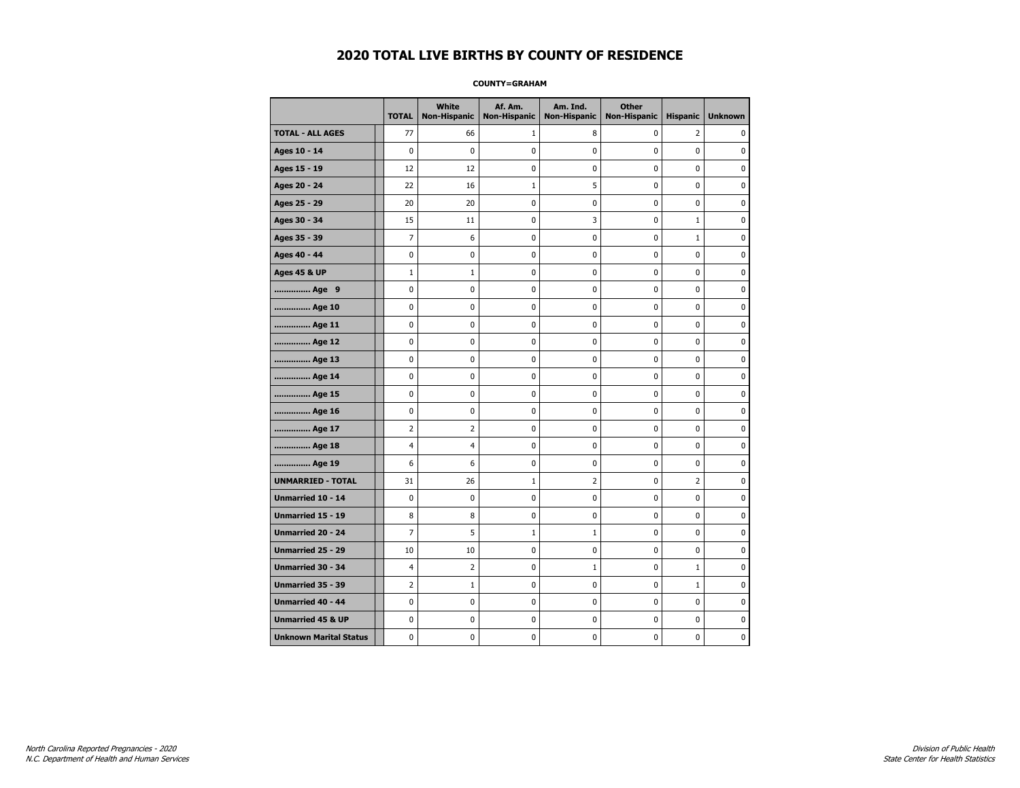#### **COUNTY=GRAHAM**

|                               | <b>TOTAL</b>   | <b>White</b><br>Non-Hispanic | Af. Am.<br><b>Non-Hispanic</b> | Am. Ind.<br><b>Non-Hispanic</b> | <b>Other</b><br><b>Non-Hispanic</b> | <b>Hispanic</b> | <b>Unknown</b> |
|-------------------------------|----------------|------------------------------|--------------------------------|---------------------------------|-------------------------------------|-----------------|----------------|
| <b>TOTAL - ALL AGES</b>       | 77             | 66                           | $\mathbf{1}$                   | 8                               | $\mathbf 0$                         | 2               | 0              |
| Ages 10 - 14                  | $\mathbf 0$    | $\mathbf 0$                  | $\mathbf 0$                    | $\mathbf 0$                     | $\mathbf 0$                         | $\mathbf 0$     | 0              |
| Ages 15 - 19                  | 12             | 12                           | $\pmb{0}$                      | $\pmb{0}$                       | $\pmb{0}$                           | $\mathbf 0$     | 0              |
| Ages 20 - 24                  | 22             | 16                           | $\mathbf{1}$                   | 5                               | $\pmb{0}$                           | $\pmb{0}$       | 0              |
| Ages 25 - 29                  | 20             | 20                           | $\pmb{0}$                      | 0                               | 0                                   | 0               | 0              |
| Ages 30 - 34                  | 15             | 11                           | $\mathbf 0$                    | 3                               | $\mathbf 0$                         | $\mathbf 1$     | 0              |
| Ages 35 - 39                  | $\overline{7}$ | 6                            | $\mathbf 0$                    | $\mathbf 0$                     | $\mathbf 0$                         | $\mathbf{1}$    | 0              |
| Ages 40 - 44                  | $\pmb{0}$      | 0                            | $\pmb{0}$                      | 0                               | $\pmb{0}$                           | 0               | 0              |
| <b>Ages 45 &amp; UP</b>       | $1\,$          | $1\,$                        | $\pmb{0}$                      | $\pmb{0}$                       | $\pmb{0}$                           | $\pmb{0}$       | 0              |
| Age 9                         | $\mathbf 0$    | 0                            | 0                              | 0                               | $\mathbf 0$                         | 0               | 0              |
| Age 10                        | $\mathbf 0$    | 0                            | $\mathbf 0$                    | $\mathbf 0$                     | $\mathbf 0$                         | $\mathbf 0$     | 0              |
| Age 11                        | $\mathbf 0$    | 0                            | $\mathbf 0$                    | $\pmb{0}$                       | $\mathbf 0$                         | $\mathbf 0$     | 0              |
| Age 12                        | $\pmb{0}$      | 0                            | $\pmb{0}$                      | 0                               | 0                                   | 0               | 0              |
| Age 13                        | $\mathbf 0$    | 0                            | $\mathbf 0$                    | 0                               | $\mathbf 0$                         | $\mathbf 0$     | 0              |
| Age 14                        | 0              | 0                            | $\pmb{0}$                      | 0                               | 0                                   | 0               | 0              |
| Age 15                        | $\mathbf 0$    | 0                            | $\pmb{0}$                      | 0                               | $\mathbf 0$                         | 0               | 0              |
| Age 16                        | $\mathbf 0$    | 0                            | $\mathbf 0$                    | $\mathbf 0$                     | $\mathbf 0$                         | $\mathbf 0$     | 0              |
| Age 17                        | $\overline{2}$ | $\overline{2}$               | 0                              | $\pmb{0}$                       | $\mathbf 0$                         | 0               | 0              |
| Age 18                        | $\overline{4}$ | 4                            | $\pmb{0}$                      | 0                               | 0                                   | 0               | 0              |
| Age 19                        | 6              | 6                            | $\pmb{0}$                      | 0                               | 0                                   | 0               | 0              |
| <b>UNMARRIED - TOTAL</b>      | 31             | 26                           | 1                              | $\overline{2}$                  | $\mathbf 0$                         | $\overline{2}$  | 0              |
| Unmarried 10 - 14             | $\mathbf 0$    | 0                            | $\mathbf 0$                    | $\mathbf 0$                     | $\mathbf 0$                         | $\mathbf 0$     | 0              |
| Unmarried 15 - 19             | 8              | 8                            | $\pmb{0}$                      | $\pmb{0}$                       | $\pmb{0}$                           | $\pmb{0}$       | 0              |
| <b>Unmarried 20 - 24</b>      | $\overline{7}$ | 5                            | 1                              | $\mathbf 1$                     | 0                                   | 0               | 0              |
| Unmarried 25 - 29             | 10             | 10                           | $\mathbf 0$                    | 0                               | $\mathbf 0$                         | $\mathbf 0$     | 0              |
| <b>Unmarried 30 - 34</b>      | 4              | $\overline{2}$               | 0                              | $\mathbf 1$                     | $\pmb{0}$                           | $\mathbf{1}$    | 0              |
| <b>Unmarried 35 - 39</b>      | $\overline{2}$ | $\mathbf{1}$                 | $\mathbf 0$                    | $\mathbf 0$                     | $\mathbf 0$                         | $\mathbf{1}$    | $\mathbf 0$    |
| <b>Unmarried 40 - 44</b>      | $\mathbf 0$    | $\mathbf 0$                  | $\pmb{0}$                      | $\pmb{0}$                       | $\pmb{0}$                           | $\mathbf 0$     | 0              |
| <b>Unmarried 45 &amp; UP</b>  | 0              | 0                            | 0                              | 0                               | 0                                   | 0               | 0              |
| <b>Unknown Marital Status</b> | $\mathbf 0$    | 0                            | $\mathbf 0$                    | 0                               | $\mathbf 0$                         | $\mathbf 0$     | 0              |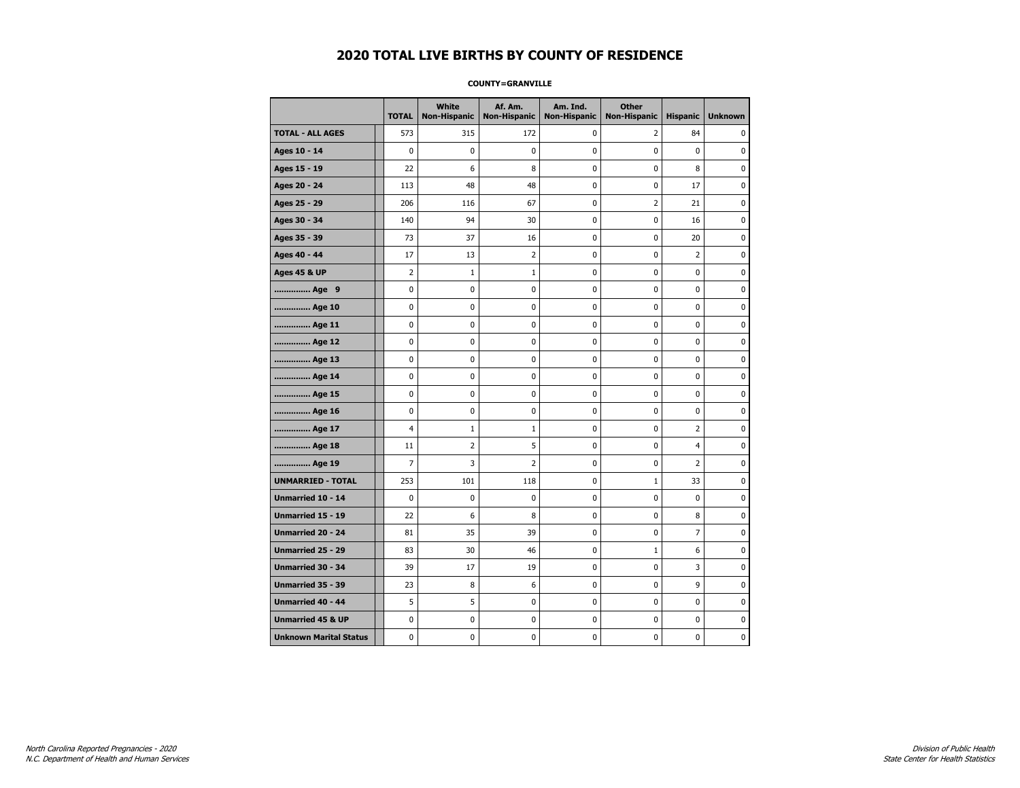#### **COUNTY=GRANVILLE**

|                               | <b>TOTAL</b> | <b>White</b><br><b>Non-Hispanic</b> | Af. Am.<br><b>Non-Hispanic</b> | Am. Ind.<br><b>Non-Hispanic</b> | <b>Other</b><br><b>Non-Hispanic</b> | <b>Hispanic</b> | <b>Unknown</b> |
|-------------------------------|--------------|-------------------------------------|--------------------------------|---------------------------------|-------------------------------------|-----------------|----------------|
| <b>TOTAL - ALL AGES</b>       | 573          | 315                                 | 172                            | 0                               | 2                                   | 84              | 0              |
| Ages 10 - 14                  | $\mathbf 0$  | 0                                   | 0                              | 0                               | 0                                   | 0               | 0              |
| Ages 15 - 19                  | 22           | 6                                   | 8                              | 0                               | 0                                   | 8               | 0              |
| Ages 20 - 24                  | 113          | 48                                  | 48                             | 0                               | 0                                   | 17              | $\mathbf 0$    |
| Ages 25 - 29                  | 206          | 116                                 | 67                             | 0                               | $\overline{2}$                      | 21              | $\mathbf 0$    |
| Ages 30 - 34                  | 140          | 94                                  | 30                             | 0                               | $\mathbf 0$                         | 16              | $\mathbf 0$    |
| Ages 35 - 39                  | 73           | 37                                  | 16                             | 0                               | $\pmb{0}$                           | 20              | 0              |
| Ages 40 - 44                  | 17           | 13                                  | 2                              | 0                               | 0                                   | $\overline{2}$  | 0              |
| <b>Ages 45 &amp; UP</b>       | 2            | $\mathbf{1}$                        | $\mathbf{1}$                   | 0                               | 0                                   | 0               | 0              |
| Age 9                         | 0            | 0                                   | 0                              | 0                               | 0                                   | 0               | 0              |
| Age 10                        | 0            | 0                                   | 0                              | 0                               | 0                                   | 0               | $\mathbf 0$    |
| Age 11                        | 0            | 0                                   | 0                              | 0                               | 0                                   | 0               | $\mathbf 0$    |
| Age 12                        | 0            | 0                                   | 0                              | 0                               | 0                                   | 0               | 0              |
| Age 13                        | 0            | 0                                   | 0                              | 0                               | $\pmb{0}$                           | 0               | $\mathbf 0$    |
| Age 14                        | 0            | 0                                   | 0                              | 0                               | $\mathbf 0$                         | 0               | $\mathbf 0$    |
| Age 15                        | 0            | 0                                   | 0                              | 0                               | $\pmb{0}$                           | 0               | $\pmb{0}$      |
| Age 16                        | 0            | 0                                   | 0                              | 0                               | $\pmb{0}$                           | 0               | 0              |
| Age 17                        | 4            | 1                                   | 1                              | 0                               | 0                                   | $\overline{2}$  | 0              |
| Age 18                        | 11           | 2                                   | 5                              | 0                               | 0                                   | 4               | 0              |
| Age 19                        | 7            | 3                                   | 2                              | 0                               | 0                                   | $\overline{2}$  | 0              |
| <b>UNMARRIED - TOTAL</b>      | 253          | 101                                 | 118                            | 0                               | $\mathbf{1}$                        | 33              | 0              |
| Unmarried 10 - 14             | $\mathbf 0$  | $\mathbf 0$                         | 0                              | 0                               | $\mathbf 0$                         | 0               | 0              |
| Unmarried 15 - 19             | 22           | 6                                   | 8                              | 0                               | 0                                   | 8               | $\mathbf 0$    |
| <b>Unmarried 20 - 24</b>      | 81           | 35                                  | 39                             | 0                               | 0                                   | $\overline{7}$  | $\mathbf 0$    |
| <b>Unmarried 25 - 29</b>      | 83           | 30                                  | 46                             | 0                               | $\mathbf 1$                         | 6               | $\pmb{0}$      |
| Unmarried 30 - 34             | 39           | 17                                  | 19                             | 0                               | $\pmb{0}$                           | 3               | 0              |
| Unmarried 35 - 39             | 23           | 8                                   | 6                              | 0                               | 0                                   | 9               | 0              |
| Unmarried 40 - 44             | 5            | 5                                   | 0                              | 0                               | 0                                   | 0               | 0              |
| <b>Unmarried 45 &amp; UP</b>  | 0            | 0                                   | 0                              | 0                               | 0                                   | 0               | 0              |
| <b>Unknown Marital Status</b> | 0            | 0                                   | 0                              | 0                               | 0                                   | 0               | $\mathbf 0$    |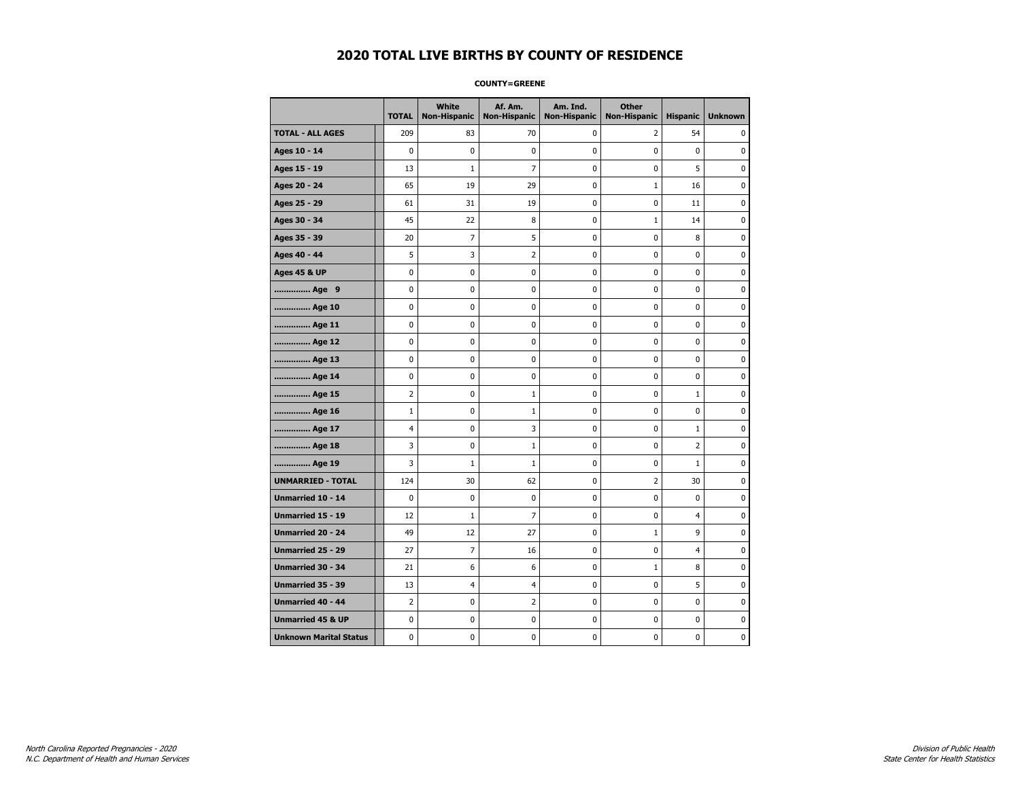#### **COUNTY=GREENE**

|                               | <b>TOTAL</b>   | White<br>Non-Hispanic | Af. Am.<br><b>Non-Hispanic</b> | Am. Ind.<br><b>Non-Hispanic</b> | <b>Other</b><br><b>Non-Hispanic</b> | <b>Hispanic</b> | <b>Unknown</b> |
|-------------------------------|----------------|-----------------------|--------------------------------|---------------------------------|-------------------------------------|-----------------|----------------|
| <b>TOTAL - ALL AGES</b>       | 209            | 83                    | 70                             | 0                               | 2                                   | 54              | 0              |
| Ages 10 - 14                  | 0              | $\pmb{0}$             | $\pmb{0}$                      | 0                               | $\mathbf 0$                         | $\mathbf 0$     | 0              |
| Ages 15 - 19                  | 13             | $1\,$                 | $\overline{7}$                 | $\mathbf 0$                     | 0                                   | 5               | $\mathbf 0$    |
| Ages 20 - 24                  | 65             | 19                    | 29                             | $\mathbf 0$                     | $\mathbf{1}$                        | 16              | $\mathbf 0$    |
| Ages 25 - 29                  | 61             | 31                    | 19                             | $\pmb{0}$                       | 0                                   | 11              | $\pmb{0}$      |
| Ages 30 - 34                  | 45             | 22                    | 8                              | $\pmb{0}$                       | $1\,$                               | 14              | 0              |
| Ages 35 - 39                  | 20             | 7                     | 5                              | 0                               | 0                                   | 8               | 0              |
| Ages 40 - 44                  | 5              | 3                     | $\overline{2}$                 | 0                               | 0                                   | 0               | 0              |
| <b>Ages 45 &amp; UP</b>       | 0              | 0                     | 0                              | 0                               | 0                                   | 0               | 0              |
| Age 9                         | 0              | 0                     | 0                              | 0                               | 0                                   | 0               | 0              |
| Age 10                        | 0              | 0                     | $\mathbf 0$                    | $\mathbf 0$                     | 0                                   | 0               | $\mathbf 0$    |
| Age 11                        | 0              | 0                     | $\mathbf 0$                    | $\mathbf 0$                     | 0                                   | $\mathbf 0$     | 0              |
| Age 12                        | 0              | 0                     | $\pmb{0}$                      | 0                               | 0                                   | 0               | 0              |
| Age 13                        | 0              | 0                     | 0                              | 0                               | 0                                   | 0               | 0              |
| Age 14                        | 0              | 0                     | $\mathbf 0$                    | 0                               | 0                                   | $\mathbf 0$     | 0              |
| Age 15                        | $\overline{2}$ | 0                     | 1                              | 0                               | 0                                   | $\mathbf{1}$    | 0              |
| Age 16                        | $\mathbf 1$    | 0                     | 1                              | $\mathbf 0$                     | 0                                   | $\mathbf 0$     | 0              |
| Age 17                        | $\overline{4}$ | 0                     | 3                              | 0                               | 0                                   | $\mathbf{1}$    | $\mathbf 0$    |
| Age 18                        | 3              | 0                     | $\mathbf{1}$                   | $\mathbf 0$                     | 0                                   | $\overline{2}$  | $\mathbf 0$    |
| Age 19                        | 3              | $1\,$                 | $\mathbf 1$                    | $\pmb{0}$                       | $\pmb{0}$                           | $\mathbf 1$     | $\pmb{0}$      |
| <b>UNMARRIED - TOTAL</b>      | 124            | 30                    | 62                             | $\pmb{0}$                       | $\overline{2}$                      | 30              | 0              |
| Unmarried 10 - 14             | 0              | 0                     | 0                              | $\mathbf 0$                     | 0                                   | $\mathbf 0$     | 0              |
| Unmarried 15 - 19             | 12             | $\mathbf{1}$          | 7                              | 0                               | 0                                   | 4               | 0              |
| Unmarried 20 - 24             | 49             | 12                    | 27                             | 0                               | $\mathbf{1}$                        | 9               | 0              |
| Unmarried 25 - 29             | 27             | $\overline{7}$        | 16                             | $\mathbf 0$                     | 0                                   | $\overline{4}$  | $\bf{0}$       |
| <b>Unmarried 30 - 34</b>      | 21             | 6                     | 6                              | $\mathbf 0$                     | $\mathbf{1}$                        | 8               | $\mathbf 0$    |
| Unmarried 35 - 39             | 13             | 4                     | $\overline{4}$                 | $\pmb{0}$                       | 0                                   | 5               | $\pmb{0}$      |
| Unmarried 40 - 44             | 2              | 0                     | $\overline{2}$                 | 0                               | 0                                   | 0               | 0              |
| <b>Unmarried 45 &amp; UP</b>  | 0              | 0                     | 0                              | 0                               | 0                                   | 0               | 0              |
| <b>Unknown Marital Status</b> | 0              | 0                     | 0                              | 0                               | 0                                   | 0               | 0              |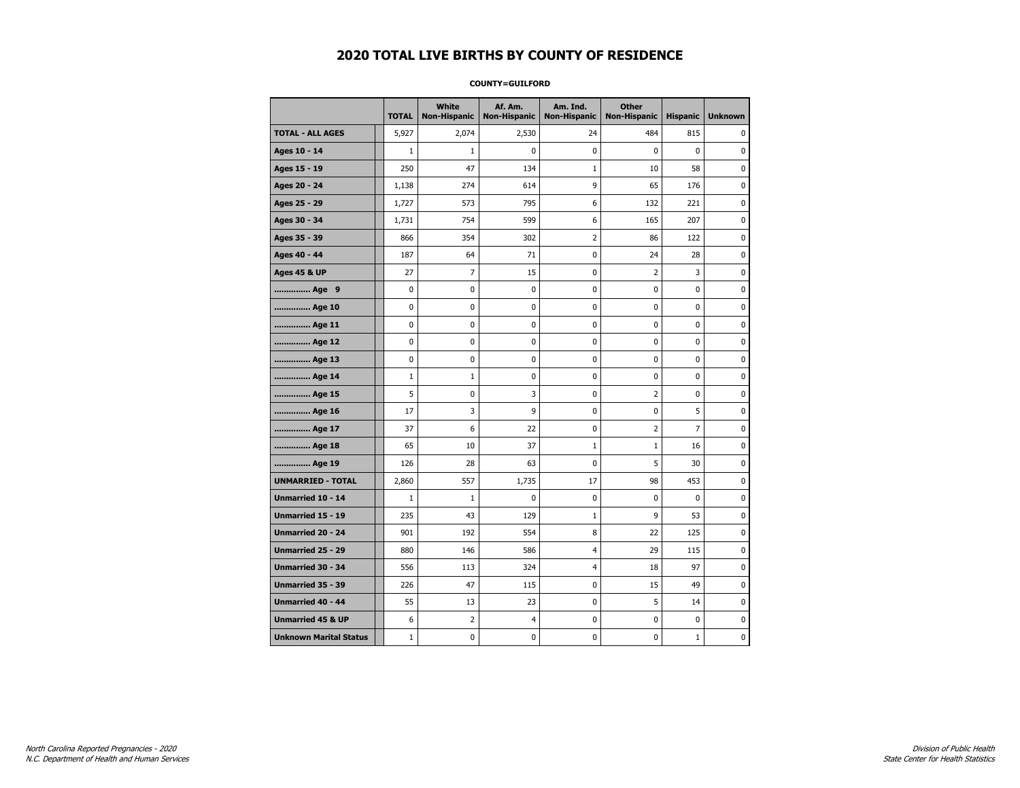#### **COUNTY=GUILFORD**

|                               | <b>TOTAL</b> | White<br><b>Non-Hispanic</b> | Af. Am.<br><b>Non-Hispanic</b> | Am. Ind.<br><b>Non-Hispanic</b> | <b>Other</b><br><b>Non-Hispanic</b> | <b>Hispanic</b> | <b>Unknown</b> |
|-------------------------------|--------------|------------------------------|--------------------------------|---------------------------------|-------------------------------------|-----------------|----------------|
| <b>TOTAL - ALL AGES</b>       | 5,927        | 2,074                        | 2,530                          | 24                              | 484                                 | 815             | 0              |
| Ages 10 - 14                  | $\mathbf{1}$ | $\mathbf{1}$                 | $\mathbf 0$                    | 0                               | 0                                   | $\mathbf{0}$    | 0              |
| Ages 15 - 19                  | 250          | 47                           | 134                            | 1                               | 10                                  | 58              | $\mathbf 0$    |
| Ages 20 - 24                  | 1,138        | 274                          | 614                            | 9                               | 65                                  | 176             | 0              |
| Ages 25 - 29                  | 1,727        | 573                          | 795                            | 6                               | 132                                 | 221             | 0              |
| Ages 30 - 34                  | 1,731        | 754                          | 599                            | 6                               | 165                                 | 207             | 0              |
| Ages 35 - 39                  | 866          | 354                          | 302                            | $\overline{2}$                  | 86                                  | 122             | $\pmb{0}$      |
| Ages 40 - 44                  | 187          | 64                           | 71                             | 0                               | 24                                  | 28              | 0              |
| <b>Ages 45 &amp; UP</b>       | 27           | 7                            | 15                             | 0                               | 2                                   | 3               | 0              |
| Age 9                         | 0            | 0                            | 0                              | 0                               | 0                                   | 0               | 0              |
| Age 10                        | 0            | 0                            | $\mathbf 0$                    | $\mathbf 0$                     | 0                                   | $\mathbf 0$     | 0              |
| Age 11                        | 0            | 0                            | 0                              | 0                               | 0                                   | $\mathbf 0$     | 0              |
| Age 12                        | 0            | 0                            | $\mathbf 0$                    | 0                               | 0                                   | 0               | 0              |
| Age 13                        | 0            | $\mathbf 0$                  | $\mathbf 0$                    | $\mathbf 0$                     | 0                                   | $\mathbf 0$     | $\mathbf 0$    |
| Age 14                        | $\mathbf{1}$ | $\mathbf{1}$                 | $\mathbf 0$                    | $\mathbf 0$                     | 0                                   | $\mathbf 0$     | $\mathbf 0$    |
| Age 15                        | 5            | 0                            | 3                              | $\pmb{0}$                       | $\overline{2}$                      | $\pmb{0}$       | $\pmb{0}$      |
| Age 16                        | 17           | 3                            | 9                              | 0                               | 0                                   | 5               | $\pmb{0}$      |
| Age 17                        | 37           | 6                            | 22                             | 0                               | 2                                   | 7               | 0              |
| Age 18                        | 65           | 10                           | 37                             | $\mathbf{1}$                    | $\mathbf{1}$                        | 16              | 0              |
| Age 19                        | 126          | 28                           | 63                             | 0                               | 5                                   | 30              | 0              |
| <b>UNMARRIED - TOTAL</b>      | 2,860        | 557                          | 1,735                          | 17                              | 98                                  | 453             | 0              |
| Unmarried 10 - 14             | $\mathbf{1}$ | $\mathbf{1}$                 | $\mathbf 0$                    | $\mathbf 0$                     | 0                                   | $\mathbf{0}$    | $\mathbf 0$    |
| Unmarried 15 - 19             | 235          | 43                           | 129                            | $\mathbf{1}$                    | 9                                   | 53              | 0              |
| <b>Unmarried 20 - 24</b>      | 901          | 192                          | 554                            | 8                               | 22                                  | 125             | 0              |
| <b>Unmarried 25 - 29</b>      | 880          | 146                          | 586                            | $\overline{4}$                  | 29                                  | 115             | $\bf{0}$       |
| Unmarried 30 - 34             | 556          | 113                          | 324                            | $\overline{4}$                  | 18                                  | 97              | 0              |
| Unmarried 35 - 39             | 226          | 47                           | 115                            | 0                               | 15                                  | 49              | 0              |
| Unmarried 40 - 44             | 55           | 13                           | 23                             | 0                               | 5                                   | 14              | 0              |
| <b>Unmarried 45 &amp; UP</b>  | 6            | $\overline{2}$               | 4                              | 0                               | 0                                   | 0               | 0              |
| <b>Unknown Marital Status</b> | $1\,$        | 0                            | $\pmb{0}$                      | 0                               | 0                                   | $\mathbf{1}$    | 0              |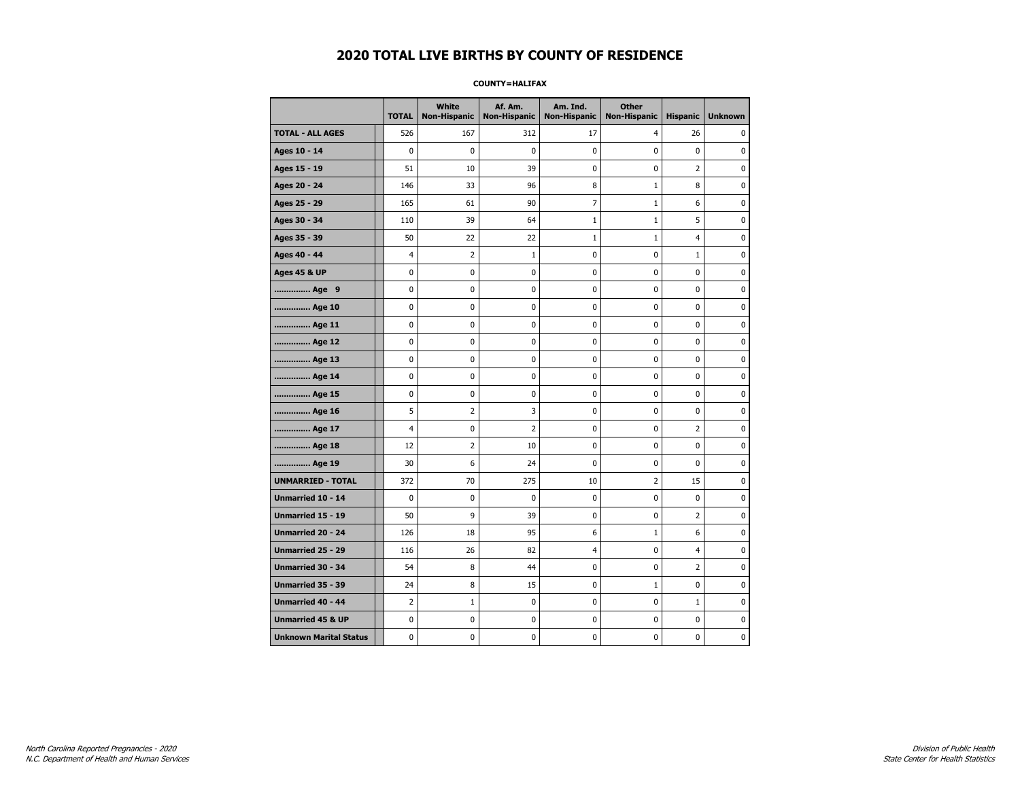#### **COUNTY=HALIFAX**

|                               | <b>TOTAL</b>   | White<br>Non-Hispanic | Af. Am.<br><b>Non-Hispanic</b> | Am. Ind.<br><b>Non-Hispanic</b> | <b>Other</b><br><b>Non-Hispanic</b> | <b>Hispanic</b> | <b>Unknown</b> |
|-------------------------------|----------------|-----------------------|--------------------------------|---------------------------------|-------------------------------------|-----------------|----------------|
| <b>TOTAL - ALL AGES</b>       | 526            | 167                   | 312                            | 17                              | 4                                   | 26              | 0              |
| Ages 10 - 14                  | 0              | 0                     | $\mathbf 0$                    | $\mathbf 0$                     | 0                                   | $\mathbf 0$     | 0              |
| Ages 15 - 19                  | 51             | 10                    | 39                             | 0                               | 0                                   | $\overline{2}$  | $\bf{0}$       |
| Ages 20 - 24                  | 146            | 33                    | 96                             | 8                               | $1\,$                               | 8               | 0              |
| Ages 25 - 29                  | 165            | 61                    | 90                             | 7                               | 1                                   | 6               | 0              |
| Ages 30 - 34                  | 110            | 39                    | 64                             | $\mathbf{1}$                    | $1\,$                               | 5               | 0              |
| Ages 35 - 39                  | 50             | 22                    | 22                             | 1                               | 1                                   | 4               | $\mathbf 0$    |
| Ages 40 - 44                  | 4              | $\overline{2}$        | $\mathbf 1$                    | 0                               | 0                                   | $\mathbf{1}$    | 0              |
| <b>Ages 45 &amp; UP</b>       | 0              | 0                     | 0                              | $\pmb{0}$                       | 0                                   | $\pmb{0}$       | 0              |
| Age 9                         | 0              | 0                     | 0                              | 0                               | 0                                   | 0               | 0              |
| Age 10                        | 0              | 0                     | $\mathbf 0$                    | $\mathbf 0$                     | 0                                   | $\mathbf 0$     | 0              |
| Age 11                        | 0              | 0                     | $\mathbf 0$                    | $\pmb{0}$                       | 0                                   | $\mathbf 0$     | 0              |
| Age 12                        | 0              | 0                     | $\pmb{0}$                      | 0                               | 0                                   | 0               | 0              |
| Age 13                        | 0              | $\mathbf 0$           | $\mathbf 0$                    | 0                               | 0                                   | 0               | 0              |
| Age 14                        | 0              | 0                     | 0                              | 0                               | 0                                   | 0               | 0              |
| Age 15                        | 0              | 0                     | 0                              | 0                               | 0                                   | $\mathbf 0$     | 0              |
| Age 16                        | 5              | $\overline{2}$        | 3                              | $\mathbf 0$                     | 0                                   | $\mathbf 0$     | 0              |
| Age 17                        | $\overline{4}$ | 0                     | $\overline{2}$                 | $\pmb{0}$                       | 0                                   | $\overline{2}$  | $\mathbf 0$    |
| Age 18                        | 12             | $\overline{2}$        | 10                             | 0                               | 0                                   | 0               | 0              |
| Age 19                        | 30             | 6                     | 24                             | 0                               | 0                                   | 0               | 0              |
| <b>UNMARRIED - TOTAL</b>      | 372            | 70                    | 275                            | 10                              | $\overline{2}$                      | 15              | 0              |
| Unmarried 10 - 14             | 0              | 0                     | $\mathbf 0$                    | $\mathbf 0$                     | 0                                   | $\mathbf 0$     | 0              |
| Unmarried 15 - 19             | 50             | 9                     | 39                             | $\pmb{0}$                       | 0                                   | $\overline{2}$  | $\pmb{0}$      |
| Unmarried 20 - 24             | 126            | 18                    | 95                             | 6                               | 1                                   | 6               | 0              |
| Unmarried 25 - 29             | 116            | 26                    | 82                             | $\overline{4}$                  | 0                                   | $\overline{4}$  | 0              |
| Unmarried 30 - 34             | 54             | 8                     | 44                             | $\pmb{0}$                       | 0                                   | 2               | 0              |
| <b>Unmarried 35 - 39</b>      | 24             | 8                     | 15                             | 0                               | $\mathbf{1}$                        | $\mathbf 0$     | 0              |
| Unmarried 40 - 44             | $\overline{2}$ | $\mathbf 1$           | $\mathbf 0$                    | $\pmb{0}$                       | 0                                   | $\mathbf{1}$    | $\mathbf 0$    |
| <b>Unmarried 45 &amp; UP</b>  | 0              | 0                     | 0                              | 0                               | 0                                   | 0               | 0              |
| <b>Unknown Marital Status</b> | 0              | $\mathbf 0$           | $\mathbf 0$                    | $\pmb{0}$                       | 0                                   | 0               | 0              |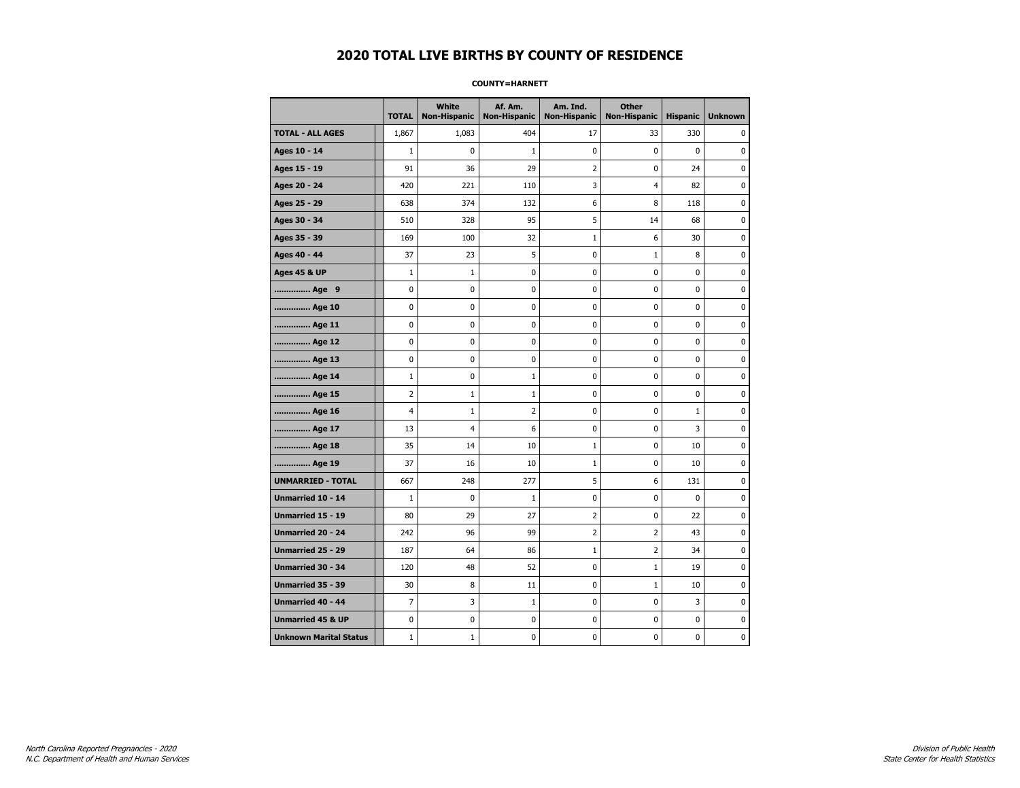#### **COUNTY=HARNETT**

|                               | <b>TOTAL</b>   | White<br><b>Non-Hispanic</b> | Af. Am.<br><b>Non-Hispanic</b> | Am. Ind.<br><b>Non-Hispanic</b> | <b>Other</b><br><b>Non-Hispanic</b> | <b>Hispanic</b> | <b>Unknown</b> |
|-------------------------------|----------------|------------------------------|--------------------------------|---------------------------------|-------------------------------------|-----------------|----------------|
| <b>TOTAL - ALL AGES</b>       | 1,867          | 1,083                        | 404                            | 17                              | 33                                  | 330             | 0              |
| Ages 10 - 14                  | $\mathbf{1}$   | $\mathbf 0$                  | $\mathbf{1}$                   | $\mathbf 0$                     | 0                                   | $\mathbf 0$     | 0              |
| Ages 15 - 19                  | 91             | 36                           | 29                             | $\overline{2}$                  | 0                                   | 24              | $\mathbf 0$    |
| Ages 20 - 24                  | 420            | 221                          | 110                            | 3                               | 4                                   | 82              | $\pmb{0}$      |
| Ages 25 - 29                  | 638            | 374                          | 132                            | 6                               | 8                                   | 118             | 0              |
| Ages 30 - 34                  | 510            | 328                          | 95                             | 5                               | 14                                  | 68              | 0              |
| Ages 35 - 39                  | 169            | 100                          | 32                             | 1                               | 6                                   | 30              | $\mathbf 0$    |
| Ages 40 - 44                  | 37             | 23                           | 5                              | 0                               | $1\,$                               | 8               | 0              |
| <b>Ages 45 &amp; UP</b>       | $\mathbf 1$    | $\mathbf{1}$                 | 0                              | $\pmb{0}$                       | $\pmb{0}$                           | $\pmb{0}$       | 0              |
| Age 9                         | 0              | 0                            | 0                              | 0                               | 0                                   | 0               | 0              |
| Age 10                        | 0              | 0                            | $\mathbf 0$                    | $\mathbf 0$                     | 0                                   | $\mathbf 0$     | 0              |
| Age 11                        | 0              | 0                            | $\mathbf 0$                    | $\pmb{0}$                       | 0                                   | $\mathbf 0$     | 0              |
| Age 12                        | 0              | 0                            | $\pmb{0}$                      | 0                               | 0                                   | 0               | 0              |
| Age 13                        | 0              | 0                            | $\mathbf 0$                    | 0                               | 0                                   | 0               | 0              |
| Age 14                        | $\mathbf 1$    | 0                            | $\mathbf{1}$                   | 0                               | 0                                   | 0               | 0              |
| Age 15                        | 2              | $\mathbf{1}$                 | $\mathbf{1}$                   | 0                               | 0                                   | $\mathbf 0$     | 0              |
| Age 16                        | $\overline{4}$ | $\mathbf{1}$                 | $\overline{2}$                 | $\mathbf 0$                     | 0                                   | $\mathbf{1}$    | 0              |
| Age 17                        | 13             | $\overline{\mathcal{A}}$     | 6                              | $\pmb{0}$                       | 0                                   | 3               | $\mathbf 0$    |
| Age 18                        | 35             | 14                           | 10                             | $\mathbf 1$                     | 0                                   | 10              | 0              |
| Age 19                        | 37             | 16                           | 10                             | $\mathbf{1}$                    | 0                                   | 10              | 0              |
| <b>UNMARRIED - TOTAL</b>      | 667            | 248                          | 277                            | 5                               | 6                                   | 131             | 0              |
| Unmarried 10 - 14             | $\mathbf{1}$   | 0                            | $\mathbf{1}$                   | $\mathbf 0$                     | 0                                   | $\mathbf 0$     | 0              |
| Unmarried 15 - 19             | 80             | 29                           | 27                             | $\mathbf 2$                     | 0                                   | 22              | $\pmb{0}$      |
| Unmarried 20 - 24             | 242            | 96                           | 99                             | 2                               | 2                                   | 43              | 0              |
| Unmarried 25 - 29             | 187            | 64                           | 86                             | $\mathbf{1}$                    | 2                                   | 34              | 0              |
| Unmarried 30 - 34             | 120            | 48                           | 52                             | $\pmb{0}$                       | $1\,$                               | 19              | 0              |
| <b>Unmarried 35 - 39</b>      | 30             | 8                            | 11                             | 0                               | $\mathbf{1}$                        | 10              | 0              |
| Unmarried 40 - 44             | $\overline{7}$ | 3                            | $\mathbf 1$                    | $\pmb{0}$                       | 0                                   | 3               | $\mathbf 0$    |
| <b>Unmarried 45 &amp; UP</b>  | 0              | 0                            | 0                              | 0                               | 0                                   | 0               | 0              |
| <b>Unknown Marital Status</b> | $\mathbf{1}$   | $1\,$                        | $\mathbf 0$                    | $\pmb{0}$                       | 0                                   | $\mathbf 0$     | 0              |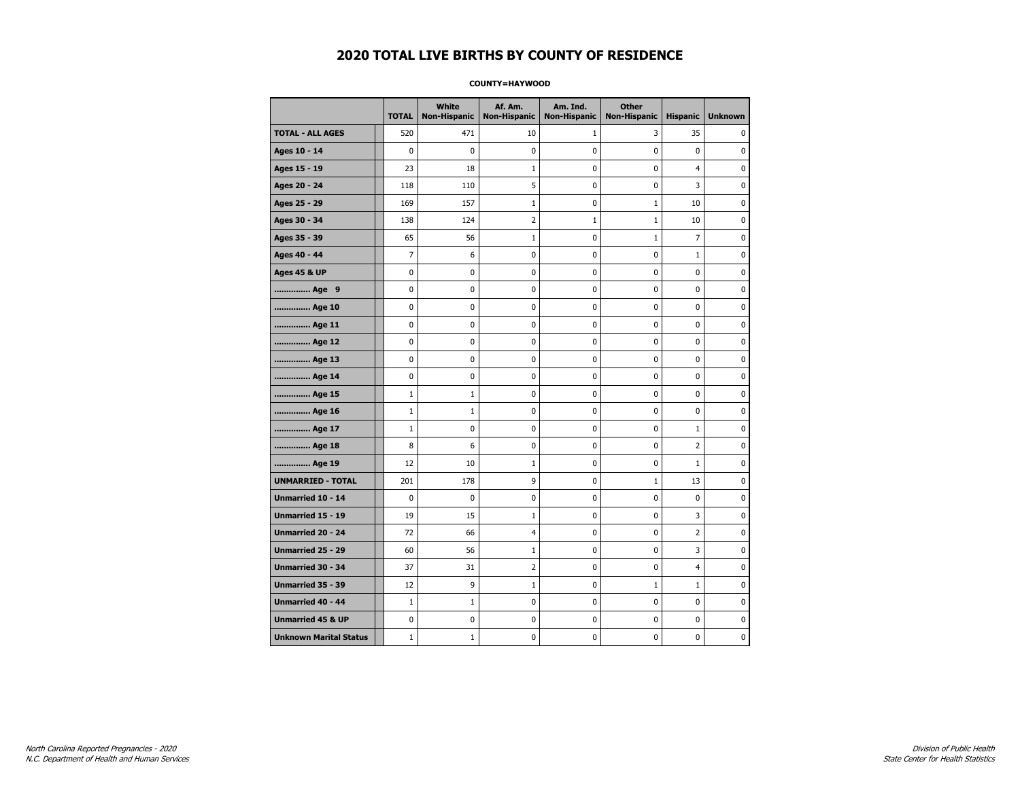#### **COUNTY=HAYWOOD**

|                               | <b>TOTAL</b> | White<br><b>Non-Hispanic</b> | Af. Am.<br><b>Non-Hispanic</b> | Am. Ind.<br><b>Non-Hispanic</b> | <b>Other</b><br><b>Non-Hispanic</b> | <b>Hispanic</b> | <b>Unknown</b> |
|-------------------------------|--------------|------------------------------|--------------------------------|---------------------------------|-------------------------------------|-----------------|----------------|
| <b>TOTAL - ALL AGES</b>       | 520          | 471                          | 10                             | 1                               | 3                                   | 35              | 0              |
| Ages 10 - 14                  | $\mathbf 0$  | 0                            | 0                              | 0                               | 0                                   | 0               | 0              |
| Ages 15 - 19                  | 23           | 18                           | $\mathbf{1}$                   | $\mathbf 0$                     | 0                                   | $\overline{4}$  | $\mathbf 0$    |
| Ages 20 - 24                  | 118          | 110                          | 5                              | 0                               | 0                                   | 3               | 0              |
| Ages 25 - 29                  | 169          | 157                          | 1                              | 0                               | 1                                   | 10              | 0              |
| Ages 30 - 34                  | 138          | 124                          | $\overline{2}$                 | $\mathbf{1}$                    | $1\,$                               | 10              | 0              |
| Ages 35 - 39                  | 65           | 56                           | $\mathbf{1}$                   | 0                               | $\mathbf{1}$                        | $\overline{7}$  | 0              |
| Ages 40 - 44                  | 7            | 6                            | 0                              | 0                               | 0                                   | $\mathbf{1}$    | 0              |
| <b>Ages 45 &amp; UP</b>       | 0            | 0                            | $\mathbf 0$                    | 0                               | 0                                   | $\mathbf 0$     | 0              |
| Age 9                         | $\mathbf 0$  | 0                            | $\mathbf 0$                    | 0                               | 0                                   | 0               | 0              |
| Age 10                        | 0            | 0                            | $\mathbf 0$                    | $\mathbf 0$                     | 0                                   | $\mathbf 0$     | 0              |
| Age 11                        | 0            | $\pmb{0}$                    | 0                              | $\pmb{0}$                       | 0                                   | $\pmb{0}$       | $\pmb{0}$      |
| Age 12                        | 0            | 0                            | $\pmb{0}$                      | 0                               | 0                                   | 0               | 0              |
| Age 13                        | 0            | $\mathbf 0$                  | $\mathbf 0$                    | 0                               | 0                                   | $\mathbf 0$     | 0              |
| Age 14                        | 0            | 0                            | 0                              | 0                               | 0                                   | 0               | 0              |
| Age 15                        | $\mathbf{1}$ | 1                            | 0                              | 0                               | 0                                   | 0               | 0              |
| Age 16                        | $\mathbf 1$  | $\mathbf{1}$                 | $\mathbf 0$                    | $\mathbf 0$                     | 0                                   | $\mathbf 0$     | 0              |
| Age 17                        | $\mathbf{1}$ | 0                            | $\mathbf 0$                    | $\mathbf 0$                     | 0                                   | 1               | $\mathbf 0$    |
| Age 18                        | 8            | 6                            | $\mathbf 0$                    | $\mathbf 0$                     | 0                                   | $\overline{2}$  | 0              |
| Age 19                        | 12           | 10                           | $\mathbf{1}$                   | $\pmb{0}$                       | 0                                   | $\mathbf 1$     | 0              |
| <b>UNMARRIED - TOTAL</b>      | 201          | 178                          | 9                              | 0                               | $1\,$                               | 13              | 0              |
| Unmarried 10 - 14             | 0            | 0                            | $\mathbf 0$                    | 0                               | $\mathbf 0$                         | $\mathbf{0}$    | 0              |
| Unmarried 15 - 19             | 19           | 15                           | $\mathbf{1}$                   | 0                               | 0                                   | 3               | 0              |
| Unmarried 20 - 24             | 72           | 66                           | $\overline{4}$                 | 0                               | 0                                   | $\overline{2}$  | 0              |
| <b>Unmarried 25 - 29</b>      | 60           | 56                           | $\mathbf 1$                    | $\mathbf 0$                     | 0                                   | 3               | $\mathbf 0$    |
| Unmarried 30 - 34             | 37           | 31                           | $\overline{2}$                 | 0                               | 0                                   | 4               | 0              |
| Unmarried 35 - 39             | 12           | 9                            | $\mathbf 1$                    | $\pmb{0}$                       | $\mathbf 1$                         | $\mathbf 1$     | $\pmb{0}$      |
| Unmarried 40 - 44             | $\mathbf{1}$ | $\mathbf{1}$                 | 0                              | 0                               | 0                                   | 0               | 0              |
| <b>Unmarried 45 &amp; UP</b>  | 0            | 0                            | 0                              | 0                               | 0                                   | $\mathbf 0$     | 0              |
| <b>Unknown Marital Status</b> | $1\,$        | $\mathbf{1}$                 | $\pmb{0}$                      | 0                               | 0                                   | 0               | 0              |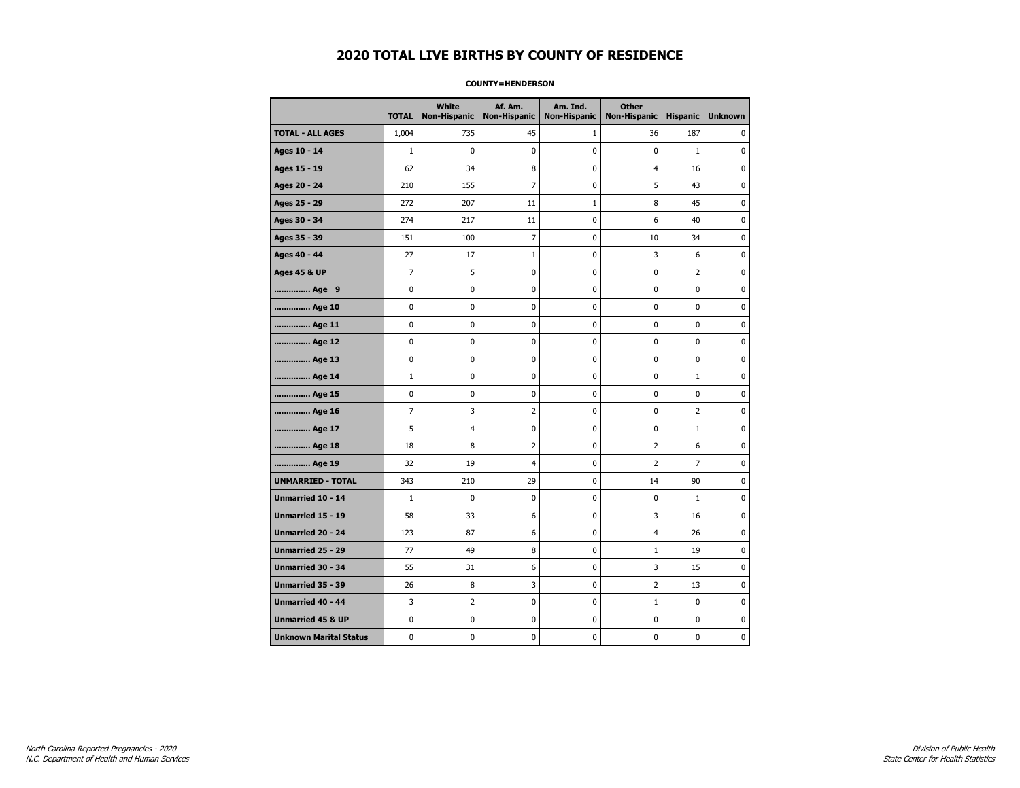#### **COUNTY=HENDERSON**

|                               | <b>TOTAL</b>   | <b>White</b><br>Non-Hispanic | Af. Am.<br><b>Non-Hispanic</b> | Am. Ind.<br><b>Non-Hispanic</b> | <b>Other</b><br><b>Non-Hispanic</b> | <b>Hispanic</b> | <b>Unknown</b> |
|-------------------------------|----------------|------------------------------|--------------------------------|---------------------------------|-------------------------------------|-----------------|----------------|
| <b>TOTAL - ALL AGES</b>       | 1,004          | 735                          | 45                             | 1                               | 36                                  | 187             | 0              |
| Ages 10 - 14                  | $\mathbf{1}$   | 0                            | 0                              | 0                               | $\mathbf 0$                         | $\mathbf{1}$    | 0              |
| Ages 15 - 19                  | 62             | 34                           | 8                              | $\mathbf 0$                     | $\overline{4}$                      | 16              | 0              |
| Ages 20 - 24                  | 210            | 155                          | $\overline{7}$                 | $\mathbf 0$                     | 5                                   | 43              | $\mathbf 0$    |
| Ages 25 - 29                  | 272            | 207                          | 11                             | $1\,$                           | 8                                   | 45              | 0              |
| Ages 30 - 34                  | 274            | 217                          | 11                             | 0                               | 6                                   | 40              | 0              |
| Ages 35 - 39                  | 151            | 100                          | $\overline{7}$                 | 0                               | 10                                  | 34              | 0              |
| Ages 40 - 44                  | 27             | 17                           | $\mathbf{1}$                   | 0                               | 3                                   | 6               | 0              |
| <b>Ages 45 &amp; UP</b>       | 7              | 5                            | 0                              | 0                               | 0                                   | $\overline{2}$  | 0              |
| Age 9                         | 0              | 0                            | 0                              | 0                               | 0                                   | 0               | 0              |
| Age 10                        | 0              | 0                            | 0                              | $\mathbf 0$                     | $\mathbf 0$                         | $\mathbf 0$     | 0              |
| Age 11                        | 0              | 0                            | 0                              | $\mathbf 0$                     | $\mathbf 0$                         | $\mathbf 0$     | 0              |
| Age 12                        | $\pmb{0}$      | 0                            | 0                              | 0                               | $\pmb{0}$                           | 0               | 0              |
| Age 13                        | 0              | 0                            | 0                              | 0                               | 0                                   | 0               | 0              |
| Age 14                        | $\mathbf 1$    | 0                            | 0                              | 0                               | 0                                   | $\mathbf{1}$    | 0              |
| Age 15                        | 0              | 0                            | 0                              | 0                               | 0                                   | 0               | 0              |
| Age 16                        | $\overline{7}$ | 3                            | $\overline{2}$                 | $\mathbf 0$                     | $\mathbf 0$                         | $\overline{2}$  | 0              |
| Age 17                        | 5              | 4                            | 0                              | 0                               | $\mathbf 0$                         | $\mathbf 1$     | 0              |
| Age 18                        | 18             | 8                            | $\overline{2}$                 | $\mathbf 0$                     | $\overline{2}$                      | 6               | 0              |
| Age 19                        | 32             | 19                           | $\overline{4}$                 | $\mathbf 0$                     | $\overline{2}$                      | $\overline{7}$  | 0              |
| <b>UNMARRIED - TOTAL</b>      | 343            | 210                          | 29                             | 0                               | 14                                  | 90              | 0              |
| Unmarried 10 - 14             | $\mathbf{1}$   | 0                            | 0                              | $\mathbf 0$                     | 0                                   | $\mathbf{1}$    | 0              |
| Unmarried 15 - 19             | 58             | 33                           | 6                              | 0                               | 3                                   | 16              | 0              |
| <b>Unmarried 20 - 24</b>      | 123            | 87                           | 6                              | 0                               | 4                                   | 26              | 0              |
| <b>Unmarried 25 - 29</b>      | 77             | 49                           | 8                              | $\mathbf 0$                     | $1\,$                               | 19              | 0              |
| <b>Unmarried 30 - 34</b>      | 55             | 31                           | 6                              | $\mathbf 0$                     | 3                                   | 15              | 0              |
| Unmarried 35 - 39             | 26             | 8                            | 3                              | 0                               | $\overline{2}$                      | 13              | $\pmb{0}$      |
| Unmarried 40 - 44             | 3              | 2                            | 0                              | 0                               | $1\,$                               | 0               | 0              |
| <b>Unmarried 45 &amp; UP</b>  | 0              | 0                            | 0                              | 0                               | 0                                   | 0               | 0              |
| <b>Unknown Marital Status</b> | 0              | 0                            | 0                              | 0                               | 0                                   | 0               | 0              |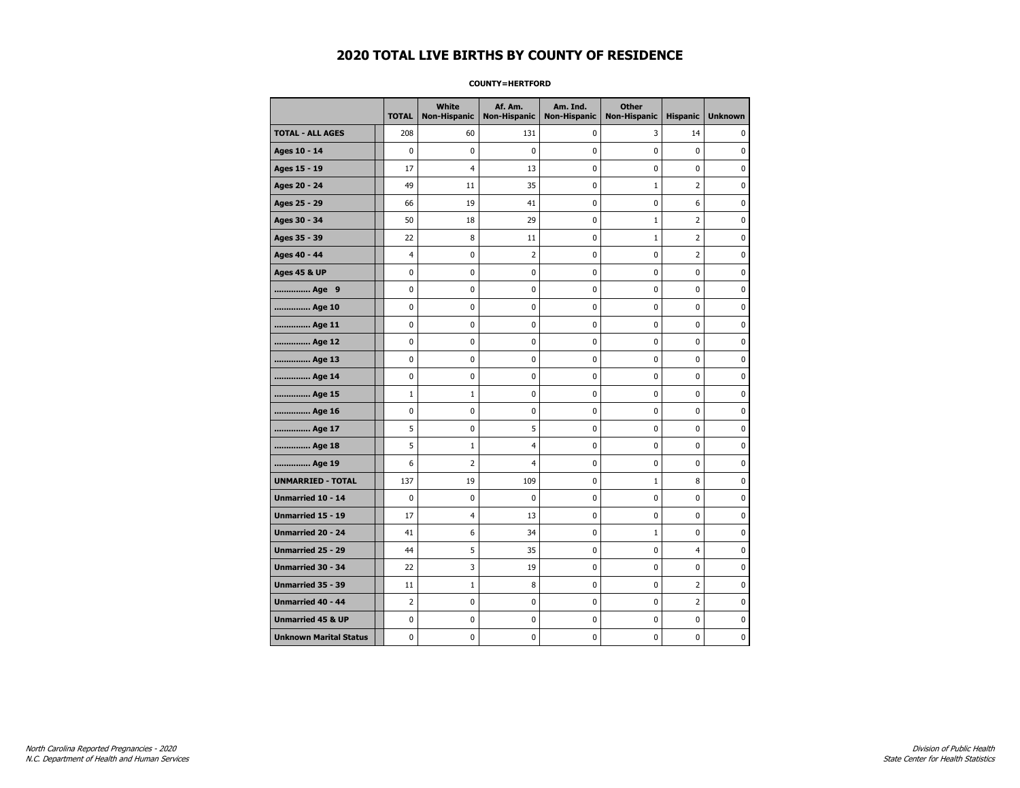#### **COUNTY=HERTFORD**

|                               | <b>TOTAL</b> | White<br>Non-Hispanic | Af. Am.<br><b>Non-Hispanic</b> | Am. Ind.<br><b>Non-Hispanic</b> | <b>Other</b><br><b>Non-Hispanic</b> | <b>Hispanic</b> | <b>Unknown</b> |
|-------------------------------|--------------|-----------------------|--------------------------------|---------------------------------|-------------------------------------|-----------------|----------------|
| <b>TOTAL - ALL AGES</b>       | 208          | 60                    | 131                            | 0                               | 3                                   | 14              | 0              |
| Ages 10 - 14                  | 0            | $\mathbf 0$           | $\pmb{0}$                      | 0                               | 0                                   | $\pmb{0}$       | 0              |
| Ages 15 - 19                  | 17           | $\overline{4}$        | 13                             | $\mathbf 0$                     | 0                                   | $\mathbf 0$     | $\mathbf 0$    |
| Ages 20 - 24                  | 49           | 11                    | 35                             | $\mathbf 0$                     | $\mathbf{1}$                        | $\overline{2}$  | $\mathbf 0$    |
| Ages 25 - 29                  | 66           | 19                    | 41                             | $\pmb{0}$                       | 0                                   | 6               | $\pmb{0}$      |
| Ages 30 - 34                  | 50           | 18                    | 29                             | $\pmb{0}$                       | $1\,$                               | $\overline{2}$  | 0              |
| Ages 35 - 39                  | 22           | 8                     | 11                             | 0                               | $\mathbf{1}$                        | 2               | 0              |
| Ages 40 - 44                  | 4            | 0                     | $\overline{2}$                 | 0                               | 0                                   | 2               | 0              |
| <b>Ages 45 &amp; UP</b>       | 0            | 0                     | 0                              | 0                               | 0                                   | 0               | 0              |
| Age 9                         | 0            | 0                     | 0                              | 0                               | 0                                   | 0               | 0              |
| Age 10                        | 0            | 0                     | $\mathbf 0$                    | $\mathbf 0$                     | 0                                   | 0               | $\mathbf 0$    |
| Age 11                        | 0            | 0                     | $\mathbf 0$                    | $\mathbf 0$                     | 0                                   | $\mathbf 0$     | 0              |
| Age 12                        | 0            | 0                     | $\pmb{0}$                      | 0                               | 0                                   | 0               | 0              |
| Age 13                        | 0            | 0                     | 0                              | 0                               | 0                                   | 0               | 0              |
| Age 14                        | 0            | 0                     | $\mathbf 0$                    | 0                               | 0                                   | $\mathbf 0$     | 0              |
| Age 15                        | $\mathbf{1}$ | $\mathbf{1}$          | 0                              | 0                               | 0                                   | 0               | 0              |
| Age 16                        | 0            | 0                     | $\mathbf 0$                    | $\mathbf 0$                     | 0                                   | $\mathbf 0$     | 0              |
| Age 17                        | 5            | 0                     | 5                              | 0                               | 0                                   | 0               | $\mathbf 0$    |
| Age 18                        | 5            | $\mathbf{1}$          | $\overline{4}$                 | $\mathbf 0$                     | 0                                   | $\mathbf 0$     | $\mathbf 0$    |
| Age 19                        | 6            | $\overline{2}$        | $\overline{4}$                 | $\pmb{0}$                       | 0                                   | $\pmb{0}$       | $\pmb{0}$      |
| <b>UNMARRIED - TOTAL</b>      | 137          | 19                    | 109                            | $\pmb{0}$                       | $1\,$                               | 8               | 0              |
| Unmarried 10 - 14             | 0            | 0                     | 0                              | $\mathbf 0$                     | 0                                   | 0               | 0              |
| Unmarried 15 - 19             | 17           | 4                     | 13                             | 0                               | 0                                   | 0               | 0              |
| Unmarried 20 - 24             | 41           | 6                     | 34                             | 0                               | $\mathbf{1}$                        | 0               | 0              |
| Unmarried 25 - 29             | 44           | 5                     | 35                             | $\mathbf 0$                     | 0                                   | $\overline{4}$  | $\bf{0}$       |
| <b>Unmarried 30 - 34</b>      | 22           | 3                     | 19                             | $\mathbf 0$                     | 0                                   | 0               | $\mathbf 0$    |
| Unmarried 35 - 39             | 11           | $\mathbf{1}$          | 8                              | $\pmb{0}$                       | 0                                   | $\overline{2}$  | $\pmb{0}$      |
| Unmarried 40 - 44             | 2            | 0                     | 0                              | 0                               | 0                                   | 2               | 0              |
| <b>Unmarried 45 &amp; UP</b>  | 0            | 0                     | 0                              | 0                               | 0                                   | 0               | 0              |
| <b>Unknown Marital Status</b> | 0            | 0                     | $\pmb{0}$                      | 0                               | 0                                   | 0               | 0              |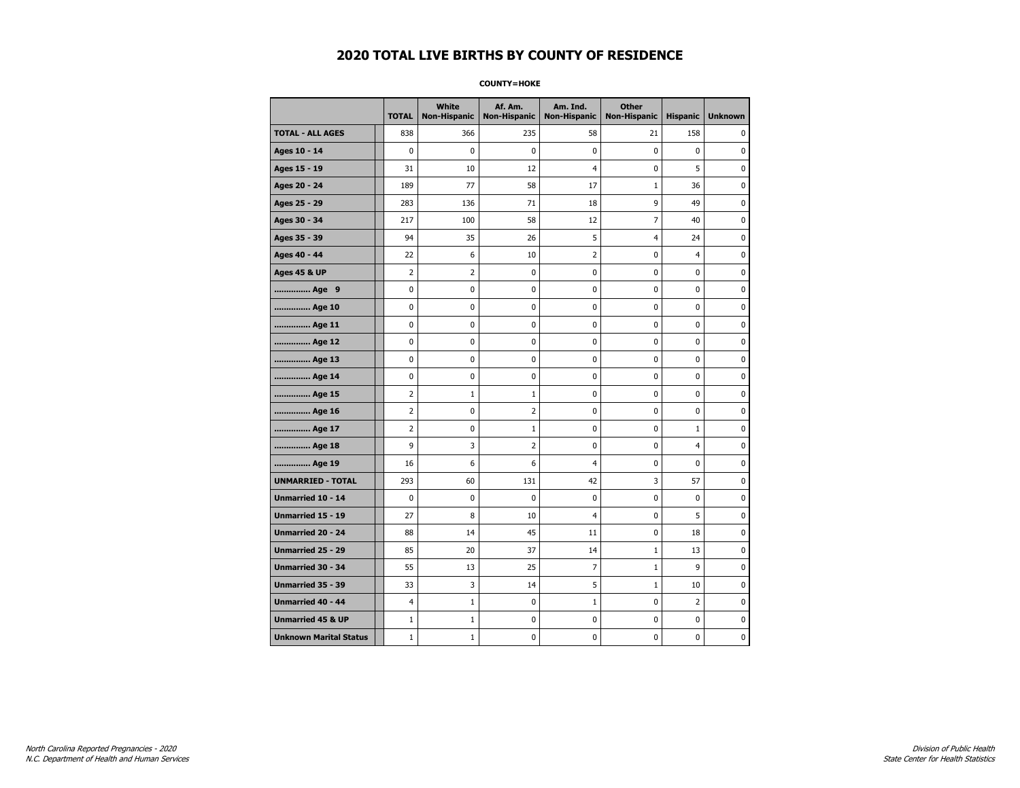**COUNTY=HOKE** 

|                               | <b>TOTAL</b>   | White<br><b>Non-Hispanic</b> | Af. Am.<br><b>Non-Hispanic</b> | Am. Ind.<br><b>Non-Hispanic</b> | <b>Other</b><br><b>Non-Hispanic</b> | <b>Hispanic</b> | <b>Unknown</b> |
|-------------------------------|----------------|------------------------------|--------------------------------|---------------------------------|-------------------------------------|-----------------|----------------|
| <b>TOTAL - ALL AGES</b>       | 838            | 366                          | 235                            | 58                              | 21                                  | 158             | 0              |
| Ages 10 - 14                  | $\mathbf 0$    | $\mathbf{0}$                 | 0                              | $\mathbf{0}$                    | 0                                   | 0               | 0              |
| Ages 15 - 19                  | 31             | 10                           | 12                             | 4                               | 0                                   | 5               | $\mathbf 0$    |
| Ages 20 - 24                  | 189            | 77                           | 58                             | 17                              | $\mathbf 1$                         | 36              | 0              |
| Ages 25 - 29                  | 283            | 136                          | 71                             | 18                              | 9                                   | 49              | 0              |
| Ages 30 - 34                  | 217            | 100                          | 58                             | 12                              | $\overline{7}$                      | 40              | 0              |
| Ages 35 - 39                  | 94             | 35                           | 26                             | 5                               | 4                                   | 24              | 0              |
| Ages 40 - 44                  | 22             | 6                            | 10                             | $\overline{2}$                  | $\mathbf 0$                         | 4               | $\mathbf 0$    |
| <b>Ages 45 &amp; UP</b>       | $\overline{2}$ | $\overline{2}$               | 0                              | 0                               | $\pmb{0}$                           | 0               | $\pmb{0}$      |
| Age 9                         | 0              | 0                            | 0                              | 0                               | 0                                   | 0               | 0              |
| Age 10                        | 0              | 0                            | 0                              | 0                               | 0                                   | 0               | 0              |
| Age 11                        | 0              | 0                            | 0                              | 0                               | 0                                   | 0               | $\mathbf 0$    |
| Age 12                        | 0              | 0                            | 0                              | 0                               | 0                                   | 0               | $\mathbf 0$    |
| Age 13                        | 0              | 0                            | 0                              | 0                               | $\pmb{0}$                           | 0               | 0              |
| Age 14                        | 0              | 0                            | 0                              | 0                               | 0                                   | 0               | 0              |
| Age 15                        | 2              | 1                            | 1                              | 0                               | 0                                   | 0               | $\mathbf 0$    |
| Age 16                        | $\overline{2}$ | 0                            | 2                              | 0                               | $\pmb{0}$                           | 0               | $\mathbf 0$    |
| Age 17                        | $\overline{2}$ | 0                            | $\mathbf{1}$                   | 0                               | 0                                   | $\mathbf{1}$    | $\mathbf 0$    |
| Age 18                        | 9              | 3                            | $\overline{2}$                 | 0                               | $\pmb{0}$                           | 4               | $\pmb{0}$      |
| Age 19                        | 16             | 6                            | 6                              | 4                               | 0                                   | 0               | 0              |
| <b>UNMARRIED - TOTAL</b>      | 293            | 60                           | 131                            | 42                              | 3                                   | 57              | 0              |
| Unmarried 10 - 14             | $\mathbf 0$    | 0                            | 0                              | 0                               | $\pmb{0}$                           | 0               | $\mathbf 0$    |
| <b>Unmarried 15 - 19</b>      | 27             | 8                            | 10                             | 4                               | 0                                   | 5               | $\mathbf 0$    |
| Unmarried 20 - 24             | 88             | 14                           | 45                             | 11                              | $\pmb{0}$                           | 18              | $\pmb{0}$      |
| <b>Unmarried 25 - 29</b>      | 85             | 20                           | 37                             | 14                              | $\mathbf{1}$                        | 13              | 0              |
| <b>Unmarried 30 - 34</b>      | 55             | 13                           | 25                             | 7                               | $\mathbf{1}$                        | 9               | $\mathbf 0$    |
| Unmarried 35 - 39             | 33             | 3                            | 14                             | 5                               | $1\,$                               | 10              | $\mathbf 0$    |
| <b>Unmarried 40 - 44</b>      | $\overline{4}$ | $\mathbf{1}$                 | 0                              | $\mathbf 1$                     | $\pmb{0}$                           | $\overline{2}$  | 0              |
| <b>Unmarried 45 &amp; UP</b>  | $\mathbf{1}$   | $\mathbf 1$                  | 0                              | 0                               | 0                                   | 0               | 0              |
| <b>Unknown Marital Status</b> | $\mathbf{1}$   | $\mathbf{1}$                 | 0                              | 0                               | 0                                   | 0               | 0              |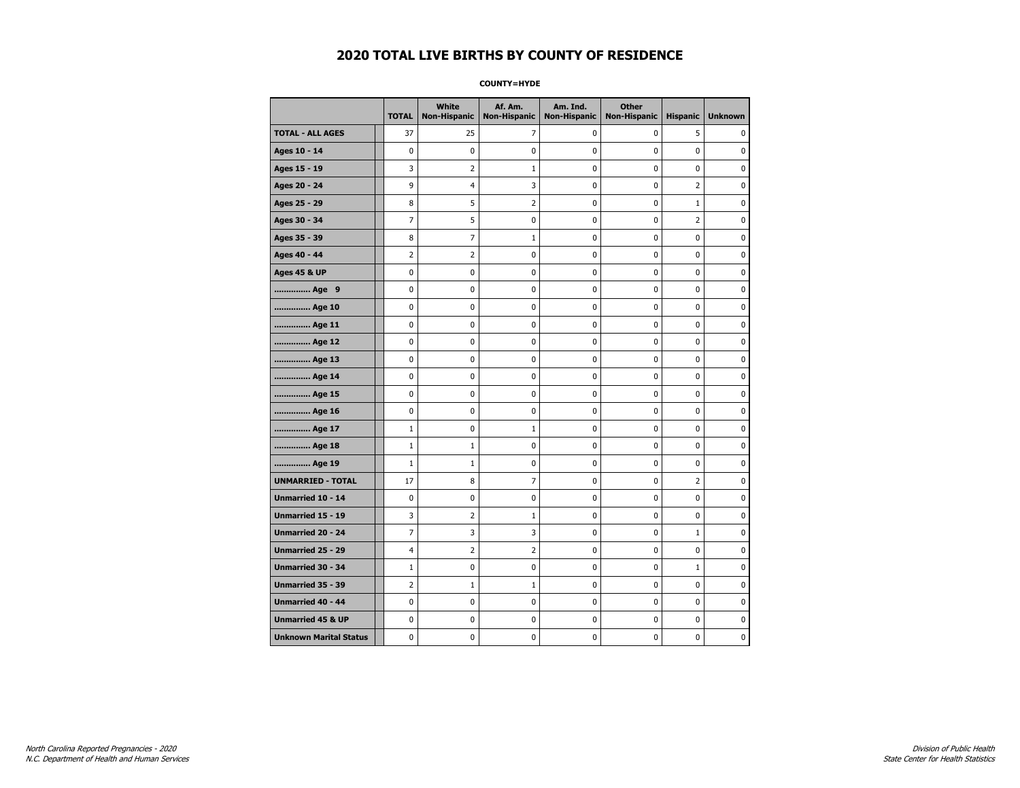**COUNTY=HYDE** 

|                               | <b>TOTAL</b>   | White<br><b>Non-Hispanic</b> | Af. Am.<br><b>Non-Hispanic</b> | Am. Ind.<br><b>Non-Hispanic</b> | <b>Other</b><br><b>Non-Hispanic</b> | <b>Hispanic</b> | <b>Unknown</b> |
|-------------------------------|----------------|------------------------------|--------------------------------|---------------------------------|-------------------------------------|-----------------|----------------|
| <b>TOTAL - ALL AGES</b>       | 37             | 25                           | 7                              | 0                               | 0                                   | 5               | 0              |
| Ages 10 - 14                  | 0              | $\mathbf 0$                  | 0                              | 0                               | 0                                   | 0               | 0              |
| Ages 15 - 19                  | 3              | $\overline{2}$               | $\mathbf{1}$                   | 0                               | $\pmb{0}$                           | 0               | $\mathbf 0$    |
| Ages 20 - 24                  | 9              | 4                            | 3                              | 0                               | $\mathbf 0$                         | $\overline{2}$  | $\mathbf 0$    |
| Ages 25 - 29                  | 8              | 5                            | $\overline{2}$                 | 0                               | $\pmb{0}$                           | $\mathbf 1$     | $\pmb{0}$      |
| Ages 30 - 34                  | 7              | 5                            | 0                              | 0                               | 0                                   | 2               | 0              |
| Ages 35 - 39                  | 8              | 7                            | $\mathbf{1}$                   | 0                               | 0                                   | 0               | 0              |
| Ages 40 - 44                  | $\overline{2}$ | 2                            | 0                              | 0                               | $\mathbf 0$                         | 0               | $\pmb{0}$      |
| <b>Ages 45 &amp; UP</b>       | 0              | 0                            | 0                              | 0                               | 0                                   | 0               | $\mathbf 0$    |
| Age 9                         | 0              | 0                            | 0                              | 0                               | $\mathbf 0$                         | 0               | $\mathbf 0$    |
| Age 10                        | 0              | 0                            | 0                              | 0                               | $\pmb{0}$                           | 0               | 0              |
| Age 11                        | 0              | 0                            | 0                              | 0                               | 0                                   | 0               | $\mathbf 0$    |
| Age 12                        | 0              | 0                            | 0                              | 0                               | 0                                   | 0               | 0              |
| Age 13                        | 0              | 0                            | 0                              | 0                               | 0                                   | 0               | $\mathbf 0$    |
| Age 14                        | 0              | 0                            | 0                              | 0                               | $\mathbf 0$                         | 0               | $\mathbf 0$    |
| Age 15                        | 0              | 0                            | 0                              | 0                               | $\pmb{0}$                           | 0               | 0              |
| Age 16                        | 0              | $\mathbf 0$                  | 0                              | 0                               | $\pmb{0}$                           | 0               | $\mathbf 0$    |
| Age 17                        | $\mathbf{1}$   | 0                            | 1                              | 0                               | 0                                   | 0               | 0              |
| Age 18                        | $\mathbf{1}$   | $\mathbf{1}$                 | 0                              | 0                               | $\pmb{0}$                           | 0               | $\pmb{0}$      |
| Age 19                        | $\mathbf{1}$   | 1                            | 0                              | 0                               | 0                                   | 0               | $\mathbf 0$    |
| <b>UNMARRIED - TOTAL</b>      | 17             | 8                            | 7                              | 0                               | $\mathbf 0$                         | $\overline{2}$  | $\mathbf 0$    |
| Unmarried 10 - 14             | 0              | 0                            | 0                              | 0                               | $\pmb{0}$                           | 0               | 0              |
| Unmarried 15 - 19             | 3              | $\overline{2}$               | 1                              | 0                               | $\pmb{0}$                           | 0               | $\pmb{0}$      |
| Unmarried 20 - 24             | 7              | 3                            | 3                              | 0                               | 0                                   | $\mathbf{1}$    | 0              |
| Unmarried 25 - 29             | 4              | 2                            | 2                              | 0                               | 0                                   | 0               | 0              |
| <b>Unmarried 30 - 34</b>      | $\mathbf{1}$   | 0                            | 0                              | 0                               | $\mathbf 0$                         | $\mathbf{1}$    | $\mathbf 0$    |
| <b>Unmarried 35 - 39</b>      | 2              | 1                            | $\mathbf{1}$                   | 0                               | $\mathbf 0$                         | 0               | $\mathbf 0$    |
| <b>Unmarried 40 - 44</b>      | 0              | $\pmb{0}$                    | 0                              | 0                               | $\pmb{0}$                           | 0               | 0              |
| <b>Unmarried 45 &amp; UP</b>  | 0              | 0                            | 0                              | 0                               | 0                                   | 0               | 0              |
| <b>Unknown Marital Status</b> | 0              | 0                            | 0                              | 0                               | 0                                   | 0               | $\mathbf 0$    |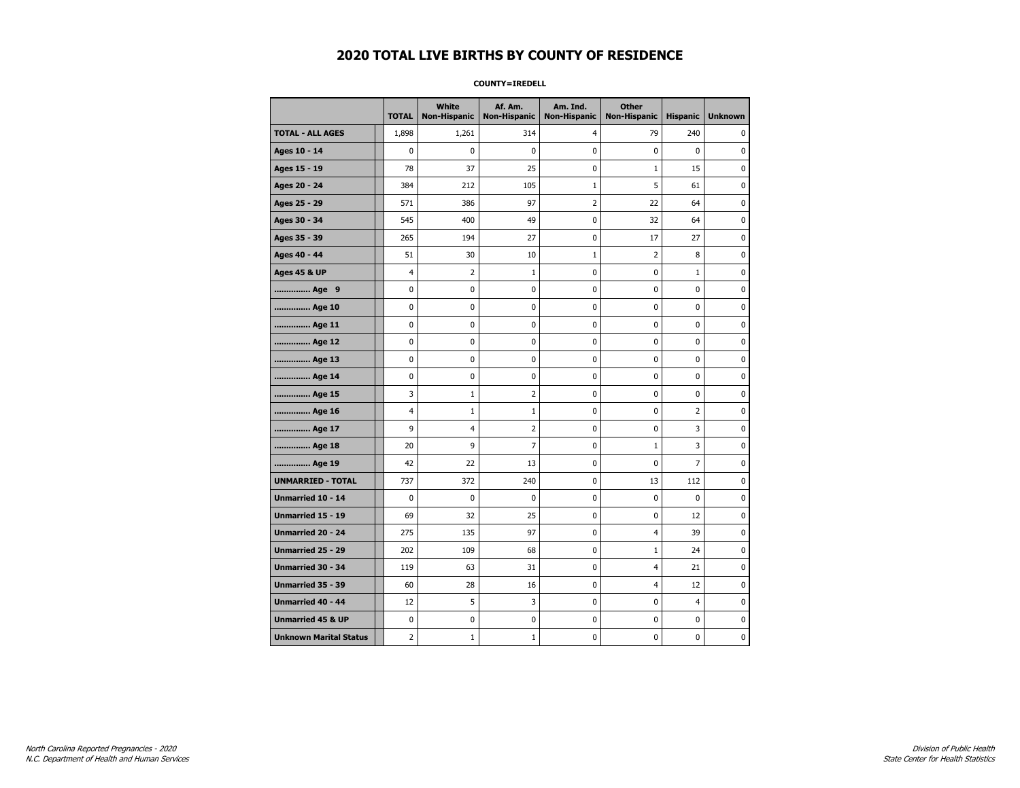#### **COUNTY=IREDELL**

|                               | <b>TOTAL</b>   | <b>White</b><br>Non-Hispanic | Af. Am.<br><b>Non-Hispanic</b> | Am. Ind.<br><b>Non-Hispanic</b> | <b>Other</b><br><b>Non-Hispanic</b> | <b>Hispanic</b> | <b>Unknown</b> |
|-------------------------------|----------------|------------------------------|--------------------------------|---------------------------------|-------------------------------------|-----------------|----------------|
| <b>TOTAL - ALL AGES</b>       | 1,898          | 1,261                        | 314                            | $\overline{4}$                  | 79                                  | 240             | 0              |
| Ages 10 - 14                  | $\mathbf 0$    | $\mathbf 0$                  | 0                              | $\mathbf 0$                     | $\mathbf 0$                         | $\mathbf 0$     | 0              |
| Ages 15 - 19                  | 78             | 37                           | 25                             | 0                               | $1\,$                               | 15              | 0              |
| Ages 20 - 24                  | 384            | 212                          | 105                            | $1\,$                           | 5                                   | 61              | 0              |
| Ages 25 - 29                  | 571            | 386                          | 97                             | $\overline{2}$                  | 22                                  | 64              | 0              |
| Ages 30 - 34                  | 545            | 400                          | 49                             | 0                               | 32                                  | 64              | 0              |
| Ages 35 - 39                  | 265            | 194                          | 27                             | 0                               | 17                                  | 27              | 0              |
| Ages 40 - 44                  | 51             | 30                           | 10                             | $1\,$                           | $\overline{2}$                      | 8               | 0              |
| <b>Ages 45 &amp; UP</b>       | $\overline{4}$ | 2                            | $\mathbf 1$                    | $\pmb{0}$                       | $\pmb{0}$                           | $1\,$           | 0              |
| Age 9                         | 0              | 0                            | 0                              | 0                               | 0                                   | 0               | 0              |
| Age 10                        | 0              | 0                            | 0                              | $\mathbf 0$                     | $\mathbf 0$                         | $\mathbf 0$     | 0              |
| Age 11                        | 0              | 0                            | 0                              | 0                               | $\mathbf 0$                         | $\mathbf 0$     | 0              |
| Age 12                        | $\pmb{0}$      | 0                            | 0                              | 0                               | $\pmb{0}$                           | 0               | 0              |
| Age 13                        | 0              | 0                            | 0                              | 0                               | 0                                   | $\mathbf 0$     | 0              |
| Age 14                        | 0              | 0                            | 0                              | 0                               | 0                                   | 0               | 0              |
| Age 15                        | 3              | 1                            | $\overline{2}$                 | 0                               | $\mathbf 0$                         | 0               | 0              |
| Age 16                        | 4              | $\mathbf 1$                  | $\mathbf{1}$                   | $\mathbf 0$                     | $\mathbf 0$                         | $\overline{2}$  | 0              |
| Age 17                        | 9              | 4                            | $\overline{2}$                 | 0                               | $\pmb{0}$                           | 3               | 0              |
| Age 18                        | 20             | 9                            | 7                              | 0                               | $\mathbf{1}$                        | 3               | 0              |
| Age 19                        | 42             | 22                           | 13                             | $\pmb{0}$                       | 0                                   | $\overline{7}$  | 0              |
| <b>UNMARRIED - TOTAL</b>      | 737            | 372                          | 240                            | 0                               | 13                                  | 112             | 0              |
| Unmarried 10 - 14             | $\mathbf 0$    | $\mathbf 0$                  | 0                              | $\mathbf 0$                     | $\mathbf 0$                         | $\mathbf 0$     | 0              |
| Unmarried 15 - 19             | 69             | 32                           | 25                             | $\pmb{0}$                       | $\pmb{0}$                           | 12              | 0              |
| Unmarried 20 - 24             | 275            | 135                          | 97                             | 0                               | 4                                   | 39              | 0              |
| <b>Unmarried 25 - 29</b>      | 202            | 109                          | 68                             | $\pmb{0}$                       | $\mathbf{1}$                        | 24              | 0              |
| Unmarried 30 - 34             | 119            | 63                           | 31                             | 0                               | 4                                   | 21              | 0              |
| <b>Unmarried 35 - 39</b>      | 60             | 28                           | 16                             | 0                               | 4                                   | 12              | $\mathbf 0$    |
| Unmarried 40 - 44             | 12             | 5                            | 3                              | $\pmb{0}$                       | $\pmb{0}$                           | $\overline{4}$  | 0              |
| <b>Unmarried 45 &amp; UP</b>  | 0              | 0                            | 0                              | 0                               | 0                                   | 0               | 0              |
| <b>Unknown Marital Status</b> | 2              | $\mathbf 1$                  | $\mathbf 1$                    | 0                               | 0                                   | $\mathbf 0$     | 0              |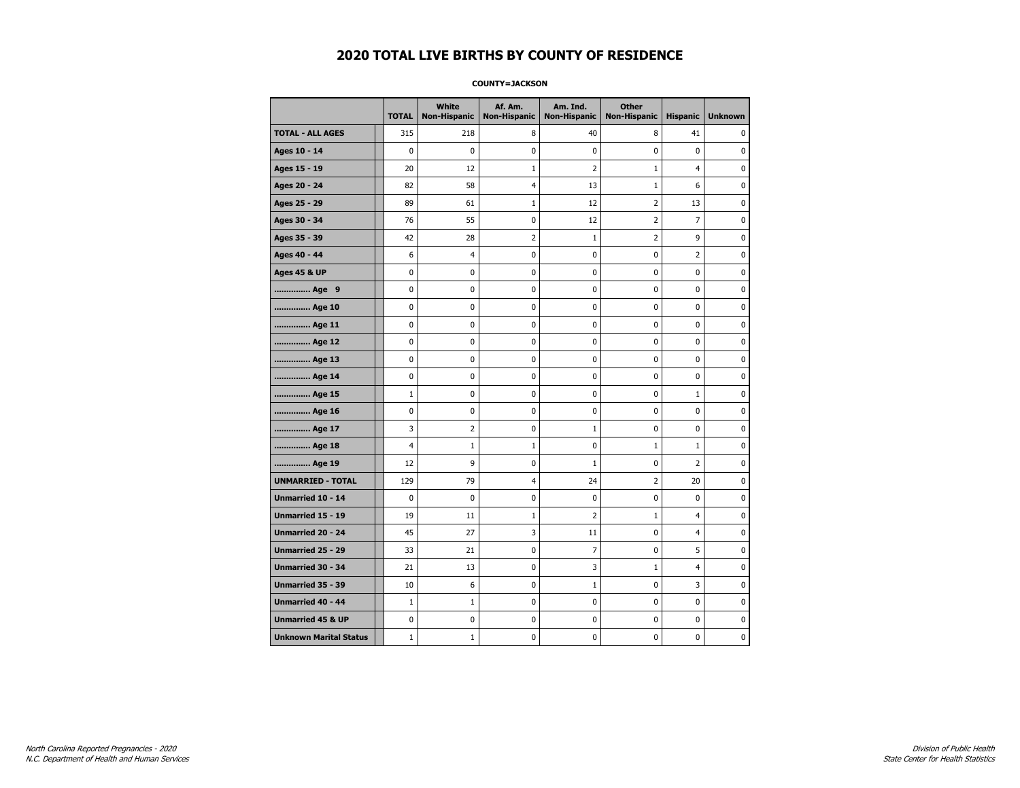#### **COUNTY=JACKSON**

|                               | <b>TOTAL</b> | White<br>Non-Hispanic | Af. Am.<br><b>Non-Hispanic</b> | Am. Ind.<br><b>Non-Hispanic</b> | <b>Other</b><br><b>Non-Hispanic</b> | <b>Hispanic</b> | <b>Unknown</b> |
|-------------------------------|--------------|-----------------------|--------------------------------|---------------------------------|-------------------------------------|-----------------|----------------|
| <b>TOTAL - ALL AGES</b>       | 315          | 218                   | 8                              | 40                              | 8                                   | 41              | 0              |
| Ages 10 - 14                  | 0            | $\mathbf 0$           | $\mathbf 0$                    | $\mathbf 0$                     | 0                                   | $\mathbf 0$     | 0              |
| Ages 15 - 19                  | 20           | 12                    | $\mathbf 1$                    | $\overline{2}$                  | $1\,$                               | $\overline{4}$  | $\pmb{0}$      |
| Ages 20 - 24                  | 82           | 58                    | $\overline{4}$                 | 13                              | $1\,$                               | 6               | 0              |
| Ages 25 - 29                  | 89           | 61                    | 1                              | 12                              | 2                                   | 13              | 0              |
| Ages 30 - 34                  | 76           | 55                    | $\mathbf 0$                    | 12                              | $\overline{2}$                      | $\overline{7}$  | 0              |
| Ages 35 - 39                  | 42           | 28                    | $\overline{2}$                 | 1                               | 2                                   | 9               | $\mathbf 0$    |
| Ages 40 - 44                  | 6            | 4                     | 0                              | 0                               | 0                                   | 2               | 0              |
| <b>Ages 45 &amp; UP</b>       | 0            | 0                     | 0                              | $\pmb{0}$                       | 0                                   | $\pmb{0}$       | 0              |
| Age 9                         | 0            | 0                     | 0                              | 0                               | 0                                   | 0               | 0              |
| Age 10                        | 0            | 0                     | $\mathbf 0$                    | $\mathbf 0$                     | 0                                   | $\mathbf 0$     | 0              |
| Age 11                        | 0            | 0                     | $\mathbf 0$                    | $\pmb{0}$                       | 0                                   | $\mathbf 0$     | 0              |
| Age 12                        | 0            | 0                     | $\pmb{0}$                      | 0                               | 0                                   | 0               | 0              |
| Age 13                        | 0            | 0                     | $\mathbf 0$                    | 0                               | 0                                   | 0               | 0              |
| Age 14                        | 0            | 0                     | 0                              | 0                               | 0                                   | 0               | 0              |
| Age 15                        | $\mathbf{1}$ | 0                     | $\mathbf 0$                    | 0                               | 0                                   | $\mathbf{1}$    | 0              |
| Age 16                        | 0            | 0                     | $\mathbf 0$                    | $\mathbf 0$                     | 0                                   | 0               | 0              |
| Age 17                        | 3            | $\overline{2}$        | 0                              | $\mathbf{1}$                    | 0                                   | 0               | $\bf{0}$       |
| Age 18                        | 4            | $\mathbf{1}$          | $\mathbf 1$                    | 0                               | $\mathbf 1$                         | $\mathbf{1}$    | 0              |
| Age 19                        | 12           | 9                     | 0                              | $\mathbf{1}$                    | 0                                   | 2               | 0              |
| <b>UNMARRIED - TOTAL</b>      | 129          | 79                    | $\overline{4}$                 | 24                              | $\overline{2}$                      | 20              | 0              |
| Unmarried 10 - 14             | 0            | 0                     | $\mathbf 0$                    | $\mathbf 0$                     | 0                                   | $\mathbf 0$     | 0              |
| Unmarried 15 - 19             | 19           | 11                    | $\mathbf 1$                    | $\overline{2}$                  | $1\,$                               | 4               | $\pmb{0}$      |
| Unmarried 20 - 24             | 45           | 27                    | 3                              | 11                              | 0                                   | 4               | 0              |
| Unmarried 25 - 29             | 33           | 21                    | $\mathbf 0$                    | $\overline{7}$                  | 0                                   | 5               | 0              |
| Unmarried 30 - 34             | 21           | 13                    | 0                              | 3                               | $\mathbf{1}$                        | $\overline{4}$  | 0              |
| <b>Unmarried 35 - 39</b>      | 10           | 6                     | $\mathbf 0$                    | $\mathbf{1}$                    | 0                                   | 3               | 0              |
| Unmarried 40 - 44             | $\mathbf 1$  | $\mathbf 1$           | $\mathbf 0$                    | $\pmb{0}$                       | 0                                   | 0               | $\bf{0}$       |
| <b>Unmarried 45 &amp; UP</b>  | 0            | 0                     | 0                              | 0                               | 0                                   | 0               | 0              |
| <b>Unknown Marital Status</b> | $\mathbf{1}$ | $1\,$                 | $\mathbf 0$                    | $\pmb{0}$                       | 0                                   | 0               | 0              |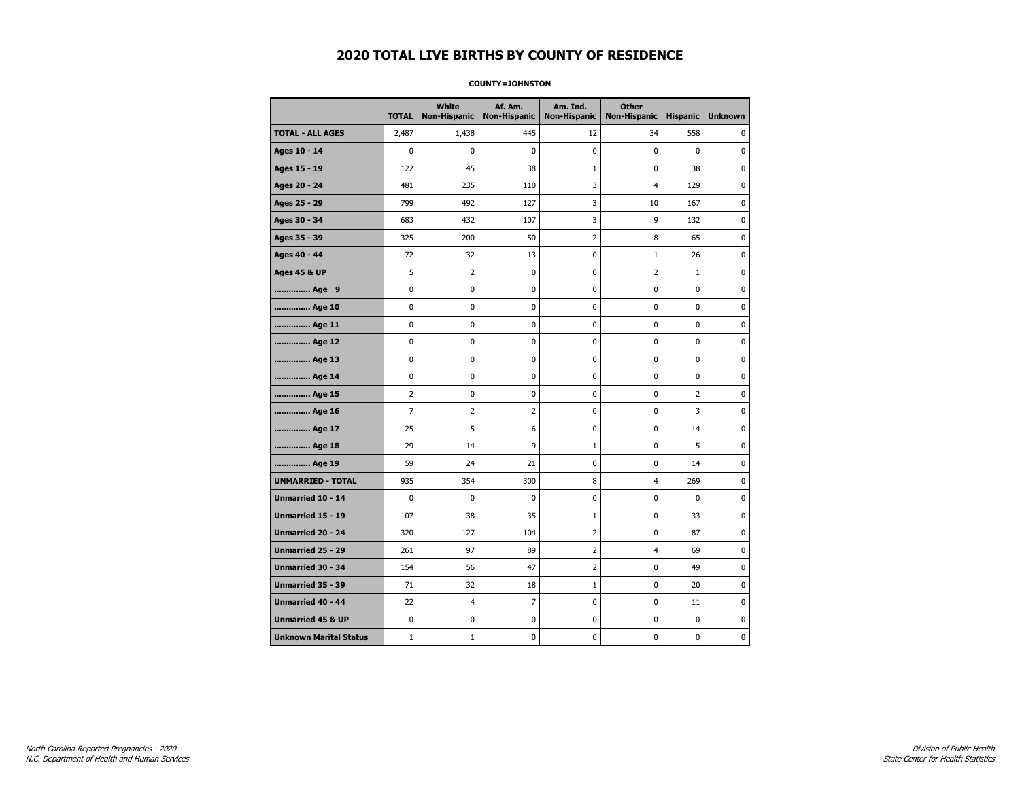#### **COUNTY=JOHNSTON**

|                               | <b>TOTAL</b>   | <b>White</b><br><b>Non-Hispanic</b> | Af. Am.<br><b>Non-Hispanic</b> | Am. Ind.<br><b>Non-Hispanic</b> | <b>Other</b><br><b>Non-Hispanic</b> | <b>Hispanic</b> | <b>Unknown</b> |
|-------------------------------|----------------|-------------------------------------|--------------------------------|---------------------------------|-------------------------------------|-----------------|----------------|
| <b>TOTAL - ALL AGES</b>       | 2,487          | 1,438                               | 445                            | 12                              | 34                                  | 558             | 0              |
| Ages 10 - 14                  | 0              | $\mathbf 0$                         | 0                              | 0                               | 0                                   | $\mathbf 0$     | $\mathbf 0$    |
| Ages 15 - 19                  | 122            | 45                                  | 38                             | $\mathbf{1}$                    | 0                                   | 38              | $\pmb{0}$      |
| Ages 20 - 24                  | 481            | 235                                 | 110                            | 3                               | $\overline{4}$                      | 129             | $\pmb{0}$      |
| Ages 25 - 29                  | 799            | 492                                 | 127                            | 3                               | 10                                  | 167             | 0              |
| Ages 30 - 34                  | 683            | 432                                 | 107                            | 3                               | 9                                   | 132             | $\mathbf 0$    |
| Ages 35 - 39                  | 325            | 200                                 | 50                             | 2                               | 8                                   | 65              | $\mathbf 0$    |
| Ages 40 - 44                  | 72             | 32                                  | 13                             | 0                               | $1\,$                               | 26              | 0              |
| <b>Ages 45 &amp; UP</b>       | 5              | $\overline{2}$                      | 0                              | 0                               | $\overline{2}$                      | $\mathbf{1}$    | $\pmb{0}$      |
| Age 9                         | 0              | 0                                   | 0                              | 0                               | 0                                   | 0               | 0              |
| Age 10                        | 0              | $\mathbf 0$                         | 0                              | 0                               | 0                                   | 0               | $\mathbf 0$    |
| Age 11                        | 0              | 0                                   | 0                              | 0                               | 0                                   | 0               | $\mathbf 0$    |
| Age 12                        | 0              | 0                                   | 0                              | 0                               | 0                                   | 0               | 0              |
| Age 13                        | 0              | 0                                   | 0                              | 0                               | 0                                   | 0               | 0              |
| Age 14                        | 0              | 0                                   | 0                              | 0                               | 0                                   | 0               | 0              |
| Age 15                        | 2              | 0                                   | 0                              | 0                               | 0                                   | $\overline{2}$  | 0              |
| Age 16                        | $\overline{7}$ | $\overline{2}$                      | $\overline{2}$                 | 0                               | 0                                   | 3               | $\mathbf 0$    |
| Age 17                        | 25             | 5                                   | 6                              | 0                               | 0                                   | 14              | $\pmb{0}$      |
| Age 18                        | 29             | 14                                  | 9                              | $\mathbf 1$                     | 0                                   | 5               | 0              |
| Age 19                        | 59             | 24                                  | 21                             | 0                               | 0                                   | 14              | 0              |
| <b>UNMARRIED - TOTAL</b>      | 935            | 354                                 | 300                            | 8                               | 4                                   | 269             | $\mathbf 0$    |
| Unmarried 10 - 14             | 0              | $\mathbf 0$                         | 0                              | 0                               | 0                                   | $\mathbf{0}$    | $\mathbf 0$    |
| Unmarried 15 - 19             | 107            | 38                                  | 35                             | $\mathbf 1$                     | 0                                   | 33              | $\pmb{0}$      |
| Unmarried 20 - 24             | 320            | 127                                 | 104                            | 2                               | 0                                   | 87              | 0              |
| Unmarried 25 - 29             | 261            | 97                                  | 89                             | 2                               | 4                                   | 69              | 0              |
| Unmarried 30 - 34             | 154            | 56                                  | 47                             | $\overline{2}$                  | 0                                   | 49              | $\mathbf 0$    |
| <b>Unmarried 35 - 39</b>      | 71             | 32                                  | 18                             | $\mathbf 1$                     | 0                                   | 20              | 0              |
| Unmarried 40 - 44             | 22             | 4                                   | $\overline{7}$                 | 0                               | 0                                   | 11              | $\pmb{0}$      |
| <b>Unmarried 45 &amp; UP</b>  | 0              | 0                                   | 0                              | 0                               | 0                                   | 0               | 0              |
| <b>Unknown Marital Status</b> | $1\,$          | $\mathbf{1}$                        | 0                              | 0                               | 0                                   | 0               | 0              |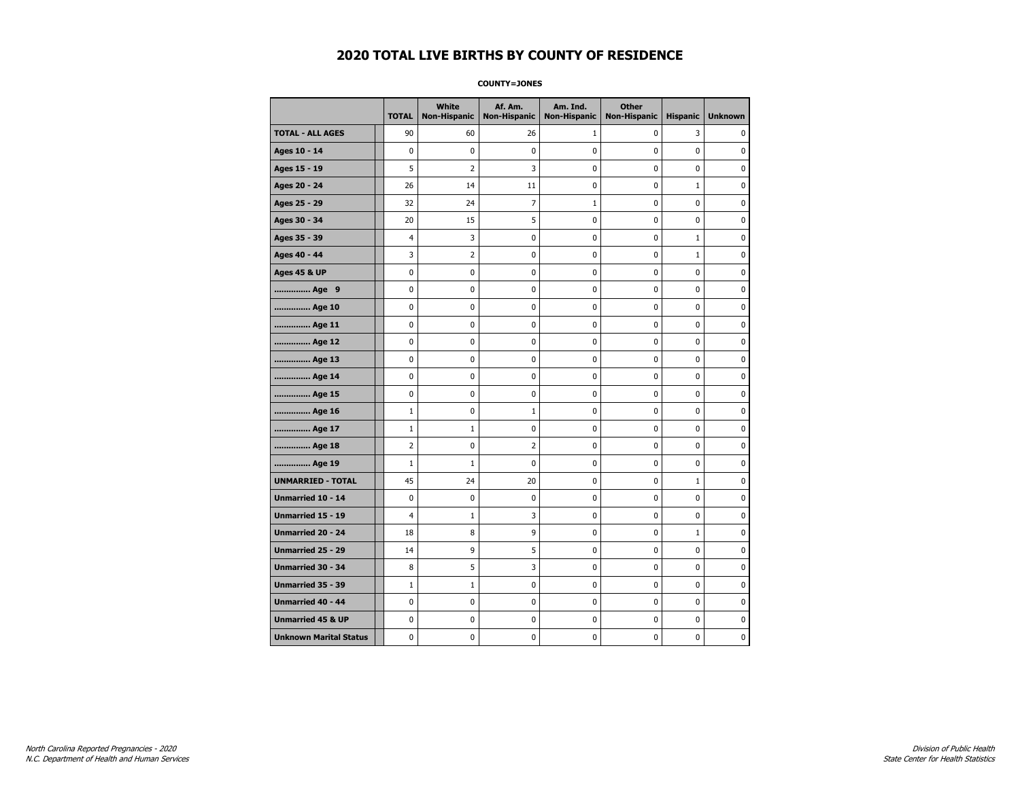**COUNTY=JONES** 

|                               | <b>TOTAL</b>   | White<br>Non-Hispanic | Af. Am.<br><b>Non-Hispanic</b> | Am. Ind.<br><b>Non-Hispanic</b> | <b>Other</b><br><b>Non-Hispanic</b> | <b>Hispanic</b> | <b>Unknown</b> |
|-------------------------------|----------------|-----------------------|--------------------------------|---------------------------------|-------------------------------------|-----------------|----------------|
| <b>TOTAL - ALL AGES</b>       | 90             | 60                    | 26                             | 1                               | 0                                   | 3               | 0              |
| Ages 10 - 14                  | 0              | $\mathbf 0$           | 0                              | 0                               | 0                                   | 0               | 0              |
| Ages 15 - 19                  | 5              | $\overline{2}$        | 3                              | 0                               | $\pmb{0}$                           | 0               | $\mathbf 0$    |
| Ages 20 - 24                  | 26             | 14                    | 11                             | 0                               | $\mathbf 0$                         | $\mathbf{1}$    | $\mathbf 0$    |
| Ages 25 - 29                  | 32             | 24                    | $\overline{7}$                 | $\mathbf 1$                     | $\pmb{0}$                           | 0               | $\pmb{0}$      |
| Ages 30 - 34                  | 20             | 15                    | 5                              | 0                               | 0                                   | 0               | 0              |
| Ages 35 - 39                  | 4              | 3                     | 0                              | 0                               | 0                                   | $\mathbf{1}$    | 0              |
| Ages 40 - 44                  | 3              | 2                     | 0                              | 0                               | $\mathbf 0$                         | $\mathbf 1$     | $\pmb{0}$      |
| <b>Ages 45 &amp; UP</b>       | 0              | 0                     | 0                              | 0                               | 0                                   | 0               | $\mathbf 0$    |
| Age 9                         | 0              | 0                     | 0                              | 0                               | $\mathbf 0$                         | 0               | $\mathbf 0$    |
| Age 10                        | 0              | 0                     | $\pmb{0}$                      | 0                               | $\pmb{0}$                           | 0               | 0              |
| Age 11                        | 0              | 0                     | 0                              | 0                               | 0                                   | 0               | $\mathbf 0$    |
| Age 12                        | 0              | 0                     | 0                              | 0                               | 0                                   | 0               | 0              |
| Age 13                        | 0              | 0                     | 0                              | 0                               | 0                                   | 0               | $\mathbf 0$    |
| Age 14                        | 0              | 0                     | 0                              | 0                               | $\mathbf 0$                         | 0               | $\mathbf 0$    |
| Age 15                        | 0              | 0                     | $\pmb{0}$                      | 0                               | $\pmb{0}$                           | 0               | $\pmb{0}$      |
| Age 16                        | $\mathbf{1}$   | 0                     | $1\,$                          | 0                               | $\pmb{0}$                           | 0               | $\mathbf 0$    |
| Age 17                        | $\mathbf{1}$   | $\mathbf{1}$          | 0                              | 0                               | 0                                   | 0               | 0              |
| Age 18                        | $\overline{2}$ | 0                     | $\overline{2}$                 | 0                               | $\pmb{0}$                           | 0               | $\pmb{0}$      |
| Age 19                        | $\mathbf{1}$   | $\mathbf{1}$          | 0                              | 0                               | 0                                   | 0               | $\mathbf 0$    |
| <b>UNMARRIED - TOTAL</b>      | 45             | 24                    | 20                             | 0                               | $\mathbf 0$                         | 1               | $\mathbf 0$    |
| Unmarried 10 - 14             | 0              | 0                     | 0                              | 0                               | $\pmb{0}$                           | 0               | 0              |
| Unmarried 15 - 19             | 4              | $\mathbf{1}$          | 3                              | 0                               | $\pmb{0}$                           | 0               | $\pmb{0}$      |
| Unmarried 20 - 24             | 18             | 8                     | 9                              | 0                               | 0                                   | $\mathbf{1}$    | 0              |
| <b>Unmarried 25 - 29</b>      | 14             | 9                     | 5                              | 0                               | 0                                   | 0               | 0              |
| <b>Unmarried 30 - 34</b>      | 8              | 5                     | 3                              | 0                               | $\mathbf 0$                         | 0               | $\mathbf 0$    |
| Unmarried 35 - 39             | $\mathbf{1}$   | $1\,$                 | 0                              | 0                               | $\mathbf 0$                         | 0               | $\mathbf 0$    |
| Unmarried 40 - 44             | 0              | 0                     | $\pmb{0}$                      | 0                               | $\pmb{0}$                           | 0               | 0              |
| <b>Unmarried 45 &amp; UP</b>  | 0              | 0                     | 0                              | 0                               | 0                                   | 0               | 0              |
| <b>Unknown Marital Status</b> | 0              | 0                     | 0                              | 0                               | 0                                   | 0               | $\mathbf 0$    |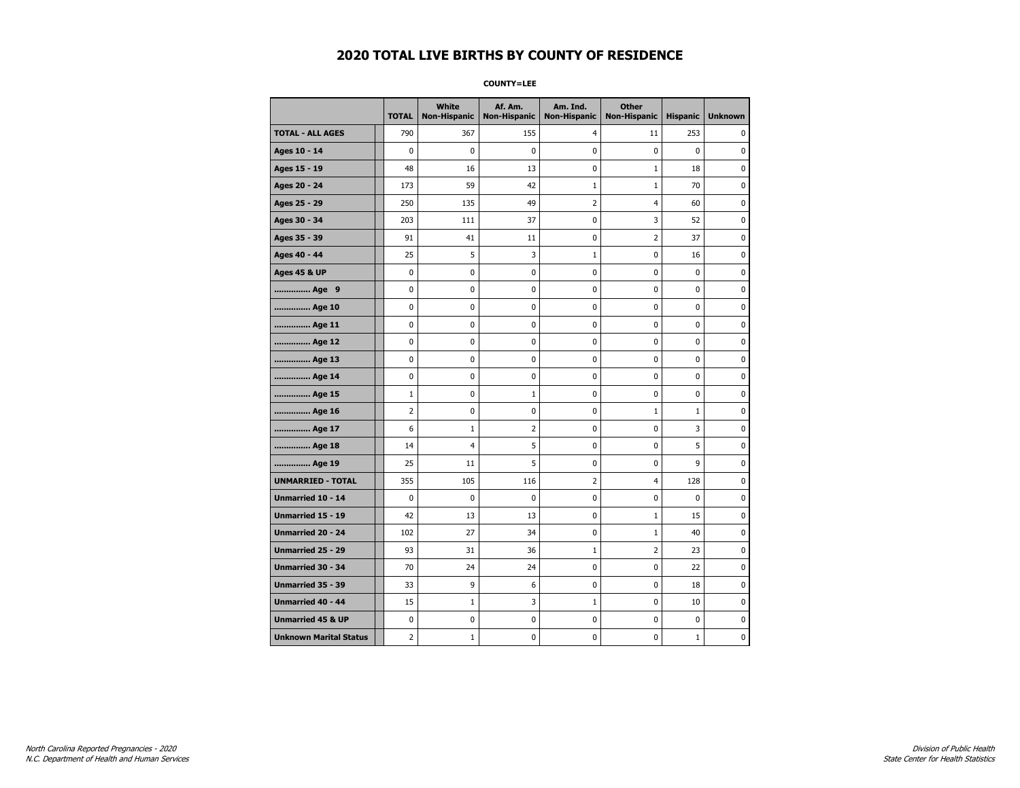**COUNTY=LEE** 

|                               | <b>TOTAL</b>   | White<br><b>Non-Hispanic</b> | Af. Am.<br><b>Non-Hispanic</b> | Am. Ind.<br><b>Non-Hispanic</b> | <b>Other</b><br><b>Non-Hispanic</b> | <b>Hispanic</b> | <b>Unknown</b> |
|-------------------------------|----------------|------------------------------|--------------------------------|---------------------------------|-------------------------------------|-----------------|----------------|
| <b>TOTAL - ALL AGES</b>       | 790            | 367                          | 155                            | 4                               | 11                                  | 253             | 0              |
| Ages 10 - 14                  | 0              | 0                            | 0                              | 0                               | 0                                   | 0               | $\mathbf 0$    |
| Ages 15 - 19                  | 48             | 16                           | 13                             | 0                               | $1\,$                               | 18              | $\mathbf 0$    |
| Ages 20 - 24                  | 173            | 59                           | 42                             | $\mathbf 1$                     | $1\,$                               | 70              | 0              |
| Ages 25 - 29                  | 250            | 135                          | 49                             | $\overline{\mathbf{c}}$         | $\overline{\mathbf{4}}$             | 60              | 0              |
| Ages 30 - 34                  | 203            | 111                          | 37                             | 0                               | 3                                   | 52              | $\mathbf 0$    |
| Ages 35 - 39                  | 91             | 41                           | 11                             | 0                               | $\overline{2}$                      | 37              | $\mathbf 0$    |
| Ages 40 - 44                  | 25             | 5                            | 3                              | $\mathbf 1$                     | $\pmb{0}$                           | 16              | 0              |
| <b>Ages 45 &amp; UP</b>       | 0              | 0                            | 0                              | 0                               | 0                                   | 0               | $\mathbf 0$    |
| Age 9                         | 0              | 0                            | 0                              | 0                               | 0                                   | 0               | 0              |
| Age 10                        | 0              | 0                            | 0                              | 0                               | $\mathbf 0$                         | 0               | $\mathbf 0$    |
| Age 11                        | 0              | 0                            | 0                              | 0                               | $\pmb{0}$                           | 0               | $\pmb{0}$      |
| Age 12                        | 0              | 0                            | 0                              | 0                               | 0                                   | 0               | 0              |
| Age 13                        | 0              | 0                            | 0                              | 0                               | 0                                   | 0               | 0              |
| Age 14                        | 0              | 0                            | 0                              | 0                               | 0                                   | 0               | 0              |
| Age 15                        | $\mathbf{1}$   | 0                            | $\mathbf{1}$                   | 0                               | $\pmb{0}$                           | 0               | $\pmb{0}$      |
| Age 16                        | 2              | 0                            | 0                              | 0                               | $1\,$                               | $\mathbf 1$     | 0              |
| Age 17                        | 6              | 1                            | 2                              | 0                               | 0                                   | 3               | 0              |
| Age 18                        | 14             | 4                            | 5                              | 0                               | $\mathbf 0$                         | 5               | $\mathbf 0$    |
| Age 19                        | 25             | 11                           | 5                              | 0                               | $\pmb{0}$                           | 9               | $\pmb{0}$      |
| <b>UNMARRIED - TOTAL</b>      | 355            | 105                          | 116                            | $\overline{\mathbf{c}}$         | 4                                   | 128             | $\pmb{0}$      |
| Unmarried 10 - 14             | 0              | 0                            | 0                              | 0                               | 0                                   | 0               | 0              |
| <b>Unmarried 15 - 19</b>      | 42             | 13                           | 13                             | 0                               | $\mathbf{1}$                        | 15              | $\mathbf 0$    |
| <b>Unmarried 20 - 24</b>      | 102            | 27                           | 34                             | 0                               | $1\,$                               | 40              | $\pmb{0}$      |
| Unmarried 25 - 29             | 93             | 31                           | 36                             | $\mathbf 1$                     | $\overline{2}$                      | 23              | 0              |
| <b>Unmarried 30 - 34</b>      | 70             | 24                           | 24                             | 0                               | $\pmb{0}$                           | 22              | $\mathbf 0$    |
| Unmarried 35 - 39             | 33             | 9                            | 6                              | 0                               | 0                                   | 18              | $\mathbf 0$    |
| <b>Unmarried 40 - 44</b>      | 15             | $\mathbf{1}$                 | 3                              | $\mathbf 1$                     | $\mathbf 0$                         | 10              | $\mathbf 0$    |
| <b>Unmarried 45 &amp; UP</b>  | 0              | 0                            | 0                              | 0                               | 0                                   | 0               | 0              |
| <b>Unknown Marital Status</b> | $\overline{2}$ | $1\,$                        | 0                              | 0                               | 0                                   | $\mathbf{1}$    | 0              |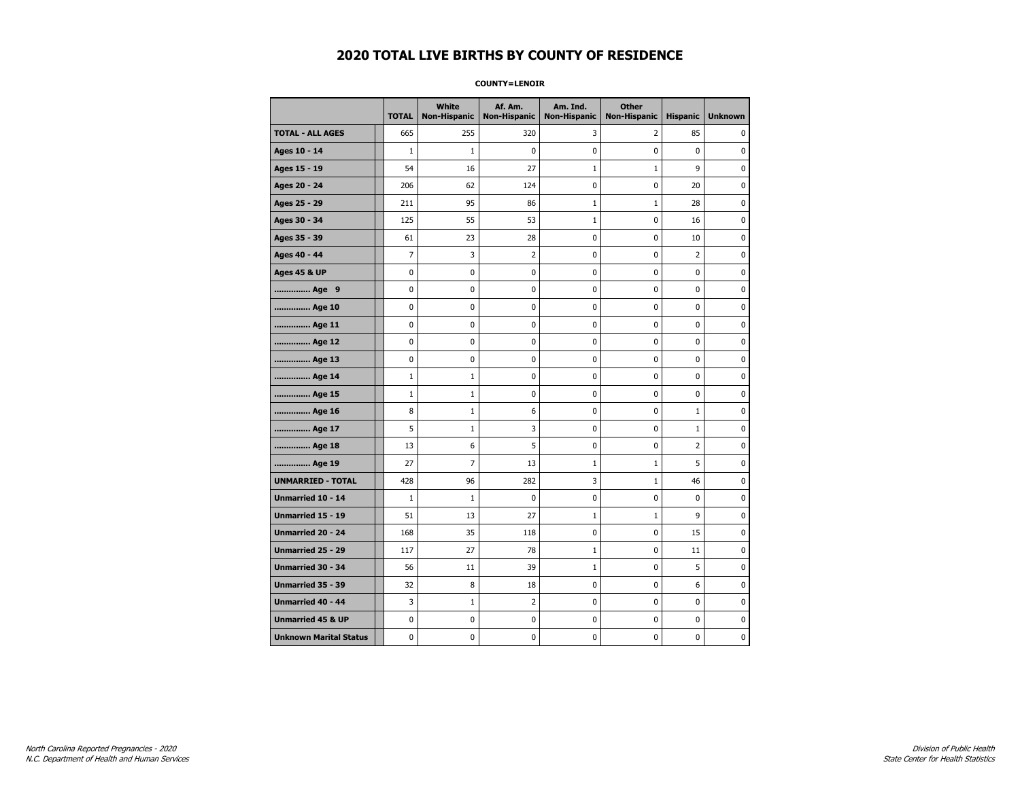#### **COUNTY=LENOIR**

|                               | <b>TOTAL</b> | <b>White</b><br>Non-Hispanic | Af. Am.<br><b>Non-Hispanic</b> | Am. Ind.<br><b>Non-Hispanic</b> | <b>Other</b><br><b>Non-Hispanic</b> | <b>Hispanic</b> | <b>Unknown</b> |
|-------------------------------|--------------|------------------------------|--------------------------------|---------------------------------|-------------------------------------|-----------------|----------------|
| <b>TOTAL - ALL AGES</b>       | 665          | 255                          | 320                            | 3                               | 2                                   | 85              | 0              |
| Ages 10 - 14                  | $\mathbf{1}$ | $\mathbf{1}$                 | 0                              | 0                               | $\mathbf 0$                         | $\mathbf 0$     | 0              |
| Ages 15 - 19                  | 54           | 16                           | 27                             | $1\,$                           | $\mathbf 1$                         | 9               | 0              |
| Ages 20 - 24                  | 206          | 62                           | 124                            | $\pmb{0}$                       | $\pmb{0}$                           | 20              | 0              |
| Ages 25 - 29                  | 211          | 95                           | 86                             | $\mathbf{1}$                    | $\mathbf{1}$                        | 28              | 0              |
| Ages 30 - 34                  | 125          | 55                           | 53                             | $1\,$                           | $\mathbf 0$                         | 16              | 0              |
| Ages 35 - 39                  | 61           | 23                           | 28                             | 0                               | 0                                   | 10              | 0              |
| Ages 40 - 44                  | 7            | 3                            | $\overline{2}$                 | 0                               | $\pmb{0}$                           | $\overline{2}$  | 0              |
| <b>Ages 45 &amp; UP</b>       | $\pmb{0}$    | $\pmb{0}$                    | $\bf{0}$                       | $\pmb{0}$                       | $\pmb{0}$                           | 0               | 0              |
| Age 9                         | 0            | 0                            | 0                              | 0                               | 0                                   | 0               | 0              |
| Age 10                        | $\mathbf 0$  | 0                            | 0                              | $\mathbf 0$                     | $\mathbf 0$                         | $\mathbf 0$     | 0              |
| Age 11                        | 0            | 0                            | 0                              | 0                               | $\mathbf 0$                         | $\mathbf 0$     | 0              |
| Age 12                        | $\pmb{0}$    | 0                            | 0                              | 0                               | $\pmb{0}$                           | 0               | 0              |
| Age 13                        | 0            | 0                            | 0                              | 0                               | 0                                   | $\mathbf 0$     | 0              |
| Age 14                        | $\mathbf{1}$ | $\mathbf{1}$                 | 0                              | 0                               | 0                                   | 0               | 0              |
| Age 15                        | $\mathbf 1$  | 1                            | 0                              | 0                               | $\mathbf 0$                         | 0               | 0              |
| Age 16                        | 8            | $\mathbf 1$                  | 6                              | $\mathbf 0$                     | $\mathbf 0$                         | $\mathbf{1}$    | 0              |
| Age 17                        | 5            | $\mathbf 1$                  | 3                              | 0                               | $\pmb{0}$                           | $\mathbf 1$     | 0              |
| Age 18                        | 13           | 6                            | 5                              | $\pmb{0}$                       | 0                                   | $\overline{2}$  | 0              |
| Age 19                        | 27           | 7                            | 13                             | $\mathbf{1}$                    | $1\,$                               | 5               | 0              |
| <b>UNMARRIED - TOTAL</b>      | 428          | 96                           | 282                            | 3                               | $1\,$                               | 46              | 0              |
| Unmarried 10 - 14             | $\mathbf{1}$ | $\mathbf{1}$                 | $\mathbf 0$                    | $\mathbf 0$                     | $\mathbf 0$                         | $\mathbf 0$     | 0              |
| Unmarried 15 - 19             | 51           | 13                           | 27                             | $\mathbf 1$                     | $\mathbf 1$                         | 9               | 0              |
| Unmarried 20 - 24             | 168          | 35                           | 118                            | 0                               | 0                                   | 15              | 0              |
| <b>Unmarried 25 - 29</b>      | 117          | 27                           | 78                             | $1\,$                           | 0                                   | 11              | 0              |
| Unmarried 30 - 34             | 56           | 11                           | 39                             | $\mathbf 1$                     | $\pmb{0}$                           | 5               | 0              |
| <b>Unmarried 35 - 39</b>      | 32           | 8                            | 18                             | 0                               | 0                                   | 6               | $\pmb{0}$      |
| Unmarried 40 - 44             | 3            | $\mathbf 1$                  | $\overline{2}$                 | $\pmb{0}$                       | $\pmb{0}$                           | $\pmb{0}$       | 0              |
| <b>Unmarried 45 &amp; UP</b>  | 0            | 0                            | 0                              | 0                               | 0                                   | 0               | 0              |
| <b>Unknown Marital Status</b> | 0            | 0                            | 0                              | 0                               | 0                                   | $\mathbf 0$     | 0              |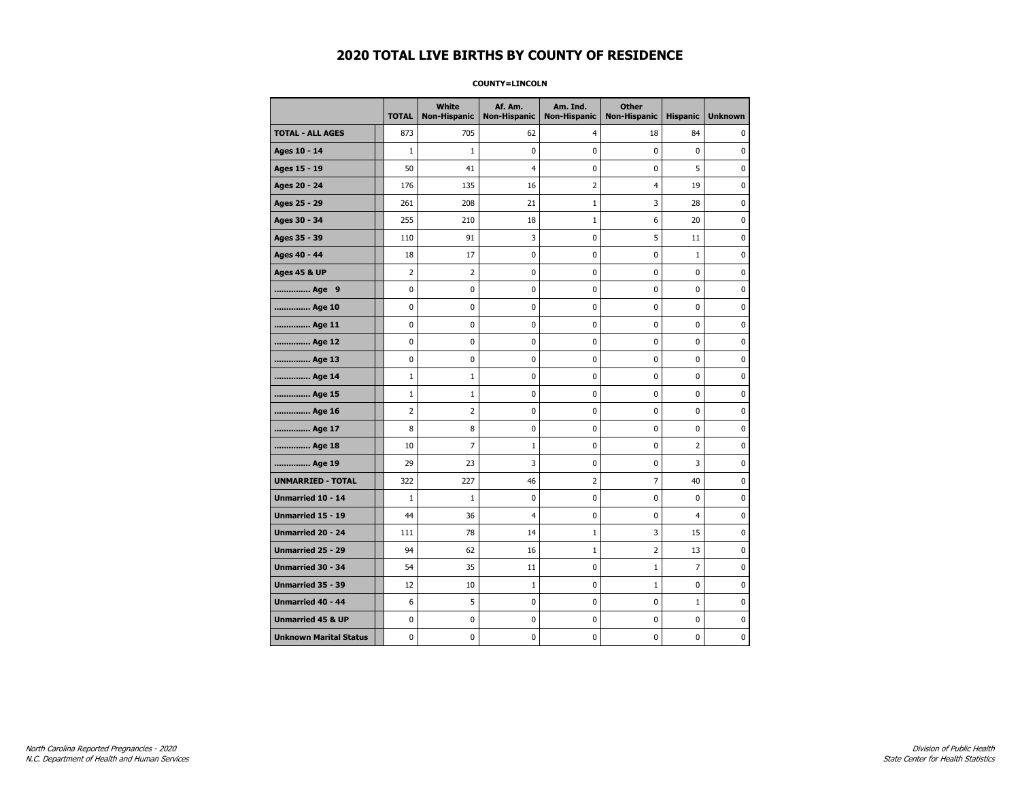#### **COUNTY=LINCOLN**

|                               | <b>TOTAL</b>   | White<br><b>Non-Hispanic</b> | Af. Am.<br><b>Non-Hispanic</b> | Am. Ind.<br><b>Non-Hispanic</b> | <b>Other</b><br><b>Non-Hispanic</b> | <b>Hispanic</b> | <b>Unknown</b> |
|-------------------------------|----------------|------------------------------|--------------------------------|---------------------------------|-------------------------------------|-----------------|----------------|
| <b>TOTAL - ALL AGES</b>       | 873            | 705                          | 62                             | 4                               | 18                                  | 84              | 0              |
| Ages 10 - 14                  | $\mathbf 1$    | $\mathbf{1}$                 | $\mathbf 0$                    | 0                               | 0                                   | 0               | 0              |
| Ages 15 - 19                  | 50             | 41                           | $\overline{4}$                 | $\mathbf 0$                     | 0                                   | 5               | $\mathbf 0$    |
| Ages 20 - 24                  | 176            | 135                          | 16                             | $\overline{2}$                  | 4                                   | 19              | 0              |
| Ages 25 - 29                  | 261            | 208                          | 21                             | $\mathbf 1$                     | 3                                   | 28              | 0              |
| Ages 30 - 34                  | 255            | 210                          | 18                             | $\mathbf{1}$                    | 6                                   | 20              | 0              |
| Ages 35 - 39                  | 110            | 91                           | 3                              | 0                               | 5                                   | 11              | 0              |
| Ages 40 - 44                  | 18             | 17                           | 0                              | 0                               | 0                                   | $\mathbf{1}$    | 0              |
| <b>Ages 45 &amp; UP</b>       | $\overline{2}$ | $\overline{2}$               | $\mathbf 0$                    | 0                               | 0                                   | $\mathbf 0$     | 0              |
| Age 9                         | $\mathbf 0$    | 0                            | $\mathbf 0$                    | 0                               | 0                                   | $\mathbf 0$     | 0              |
| Age 10                        | 0              | 0                            | $\mathbf 0$                    | $\mathbf 0$                     | 0                                   | $\mathbf 0$     | 0              |
| Age 11                        | 0              | $\pmb{0}$                    | 0                              | $\pmb{0}$                       | 0                                   | $\pmb{0}$       | $\pmb{0}$      |
| Age 12                        | 0              | 0                            | $\pmb{0}$                      | 0                               | 0                                   | 0               | 0              |
| Age 13                        | 0              | $\mathbf 0$                  | $\mathbf 0$                    | 0                               | 0                                   | $\mathbf 0$     | 0              |
| Age 14                        | $\mathbf{1}$   | $\mathbf{1}$                 | 0                              | 0                               | 0                                   | 0               | 0              |
| Age 15                        | $\mathbf{1}$   | 1                            | 0                              | 0                               | 0                                   | 0               | 0              |
| Age 16                        | $\overline{2}$ | $\overline{2}$               | $\mathbf 0$                    | $\mathbf 0$                     | 0                                   | $\mathbf 0$     | 0              |
| Age 17                        | 8              | 8                            | $\mathbf 0$                    | $\mathbf 0$                     | 0                                   | $\mathbf 0$     | $\mathbf 0$    |
| Age 18                        | 10             | $\overline{7}$               | $\mathbf{1}$                   | $\mathbf 0$                     | 0                                   | $\overline{2}$  | 0              |
| Age 19                        | 29             | 23                           | 3                              | $\pmb{0}$                       | $\pmb{0}$                           | 3               | 0              |
| <b>UNMARRIED - TOTAL</b>      | 322            | 227                          | 46                             | $\overline{2}$                  | 7                                   | 40              | 0              |
| Unmarried 10 - 14             | $1\,$          | $\mathbf{1}$                 | 0                              | 0                               | 0                                   | $\mathbf{0}$    | 0              |
| Unmarried 15 - 19             | 44             | 36                           | 4                              | 0                               | 0                                   | 4               | 0              |
| Unmarried 20 - 24             | 111            | 78                           | 14                             | $\mathbf{1}$                    | 3                                   | 15              | 0              |
| <b>Unmarried 25 - 29</b>      | 94             | 62                           | 16                             | $\mathbf{1}$                    | $\overline{2}$                      | 13              | $\mathbf 0$    |
| Unmarried 30 - 34             | 54             | 35                           | 11                             | 0                               | $1\,$                               | $\overline{7}$  | 0              |
| Unmarried 35 - 39             | 12             | 10                           | $\mathbf 1$                    | $\pmb{0}$                       | $\mathbf 1$                         | $\mathbf 0$     | $\pmb{0}$      |
| Unmarried 40 - 44             | 6              | 5                            | 0                              | 0                               | 0                                   | $\mathbf{1}$    | 0              |
| <b>Unmarried 45 &amp; UP</b>  | 0              | 0                            | 0                              | 0                               | 0                                   | $\mathbf 0$     | 0              |
| <b>Unknown Marital Status</b> | 0              | 0                            | $\pmb{0}$                      | 0                               | 0                                   | 0               | 0              |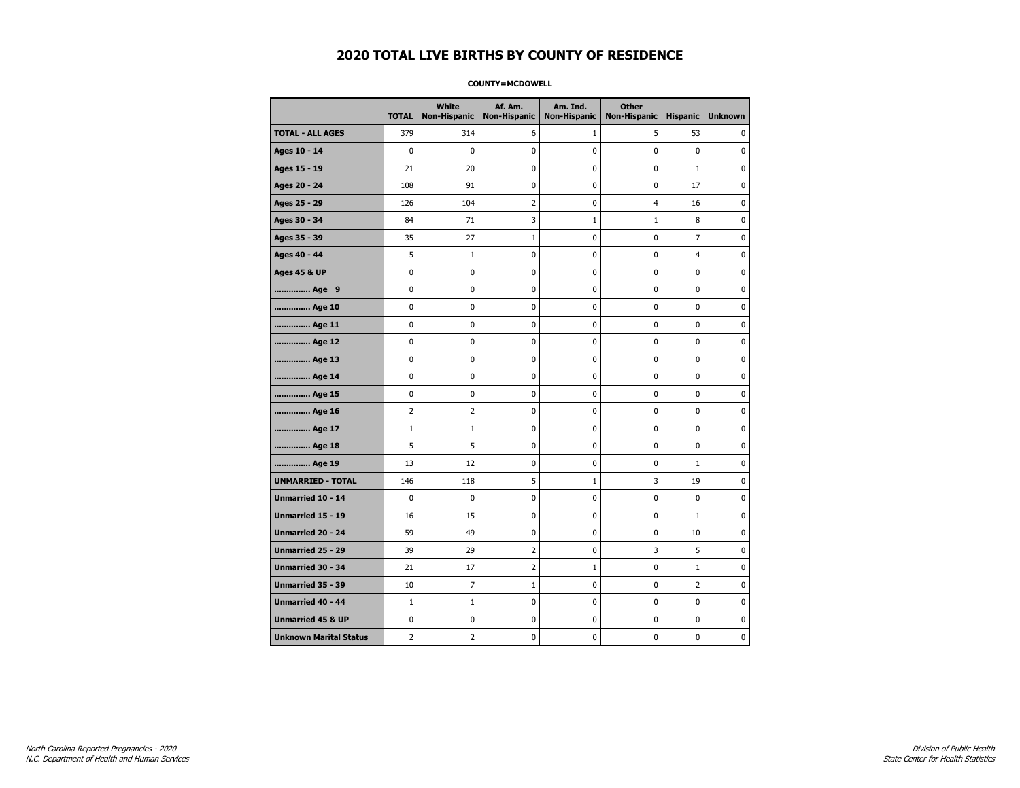#### **COUNTY=MCDOWELL**

|                               | <b>TOTAL</b>   | <b>White</b>   | Af. Am.<br>Non-Hispanic   Non-Hispanic | Am. Ind.<br><b>Non-Hispanic</b> | <b>Other</b><br><b>Non-Hispanic</b> | <b>Hispanic</b> | <b>Unknown</b> |
|-------------------------------|----------------|----------------|----------------------------------------|---------------------------------|-------------------------------------|-----------------|----------------|
| <b>TOTAL - ALL AGES</b>       | 379            | 314            | 6                                      | $\mathbf{1}$                    | 5                                   | 53              | 0              |
| Ages 10 - 14                  | $\Omega$       | $\mathbf{0}$   | 0                                      | 0                               | 0                                   | $\mathbf 0$     | 0              |
| Ages 15 - 19                  | 21             | 20             | 0                                      | $\mathbf 0$                     | 0                                   | $\mathbf{1}$    | 0              |
| Ages 20 - 24                  | 108            | 91             | 0                                      | 0                               | 0                                   | 17              | 0              |
| Ages 25 - 29                  | 126            | 104            | $\overline{2}$                         | 0                               | $\overline{4}$                      | 16              | 0              |
| Ages 30 - 34                  | 84             | 71             | 3                                      | $\mathbf{1}$                    | $\mathbf{1}$                        | 8               | $\pmb{0}$      |
| Ages 35 - 39                  | 35             | 27             | $\mathbf{1}$                           | 0                               | 0                                   | $\overline{7}$  | 0              |
| Ages 40 - 44                  | 5              | $\mathbf{1}$   | 0                                      | 0                               | $\mathbf 0$                         | 4               | 0              |
| <b>Ages 45 &amp; UP</b>       | 0              | 0              | 0                                      | 0                               | 0                                   | 0               | 0              |
| Age 9                         | 0              | 0              | 0                                      | 0                               | 0                                   | 0               | 0              |
| Age 10                        | $\mathbf 0$    | 0              | 0                                      | 0                               | 0                                   | 0               | $\mathbf 0$    |
| Age 11                        | $\mathbf 0$    | 0              | 0                                      | 0                               | 0                                   | 0               | 0              |
| Age 12                        | 0              | 0              | 0                                      | 0                               | 0                                   | 0               | 0              |
| Age 13                        | 0              | 0              | 0                                      | $\mathbf 0$                     | $\mathbf 0$                         | 0               | $\mathbf 0$    |
| Age 14                        | $\mathbf 0$    | 0              | 0                                      | $\mathbf 0$                     | 0                                   | 0               | 0              |
| Age 15                        | $\pmb{0}$      | 0              | 0                                      | 0                               | $\pmb{0}$                           | 0               | 0              |
| Age 16                        | $\overline{2}$ | $\overline{2}$ | 0                                      | 0                               | 0                                   | 0               | 0              |
| Age 17                        | $\mathbf{1}$   | $\mathbf{1}$   | 0                                      | 0                               | 0                                   | 0               | 0              |
| Age 18                        | 5              | 5              | 0                                      | 0                               | 0                                   | 0               | 0              |
| Age 19                        | 13             | 12             | 0                                      | 0                               | 0                                   | $\mathbf{1}$    | 0              |
| <b>UNMARRIED - TOTAL</b>      | 146            | 118            | 5                                      | $\mathbf{1}$                    | 3                                   | 19              | 0              |
| Unmarried 10 - 14             | $\mathbf 0$    | 0              | 0                                      | 0                               | 0                                   | 0               | 0              |
| Unmarried 15 - 19             | 16             | 15             | 0                                      | $\mathbf 0$                     | $\mathbf 0$                         | $\mathbf{1}$    | 0              |
| <b>Unmarried 20 - 24</b>      | 59             | 49             | 0                                      | 0                               | 0                                   | 10              | 0              |
| Unmarried 25 - 29             | 39             | 29             | $\overline{2}$                         | $\pmb{0}$                       | 3                                   | 5               | $\pmb{0}$      |
| Unmarried 30 - 34             | 21             | 17             | 2                                      | $\mathbf 1$                     | $\pmb{0}$                           | $\mathbf 1$     | 0              |
| Unmarried 35 - 39             | 10             | 7              | 1                                      | 0                               | 0                                   | 2               | 0              |
| Unmarried 40 - 44             | $\mathbf{1}$   | $\mathbf{1}$   | 0                                      | 0                               | 0                                   | 0               | 0              |
| <b>Unmarried 45 &amp; UP</b>  | $\mathbf 0$    | 0              | 0                                      | 0                               | 0                                   | 0               | 0              |
| <b>Unknown Marital Status</b> | $\overline{2}$ | 2              | 0                                      | 0                               | 0                                   | 0               | 0              |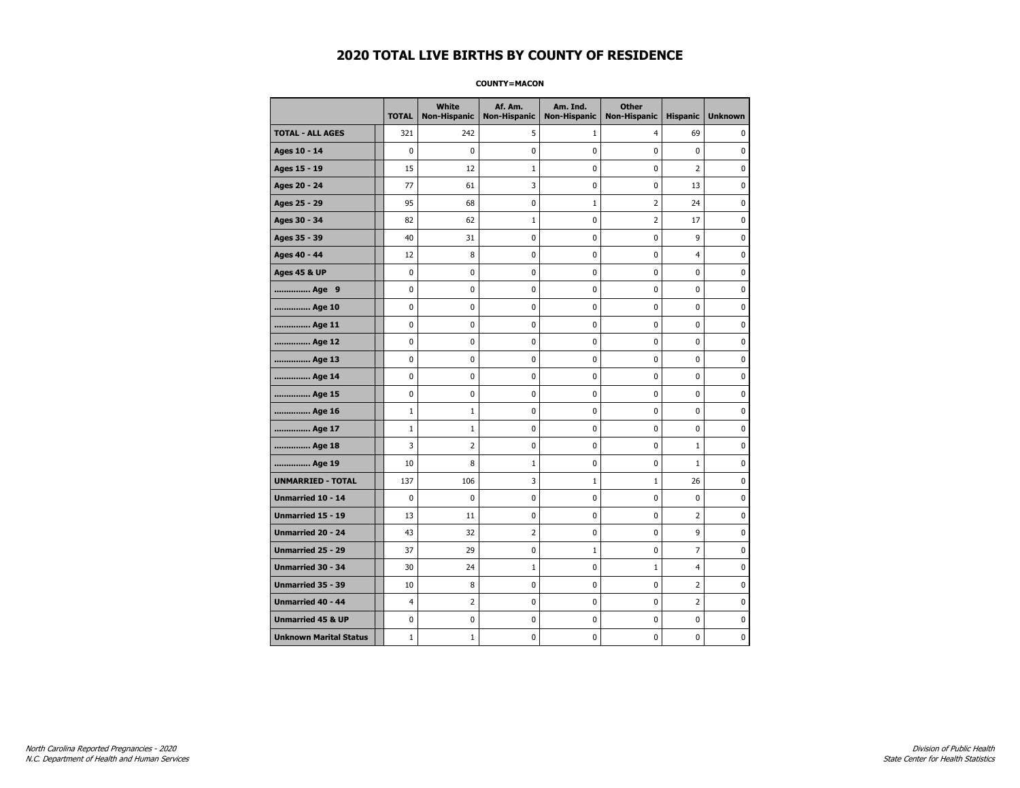**COUNTY=MACON** 

|                               | <b>TOTAL</b>   | White<br>Non-Hispanic | Af. Am.<br><b>Non-Hispanic</b> | Am. Ind.<br><b>Non-Hispanic</b> | <b>Other</b><br><b>Non-Hispanic</b> | <b>Hispanic</b> | <b>Unknown</b> |
|-------------------------------|----------------|-----------------------|--------------------------------|---------------------------------|-------------------------------------|-----------------|----------------|
| <b>TOTAL - ALL AGES</b>       | 321            | 242                   | 5                              | 1                               | 4                                   | 69              | 0              |
| Ages 10 - 14                  | $\mathbf 0$    | 0                     | 0                              | $\pmb{0}$                       | 0                                   | $\mathbf 0$     | $\mathbf 0$    |
| Ages 15 - 19                  | 15             | 12                    | $\mathbf{1}$                   | $\mathbf 0$                     | $\mathbf 0$                         | $\overline{2}$  | $\mathbf 0$    |
| Ages 20 - 24                  | 77             | 61                    | 3                              | $\pmb{0}$                       | 0                                   | 13              | 0              |
| Ages 25 - 29                  | 95             | 68                    | 0                              | $\mathbf{1}$                    | 2                                   | 24              | 0              |
| Ages 30 - 34                  | 82             | 62                    | 1                              | 0                               | 2                                   | 17              | 0              |
| Ages 35 - 39                  | 40             | 31                    | 0                              | 0                               | 0                                   | 9               | 0              |
| Ages 40 - 44                  | 12             | 8                     | 0                              | $\mathbf 0$                     | 0                                   | $\overline{4}$  | $\mathbf 0$    |
| <b>Ages 45 &amp; UP</b>       | $\pmb{0}$      | 0                     | $\bf{0}$                       | $\pmb{0}$                       | 0                                   | 0               | 0              |
| Age 9                         | 0              | 0                     | 0                              | 0                               | 0                                   | 0               | 0              |
| Age 10                        | $\mathbf 0$    | 0                     | 0                              | 0                               | 0                                   | 0               | 0              |
| Age 11                        | $\mathbf 0$    | 0                     | 0                              | 0                               | 0                                   | 0               | 0              |
| Age 12                        | $\mathbf 0$    | 0                     | 0                              | $\mathbf 0$                     | 0                                   | $\mathbf 0$     | 0              |
| Age 13                        | $\pmb{0}$      | 0                     | 0                              | $\pmb{0}$                       | 0                                   | 0               | 0              |
| Age 14                        | 0              | 0                     | 0                              | 0                               | 0                                   | 0               | 0              |
| Age 15                        | $\mathbf 0$    | 0                     | 0                              | $\mathbf 0$                     | 0                                   | 0               | 0              |
| Age 16                        | $\mathbf{1}$   | $\mathbf{1}$          | 0                              | 0                               | 0                                   | 0               | 0              |
| Age 17                        | $\mathbf{1}$   | $\mathbf{1}$          | 0                              | $\mathbf 0$                     | 0                                   | 0               | 0              |
| Age 18                        | 3              | $\overline{2}$        | 0                              | 0                               | 0                                   | $\mathbf{1}$    | $\bf{0}$       |
| Age 19                        | 10             | 8                     | 1                              | 0                               | 0                                   | $\mathbf{1}$    | 0              |
| <b>UNMARRIED - TOTAL</b>      | 137            | 106                   | 3                              | 1                               | $\mathbf{1}$                        | 26              | 0              |
| Unmarried 10 - 14             | $\mathbf 0$    | 0                     | 0                              | 0                               | 0                                   | 0               | 0              |
| <b>Unmarried 15 - 19</b>      | 13             | 11                    | 0                              | 0                               | 0                                   | $\overline{2}$  | 0              |
| Unmarried 20 - 24             | 43             | 32                    | 2                              | 0                               | $\pmb{0}$                           | 9               | $\pmb{0}$      |
| Unmarried 25 - 29             | 37             | 29                    | 0                              | $\mathbf{1}$                    | 0                                   | 7               | 0              |
| <b>Unmarried 30 - 34</b>      | 30             | 24                    | $\mathbf{1}$                   | 0                               | $1\,$                               | 4               | $\mathbf 0$    |
| Unmarried 35 - 39             | 10             | 8                     | 0                              | 0                               | $\mathbf 0$                         | 2               | 0              |
| <b>Unmarried 40 - 44</b>      | $\overline{4}$ | $\overline{2}$        | $\pmb{0}$                      | $\pmb{0}$                       | $\pmb{0}$                           | $\overline{2}$  | $\pmb{0}$      |
| <b>Unmarried 45 &amp; UP</b>  | 0              | 0                     | 0                              | 0                               | 0                                   | 0               | 0              |
| <b>Unknown Marital Status</b> | $\mathbf{1}$   | $\mathbf{1}$          | 0                              | 0                               | 0                                   | 0               | 0              |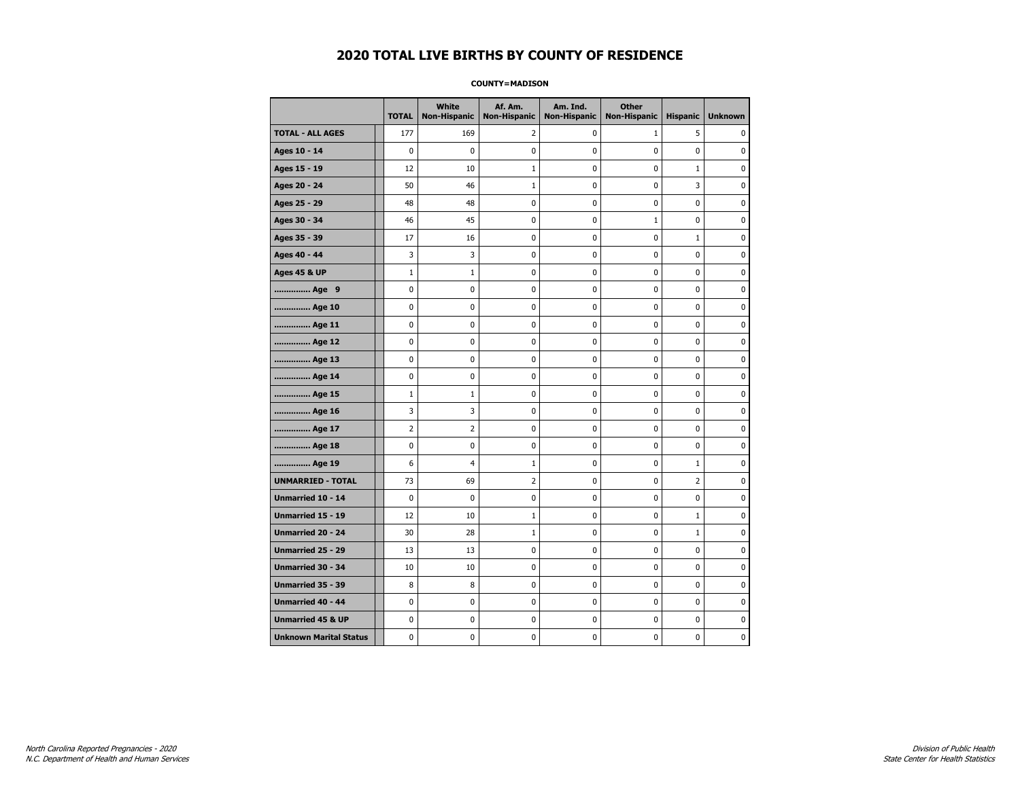#### **COUNTY=MADISON**

|                               | <b>TOTAL</b>   | <b>White</b><br>Non-Hispanic | Af. Am.<br><b>Non-Hispanic</b> | Am. Ind.<br><b>Non-Hispanic</b> | <b>Other</b><br><b>Non-Hispanic</b> | <b>Hispanic</b> | <b>Unknown</b> |
|-------------------------------|----------------|------------------------------|--------------------------------|---------------------------------|-------------------------------------|-----------------|----------------|
| <b>TOTAL - ALL AGES</b>       | 177            | 169                          | 2                              | 0                               | $\mathbf{1}$                        | 5               | 0              |
| Ages 10 - 14                  | $\mathbf 0$    | 0                            | 0                              | $\mathbf 0$                     | $\mathbf 0$                         | $\mathbf 0$     | 0              |
| Ages 15 - 19                  | 12             | 10                           | $\mathbf 1$                    | 0                               | $\pmb{0}$                           | $\mathbf 1$     | 0              |
| Ages 20 - 24                  | 50             | 46                           | $1\,$                          | $\pmb{0}$                       | $\pmb{0}$                           | 3               | 0              |
| Ages 25 - 29                  | 48             | 48                           | 0                              | 0                               | 0                                   | 0               | 0              |
| Ages 30 - 34                  | 46             | 45                           | 0                              | 0                               | $\mathbf{1}$                        | $\mathbf 0$     | 0              |
| Ages 35 - 39                  | 17             | 16                           | 0                              | 0                               | 0                                   | $\mathbf{1}$    | 0              |
| Ages 40 - 44                  | 3              | 3                            | 0                              | 0                               | $\pmb{0}$                           | 0               | 0              |
| <b>Ages 45 &amp; UP</b>       | $\mathbf 1$    | $1\,$                        | 0                              | $\pmb{0}$                       | $\pmb{0}$                           | 0               | 0              |
| Age 9                         | 0              | 0                            | 0                              | 0                               | 0                                   | 0               | 0              |
| Age 10                        | $\mathbf 0$    | 0                            | 0                              | $\mathbf 0$                     | $\mathbf 0$                         | $\mathbf 0$     | 0              |
| Age 11                        | 0              | 0                            | 0                              | 0                               | $\mathbf 0$                         | $\mathbf 0$     | 0              |
| Age 12                        | $\pmb{0}$      | 0                            | 0                              | 0                               | $\pmb{0}$                           | 0               | 0              |
| Age 13                        | 0              | 0                            | 0                              | 0                               | 0                                   | $\mathbf 0$     | 0              |
| Age 14                        | 0              | 0                            | 0                              | 0                               | 0                                   | 0               | 0              |
| Age 15                        | $\mathbf 1$    | 1                            | 0                              | 0                               | $\mathbf 0$                         | 0               | 0              |
| Age 16                        | 3              | 3                            | 0                              | $\mathbf 0$                     | $\mathbf 0$                         | $\mathbf 0$     | 0              |
| Age 17                        | $\overline{2}$ | $\overline{2}$               | 0                              | 0                               | $\pmb{0}$                           | 0               | 0              |
| Age 18                        | 0              | 0                            | 0                              | $\pmb{0}$                       | 0                                   | 0               | 0              |
| Age 19                        | 6              | 4                            | $\mathbf{1}$                   | $\pmb{0}$                       | 0                                   | $\mathbf{1}$    | 0              |
| <b>UNMARRIED - TOTAL</b>      | 73             | 69                           | $\overline{2}$                 | 0                               | $\mathbf 0$                         | $\overline{2}$  | 0              |
| Unmarried 10 - 14             | $\mathbf 0$    | $\mathbf 0$                  | $\mathbf 0$                    | $\mathbf 0$                     | $\mathbf 0$                         | $\mathbf 0$     | 0              |
| Unmarried 15 - 19             | 12             | 10                           | $\mathbf 1$                    | $\pmb{0}$                       | $\pmb{0}$                           | $\mathbf 1$     | 0              |
| Unmarried 20 - 24             | 30             | 28                           | $\mathbf 1$                    | 0                               | 0                                   | $\mathbf{1}$    | 0              |
| <b>Unmarried 25 - 29</b>      | 13             | 13                           | 0                              | $\pmb{0}$                       | $\mathbf 0$                         | $\mathbf 0$     | 0              |
| Unmarried 30 - 34             | 10             | 10                           | 0                              | 0                               | $\pmb{0}$                           | 0               | 0              |
| <b>Unmarried 35 - 39</b>      | 8              | 8                            | 0                              | 0                               | $\mathbf 0$                         | $\mathbf 0$     | $\pmb{0}$      |
| Unmarried 40 - 44             | 0              | 0                            | $\bf{0}$                       | $\pmb{0}$                       | $\pmb{0}$                           | $\mathbf 0$     | 0              |
| <b>Unmarried 45 &amp; UP</b>  | 0              | 0                            | 0                              | 0                               | 0                                   | 0               | 0              |
| <b>Unknown Marital Status</b> | 0              | 0                            | 0                              | 0                               | 0                                   | $\mathbf 0$     | 0              |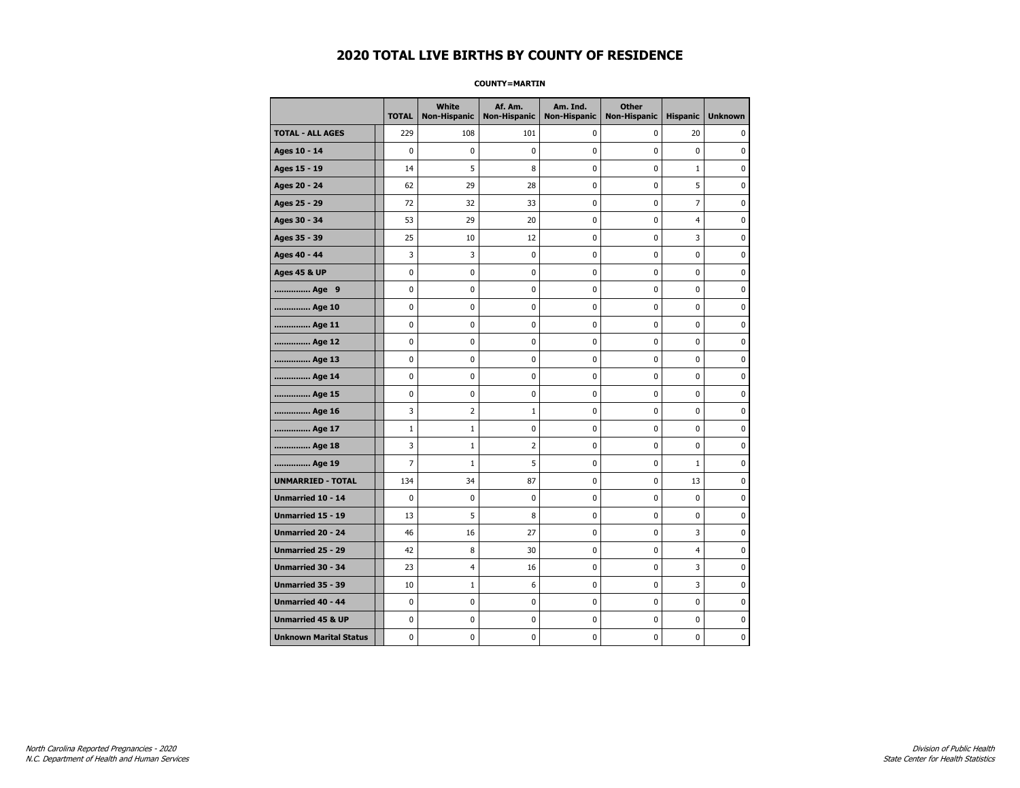#### **COUNTY=MARTIN**

|                               | <b>TOTAL</b>   | <b>White</b><br>Non-Hispanic | Af. Am.<br><b>Non-Hispanic</b> | Am. Ind.<br><b>Non-Hispanic</b> | <b>Other</b><br><b>Non-Hispanic</b> | <b>Hispanic</b> | <b>Unknown</b> |
|-------------------------------|----------------|------------------------------|--------------------------------|---------------------------------|-------------------------------------|-----------------|----------------|
| <b>TOTAL - ALL AGES</b>       | 229            | 108                          | 101                            | 0                               | 0                                   | 20              | 0              |
| Ages 10 - 14                  | 0              | 0                            | 0                              | $\pmb{0}$                       | $\mathbf 0$                         | 0               | 0              |
| Ages 15 - 19                  | 14             | 5                            | 8                              | $\mathbf 0$                     | $\mathbf 0$                         | $\mathbf 1$     | 0              |
| Ages 20 - 24                  | 62             | 29                           | 28                             | $\mathbf 0$                     | $\mathbf 0$                         | 5               | $\mathbf 0$    |
| Ages 25 - 29                  | 72             | 32                           | 33                             | 0                               | $\pmb{0}$                           | $\overline{7}$  | 0              |
| Ages 30 - 34                  | 53             | 29                           | 20                             | 0                               | $\pmb{0}$                           | 4               | 0              |
| Ages 35 - 39                  | 25             | 10                           | 12                             | 0                               | 0                                   | 3               | 0              |
| Ages 40 - 44                  | 3              | 3                            | 0                              | 0                               | 0                                   | 0               | 0              |
| <b>Ages 45 &amp; UP</b>       | $\mathbf 0$    | 0                            | 0                              | 0                               | 0                                   | 0               | 0              |
| Age 9                         | 0              | 0                            | 0                              | 0                               | 0                                   | 0               | 0              |
| Age 10                        | 0              | 0                            | 0                              | $\mathbf 0$                     | $\mathbf 0$                         | $\mathbf 0$     | 0              |
| Age 11                        | 0              | 0                            | 0                              | 0                               | $\mathbf 0$                         | $\mathbf 0$     | 0              |
| Age 12                        | $\pmb{0}$      | 0                            | 0                              | 0                               | $\pmb{0}$                           | 0               | 0              |
| Age 13                        | 0              | 0                            | 0                              | 0                               | 0                                   | 0               | 0              |
| Age 14                        | 0              | 0                            | 0                              | 0                               | 0                                   | $\mathbf 0$     | 0              |
| Age 15                        | 0              | 0                            | 0                              | 0                               | 0                                   | 0               | 0              |
| Age 16                        | 3              | $\overline{2}$               | $\mathbf 1$                    | 0                               | $\mathbf 0$                         | $\mathbf 0$     | 0              |
| Age 17                        | $\mathbf{1}$   | $\mathbf 1$                  | 0                              | 0                               | $\mathbf 0$                         | $\mathbf 0$     | 0              |
| Age 18                        | 3              | $\mathbf{1}$                 | $\overline{2}$                 | $\mathbf 0$                     | $\mathbf 0$                         | $\mathbf 0$     | 0              |
| Age 19                        | $\overline{7}$ | $\mathbf 1$                  | 5                              | $\pmb{0}$                       | $\pmb{0}$                           | $\mathbf 1$     | 0              |
| <b>UNMARRIED - TOTAL</b>      | 134            | 34                           | 87                             | 0                               | $\pmb{0}$                           | 13              | 0              |
| Unmarried 10 - 14             | $\mathbf 0$    | 0                            | 0                              | $\mathbf 0$                     | $\mathbf 0$                         | $\mathbf 0$     | 0              |
| Unmarried 15 - 19             | 13             | 5                            | 8                              | 0                               | 0                                   | 0               | 0              |
| Unmarried 20 - 24             | 46             | 16                           | 27                             | 0                               | $\mathbf 0$                         | 3               | 0              |
| <b>Unmarried 25 - 29</b>      | 42             | 8                            | 30                             | 0                               | $\mathbf 0$                         | $\overline{4}$  | 0              |
| <b>Unmarried 30 - 34</b>      | 23             | 4                            | 16                             | $\mathbf 0$                     | $\mathbf 0$                         | 3               | 0              |
| Unmarried 35 - 39             | 10             | 1                            | 6                              | 0                               | $\pmb{0}$                           | 3               | $\pmb{0}$      |
| Unmarried 40 - 44             | 0              | 0                            | 0                              | 0                               | 0                                   | 0               | 0              |
| <b>Unmarried 45 &amp; UP</b>  | 0              | 0                            | 0                              | 0                               | 0                                   | 0               | 0              |
| <b>Unknown Marital Status</b> | 0              | 0                            | 0                              | 0                               | 0                                   | 0               | 0              |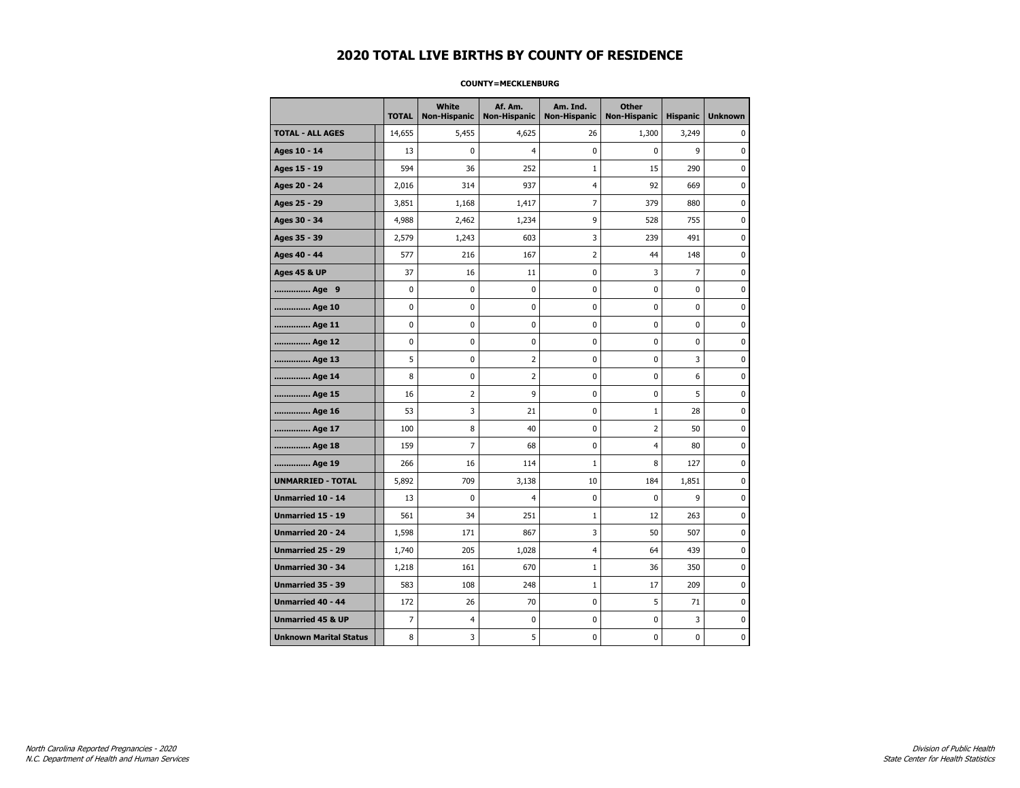#### **COUNTY=MECKLENBURG**

|                               | <b>TOTAL</b>   | White<br><b>Non-Hispanic</b> | Af. Am.<br><b>Non-Hispanic</b> | Am. Ind.<br><b>Non-Hispanic</b> | <b>Other</b><br><b>Non-Hispanic</b> | <b>Hispanic</b> | <b>Unknown</b> |
|-------------------------------|----------------|------------------------------|--------------------------------|---------------------------------|-------------------------------------|-----------------|----------------|
| <b>TOTAL - ALL AGES</b>       | 14,655         | 5,455                        | 4,625                          | 26                              | 1,300                               | 3,249           | 0              |
| Ages 10 - 14                  | 13             | 0                            | 4                              | 0                               | 0                                   | 9               | $\mathbf 0$    |
| Ages 15 - 19                  | 594            | 36                           | 252                            | $\mathbf{1}$                    | 15                                  | 290             | $\mathbf 0$    |
| Ages 20 - 24                  | 2,016          | 314                          | 937                            | 4                               | 92                                  | 669             | 0              |
| Ages 25 - 29                  | 3,851          | 1,168                        | 1,417                          | 7                               | 379                                 | 880             | 0              |
| Ages 30 - 34                  | 4,988          | 2,462                        | 1,234                          | 9                               | 528                                 | 755             | 0              |
| Ages 35 - 39                  | 2,579          | 1,243                        | 603                            | 3                               | 239                                 | 491             | 0              |
| Ages 40 - 44                  | 577            | 216                          | 167                            | 2                               | 44                                  | 148             | $\mathbf 0$    |
| <b>Ages 45 &amp; UP</b>       | 37             | 16                           | 11                             | 0                               | 3                                   | $\overline{7}$  | $\mathbf 0$    |
| Age 9                         | 0              | $\pmb{0}$                    | 0                              | 0                               | 0                                   | 0               | 0              |
| Age 10                        | $\mathbf 0$    | 0                            | 0                              | 0                               | 0                                   | 0               | 0              |
| Age 11                        | $\mathbf 0$    | 0                            | 0                              | 0                               | 0                                   | 0               | 0              |
| Age 12                        | $\mathbf 0$    | 0                            | 0                              | 0                               | 0                                   | 0               | 0              |
| Age 13                        | 5              | $\mathbf 0$                  | $\overline{2}$                 | 0                               | $\mathbf 0$                         | 3               | $\mathbf 0$    |
| Age 14                        | 8              | 0                            | $\overline{2}$                 | 0                               | $\mathbf 0$                         | 6               | $\mathbf 0$    |
| Age 15                        | 16             | 2                            | 9                              | 0                               | 0                                   | 5               | 0              |
| Age 16                        | 53             | 3                            | 21                             | 0                               | $\mathbf 1$                         | 28              | 0              |
| Age 17                        | 100            | 8                            | 40                             | 0                               | $\overline{2}$                      | 50              | $\mathbf 0$    |
| Age 18                        | 159            | $\overline{7}$               | 68                             | 0                               | 4                                   | 80              | 0              |
| Age 19                        | 266            | 16                           | 114                            | 1                               | 8                                   | 127             | $\mathbf 0$    |
| <b>UNMARRIED - TOTAL</b>      | 5,892          | 709                          | 3,138                          | 10                              | 184                                 | 1,851           | 0              |
| Unmarried 10 - 14             | 13             | $\mathbf 0$                  | 4                              | 0                               | $\mathbf 0$                         | 9               | 0              |
| Unmarried 15 - 19             | 561            | 34                           | 251                            | $\mathbf 1$                     | 12                                  | 263             | 0              |
| Unmarried 20 - 24             | 1,598          | 171                          | 867                            | 3                               | 50                                  | 507             | 0              |
| <b>Unmarried 25 - 29</b>      | 1,740          | 205                          | 1,028                          | 4                               | 64                                  | 439             | $\mathbf 0$    |
| <b>Unmarried 30 - 34</b>      | 1,218          | 161                          | 670                            | $\mathbf 1$                     | 36                                  | 350             | $\mathbf 0$    |
| Unmarried 35 - 39             | 583            | 108                          | 248                            | $\mathbf 1$                     | 17                                  | 209             | 0              |
| Unmarried 40 - 44             | 172            | 26                           | 70                             | 0                               | 5                                   | 71              | 0              |
| <b>Unmarried 45 &amp; UP</b>  | $\overline{7}$ | $\overline{4}$               | 0                              | 0                               | 0                                   | 3               | 0              |
| <b>Unknown Marital Status</b> | 8              | 3                            | 5                              | 0                               | 0                                   | 0               | 0              |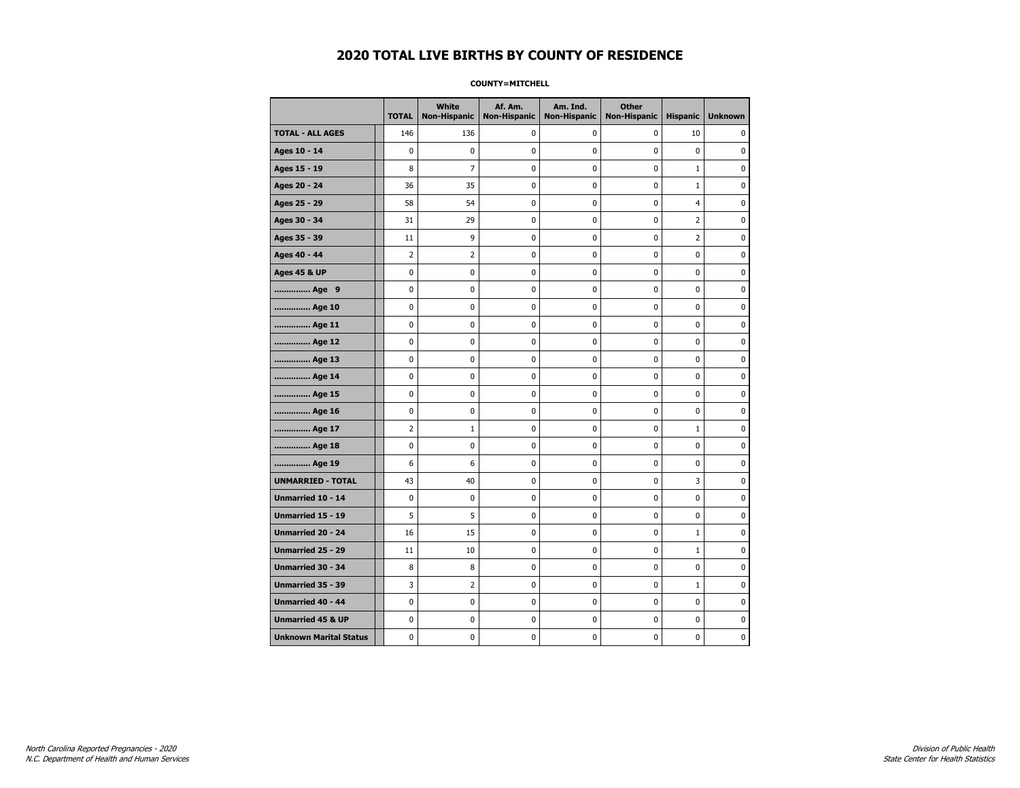#### **COUNTY=MITCHELL**

|                               | <b>TOTAL</b>            | <b>White</b><br>Non-Hispanic | Af. Am.<br><b>Non-Hispanic</b> | Am. Ind.<br><b>Non-Hispanic</b> | <b>Other</b><br><b>Non-Hispanic</b> | <b>Hispanic</b> | <b>Unknown</b> |
|-------------------------------|-------------------------|------------------------------|--------------------------------|---------------------------------|-------------------------------------|-----------------|----------------|
| <b>TOTAL - ALL AGES</b>       | 146                     | 136                          | 0                              | 0                               | 0                                   | 10              | 0              |
| Ages 10 - 14                  | $\mathbf 0$             | 0                            | 0                              | 0                               | $\mathbf 0$                         | $\mathbf 0$     | 0              |
| Ages 15 - 19                  | 8                       | $\overline{7}$               | 0                              | $\mathbf 0$                     | $\mathbf 0$                         | $\mathbf{1}$    | 0              |
| Ages 20 - 24                  | 36                      | 35                           | $\bf{0}$                       | $\pmb{0}$                       | $\pmb{0}$                           | $\mathbf 1$     | 0              |
| Ages 25 - 29                  | 58                      | 54                           | $\pmb{0}$                      | 0                               | $\pmb{0}$                           | $\overline{4}$  | 0              |
| Ages 30 - 34                  | 31                      | 29                           | 0                              | 0                               | 0                                   | $\overline{2}$  | 0              |
| Ages 35 - 39                  | 11                      | 9                            | 0                              | 0                               | 0                                   | $\mathbf 2$     | 0              |
| Ages 40 - 44                  | $\overline{2}$          | 2                            | 0                              | 0                               | $\mathbf 0$                         | $\mathbf 0$     | 0              |
| <b>Ages 45 &amp; UP</b>       | $\mathbf 0$             | 0                            | 0                              | 0                               | $\mathbf 0$                         | $\mathbf 0$     | 0              |
| Age 9                         | 0                       | 0                            | 0                              | $\pmb{0}$                       | $\pmb{0}$                           | 0               | 0              |
| Age 10                        | $\mathbf 0$             | 0                            | 0                              | 0                               | $\mathbf 0$                         | $\mathbf 0$     | 0              |
| Age 11                        | 0                       | 0                            | 0                              | 0                               | 0                                   | 0               | 0              |
| Age 12                        | 0                       | 0                            | 0                              | 0                               | 0                                   | 0               | 0              |
| Age 13                        | 0                       | 0                            | 0                              | $\mathbf 0$                     | $\mathbf 0$                         | $\mathbf 0$     | 0              |
| Age 14                        | 0                       | $\mathbf 0$                  | $\mathbf 0$                    | $\mathbf 0$                     | $\mathbf 0$                         | $\mathbf 0$     | 0              |
| Age 15                        | $\pmb{0}$               | 0                            | $\pmb{0}$                      | 0                               | $\pmb{0}$                           | $\pmb{0}$       | 0              |
| Age 16                        | 0                       | 0                            | 0                              | 0                               | 0                                   | 0               | 0              |
| Age 17                        | $\overline{\mathbf{c}}$ | 1                            | 0                              | 0                               | 0                                   | $\mathbf{1}$    | 0              |
| Age 18                        | 0                       | 0                            | 0                              | 0                               | 0                                   | 0               | 0              |
| Age 19                        | 6                       | 6                            | 0                              | 0                               | $\mathbf 0$                         | 0               | 0              |
| <b>UNMARRIED - TOTAL</b>      | 43                      | 40                           | 0                              | 0                               | $\mathbf 0$                         | 3               | 0              |
| Unmarried 10 - 14             | $\pmb{0}$               | 0                            | 0                              | 0                               | $\mathbf 0$                         | $\mathbf 0$     | 0              |
| Unmarried 15 - 19             | 5                       | 5                            | 0                              | 0                               | 0                                   | 0               | 0              |
| Unmarried 20 - 24             | 16                      | 15                           | 0                              | 0                               | 0                                   | $\mathbf{1}$    | 0              |
| <b>Unmarried 25 - 29</b>      | $11\,$                  | 10                           | 0                              | $\mathbf 0$                     | $\mathbf 0$                         | $\mathbf 1$     | 0              |
| <b>Unmarried 30 - 34</b>      | 8                       | 8                            | 0                              | 0                               | $\mathbf 0$                         | 0               | $\mathbf 0$    |
| Unmarried 35 - 39             | 3                       | 2                            | $\pmb{0}$                      | $\pmb{0}$                       | $\pmb{0}$                           | $\mathbf 1$     | 0              |
| Unmarried 40 - 44             | 0                       | 0                            | 0                              | 0                               | $\pmb{0}$                           | 0               | 0              |
| <b>Unmarried 45 &amp; UP</b>  | 0                       | 0                            | 0                              | 0                               | 0                                   | $\mathbf 0$     | 0              |
| <b>Unknown Marital Status</b> | 0                       | 0                            | 0                              | 0                               | 0                                   | 0               | 0              |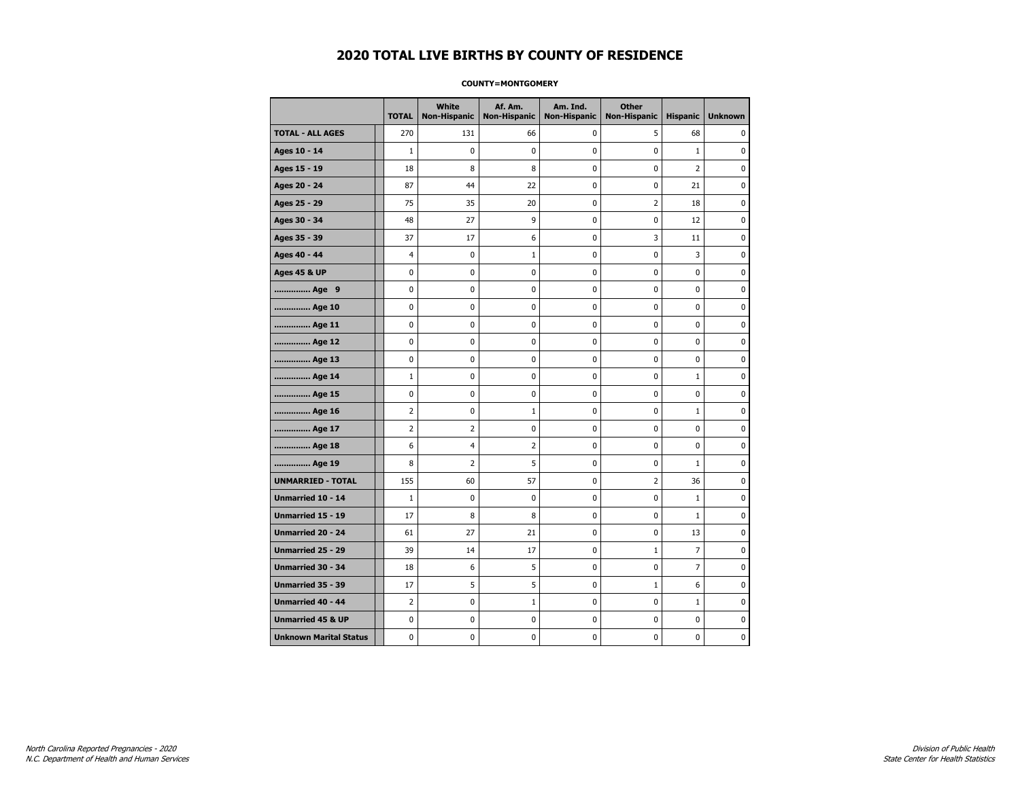#### **COUNTY=MONTGOMERY**

|                               | <b>TOTAL</b>   | <b>White</b><br>Non-Hispanic | Af. Am.<br><b>Non-Hispanic</b> | Am. Ind.<br><b>Non-Hispanic</b> | <b>Other</b><br><b>Non-Hispanic</b> | <b>Hispanic</b> | <b>Unknown</b> |
|-------------------------------|----------------|------------------------------|--------------------------------|---------------------------------|-------------------------------------|-----------------|----------------|
| <b>TOTAL - ALL AGES</b>       | 270            | 131                          | 66                             | 0                               | 5                                   | 68              | 0              |
| Ages 10 - 14                  | $\mathbf{1}$   | 0                            | 0                              | $\pmb{0}$                       | $\mathbf 0$                         | $\mathbf{1}$    | 0              |
| Ages 15 - 19                  | 18             | 8                            | 8                              | $\mathbf 0$                     | $\mathbf 0$                         | $\overline{2}$  | 0              |
| Ages 20 - 24                  | 87             | 44                           | 22                             | $\mathbf 0$                     | $\mathbf 0$                         | 21              | $\mathbf 0$    |
| Ages 25 - 29                  | 75             | 35                           | 20                             | 0                               | $\overline{2}$                      | 18              | 0              |
| Ages 30 - 34                  | 48             | 27                           | 9                              | 0                               | $\pmb{0}$                           | 12              | 0              |
| Ages 35 - 39                  | 37             | 17                           | 6                              | 0                               | 3                                   | 11              | 0              |
| Ages 40 - 44                  | 4              | 0                            | $\mathbf{1}$                   | 0                               | 0                                   | 3               | 0              |
| <b>Ages 45 &amp; UP</b>       | $\mathbf 0$    | 0                            | 0                              | 0                               | 0                                   | 0               | 0              |
| Age 9                         | 0              | 0                            | 0                              | 0                               | 0                                   | 0               | 0              |
| Age 10                        | 0              | 0                            | 0                              | $\mathbf 0$                     | $\mathbf 0$                         | $\mathbf 0$     | 0              |
| Age 11                        | 0              | 0                            | 0                              | 0                               | $\mathbf 0$                         | $\mathbf 0$     | 0              |
| Age 12                        | $\pmb{0}$      | 0                            | 0                              | 0                               | $\pmb{0}$                           | 0               | 0              |
| Age 13                        | 0              | 0                            | 0                              | 0                               | 0                                   | 0               | 0              |
| Age 14                        | $\mathbf 1$    | 0                            | 0                              | 0                               | 0                                   | $\mathbf{1}$    | 0              |
| Age 15                        | 0              | 0                            | 0                              | 0                               | 0                                   | 0               | 0              |
| Age 16                        | $\overline{2}$ | 0                            | $\mathbf 1$                    | 0                               | $\mathbf 0$                         | $\mathbf{1}$    | 0              |
| Age 17                        | $\overline{2}$ | $\overline{2}$               | 0                              | 0                               | $\mathbf 0$                         | $\mathbf 0$     | 0              |
| Age 18                        | 6              | 4                            | $\overline{2}$                 | $\mathbf 0$                     | $\mathbf 0$                         | $\mathbf 0$     | 0              |
| Age 19                        | 8              | $\overline{2}$               | 5                              | $\pmb{0}$                       | $\pmb{0}$                           | $\mathbf 1$     | 0              |
| <b>UNMARRIED - TOTAL</b>      | 155            | 60                           | 57                             | 0                               | $\overline{2}$                      | 36              | 0              |
| Unmarried 10 - 14             | $\mathbf{1}$   | 0                            | 0                              | $\mathbf 0$                     | $\mathbf 0$                         | $\mathbf 1$     | 0              |
| Unmarried 15 - 19             | 17             | 8                            | 8                              | 0                               | 0                                   | $\mathbf 1$     | 0              |
| Unmarried 20 - 24             | 61             | 27                           | 21                             | 0                               | $\mathbf 0$                         | 13              | 0              |
| <b>Unmarried 25 - 29</b>      | 39             | 14                           | 17                             | $\mathbf 0$                     | $\mathbf 1$                         | $\overline{7}$  | 0              |
| <b>Unmarried 30 - 34</b>      | 18             | 6                            | 5                              | $\mathbf 0$                     | $\mathbf 0$                         | $\overline{7}$  | 0              |
| Unmarried 35 - 39             | 17             | 5                            | 5                              | 0                               | $\mathbf 1$                         | 6               | $\pmb{0}$      |
| Unmarried 40 - 44             | $\overline{2}$ | 0                            | $\mathbf 1$                    | 0                               | 0                                   | $1\,$           | 0              |
| <b>Unmarried 45 &amp; UP</b>  | 0              | 0                            | 0                              | 0                               | 0                                   | $\mathbf 0$     | 0              |
| <b>Unknown Marital Status</b> | 0              | 0                            | 0                              | 0                               | 0                                   | 0               | 0              |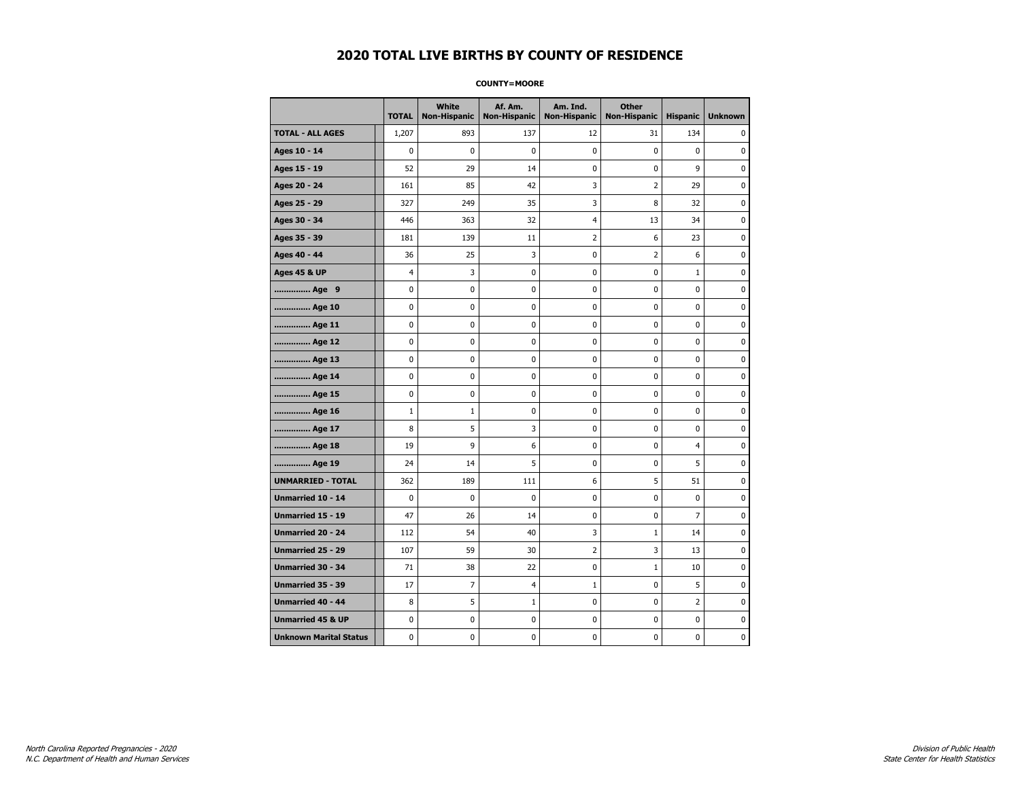#### **COUNTY=MOORE**

|                               | <b>TOTAL</b> | White<br>Non-Hispanic | Af. Am.<br><b>Non-Hispanic</b> | Am. Ind.<br><b>Non-Hispanic</b> | <b>Other</b><br><b>Non-Hispanic</b> | <b>Hispanic</b> | <b>Unknown</b> |
|-------------------------------|--------------|-----------------------|--------------------------------|---------------------------------|-------------------------------------|-----------------|----------------|
| <b>TOTAL - ALL AGES</b>       | 1,207        | 893                   | 137                            | 12                              | 31                                  | 134             | 0              |
| Ages 10 - 14                  | 0            | $\mathbf 0$           | $\pmb{0}$                      | 0                               | 0                                   | $\mathbf 0$     | 0              |
| Ages 15 - 19                  | 52           | 29                    | 14                             | $\mathbf 0$                     | 0                                   | 9               | $\mathbf 0$    |
| Ages 20 - 24                  | 161          | 85                    | 42                             | 3                               | $\overline{2}$                      | 29              | $\mathbf 0$    |
| Ages 25 - 29                  | 327          | 249                   | 35                             | 3                               | 8                                   | 32              | $\pmb{0}$      |
| Ages 30 - 34                  | 446          | 363                   | 32                             | $\overline{4}$                  | 13                                  | 34              | 0              |
| Ages 35 - 39                  | 181          | 139                   | 11                             | $\overline{2}$                  | 6                                   | 23              | 0              |
| Ages 40 - 44                  | 36           | 25                    | 3                              | 0                               | 2                                   | 6               | 0              |
| <b>Ages 45 &amp; UP</b>       | 4            | 3                     | 0                              | 0                               | 0                                   | 1               | 0              |
| Age 9                         | 0            | 0                     | 0                              | 0                               | 0                                   | 0               | 0              |
| Age 10                        | 0            | 0                     | $\mathbf 0$                    | $\mathbf 0$                     | 0                                   | $\mathbf 0$     | $\mathbf 0$    |
| Age 11                        | 0            | 0                     | $\mathbf 0$                    | $\mathbf 0$                     | 0                                   | $\mathbf 0$     | 0              |
| Age 12                        | 0            | 0                     | $\pmb{0}$                      | 0                               | 0                                   | 0               | 0              |
| Age 13                        | 0            | 0                     | 0                              | 0                               | 0                                   | 0               | 0              |
| Age 14                        | 0            | 0                     | $\mathbf 0$                    | 0                               | 0                                   | $\mathbf 0$     | 0              |
| Age 15                        | 0            | 0                     | 0                              | 0                               | 0                                   | 0               | 0              |
| Age 16                        | $\mathbf 1$  | $1\,$                 | $\mathbf 0$                    | $\mathbf 0$                     | 0                                   | $\mathbf 0$     | 0              |
| Age 17                        | 8            | 5                     | 3                              | 0                               | 0                                   | 0               | $\mathbf 0$    |
| Age 18                        | 19           | 9                     | 6                              | $\mathbf 0$                     | 0                                   | $\overline{4}$  | $\mathbf 0$    |
| Age 19                        | 24           | 14                    | 5                              | $\pmb{0}$                       | 0                                   | 5               | $\pmb{0}$      |
| <b>UNMARRIED - TOTAL</b>      | 362          | 189                   | 111                            | 6                               | 5                                   | 51              | $\pmb{0}$      |
| Unmarried 10 - 14             | 0            | 0                     | 0                              | $\mathbf 0$                     | 0                                   | $\mathbf 0$     | 0              |
| Unmarried 15 - 19             | 47           | 26                    | 14                             | 0                               | 0                                   | 7               | 0              |
| Unmarried 20 - 24             | 112          | 54                    | 40                             | 3                               | $\mathbf{1}$                        | 14              | 0              |
| <b>Unmarried 25 - 29</b>      | 107          | 59                    | 30                             | $\overline{2}$                  | 3                                   | 13              | $\bf{0}$       |
| <b>Unmarried 30 - 34</b>      | 71           | 38                    | 22                             | $\mathbf 0$                     | $\mathbf{1}$                        | 10              | $\mathbf 0$    |
| Unmarried 35 - 39             | 17           | 7                     | $\overline{4}$                 | $\mathbf 1$                     | 0                                   | 5               | $\pmb{0}$      |
| Unmarried 40 - 44             | 8            | 5                     | $\mathbf 1$                    | 0                               | 0                                   | 2               | 0              |
| <b>Unmarried 45 &amp; UP</b>  | 0            | 0                     | 0                              | 0                               | 0                                   | 0               | 0              |
| <b>Unknown Marital Status</b> | 0            | 0                     | $\pmb{0}$                      | 0                               | 0                                   | 0               | 0              |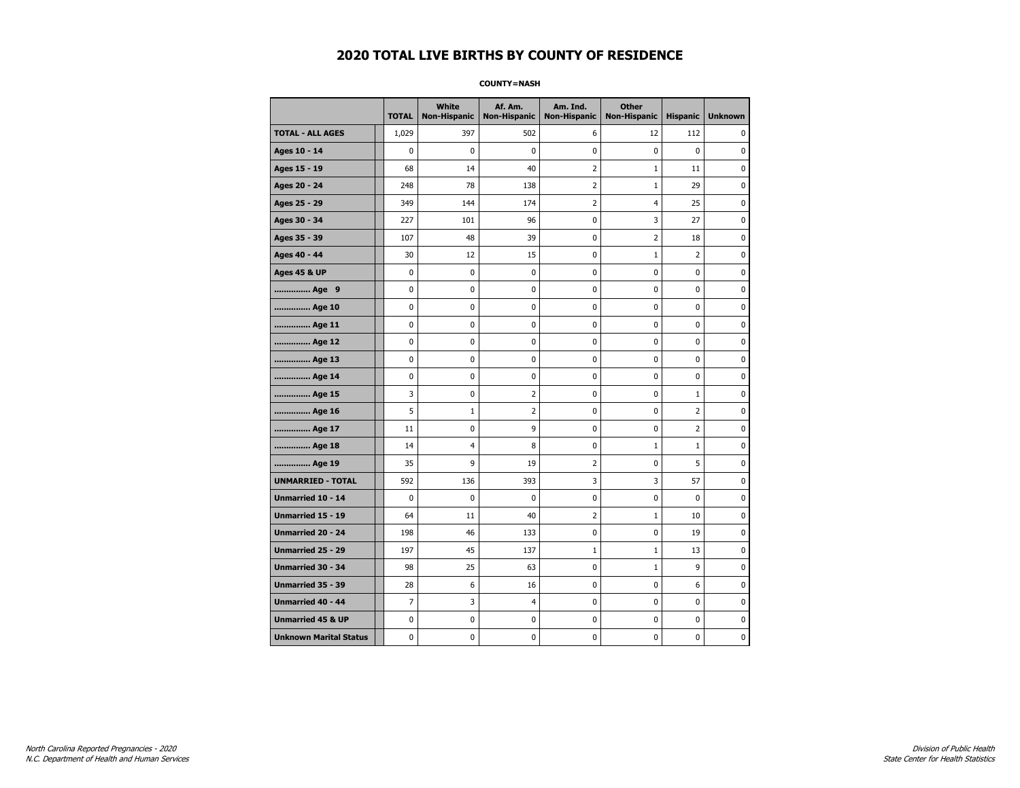#### **COUNTY=NASH**

|                               | <b>TOTAL</b> | <b>White</b><br><b>Non-Hispanic</b> | Af. Am.<br><b>Non-Hispanic</b> | Am. Ind.<br><b>Non-Hispanic</b> | <b>Other</b><br><b>Non-Hispanic</b> | <b>Hispanic</b> | <b>Unknown</b> |
|-------------------------------|--------------|-------------------------------------|--------------------------------|---------------------------------|-------------------------------------|-----------------|----------------|
| <b>TOTAL - ALL AGES</b>       | 1,029        | 397                                 | 502                            | 6                               | 12                                  | 112             | 0              |
| Ages 10 - 14                  | $\mathbf 0$  | 0                                   | 0                              | 0                               | $\mathbf 0$                         | $\mathbf 0$     | 0              |
| Ages 15 - 19                  | 68           | 14                                  | 40                             | $\overline{2}$                  | $\mathbf{1}$                        | 11              | 0              |
| Ages 20 - 24                  | 248          | 78                                  | 138                            | $\mathbf 2$                     | $\mathbf 1$                         | 29              | 0              |
| Ages 25 - 29                  | 349          | 144                                 | 174                            | $\overline{2}$                  | 4                                   | 25              | $\pmb{0}$      |
| Ages 30 - 34                  | 227          | 101                                 | 96                             | 0                               | 3                                   | 27              | 0              |
| Ages 35 - 39                  | 107          | 48                                  | 39                             | 0                               | $\overline{2}$                      | 18              | 0              |
| Ages 40 - 44                  | 30           | 12                                  | 15                             | $\pmb{0}$                       | $\mathbf{1}$                        | $\overline{2}$  | 0              |
| <b>Ages 45 &amp; UP</b>       | $\mathbf 0$  | 0                                   | 0                              | $\mathbf 0$                     | $\mathbf 0$                         | $\mathbf 0$     | 0              |
| Age 9                         | 0            | 0                                   | $\bf{0}$                       | 0                               | $\pmb{0}$                           | $\pmb{0}$       | 0              |
| Age 10                        | 0            | 0                                   | 0                              | 0                               | $\mathbf 0$                         | 0               | 0              |
| Age 11                        | 0            | 0                                   | 0                              | 0                               | 0                                   | 0               | 0              |
| Age 12                        | 0            | 0                                   | 0                              | 0                               | 0                                   | 0               | 0              |
| Age 13                        | 0            | 0                                   | 0                              | $\mathbf 0$                     | $\mathbf 0$                         | $\mathbf 0$     | $\mathbf 0$    |
| Age 14                        | 0            | 0                                   | 0                              | 0                               | $\mathbf 0$                         | $\mathbf 0$     | 0              |
| Age 15                        | 3            | 0                                   | $\overline{2}$                 | 0                               | $\pmb{0}$                           | $\mathbf 1$     | $\pmb{0}$      |
| Age 16                        | 5            | $\mathbf{1}$                        | $\overline{2}$                 | 0                               | 0                                   | $\overline{2}$  | 0              |
| Age 17                        | 11           | 0                                   | 9                              | 0                               | 0                                   | $\overline{2}$  | 0              |
| Age 18                        | 14           | 4                                   | 8                              | 0                               | $\mathbf{1}$                        | $\mathbf{1}$    | 0              |
| Age 19                        | 35           | 9                                   | 19                             | $\overline{2}$                  | $\mathbf 0$                         | 5               | 0              |
| <b>UNMARRIED - TOTAL</b>      | 592          | 136                                 | 393                            | 3                               | 3                                   | 57              | 0              |
| Unmarried 10 - 14             | 0            | $\bf{0}$                            | 0                              | 0                               | $\pmb{0}$                           | $\mathbf 0$     | 0              |
| Unmarried 15 - 19             | 64           | 11                                  | 40                             | $\overline{2}$                  | $1\,$                               | 10              | 0              |
| Unmarried 20 - 24             | 198          | 46                                  | 133                            | 0                               | 0                                   | 19              | 0              |
| <b>Unmarried 25 - 29</b>      | 197          | 45                                  | 137                            | $\mathbf{1}$                    | $\mathbf{1}$                        | 13              | 0              |
| <b>Unmarried 30 - 34</b>      | 98           | 25                                  | 63                             | $\pmb{0}$                       | $1\,$                               | 9               | 0              |
| Unmarried 35 - 39             | 28           | 6                                   | 16                             | 0                               | 0                                   | 6               | $\pmb{0}$      |
| Unmarried 40 - 44             | 7            | 3                                   | $\overline{a}$                 | 0                               | $\pmb{0}$                           | $\mathbf 0$     | 0              |
| <b>Unmarried 45 &amp; UP</b>  | 0            | 0                                   | 0                              | 0                               | 0                                   | 0               | 0              |
| <b>Unknown Marital Status</b> | 0            | 0                                   | 0                              | 0                               | 0                                   | $\mathbf 0$     | 0              |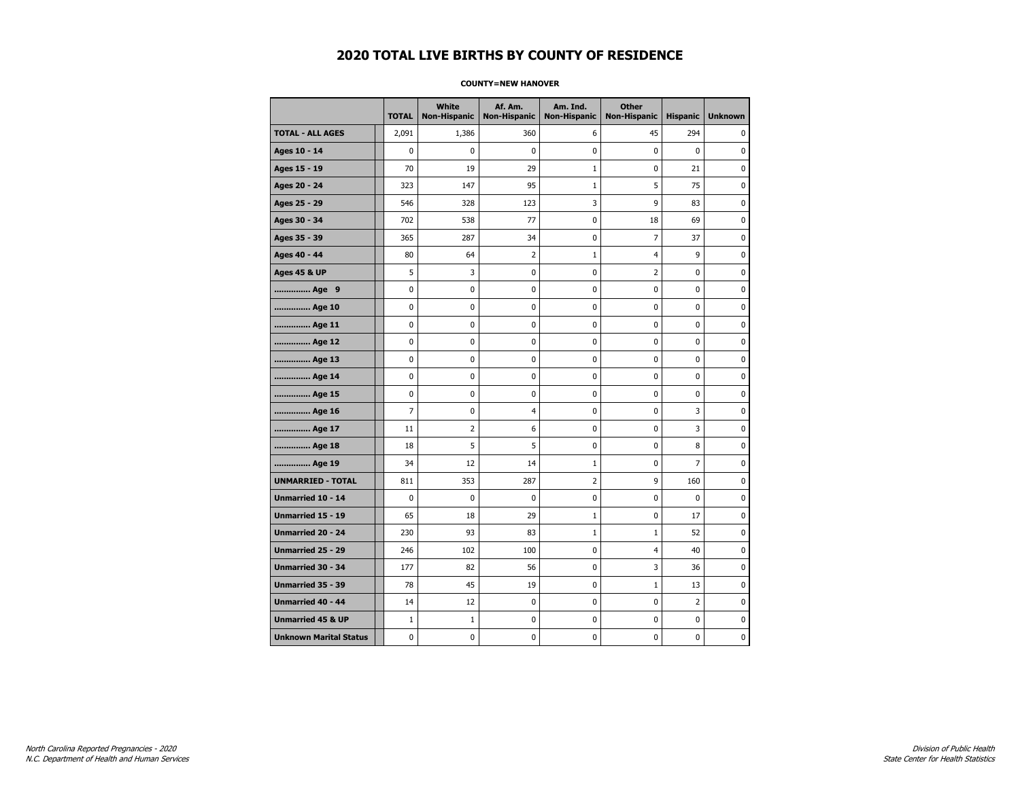#### **COUNTY=NEW HANOVER**

|                               | <b>TOTAL</b>   | <b>White</b><br><b>Non-Hispanic</b> | Af. Am.<br><b>Non-Hispanic</b> | Am. Ind.<br><b>Non-Hispanic</b> | <b>Other</b><br><b>Non-Hispanic</b> | <b>Hispanic</b> | <b>Unknown</b> |
|-------------------------------|----------------|-------------------------------------|--------------------------------|---------------------------------|-------------------------------------|-----------------|----------------|
| <b>TOTAL - ALL AGES</b>       | 2,091          | 1,386                               | 360                            | 6                               | 45                                  | 294             | 0              |
| Ages 10 - 14                  | $\mathbf 0$    | 0                                   | $\mathbf 0$                    | 0                               | 0                                   | $\mathbf 0$     | 0              |
| Ages 15 - 19                  | 70             | 19                                  | 29                             | 1                               | 0                                   | 21              | $\mathbf 0$    |
| Ages 20 - 24                  | 323            | 147                                 | 95                             | $\mathbf{1}$                    | 5                                   | 75              | $\mathbf 0$    |
| Ages 25 - 29                  | 546            | 328                                 | 123                            | 3                               | 9                                   | 83              | 0              |
| Ages 30 - 34                  | 702            | 538                                 | 77                             | 0                               | 18                                  | 69              | 0              |
| Ages 35 - 39                  | 365            | 287                                 | 34                             | 0                               | 7                                   | 37              | $\mathbf 0$    |
| Ages 40 - 44                  | 80             | 64                                  | 2                              | 1                               | 4                                   | 9               | 0              |
| <b>Ages 45 &amp; UP</b>       | 5              | 3                                   | $\mathbf 0$                    | 0                               | 2                                   | 0               | $\mathbf 0$    |
| Age 9                         | 0              | 0                                   | 0                              | 0                               | 0                                   | 0               | $\mathbf 0$    |
| Age 10                        | $\mathbf 0$    | 0                                   | $\mathbf 0$                    | $\mathbf 0$                     | 0                                   | 0               | $\mathbf 0$    |
| Age 11                        | 0              | 0                                   | $\mathbf 0$                    | $\pmb{0}$                       | 0                                   | 0               | $\pmb{0}$      |
| Age 12                        | $\pmb{0}$      | 0                                   | $\pmb{0}$                      | 0                               | 0                                   | 0               | 0              |
| Age 13                        | 0              | 0                                   | $\mathbf 0$                    | 0                               | 0                                   | 0               | 0              |
| Age 14                        | 0              | 0                                   | 0                              | 0                               | 0                                   | 0               | 0              |
| Age 15                        | $\mathbf 0$    | 0                                   | $\mathbf 0$                    | 0                               | 0                                   | 0               | 0              |
| Age 16                        | $\overline{7}$ | 0                                   | $\overline{4}$                 | 0                               | 0                                   | 3               | $\mathbf 0$    |
| Age 17                        | 11             | $\overline{2}$                      | 6                              | $\mathbf 0$                     | 0                                   | 3               | $\mathbf 0$    |
| Age 18                        | 18             | 5                                   | 5                              | $\mathbf 0$                     | 0                                   | 8               | $\mathbf 0$    |
| Age 19                        | 34             | 12                                  | 14                             | $\mathbf 1$                     | 0                                   | $\overline{7}$  | 0              |
| <b>UNMARRIED - TOTAL</b>      | 811            | 353                                 | 287                            | 2                               | 9                                   | 160             | 0              |
| <b>Unmarried 10 - 14</b>      | $\mathbf 0$    | $\mathbf 0$                         | $\mathbf 0$                    | 0                               | 0                                   | 0               | 0              |
| Unmarried 15 - 19             | 65             | 18                                  | 29                             | 1                               | 0                                   | 17              | $\mathbf 0$    |
| Unmarried 20 - 24             | 230            | 93                                  | 83                             | $\mathbf{1}$                    | $\mathbf{1}$                        | 52              | 0              |
| <b>Unmarried 25 - 29</b>      | 246            | 102                                 | 100                            | $\mathbf 0$                     | $\overline{4}$                      | 40              | $\mathbf 0$    |
| Unmarried 30 - 34             | 177            | 82                                  | 56                             | 0                               | 3                                   | 36              | 0              |
| Unmarried 35 - 39             | 78             | 45                                  | 19                             | $\pmb{0}$                       | $1\,$                               | 13              | $\pmb{0}$      |
| Unmarried 40 - 44             | 14             | 12                                  | 0                              | 0                               | 0                                   | $\overline{2}$  | 0              |
| <b>Unmarried 45 &amp; UP</b>  | $\mathbf{1}$   | $\mathbf{1}$                        | 0                              | 0                               | 0                                   | 0               | 0              |
| <b>Unknown Marital Status</b> | 0              | 0                                   | 0                              | 0                               | 0                                   | 0               | 0              |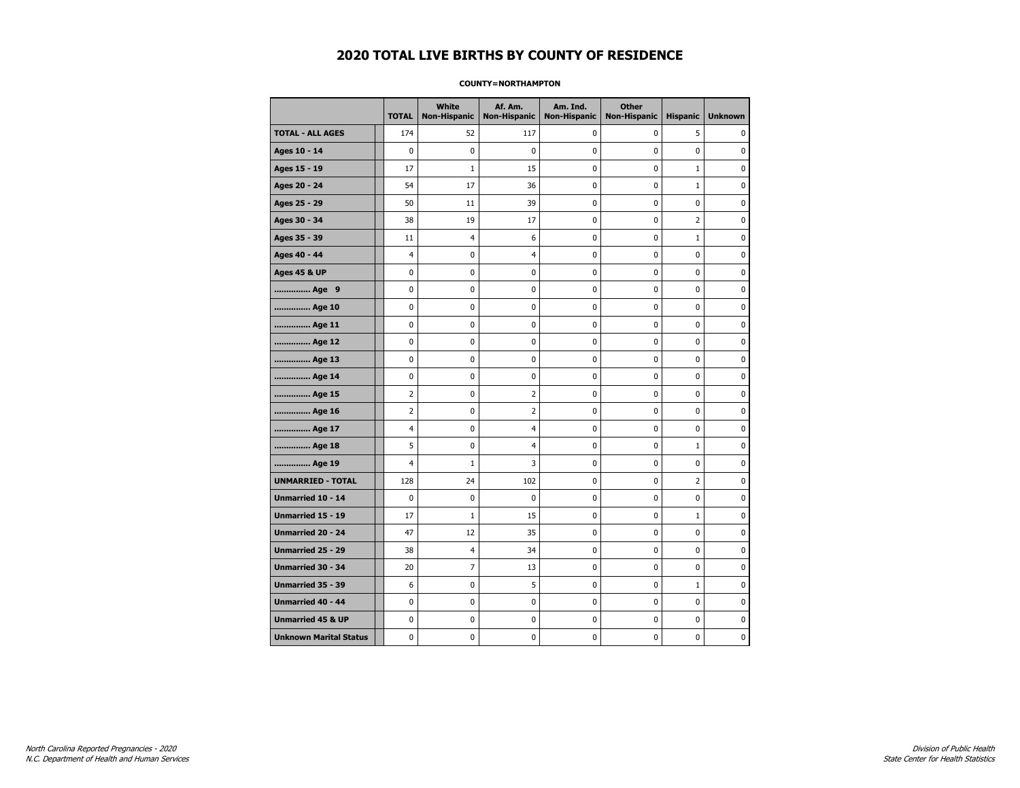#### **COUNTY=NORTHAMPTON**

|                               | <b>TOTAL</b>   | <b>White</b><br>Non-Hispanic | Af. Am.<br><b>Non-Hispanic</b> | Am. Ind.<br><b>Non-Hispanic</b> | <b>Other</b><br>Non-Hispanic | <b>Hispanic</b> | <b>Unknown</b> |
|-------------------------------|----------------|------------------------------|--------------------------------|---------------------------------|------------------------------|-----------------|----------------|
| <b>TOTAL - ALL AGES</b>       | 174            | 52                           | 117                            | 0                               | 0                            | 5               | 0              |
| Ages 10 - 14                  | $\mathbf 0$    | $\mathbf 0$                  | $\mathbf 0$                    | 0                               | 0                            | 0               | $\mathbf 0$    |
| Ages 15 - 19                  | 17             | $1\,$                        | 15                             | 0                               | 0                            | $\mathbf 1$     | 0              |
| Ages 20 - 24                  | 54             | 17                           | 36                             | 0                               | 0                            | $\mathbf{1}$    | 0              |
| Ages 25 - 29                  | 50             | 11                           | 39                             | 0                               | 0                            | 0               | 0              |
| Ages 30 - 34                  | 38             | 19                           | 17                             | $\mathbf 0$                     | 0                            | $\overline{2}$  | $\mathbf 0$    |
| Ages 35 - 39                  | 11             | 4                            | 6                              | 0                               | 0                            | $\mathbf{1}$    | 0              |
| Ages 40 - 44                  | 4              | 0                            | $\overline{4}$                 | 0                               | 0                            | 0               | 0              |
| <b>Ages 45 &amp; UP</b>       | $\mathbf 0$    | 0                            | 0                              | 0                               | 0                            | 0               | 0              |
| Age 9                         | 0              | 0                            | 0                              | 0                               | 0                            | 0               | 0              |
| Age 10                        | 0              | 0                            | 0                              | 0                               | 0                            | 0               | 0              |
| Age 11                        | 0              | 0                            | 0                              | 0                               | 0                            | 0               | 0              |
| Age 12                        | 0              | 0                            | 0                              | 0                               | 0                            | 0               | 0              |
| Age 13                        | 0              | 0                            | 0                              | 0                               | 0                            | 0               | $\mathbf 0$    |
| Age 14                        | $\mathbf 0$    | 0                            | 0                              | 0                               | 0                            | 0               | $\mathbf 0$    |
| Age 15                        | $\overline{2}$ | 0                            | $\mathbf 2$                    | 0                               | 0                            | 0               | $\pmb{0}$      |
| Age 16                        | $\overline{2}$ | 0                            | $\overline{2}$                 | 0                               | 0                            | 0               | 0              |
| Age 17                        | $\overline{4}$ | 0                            | $\overline{4}$                 | 0                               | 0                            | 0               | 0              |
| Age 18                        | 5              | 0                            | $\overline{4}$                 | $\mathbf 0$                     | 0                            | $\mathbf{1}$    | $\mathbf 0$    |
| Age 19                        | $\overline{4}$ | $1\,$                        | 3                              | 0                               | 0                            | 0               | 0              |
| <b>UNMARRIED - TOTAL</b>      | 128            | 24                           | 102                            | 0                               | 0                            | $\overline{2}$  | 0              |
| <b>Unmarried 10 - 14</b>      | $\mathbf 0$    | $\mathbf 0$                  | 0                              | $\mathbf 0$                     | 0                            | 0               | $\mathbf 0$    |
| <b>Unmarried 15 - 19</b>      | 17             | $1\,$                        | 15                             | 0                               | 0                            | $\mathbf 1$     | $\mathbf 0$    |
| Unmarried 20 - 24             | 47             | 12                           | 35                             | 0                               | 0                            | 0               | 0              |
| <b>Unmarried 25 - 29</b>      | 38             | 4                            | 34                             | 0                               | 0                            | 0               | 0              |
| Unmarried 30 - 34             | 20             | $\overline{7}$               | 13                             | 0                               | 0                            | 0               | 0              |
| <b>Unmarried 35 - 39</b>      | 6              | 0                            | 5                              | 0                               | 0                            | $\mathbf{1}$    | 0              |
| <b>Unmarried 40 - 44</b>      | 0              | 0                            | $\bf{0}$                       | 0                               | 0                            | 0               | $\pmb{0}$      |
| <b>Unmarried 45 &amp; UP</b>  | 0              | 0                            | 0                              | 0                               | 0                            | 0               | 0              |
| <b>Unknown Marital Status</b> | $\mathbf 0$    | 0                            | 0                              | 0                               | 0                            | 0               | 0              |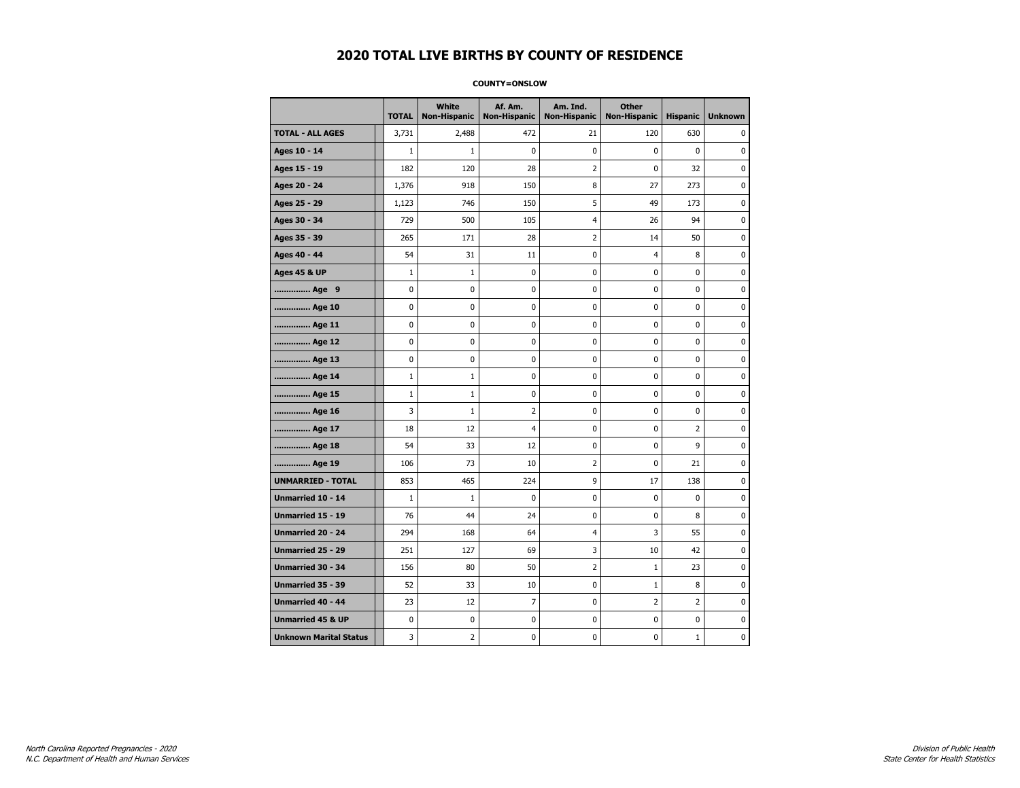#### **COUNTY=ONSLOW**

|                               | <b>TOTAL</b> | White<br><b>Non-Hispanic</b> | Af. Am.<br><b>Non-Hispanic</b> | Am. Ind.<br><b>Non-Hispanic</b> | <b>Other</b><br><b>Non-Hispanic</b> | <b>Hispanic</b> | <b>Unknown</b> |
|-------------------------------|--------------|------------------------------|--------------------------------|---------------------------------|-------------------------------------|-----------------|----------------|
| <b>TOTAL - ALL AGES</b>       | 3,731        | 2,488                        | 472                            | 21                              | 120                                 | 630             | 0              |
| Ages 10 - 14                  | $\mathbf{1}$ | $\mathbf{1}$                 | $\mathbf 0$                    | $\mathbf 0$                     | 0                                   | $\mathbf 0$     | 0              |
| Ages 15 - 19                  | 182          | 120                          | 28                             | $\overline{2}$                  | 0                                   | 32              | $\bf{0}$       |
| Ages 20 - 24                  | 1,376        | 918                          | 150                            | 8                               | 27                                  | 273             | 0              |
| Ages 25 - 29                  | 1,123        | 746                          | 150                            | 5                               | 49                                  | 173             | 0              |
| Ages 30 - 34                  | 729          | 500                          | 105                            | $\overline{4}$                  | 26                                  | 94              | 0              |
| Ages 35 - 39                  | 265          | 171                          | 28                             | $\overline{2}$                  | 14                                  | 50              | $\mathbf 0$    |
| Ages 40 - 44                  | 54           | 31                           | 11                             | 0                               | 4                                   | 8               | 0              |
| <b>Ages 45 &amp; UP</b>       | $\mathbf 1$  | $\mathbf{1}$                 | 0                              | $\pmb{0}$                       | 0                                   | $\pmb{0}$       | 0              |
| Age 9                         | 0            | 0                            | 0                              | 0                               | 0                                   | 0               | 0              |
| Age 10                        | 0            | 0                            | $\mathbf 0$                    | $\mathbf 0$                     | 0                                   | $\mathbf 0$     | 0              |
| Age 11                        | 0            | 0                            | $\mathbf 0$                    | $\pmb{0}$                       | 0                                   | $\mathbf 0$     | $\mathbf 0$    |
| Age 12                        | 0            | 0                            | $\pmb{0}$                      | 0                               | 0                                   | 0               | 0              |
| Age 13                        | 0            | 0                            | $\mathbf 0$                    | 0                               | 0                                   | 0               | 0              |
| Age 14                        | $\mathbf 1$  | $\mathbf{1}$                 | 0                              | 0                               | 0                                   | 0               | 0              |
| Age 15                        | $\mathbf 1$  | $\mathbf{1}$                 | $\mathbf 0$                    | 0                               | 0                                   | $\mathbf 0$     | 0              |
| Age 16                        | 3            | $\mathbf{1}$                 | $\overline{2}$                 | $\mathbf 0$                     | 0                                   | $\mathbf 0$     | 0              |
| Age 17                        | 18           | 12                           | $\overline{4}$                 | $\pmb{0}$                       | 0                                   | $\overline{2}$  | $\bf{0}$       |
| Age 18                        | 54           | 33                           | 12                             | 0                               | 0                                   | 9               | 0              |
| Age 19                        | 106          | 73                           | 10                             | $\overline{2}$                  | 0                                   | 21              | 0              |
| <b>UNMARRIED - TOTAL</b>      | 853          | 465                          | 224                            | 9                               | 17                                  | 138             | 0              |
| Unmarried 10 - 14             | $\mathbf{1}$ | $\mathbf{1}$                 | $\mathbf 0$                    | $\mathbf 0$                     | 0                                   | $\mathbf 0$     | 0              |
| Unmarried 15 - 19             | 76           | 44                           | 24                             | $\pmb{0}$                       | 0                                   | 8               | $\pmb{0}$      |
| Unmarried 20 - 24             | 294          | 168                          | 64                             | $\overline{4}$                  | 3                                   | 55              | 0              |
| Unmarried 25 - 29             | 251          | 127                          | 69                             | 3                               | 10                                  | 42              | 0              |
| Unmarried 30 - 34             | 156          | 80                           | 50                             | $\overline{2}$                  | $\mathbf{1}$                        | 23              | $\mathbf 0$    |
| <b>Unmarried 35 - 39</b>      | 52           | 33                           | 10                             | 0                               | $\mathbf{1}$                        | 8               | 0              |
| Unmarried 40 - 44             | 23           | 12                           | $\overline{7}$                 | $\pmb{0}$                       | $\overline{2}$                      | $\overline{2}$  | $\bf{0}$       |
| <b>Unmarried 45 &amp; UP</b>  | 0            | 0                            | 0                              | 0                               | 0                                   | 0               | 0              |
| <b>Unknown Marital Status</b> | 3            | $\overline{2}$               | $\mathbf 0$                    | $\pmb{0}$                       | 0                                   | 1               | 0              |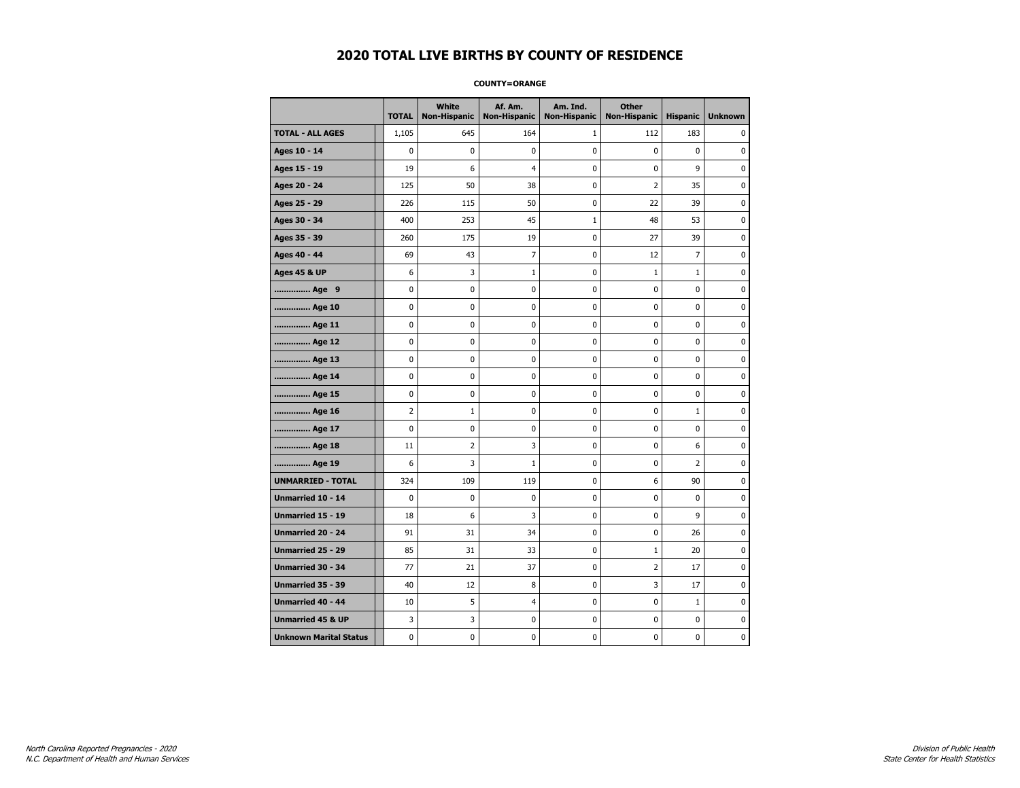#### **COUNTY=ORANGE**

|                               | <b>TOTAL</b>   | White<br>Non-Hispanic | Af. Am.<br><b>Non-Hispanic</b> | Am. Ind.<br><b>Non-Hispanic</b> | <b>Other</b><br><b>Non-Hispanic</b> | <b>Hispanic</b> | <b>Unknown</b> |
|-------------------------------|----------------|-----------------------|--------------------------------|---------------------------------|-------------------------------------|-----------------|----------------|
| <b>TOTAL - ALL AGES</b>       | 1,105          | 645                   | 164                            | 1                               | 112                                 | 183             | 0              |
| Ages 10 - 14                  | 0              | $\mathbf 0$           | $\pmb{0}$                      | 0                               | $\mathbf 0$                         | $\mathbf 0$     | 0              |
| Ages 15 - 19                  | 19             | 6                     | $\overline{4}$                 | $\mathbf 0$                     | 0                                   | 9               | $\mathbf 0$    |
| Ages 20 - 24                  | 125            | 50                    | 38                             | $\mathbf 0$                     | $\overline{2}$                      | 35              | $\mathbf 0$    |
| Ages 25 - 29                  | 226            | 115                   | 50                             | $\pmb{0}$                       | 22                                  | 39              | $\pmb{0}$      |
| Ages 30 - 34                  | 400            | 253                   | 45                             | $1\,$                           | 48                                  | 53              | 0              |
| Ages 35 - 39                  | 260            | 175                   | 19                             | 0                               | 27                                  | 39              | 0              |
| Ages 40 - 44                  | 69             | 43                    | $\overline{7}$                 | 0                               | 12                                  | $\overline{7}$  | 0              |
| <b>Ages 45 &amp; UP</b>       | 6              | 3                     | $\mathbf{1}$                   | 0                               | 1                                   | $\mathbf 1$     | 0              |
| Age 9                         | 0              | 0                     | 0                              | 0                               | 0                                   | 0               | 0              |
| Age 10                        | 0              | 0                     | $\mathbf 0$                    | $\mathbf 0$                     | 0                                   | $\mathbf 0$     | $\mathbf 0$    |
| Age 11                        | 0              | 0                     | $\mathbf 0$                    | $\mathbf 0$                     | 0                                   | $\mathbf 0$     | 0              |
| Age 12                        | 0              | 0                     | $\pmb{0}$                      | 0                               | 0                                   | 0               | 0              |
| Age 13                        | 0              | 0                     | 0                              | 0                               | 0                                   | 0               | 0              |
| Age 14                        | 0              | 0                     | $\mathbf 0$                    | 0                               | 0                                   | $\mathbf 0$     | 0              |
| Age 15                        | 0              | 0                     | 0                              | 0                               | 0                                   | 0               | 0              |
| Age 16                        | $\overline{2}$ | $\mathbf{1}$          | $\mathbf 0$                    | $\mathbf 0$                     | 0                                   | $\mathbf{1}$    | 0              |
| Age 17                        | $\mathbf 0$    | 0                     | $\mathbf 0$                    | 0                               | 0                                   | 0               | $\mathbf 0$    |
| Age 18                        | 11             | $\overline{2}$        | 3                              | $\mathbf 0$                     | 0                                   | 6               | $\mathbf 0$    |
| Age 19                        | 6              | 3                     | $\mathbf 1$                    | $\pmb{0}$                       | 0                                   | $\overline{2}$  | $\pmb{0}$      |
| <b>UNMARRIED - TOTAL</b>      | 324            | 109                   | 119                            | $\pmb{0}$                       | 6                                   | 90              | $\pmb{0}$      |
| Unmarried 10 - 14             | 0              | 0                     | $\mathbf 0$                    | $\mathbf 0$                     | 0                                   | $\mathbf 0$     | 0              |
| Unmarried 15 - 19             | 18             | 6                     | 3                              | 0                               | 0                                   | 9               | 0              |
| Unmarried 20 - 24             | 91             | 31                    | 34                             | 0                               | 0                                   | 26              | 0              |
| Unmarried 25 - 29             | 85             | 31                    | 33                             | $\mathbf 0$                     | $1\,$                               | 20              | $\mathbf 0$    |
| <b>Unmarried 30 - 34</b>      | 77             | 21                    | 37                             | $\mathbf 0$                     | $\overline{2}$                      | 17              | $\mathbf 0$    |
| Unmarried 35 - 39             | 40             | 12                    | 8                              | $\pmb{0}$                       | 3                                   | 17              | $\pmb{0}$      |
| Unmarried 40 - 44             | 10             | 5                     | $\overline{4}$                 | 0                               | 0                                   | $\mathbf{1}$    | 0              |
| <b>Unmarried 45 &amp; UP</b>  | 3              | 3                     | 0                              | 0                               | 0                                   | 0               | 0              |
| <b>Unknown Marital Status</b> | 0              | 0                     | 0                              | 0                               | 0                                   | 0               | 0              |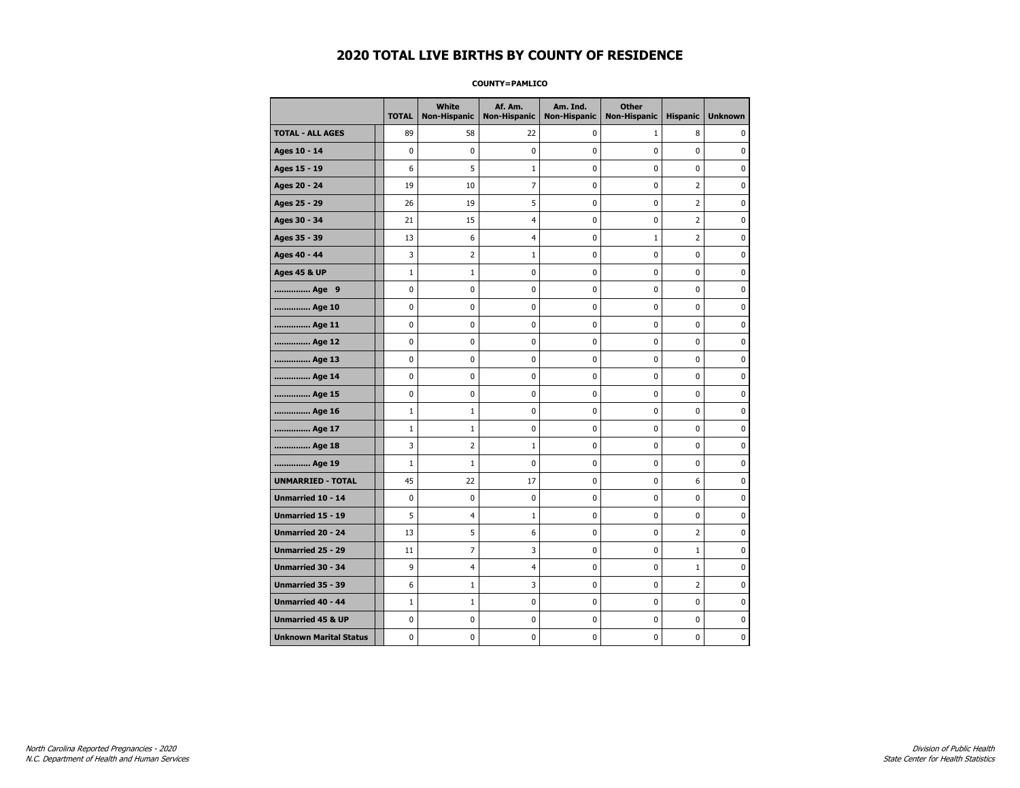#### **COUNTY=PAMLICO**

|                               | <b>TOTAL</b> | <b>White</b><br>Non-Hispanic | Af. Am.<br><b>Non-Hispanic</b> | Am. Ind.<br><b>Non-Hispanic</b> | <b>Other</b><br>Non-Hispanic | <b>Hispanic</b> | <b>Unknown</b> |
|-------------------------------|--------------|------------------------------|--------------------------------|---------------------------------|------------------------------|-----------------|----------------|
| <b>TOTAL - ALL AGES</b>       | 89           | 58                           | 22                             | $\mathbf 0$                     | $\mathbf{1}$                 | 8               | 0              |
| Ages 10 - 14                  | $\mathbf 0$  | $\mathbf 0$                  | $\mathbf 0$                    | $\mathbf 0$                     | $\mathbf 0$                  | 0               | 0              |
| Ages 15 - 19                  | 6            | 5                            | 1                              | $\mathbf 0$                     | $\mathbf 0$                  | $\mathbf 0$     | 0              |
| Ages 20 - 24                  | 19           | 10                           | $\overline{7}$                 | $\pmb{0}$                       | $\mathbf 0$                  | $\overline{2}$  | 0              |
| Ages 25 - 29                  | 26           | 19                           | 5                              | 0                               | 0                            | $\overline{2}$  | 0              |
| Ages 30 - 34                  | 21           | 15                           | 4                              | 0                               | $\mathbf 0$                  | 2               | 0              |
| Ages 35 - 39                  | 13           | 6                            | $\overline{4}$                 | 0                               | $\mathbf{1}$                 | $\overline{2}$  | 0              |
| Ages 40 - 44                  | 3            | $\overline{2}$               | $\mathbf{1}$                   | $\mathbf 0$                     | $\mathbf 0$                  | $\mathbf 0$     | 0              |
| <b>Ages 45 &amp; UP</b>       | $\mathbf 1$  | $\mathbf 1$                  | $\pmb{0}$                      | $\pmb{0}$                       | $\pmb{0}$                    | $\pmb{0}$       | 0              |
| Age 9                         | 0            | 0                            | 0                              | 0                               | 0                            | 0               | 0              |
| Age 10                        | $\mathbf 0$  | 0                            | $\mathbf 0$                    | $\pmb{0}$                       | $\mathbf 0$                  | $\mathbf 0$     | 0              |
| Age 11                        | $\mathbf 0$  | 0                            | $\mathbf 0$                    | 0                               | 0                            | $\mathbf 0$     | 0              |
| Age 12                        | $\pmb{0}$    | 0                            | $\pmb{0}$                      | 0                               | 0                            | 0               | 0              |
| Age 13                        | 0            | 0                            | $\pmb{0}$                      | 0                               | 0                            | 0               | 0              |
| Age 14                        | $\mathbf 0$  | 0                            | $\mathbf 0$                    | 0                               | $\mathbf 0$                  | $\mathbf 0$     | 0              |
| Age 15                        | $\mathbf 0$  | 0                            | $\pmb{0}$                      | 0                               | 0                            | 0               | 0              |
| Age 16                        | $\mathbf{1}$ | $\mathbf{1}$                 | $\mathbf 0$                    | $\mathbf 0$                     | $\mathbf 0$                  | $\mathbf 0$     | 0              |
| Age 17                        | $1\,$        | $\mathbf 1$                  | $\pmb{0}$                      | 0                               | $\mathbf 0$                  | $\mathbf 0$     | 0              |
| Age 18                        | 3            | $\overline{2}$               | $1\,$                          | 0                               | $\pmb{0}$                    | 0               | 0              |
| Age 19                        | $\mathbf 1$  | $\mathbf{1}$                 | 0                              | 0                               | 0                            | 0               | 0              |
| <b>UNMARRIED - TOTAL</b>      | 45           | 22                           | 17                             | 0                               | 0                            | 6               | 0              |
| Unmarried 10 - 14             | $\mathbf 0$  | 0                            | $\mathbf 0$                    | $\mathbf 0$                     | $\mathbf 0$                  | $\mathbf 0$     | 0              |
| Unmarried 15 - 19             | 5            | 4                            | $\mathbf 1$                    | 0                               | $\pmb{0}$                    | 0               | 0              |
| <b>Unmarried 20 - 24</b>      | 13           | 5                            | 6                              | 0                               | 0                            | 2               | 0              |
| Unmarried 25 - 29             | 11           | $\overline{7}$               | 3                              | $\mathbf 0$                     | $\mathbf 0$                  | $\mathbf 1$     | 0              |
| Unmarried 30 - 34             | 9            | $\overline{\mathcal{A}}$     | $\overline{4}$                 | 0                               | 0                            | $\mathbf 1$     | 0              |
| <b>Unmarried 35 - 39</b>      | 6            | $1\,$                        | 3                              | $\pmb{0}$                       | $\mathbf 0$                  | $\overline{2}$  | 0              |
| <b>Unmarried 40 - 44</b>      | $1\,$        | $\mathbf 1$                  | $\pmb{0}$                      | 0                               | $\pmb{0}$                    | 0               | 0              |
| <b>Unmarried 45 &amp; UP</b>  | $\mathbf 0$  | 0                            | 0                              | 0                               | $\mathbf 0$                  | $\mathbf 0$     | 0              |
| <b>Unknown Marital Status</b> | $\mathbf 0$  | 0                            | $\pmb{0}$                      | 0                               | 0                            | 0               | 0              |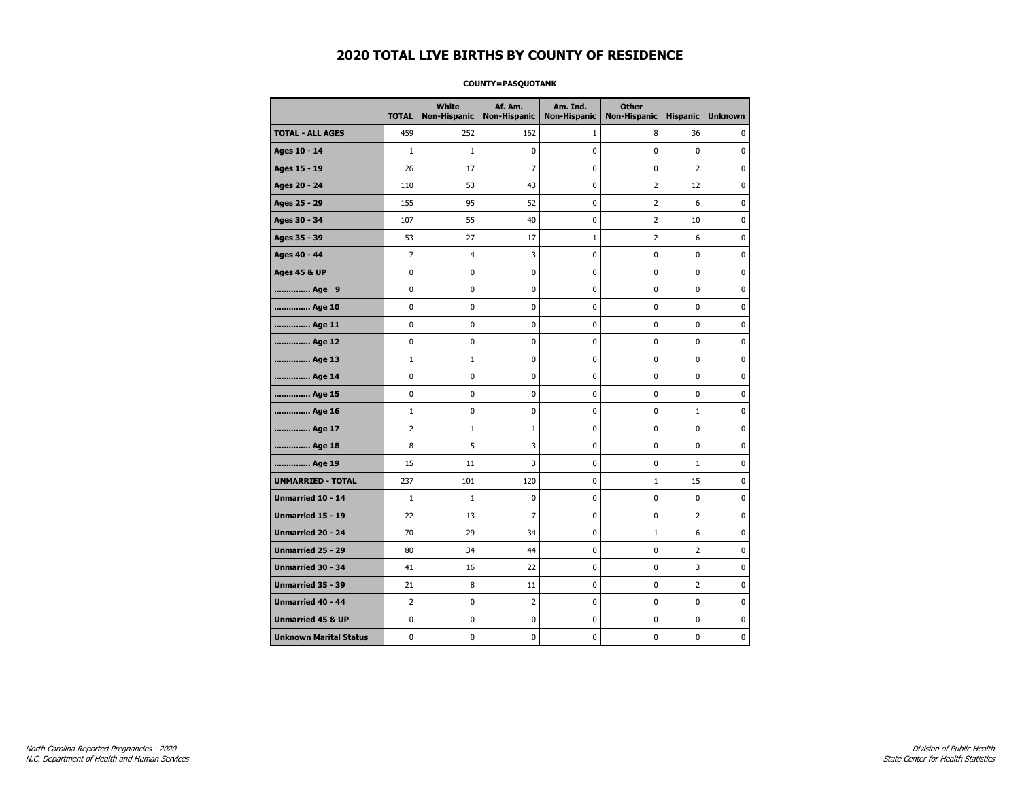#### **COUNTY=PASQUOTANK**

|                               | <b>TOTAL</b>   | <b>White</b><br><b>Non-Hispanic</b> | Af. Am.<br><b>Non-Hispanic</b> | Am. Ind.<br><b>Non-Hispanic</b> | <b>Other</b><br><b>Non-Hispanic</b> | <b>Hispanic</b> | <b>Unknown</b> |
|-------------------------------|----------------|-------------------------------------|--------------------------------|---------------------------------|-------------------------------------|-----------------|----------------|
| <b>TOTAL - ALL AGES</b>       | 459            | 252                                 | 162                            | 1                               | 8                                   | 36              | 0              |
| Ages 10 - 14                  | $\mathbf{1}$   | $1\,$                               | 0                              | 0                               | 0                                   | 0               | 0              |
| Ages 15 - 19                  | 26             | 17                                  | $\overline{7}$                 | 0                               | 0                                   | $\overline{2}$  | 0              |
| Ages 20 - 24                  | 110            | 53                                  | 43                             | 0                               | 2                                   | 12              | $\mathbf 0$    |
| Ages 25 - 29                  | 155            | 95                                  | 52                             | 0                               | $\overline{2}$                      | 6               | $\mathbf 0$    |
| Ages 30 - 34                  | 107            | 55                                  | 40                             | 0                               | $\overline{2}$                      | 10              | $\mathbf 0$    |
| Ages 35 - 39                  | 53             | 27                                  | 17                             | $\mathbf 1$                     | $\overline{2}$                      | 6               | 0              |
| Ages 40 - 44                  | 7              | 4                                   | 3                              | 0                               | 0                                   | 0               | 0              |
| <b>Ages 45 &amp; UP</b>       | 0              | 0                                   | 0                              | 0                               | 0                                   | 0               | 0              |
| Age 9                         | 0              | 0                                   | 0                              | 0                               | 0                                   | 0               | 0              |
| Age 10                        | 0              | $\mathbf 0$                         | 0                              | 0                               | 0                                   | 0               | $\mathbf 0$    |
| Age 11                        | 0              | 0                                   | 0                              | 0                               | 0                                   | 0               | $\mathbf 0$    |
| Age 12                        | 0              | 0                                   | 0                              | 0                               | 0                                   | 0               | 0              |
| Age 13                        | $1\,$          | $1\,$                               | 0                              | 0                               | 0                                   | 0               | $\mathbf 0$    |
| Age 14                        | 0              | 0                                   | 0                              | 0                               | 0                                   | 0               | $\mathbf 0$    |
| Age 15                        | 0              | 0                                   | $\pmb{0}$                      | 0                               | 0                                   | 0               | $\pmb{0}$      |
| Age 16                        | $1\,$          | 0                                   | 0                              | 0                               | 0                                   | $\mathbf 1$     | 0              |
| Age 17                        | $\overline{2}$ | $1\,$                               | 1                              | 0                               | 0                                   | 0               | 0              |
| Age 18                        | 8              | 5                                   | 3                              | 0                               | 0                                   | 0               | 0              |
| Age 19                        | 15             | 11                                  | 3                              | 0                               | 0                                   | $\mathbf{1}$    | 0              |
| <b>UNMARRIED - TOTAL</b>      | 237            | 101                                 | 120                            | 0                               | $\mathbf{1}$                        | 15              | 0              |
| Unmarried 10 - 14             | $1\,$          | $\mathbf{1}$                        | 0                              | 0                               | 0                                   | 0               | 0              |
| Unmarried 15 - 19             | 22             | 13                                  | 7                              | 0                               | 0                                   | $\overline{2}$  | $\mathbf 0$    |
| <b>Unmarried 20 - 24</b>      | 70             | 29                                  | 34                             | 0                               | $\mathbf{1}$                        | 6               | $\mathbf 0$    |
| Unmarried 25 - 29             | 80             | 34                                  | 44                             | 0                               | 0                                   | $\overline{2}$  | $\pmb{0}$      |
| Unmarried 30 - 34             | 41             | 16                                  | 22                             | 0                               | 0                                   | 3               | 0              |
| Unmarried 35 - 39             | 21             | 8                                   | 11                             | 0                               | 0                                   | 2               | 0              |
| Unmarried 40 - 44             | 2              | 0                                   | 2                              | 0                               | 0                                   | 0               | 0              |
| <b>Unmarried 45 &amp; UP</b>  | 0              | 0                                   | 0                              | 0                               | 0                                   | 0               | 0              |
| <b>Unknown Marital Status</b> | 0              | 0                                   | 0                              | 0                               | 0                                   | 0               | $\mathbf 0$    |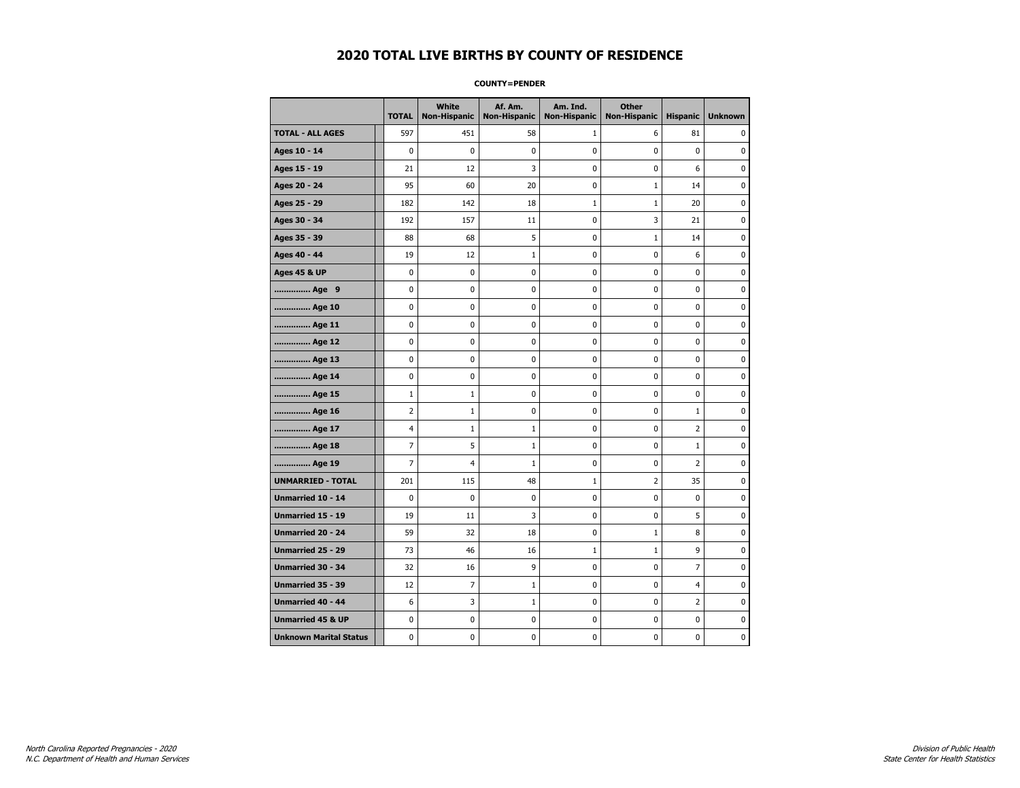#### **COUNTY=PENDER**

|                               | <b>TOTAL</b>   | <b>White</b><br><b>Non-Hispanic</b> | Af. Am.<br><b>Non-Hispanic</b> | Am. Ind.<br><b>Non-Hispanic</b> | <b>Other</b><br><b>Non-Hispanic</b> | <b>Hispanic</b> | <b>Unknown</b> |
|-------------------------------|----------------|-------------------------------------|--------------------------------|---------------------------------|-------------------------------------|-----------------|----------------|
| <b>TOTAL - ALL AGES</b>       | 597            | 451                                 | 58                             | 1                               | 6                                   | 81              | 0              |
| Ages 10 - 14                  | 0              | 0                                   | 0                              | 0                               | 0                                   | $\mathbf 0$     | 0              |
| Ages 15 - 19                  | 21             | 12                                  | 3                              | $\mathbf 0$                     | $\mathbf 0$                         | 6               | 0              |
| Ages 20 - 24                  | 95             | 60                                  | 20                             | 0                               | $1\,$                               | 14              | 0              |
| Ages 25 - 29                  | 182            | 142                                 | 18                             | $\mathbf{1}$                    | $\mathbf{1}$                        | 20              | 0              |
| Ages 30 - 34                  | 192            | 157                                 | 11                             | $\mathbf 0$                     | 3                                   | 21              | 0              |
| Ages 35 - 39                  | 88             | 68                                  | 5                              | 0                               | $1\,$                               | 14              | 0              |
| Ages 40 - 44                  | 19             | 12                                  | $1\,$                          | 0                               | $\pmb{0}$                           | 6               | 0              |
| <b>Ages 45 &amp; UP</b>       | 0              | 0                                   | 0                              | 0                               | 0                                   | 0               | 0              |
| Age 9                         | 0              | 0                                   | 0                              | 0                               | 0                                   | 0               | 0              |
| Age 10                        | $\mathbf 0$    | 0                                   | 0                              | 0                               | $\mathbf 0$                         | $\mathbf 0$     | 0              |
| Age 11                        | 0              | 0                                   | 0                              | 0                               | 0                                   | 0               | 0              |
| Age 12                        | 0              | 0                                   | 0                              | 0                               | 0                                   | 0               | 0              |
| Age 13                        | 0              | $\mathbf 0$                         | $\mathbf 0$                    | 0                               | $\mathbf 0$                         | $\mathbf 0$     | $\mathbf 0$    |
| Age 14                        | $\mathbf 0$    | 0                                   | $\mathbf 0$                    | $\mathbf 0$                     | $\mathbf 0$                         | $\mathbf 0$     | $\mathbf 0$    |
| Age 15                        | $\mathbf 1$    | $\mathbf{1}$                        | $\pmb{0}$                      | 0                               | $\pmb{0}$                           | $\pmb{0}$       | $\pmb{0}$      |
| Age 16                        | $\overline{2}$ | $\mathbf 1$                         | 0                              | 0                               | $\pmb{0}$                           | $1\,$           | 0              |
| Age 17                        | 4              | $\mathbf 1$                         | $\mathbf{1}$                   | 0                               | 0                                   | $\overline{2}$  | 0              |
| Age 18                        | 7              | 5                                   | $\mathbf{1}$                   | 0                               | 0                                   | $\mathbf{1}$    | 0              |
| Age 19                        | 7              | 4                                   | $\mathbf 1$                    | $\pmb{0}$                       | 0                                   | $\overline{2}$  | 0              |
| <b>UNMARRIED - TOTAL</b>      | 201            | 115                                 | 48                             | $\mathbf{1}$                    | 2                                   | 35              | 0              |
| Unmarried 10 - 14             | $\mathbf 0$    | 0                                   | 0                              | 0                               | $\mathbf 0$                         | $\mathbf 0$     | 0              |
| Unmarried 15 - 19             | 19             | 11                                  | 3                              | 0                               | 0                                   | 5               | 0              |
| <b>Unmarried 20 - 24</b>      | 59             | 32                                  | 18                             | 0                               | $\mathbf{1}$                        | 8               | 0              |
| <b>Unmarried 25 - 29</b>      | 73             | 46                                  | 16                             | $1\,$                           | $\mathbf 1$                         | 9               | 0              |
| Unmarried 30 - 34             | 32             | 16                                  | 9                              | 0                               | $\bf{0}$                            | $\overline{7}$  | 0              |
| Unmarried 35 - 39             | 12             | 7                                   | $\mathbf 1$                    | $\pmb{0}$                       | 0                                   | $\overline{4}$  | 0              |
| Unmarried 40 - 44             | 6              | 3                                   | $\mathbf{1}$                   | 0                               | 0                                   | 2               | 0              |
| <b>Unmarried 45 &amp; UP</b>  | 0              | 0                                   | 0                              | 0                               | 0                                   | $\mathbf 0$     | 0              |
| <b>Unknown Marital Status</b> | 0              | 0                                   | 0                              | 0                               | 0                                   | 0               | 0              |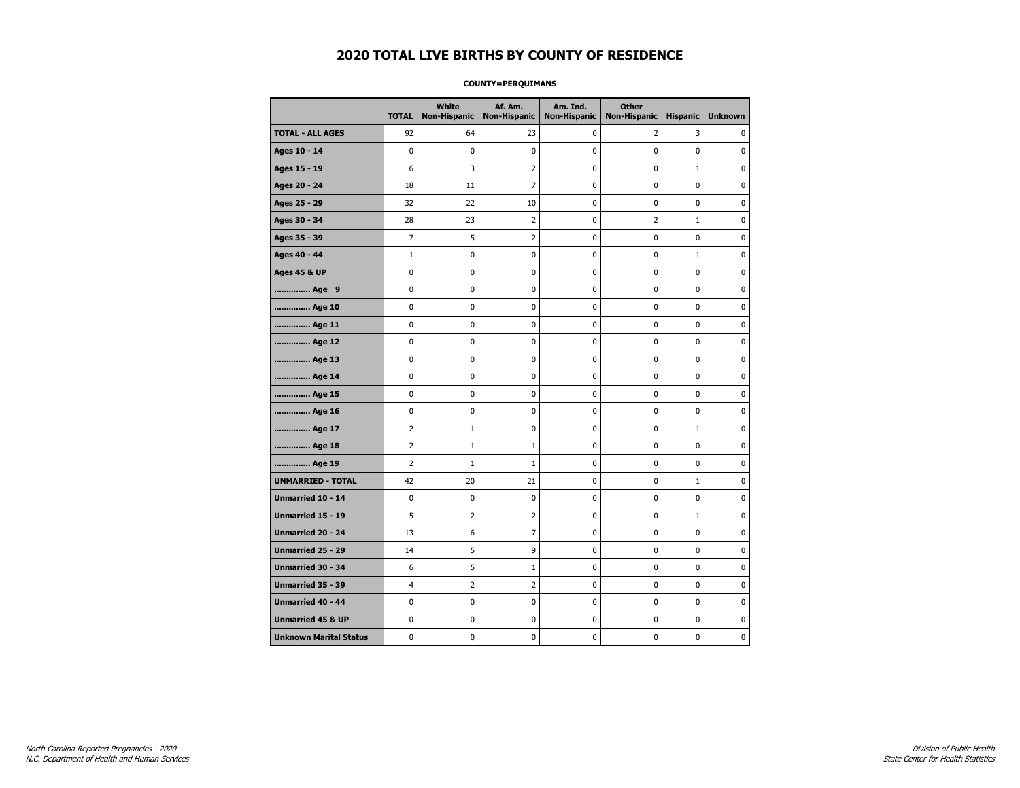#### **COUNTY=PERQUIMANS**

|                               | <b>TOTAL</b>   | <b>White</b><br><b>Non-Hispanic</b> | Af. Am.<br><b>Non-Hispanic</b> | Am. Ind.<br><b>Non-Hispanic</b> | <b>Other</b><br><b>Non-Hispanic</b> | <b>Hispanic</b> | <b>Unknown</b> |
|-------------------------------|----------------|-------------------------------------|--------------------------------|---------------------------------|-------------------------------------|-----------------|----------------|
| <b>TOTAL - ALL AGES</b>       | 92             | 64                                  | 23                             | 0                               | 2                                   | 3               | 0              |
| Ages 10 - 14                  | 0              | 0                                   | 0                              | 0                               | 0                                   | 0               | 0              |
| Ages 15 - 19                  | 6              | 3                                   | $\overline{2}$                 | 0                               | 0                                   | $\mathbf{1}$    | $\mathbf 0$    |
| Ages 20 - 24                  | 18             | 11                                  | $\overline{7}$                 | 0                               | 0                                   | 0               | $\mathbf 0$    |
| Ages 25 - 29                  | 32             | 22                                  | 10                             | 0                               | 0                                   | 0               | 0              |
| Ages 30 - 34                  | 28             | 23                                  | $\overline{2}$                 | 0                               | $\overline{2}$                      | $\mathbf 1$     | 0              |
| Ages 35 - 39                  | 7              | 5                                   | $\overline{2}$                 | 0                               | 0                                   | 0               | $\mathbf 0$    |
| Ages 40 - 44                  | $\mathbf{1}$   | 0                                   | 0                              | 0                               | 0                                   | $\mathbf{1}$    | 0              |
| <b>Ages 45 &amp; UP</b>       | 0              | $\mathbf 0$                         | 0                              | 0                               | 0                                   | 0               | $\mathbf 0$    |
| Age 9                         | 0              | $\mathbf 0$                         | 0                              | 0                               | 0                                   | 0               | $\mathbf 0$    |
| Age 10                        | 0              | $\mathbf 0$                         | 0                              | 0                               | 0                                   | 0               | $\mathbf 0$    |
| Age 11                        | 0              | $\pmb{0}$                           | $\pmb{0}$                      | 0                               | 0                                   | 0               | 0              |
| Age 12                        | 0              | 0                                   | 0                              | 0                               | 0                                   | 0               | 0              |
| Age 13                        | 0              | $\mathbf 0$                         | 0                              | 0                               | 0                                   | 0               | 0              |
| Age 14                        | 0              | 0                                   | 0                              | 0                               | 0                                   | 0               | 0              |
| Age 15                        | 0              | 0                                   | 0                              | 0                               | 0                                   | 0               | 0              |
| Age 16                        | 0              | $\mathbf 0$                         | 0                              | 0                               | 0                                   | 0               | $\mathbf 0$    |
| Age 17                        | $\overline{2}$ | $\mathbf{1}$                        | 0                              | 0                               | 0                                   | $\mathbf{1}$    | $\mathbf 0$    |
| Age 18                        | $\overline{2}$ | $\mathbf{1}$                        | $\mathbf{1}$                   | 0                               | 0                                   | 0               | $\mathbf 0$    |
| Age 19                        | 2              | $1\,$                               | $\mathbf{1}$                   | 0                               | 0                                   | 0               | 0              |
| <b>UNMARRIED - TOTAL</b>      | 42             | 20                                  | 21                             | 0                               | 0                                   | $\mathbf 1$     | 0              |
| Unmarried 10 - 14             | 0              | $\mathbf 0$                         | 0                              | 0                               | 0                                   | 0               | 0              |
| Unmarried 15 - 19             | 5              | 2                                   | 2                              | 0                               | 0                                   | $\mathbf{1}$    | 0              |
| Unmarried 20 - 24             | 13             | 6                                   | 7                              | 0                               | 0                                   | 0               | $\mathbf 0$    |
| <b>Unmarried 25 - 29</b>      | 14             | 5                                   | 9                              | 0                               | 0                                   | 0               | $\mathbf 0$    |
| Unmarried 30 - 34             | 6              | 5                                   | $\mathbf 1$                    | 0                               | 0                                   | 0               | 0              |
| Unmarried 35 - 39             | 4              | $\overline{2}$                      | $\overline{2}$                 | 0                               | 0                                   | 0               | $\pmb{0}$      |
| Unmarried 40 - 44             | 0              | 0                                   | 0                              | 0                               | 0                                   | 0               | 0              |
| <b>Unmarried 45 &amp; UP</b>  | 0              | 0                                   | 0                              | 0                               | 0                                   | 0               | 0              |
| <b>Unknown Marital Status</b> | 0              | 0                                   | 0                              | 0                               | 0                                   | 0               | 0              |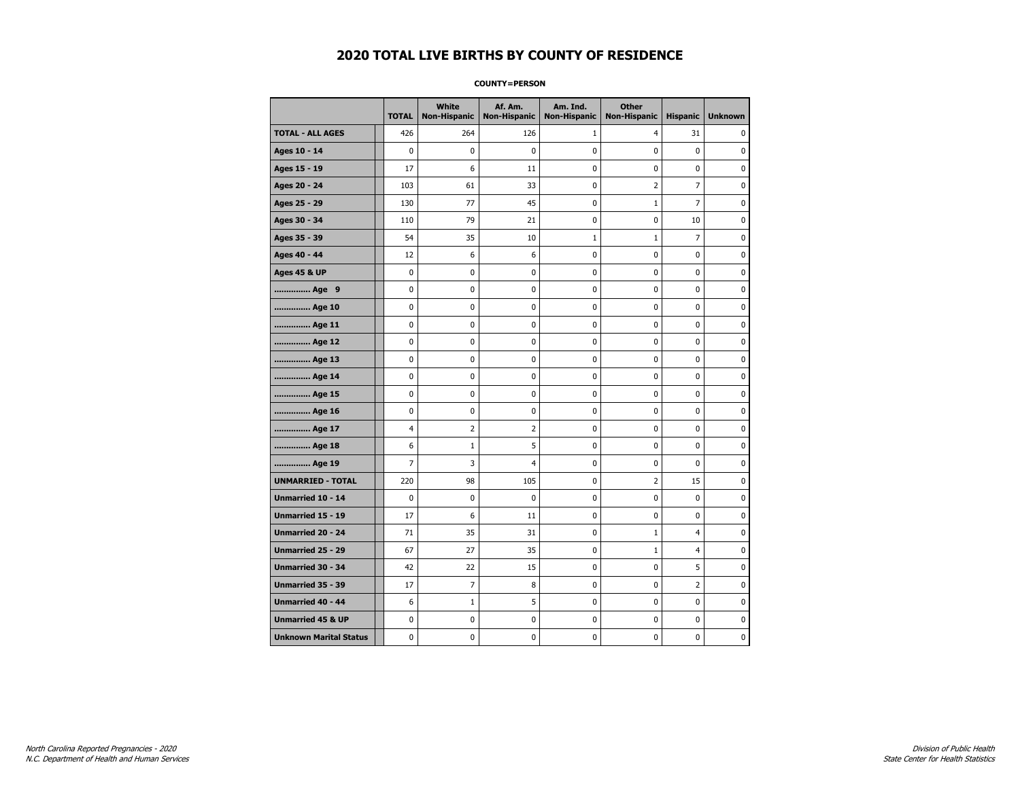#### **COUNTY=PERSON**

|                               | <b>TOTAL</b>   | <b>White</b><br>Non-Hispanic | Af. Am.<br><b>Non-Hispanic</b> | Am. Ind.<br><b>Non-Hispanic</b> | <b>Other</b><br><b>Non-Hispanic</b> | <b>Hispanic</b> | <b>Unknown</b> |
|-------------------------------|----------------|------------------------------|--------------------------------|---------------------------------|-------------------------------------|-----------------|----------------|
| <b>TOTAL - ALL AGES</b>       | 426            | 264                          | 126                            | 1                               | 4                                   | 31              | 0              |
| Ages 10 - 14                  | $\mathbf 0$    | 0                            | 0                              | 0                               | $\mathbf 0$                         | $\mathbf 0$     | 0              |
| Ages 15 - 19                  | 17             | 6                            | 11                             | $\mathbf 0$                     | $\mathbf 0$                         | $\mathbf 0$     | 0              |
| Ages 20 - 24                  | 103            | 61                           | 33                             | $\mathbf 0$                     | $\overline{2}$                      | $\overline{7}$  | $\mathbf 0$    |
| Ages 25 - 29                  | 130            | 77                           | 45                             | 0                               | $1\,$                               | $\overline{7}$  | 0              |
| Ages 30 - 34                  | 110            | 79                           | 21                             | 0                               | $\pmb{0}$                           | 10              | 0              |
| Ages 35 - 39                  | 54             | 35                           | 10                             | $\mathbf 1$                     | $1\,$                               | $\overline{7}$  | 0              |
| Ages 40 - 44                  | 12             | 6                            | 6                              | 0                               | 0                                   | 0               | 0              |
| <b>Ages 45 &amp; UP</b>       | $\mathbf 0$    | 0                            | 0                              | 0                               | 0                                   | 0               | 0              |
| Age 9                         | 0              | 0                            | 0                              | 0                               | 0                                   | 0               | 0              |
| Age 10                        | 0              | 0                            | 0                              | $\mathbf 0$                     | $\mathbf 0$                         | $\mathbf 0$     | 0              |
| Age 11                        | 0              | 0                            | 0                              | 0                               | $\mathbf 0$                         | $\mathbf 0$     | 0              |
| Age 12                        | $\pmb{0}$      | 0                            | 0                              | 0                               | $\pmb{0}$                           | 0               | 0              |
| Age 13                        | 0              | 0                            | 0                              | 0                               | 0                                   | 0               | 0              |
| Age 14                        | 0              | 0                            | 0                              | 0                               | 0                                   | $\mathbf 0$     | 0              |
| Age 15                        | 0              | 0                            | 0                              | 0                               | 0                                   | 0               | 0              |
| Age 16                        | $\mathbf 0$    | 0                            | 0                              | 0                               | $\mathbf 0$                         | $\mathbf 0$     | 0              |
| Age 17                        | $\overline{4}$ | $\overline{2}$               | $\overline{2}$                 | 0                               | $\mathbf 0$                         | $\mathbf 0$     | 0              |
| Age 18                        | 6              | $\mathbf{1}$                 | 5                              | $\mathbf 0$                     | $\mathbf 0$                         | $\mathbf 0$     | 0              |
| Age 19                        | $\overline{7}$ | 3                            | $\overline{4}$                 | $\pmb{0}$                       | $\pmb{0}$                           | $\pmb{0}$       | 0              |
| <b>UNMARRIED - TOTAL</b>      | 220            | 98                           | 105                            | 0                               | $\overline{2}$                      | 15              | 0              |
| Unmarried 10 - 14             | $\mathbf 0$    | 0                            | 0                              | $\mathbf 0$                     | $\mathbf 0$                         | $\mathbf 0$     | 0              |
| Unmarried 15 - 19             | 17             | 6                            | 11                             | 0                               | 0                                   | 0               | 0              |
| Unmarried 20 - 24             | 71             | 35                           | 31                             | 0                               | $\mathbf{1}$                        | $\overline{4}$  | 0              |
| <b>Unmarried 25 - 29</b>      | 67             | 27                           | 35                             | $\mathbf 0$                     | $\mathbf 1$                         | $\overline{4}$  | 0              |
| <b>Unmarried 30 - 34</b>      | 42             | 22                           | 15                             | $\mathbf 0$                     | $\mathbf 0$                         | 5               | 0              |
| Unmarried 35 - 39             | 17             | $\overline{7}$               | 8                              | 0                               | $\pmb{0}$                           | $\mathbf 2$     | $\pmb{0}$      |
| <b>Unmarried 40 - 44</b>      | 6              | $1\,$                        | 5                              | 0                               | 0                                   | 0               | 0              |
| <b>Unmarried 45 &amp; UP</b>  | 0              | 0                            | 0                              | 0                               | 0                                   | 0               | 0              |
| <b>Unknown Marital Status</b> | 0              | 0                            | 0                              | 0                               | 0                                   | 0               | 0              |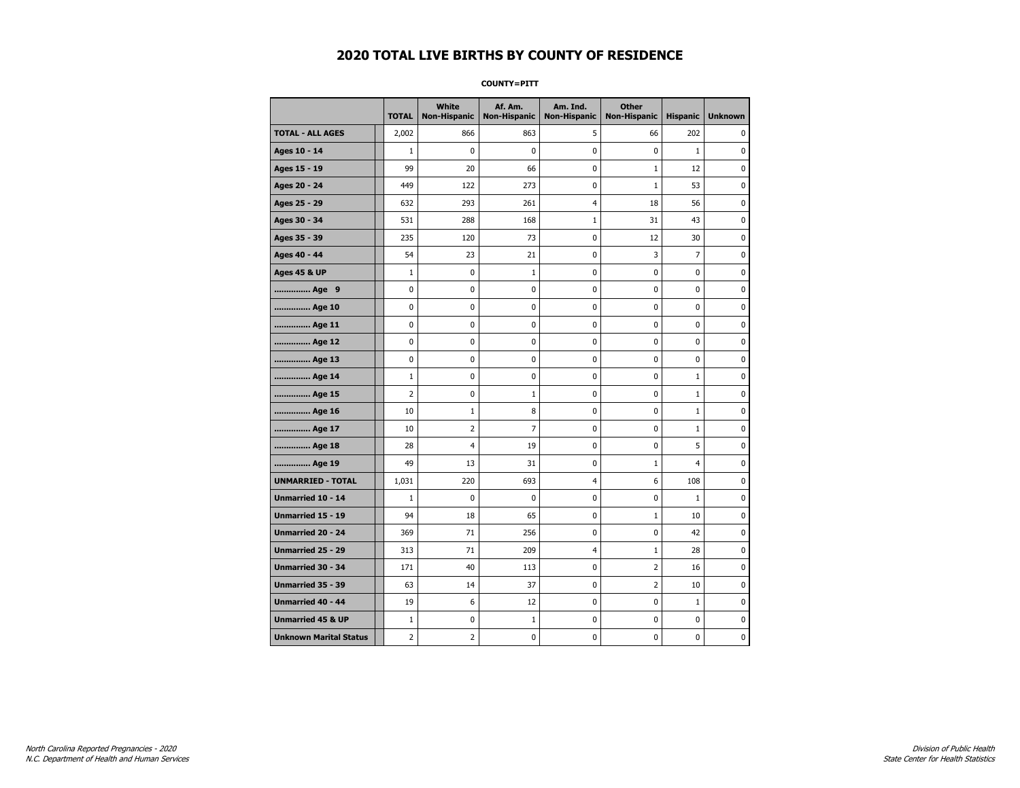**COUNTY=PITT** 

|                               | <b>TOTAL</b>   | White<br>Non-Hispanic | Af. Am.<br><b>Non-Hispanic</b> | Am. Ind.<br><b>Non-Hispanic</b> | <b>Other</b><br>Non-Hispanic | <b>Hispanic</b> | <b>Unknown</b> |
|-------------------------------|----------------|-----------------------|--------------------------------|---------------------------------|------------------------------|-----------------|----------------|
| <b>TOTAL - ALL AGES</b>       | 2,002          | 866                   | 863                            | 5                               | 66                           | 202             | 0              |
| Ages 10 - 14                  | $\mathbf{1}$   | 0                     | 0                              | 0                               | $\mathbf 0$                  | $\mathbf{1}$    | 0              |
| Ages 15 - 19                  | 99             | 20                    | 66                             | $\mathbf 0$                     | $\mathbf{1}$                 | 12              | 0              |
| Ages 20 - 24                  | 449            | 122                   | 273                            | 0                               | $\mathbf{1}$                 | 53              | $\mathbf 0$    |
| Ages 25 - 29                  | 632            | 293                   | 261                            | 4                               | 18                           | 56              | $\pmb{0}$      |
| Ages 30 - 34                  | 531            | 288                   | 168                            | $\mathbf 1$                     | 31                           | 43              | 0              |
| Ages 35 - 39                  | 235            | 120                   | 73                             | 0                               | 12                           | 30              | 0              |
| Ages 40 - 44                  | 54             | 23                    | 21                             | $\mathbf 0$                     | 3                            | $\overline{7}$  | $\pmb{0}$      |
| <b>Ages 45 &amp; UP</b>       | $\mathbf{1}$   | 0                     | $\mathbf{1}$                   | 0                               | 0                            | 0               | 0              |
| Age 9                         | $\mathbf 0$    | 0                     | 0                              | $\mathbf 0$                     | $\mathbf 0$                  | 0               | 0              |
| Age 10                        | 0              | 0                     | 0                              | 0                               | 0                            | 0               | 0              |
| Age 11                        | $\mathbf 0$    | 0                     | 0                              | 0                               | 0                            | 0               | 0              |
| Age 12                        | $\mathbf 0$    | 0                     | 0                              | 0                               | 0                            | 0               | 0              |
| Age 13                        | 0              | 0                     | 0                              | 0                               | 0                            | 0               | 0              |
| Age 14                        | $\mathbf{1}$   | 0                     | 0                              | 0                               | 0                            | $\mathbf{1}$    | 0              |
| Age 15                        | $\overline{2}$ | 0                     | $\mathbf{1}$                   | 0                               | 0                            | $\mathbf{1}$    | $\pmb{0}$      |
| Age 16                        | 10             | $\mathbf 1$           | 8                              | $\pmb{0}$                       | $\mathbf 0$                  | $\mathbf 1$     | $\pmb{0}$      |
| Age 17                        | 10             | 2                     | 7                              | 0                               | 0                            | $\mathbf{1}$    | 0              |
| Age 18                        | 28             | $\overline{4}$        | 19                             | 0                               | $\mathbf 0$                  | 5               | $\pmb{0}$      |
| Age 19                        | 49             | 13                    | 31                             | 0                               | $1\,$                        | 4               | 0              |
| <b>UNMARRIED - TOTAL</b>      | 1,031          | 220                   | 693                            | 4                               | 6                            | 108             | 0              |
| Unmarried 10 - 14             | $1\,$          | 0                     | 0                              | 0                               | 0                            | $\mathbf{1}$    | 0              |
| Unmarried 15 - 19             | 94             | 18                    | 65                             | 0                               | $1\,$                        | 10              | $\pmb{0}$      |
| <b>Unmarried 20 - 24</b>      | 369            | 71                    | 256                            | 0                               | 0                            | 42              | 0              |
| Unmarried 25 - 29             | 313            | 71                    | 209                            | 4                               | $\mathbf{1}$                 | 28              | 0              |
| <b>Unmarried 30 - 34</b>      | 171            | 40                    | 113                            | 0                               | $\overline{2}$               | 16              | $\mathbf 0$    |
| <b>Unmarried 35 - 39</b>      | 63             | 14                    | 37                             | $\mathbf 0$                     | 2                            | 10              | 0              |
| <b>Unmarried 40 - 44</b>      | 19             | 6                     | 12                             | $\pmb{0}$                       | $\pmb{0}$                    | $\mathbf 1$     | $\pmb{0}$      |
| <b>Unmarried 45 &amp; UP</b>  | $\mathbf{1}$   | 0                     | $\mathbf 1$                    | 0                               | 0                            | 0               | 0              |
| <b>Unknown Marital Status</b> | $\overline{2}$ | 2                     | 0                              | 0                               | 0                            | 0               | 0              |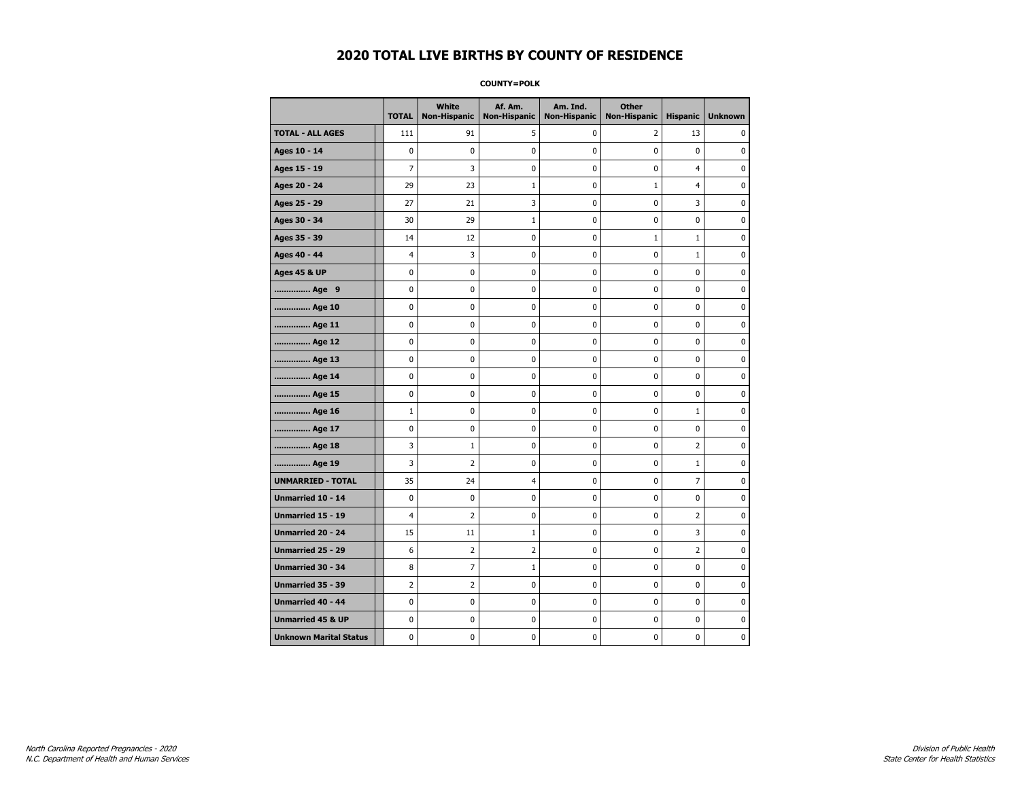**COUNTY=POLK** 

|                               | <b>TOTAL</b>   | White<br><b>Non-Hispanic</b> | Af. Am.<br><b>Non-Hispanic</b> | Am. Ind.<br><b>Non-Hispanic</b> | <b>Other</b><br><b>Non-Hispanic</b> | <b>Hispanic</b> | <b>Unknown</b> |
|-------------------------------|----------------|------------------------------|--------------------------------|---------------------------------|-------------------------------------|-----------------|----------------|
| <b>TOTAL - ALL AGES</b>       | 111            | 91                           | 5                              | 0                               | 2                                   | 13              | 0              |
| Ages 10 - 14                  | 0              | $\mathbf 0$                  | 0                              | $\mathbf 0$                     | 0                                   | 0               | 0              |
| Ages 15 - 19                  | $\overline{7}$ | 3                            | 0                              | 0                               | 0                                   | 4               | $\mathbf 0$    |
| Ages 20 - 24                  | 29             | 23                           | 1                              | 0                               | $\mathbf 1$                         | $\overline{4}$  | 0              |
| Ages 25 - 29                  | 27             | 21                           | 3                              | 0                               | 0                                   | 3               | 0              |
| Ages 30 - 34                  | 30             | 29                           | $\mathbf{1}$                   | 0                               | 0                                   | 0               | 0              |
| Ages 35 - 39                  | 14             | 12                           | 0                              | 0                               | $\mathbf{1}$                        | $\mathbf{1}$    | 0              |
| Ages 40 - 44                  | 4              | 3                            | 0                              | 0                               | $\mathbf 0$                         | $\mathbf{1}$    | $\mathbf 0$    |
| <b>Ages 45 &amp; UP</b>       | 0              | $\pmb{0}$                    | 0                              | 0                               | $\pmb{0}$                           | 0               | $\pmb{0}$      |
| Age 9                         | 0              | 0                            | 0                              | 0                               | 0                                   | 0               | 0              |
| Age 10                        | 0              | 0                            | 0                              | 0                               | 0                                   | 0               | 0              |
| Age 11                        | 0              | 0                            | 0                              | 0                               | 0                                   | 0               | $\mathbf 0$    |
| Age 12                        | 0              | 0                            | 0                              | 0                               | 0                                   | 0               | $\mathbf 0$    |
| Age 13                        | 0              | 0                            | 0                              | 0                               | $\pmb{0}$                           | 0               | 0              |
| Age 14                        | 0              | 0                            | 0                              | 0                               | 0                                   | 0               | 0              |
| Age 15                        | 0              | 0                            | 0                              | 0                               | 0                                   | 0               | $\mathbf 0$    |
| Age 16                        | $\mathbf{1}$   | 0                            | 0                              | 0                               | $\pmb{0}$                           | $\mathbf{1}$    | $\mathbf 0$    |
| Age 17                        | 0              | 0                            | 0                              | 0                               | 0                                   | 0               | $\mathbf 0$    |
| Age 18                        | 3              | $\mathbf{1}$                 | 0                              | 0                               | $\pmb{0}$                           | 2               | $\pmb{0}$      |
| Age 19                        | 3              | 2                            | 0                              | 0                               | 0                                   | $\mathbf{1}$    | 0              |
| <b>UNMARRIED - TOTAL</b>      | 35             | 24                           | 4                              | 0                               | 0                                   | 7               | 0              |
| Unmarried 10 - 14             | 0              | $\mathbf 0$                  | 0                              | 0                               | $\pmb{0}$                           | 0               | $\mathbf 0$    |
| <b>Unmarried 15 - 19</b>      | 4              | $\overline{2}$               | 0                              | 0                               | 0                                   | $\overline{2}$  | $\mathbf 0$    |
| Unmarried 20 - 24             | 15             | 11                           | 1                              | 0                               | $\pmb{0}$                           | 3               | $\pmb{0}$      |
| Unmarried 25 - 29             | 6              | 2                            | 2                              | 0                               | 0                                   | $\overline{2}$  | 0              |
| <b>Unmarried 30 - 34</b>      | 8              | 7                            | $\mathbf{1}$                   | 0                               | $\mathbf 0$                         | 0               | $\mathbf 0$    |
| Unmarried 35 - 39             | 2              | 2                            | 0                              | 0                               | 0                                   | 0               | $\mathbf 0$    |
| <b>Unmarried 40 - 44</b>      | 0              | $\pmb{0}$                    | 0                              | 0                               | $\pmb{0}$                           | 0               | 0              |
| <b>Unmarried 45 &amp; UP</b>  | 0              | 0                            | 0                              | 0                               | 0                                   | 0               | 0              |
| <b>Unknown Marital Status</b> | 0              | 0                            | 0                              | 0                               | 0                                   | 0               | 0              |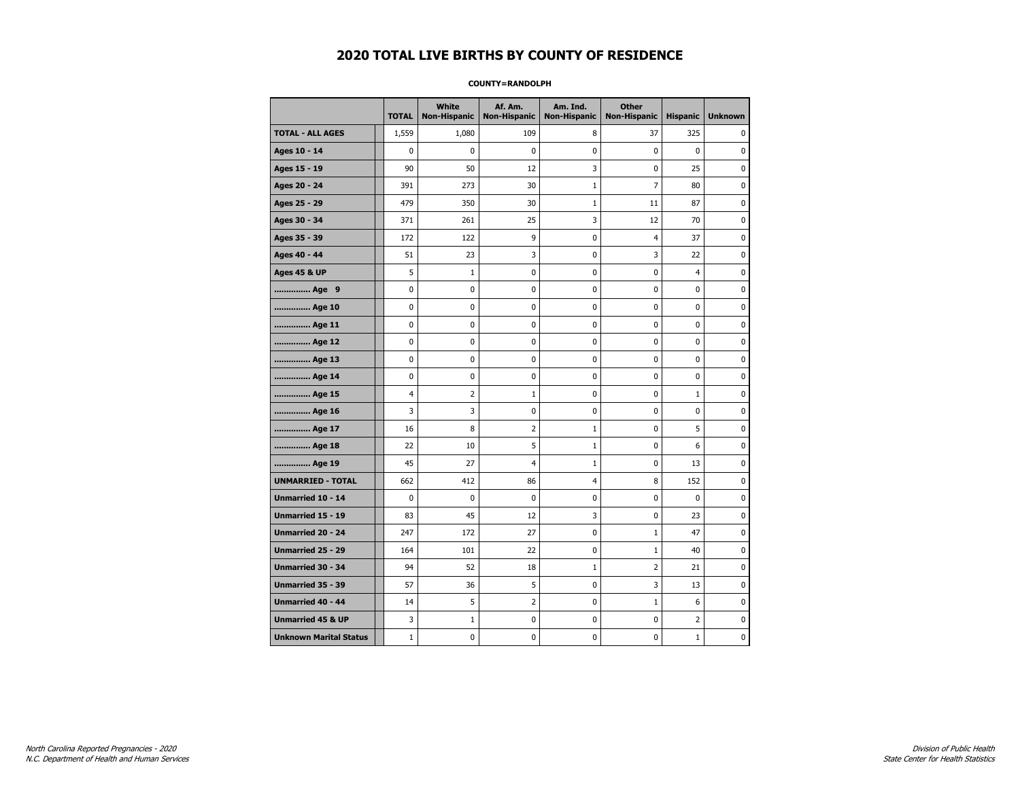#### **COUNTY=RANDOLPH**

|                               | <b>TOTAL</b> | White<br><b>Non-Hispanic</b> | Af. Am.<br><b>Non-Hispanic</b> | Am. Ind.<br><b>Non-Hispanic</b> | <b>Other</b><br><b>Non-Hispanic</b> | <b>Hispanic</b> | <b>Unknown</b> |
|-------------------------------|--------------|------------------------------|--------------------------------|---------------------------------|-------------------------------------|-----------------|----------------|
| <b>TOTAL - ALL AGES</b>       | 1,559        | 1,080                        | 109                            | 8                               | 37                                  | 325             | 0              |
| Ages 10 - 14                  | 0            | 0                            | 0                              | 0                               | 0                                   | $\mathbf{0}$    | 0              |
| Ages 15 - 19                  | 90           | 50                           | 12                             | 3                               | 0                                   | 25              | $\mathbf 0$    |
| Ages 20 - 24                  | 391          | 273                          | 30                             | $\mathbf{1}$                    | 7                                   | 80              | 0              |
| Ages 25 - 29                  | 479          | 350                          | 30                             | $\mathbf{1}$                    | 11                                  | 87              | 0              |
| Ages 30 - 34                  | 371          | 261                          | 25                             | 3                               | 12                                  | 70              | 0              |
| Ages 35 - 39                  | 172          | 122                          | 9                              | $\pmb{0}$                       | $\overline{\mathbf{4}}$             | 37              | $\pmb{0}$      |
| Ages 40 - 44                  | 51           | 23                           | 3                              | 0                               | 3                                   | 22              | 0              |
| <b>Ages 45 &amp; UP</b>       | 5            | $\mathbf{1}$                 | 0                              | 0                               | 0                                   | 4               | 0              |
| Age 9                         | 0            | 0                            | 0                              | 0                               | 0                                   | 0               | 0              |
| Age 10                        | 0            | 0                            | $\mathbf 0$                    | $\mathbf 0$                     | 0                                   | $\mathbf 0$     | 0              |
| Age 11                        | 0            | 0                            | 0                              | 0                               | 0                                   | $\mathbf 0$     | 0              |
| Age 12                        | 0            | 0                            | 0                              | 0                               | 0                                   | 0               | 0              |
| Age 13                        | 0            | 0                            | $\mathbf 0$                    | $\mathbf 0$                     | 0                                   | $\mathbf 0$     | $\mathbf 0$    |
| Age 14                        | $\mathbf 0$  | $\mathbf 0$                  | $\mathbf 0$                    | $\mathbf 0$                     | 0                                   | $\mathbf 0$     | $\mathbf 0$    |
| Age 15                        | 4            | $\overline{2}$               | $\mathbf 1$                    | $\pmb{0}$                       | 0                                   | $\mathbf{1}$    | $\pmb{0}$      |
| Age 16                        | 3            | 3                            | 0                              | $\pmb{0}$                       | 0                                   | 0               | 0              |
| Age 17                        | 16           | 8                            | $\overline{2}$                 | 1                               | 0                                   | 5               | 0              |
| Age 18                        | 22           | 10                           | 5                              | $\mathbf{1}$                    | 0                                   | 6               | 0              |
| Age 19                        | 45           | 27                           | 4                              | $\mathbf 1$                     | 0                                   | 13              | 0              |
| <b>UNMARRIED - TOTAL</b>      | 662          | 412                          | 86                             | $\overline{4}$                  | 8                                   | 152             | 0              |
| Unmarried 10 - 14             | 0            | 0                            | $\mathbf 0$                    | 0                               | 0                                   | $\mathbf{0}$    | $\pmb{0}$      |
| Unmarried 15 - 19             | 83           | 45                           | 12                             | 3                               | 0                                   | 23              | 0              |
| <b>Unmarried 20 - 24</b>      | 247          | 172                          | 27                             | 0                               | $\mathbf{1}$                        | 47              | 0              |
| <b>Unmarried 25 - 29</b>      | 164          | 101                          | 22                             | $\pmb{0}$                       | $1\,$                               | 40              | $\bf{0}$       |
| Unmarried 30 - 34             | 94           | 52                           | 18                             | $\mathbf 1$                     | $\overline{2}$                      | 21              | 0              |
| Unmarried 35 - 39             | 57           | 36                           | 5                              | 0                               | 3                                   | 13              | 0              |
| Unmarried 40 - 44             | 14           | 5                            | 2                              | 0                               | $\mathbf{1}$                        | 6               | 0              |
| <b>Unmarried 45 &amp; UP</b>  | 3            | $\mathbf{1}$                 | 0                              | 0                               | 0                                   | 2               | 0              |
| <b>Unknown Marital Status</b> | $1\,$        | 0                            | $\pmb{0}$                      | 0                               | 0                                   | $\mathbf{1}$    | 0              |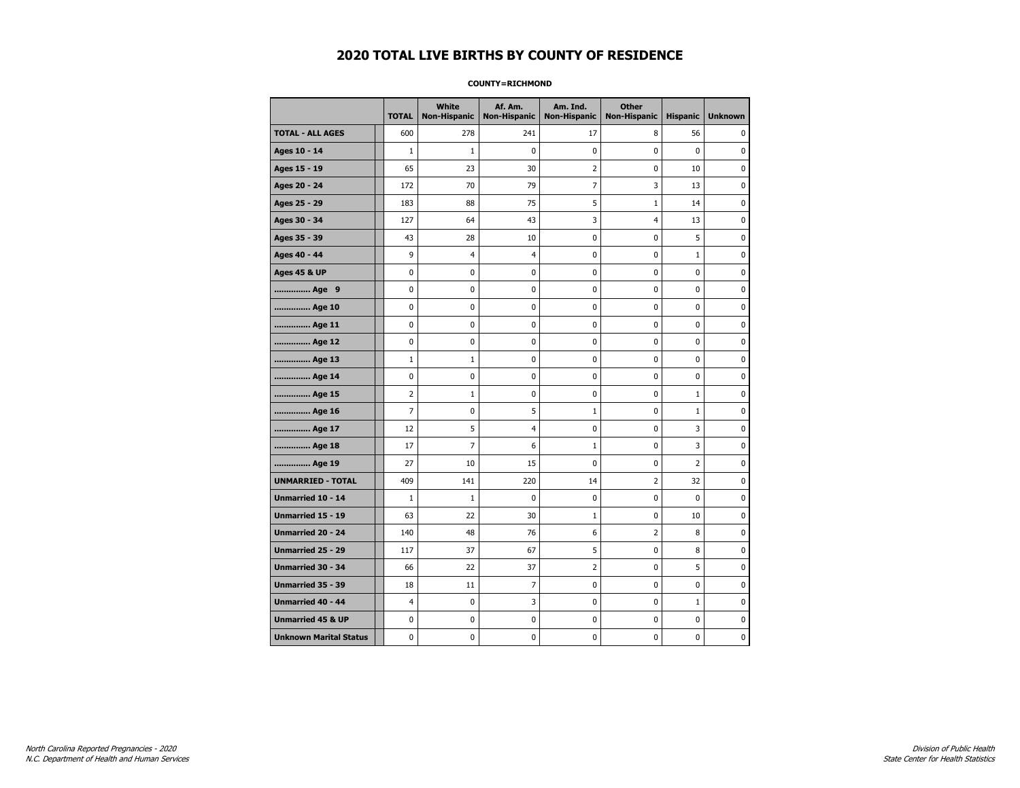#### **COUNTY=RICHMOND**

|                               | <b>TOTAL</b>   | <b>White</b><br>Non-Hispanic | Af. Am.<br><b>Non-Hispanic</b> | Am. Ind.<br><b>Non-Hispanic</b> | <b>Other</b><br><b>Non-Hispanic</b> | <b>Hispanic</b> | <b>Unknown</b> |
|-------------------------------|----------------|------------------------------|--------------------------------|---------------------------------|-------------------------------------|-----------------|----------------|
| <b>TOTAL - ALL AGES</b>       | 600            | 278                          | 241                            | 17                              | 8                                   | 56              | 0              |
| Ages 10 - 14                  | $\mathbf{1}$   | $\mathbf{1}$                 | $\mathbf 0$                    | 0                               | 0                                   | $\mathbf{0}$    | 0              |
| Ages 15 - 19                  | 65             | 23                           | 30                             | $\overline{2}$                  | 0                                   | 10              | $\mathbf 0$    |
| Ages 20 - 24                  | 172            | 70                           | 79                             | $\overline{7}$                  | 3                                   | 13              | $\mathbf 0$    |
| Ages 25 - 29                  | 183            | 88                           | 75                             | 5                               | $1\,$                               | 14              | $\pmb{0}$      |
| Ages 30 - 34                  | 127            | 64                           | 43                             | 3                               | 4                                   | 13              | 0              |
| Ages 35 - 39                  | 43             | 28                           | 10                             | 0                               | 0                                   | 5               | 0              |
| Ages 40 - 44                  | 9              | 4                            | 4                              | 0                               | 0                                   | $\mathbf{1}$    | 0              |
| <b>Ages 45 &amp; UP</b>       | $\mathbf 0$    | 0                            | 0                              | 0                               | 0                                   | 0               | 0              |
| Age 9                         | 0              | 0                            | 0                              | 0                               | 0                                   | 0               | 0              |
| Age 10                        | $\mathbf 0$    | 0                            | 0                              | 0                               | 0                                   | 0               | $\mathbf 0$    |
| Age 11                        | $\mathbf 0$    | 0                            | 0                              | $\mathbf 0$                     | 0                                   | 0               | $\mathbf 0$    |
| Age 12                        | $\pmb{0}$      | 0                            | $\pmb{0}$                      | 0                               | 0                                   | 0               | 0              |
| Age 13                        | $\mathbf 1$    | $1\,$                        | 0                              | 0                               | 0                                   | 0               | 0              |
| Age 14                        | 0              | 0                            | 0                              | 0                               | 0                                   | 0               | $\mathbf 0$    |
| Age 15                        | $\overline{2}$ | $\mathbf{1}$                 | 0                              | 0                               | 0                                   | $\mathbf{1}$    | 0              |
| Age 16                        | $\overline{7}$ | 0                            | 5                              | $\mathbf{1}$                    | 0                                   | $\mathbf 1$     | $\mathbf 0$    |
| Age 17                        | 12             | 5                            | $\overline{4}$                 | 0                               | 0                                   | 3               | $\mathbf 0$    |
| Age 18                        | 17             | $\overline{7}$               | 6                              | $\mathbf{1}$                    | 0                                   | 3               | $\mathbf 0$    |
| Age 19                        | 27             | 10                           | 15                             | 0                               | 0                                   | $\overline{2}$  | $\pmb{0}$      |
| <b>UNMARRIED - TOTAL</b>      | 409            | 141                          | 220                            | 14                              | 2                                   | 32              | 0              |
| Unmarried 10 - 14             | $\mathbf{1}$   | $\mathbf{1}$                 | 0                              | $\mathbf 0$                     | 0                                   | 0               | 0              |
| Unmarried 15 - 19             | 63             | 22                           | 30                             | 1                               | 0                                   | 10              | 0              |
| Unmarried 20 - 24             | 140            | 48                           | 76                             | 6                               | 2                                   | 8               | 0              |
| <b>Unmarried 25 - 29</b>      | 117            | 37                           | 67                             | 5                               | 0                                   | 8               | $\mathbf 0$    |
| <b>Unmarried 30 - 34</b>      | 66             | 22                           | 37                             | 2                               | 0                                   | 5               | $\mathbf 0$    |
| Unmarried 35 - 39             | 18             | 11                           | $\overline{7}$                 | 0                               | 0                                   | 0               | $\pmb{0}$      |
| <b>Unmarried 40 - 44</b>      | 4              | $\pmb{0}$                    | 3                              | 0                               | 0                                   | $\mathbf 1$     | 0              |
| <b>Unmarried 45 &amp; UP</b>  | 0              | 0                            | 0                              | 0                               | 0                                   | 0               | 0              |
| <b>Unknown Marital Status</b> | 0              | 0                            | 0                              | 0                               | 0                                   | 0               | 0              |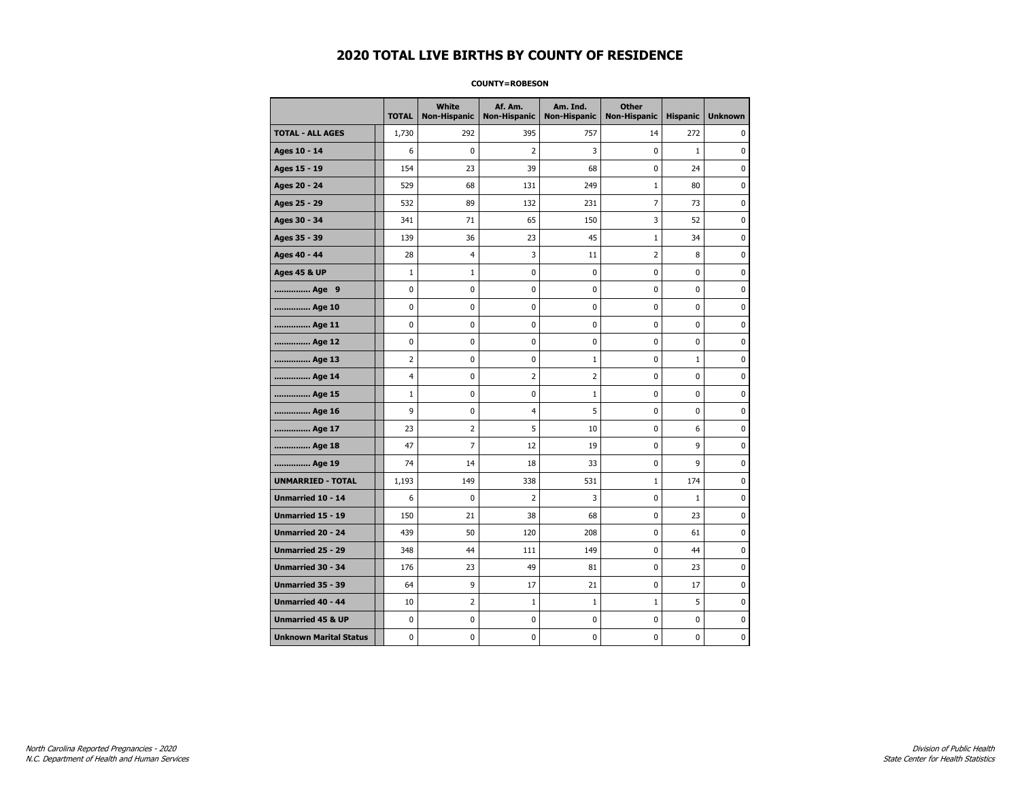#### **COUNTY=ROBESON**

|                               | <b>TOTAL</b> | White<br><b>Non-Hispanic</b> | Af. Am.<br><b>Non-Hispanic</b> | Am. Ind.<br><b>Non-Hispanic</b> | <b>Other</b><br>Non-Hispanic | <b>Hispanic</b> | <b>Unknown</b> |
|-------------------------------|--------------|------------------------------|--------------------------------|---------------------------------|------------------------------|-----------------|----------------|
| <b>TOTAL - ALL AGES</b>       | 1,730        | 292                          | 395                            | 757                             | 14                           | 272             | 0              |
| Ages 10 - 14                  | 6            | 0                            | 2                              | 3                               | $\mathbf 0$                  | $\mathbf{1}$    | 0              |
| Ages 15 - 19                  | 154          | 23                           | 39                             | 68                              | 0                            | 24              | $\mathbf 0$    |
| Ages 20 - 24                  | 529          | 68                           | 131                            | 249                             | $\mathbf{1}$                 | 80              | $\mathbf 0$    |
| Ages 25 - 29                  | 532          | 89                           | 132                            | 231                             | 7                            | 73              | $\pmb{0}$      |
| Ages 30 - 34                  | 341          | 71                           | 65                             | 150                             | 3                            | 52              | 0              |
| Ages 35 - 39                  | 139          | 36                           | 23                             | 45                              | $\mathbf{1}$                 | 34              | 0              |
| Ages 40 - 44                  | 28           | 4                            | 3                              | 11                              | 2                            | 8               | 0              |
| <b>Ages 45 &amp; UP</b>       | $\mathbf{1}$ | $\mathbf{1}$                 | 0                              | 0                               | 0                            | $\mathbf 0$     | 0              |
| Age 9                         | 0            | 0                            | 0                              | 0                               | 0                            | 0               | 0              |
| Age 10                        | $\mathbf 0$  | 0                            | 0                              | $\mathbf 0$                     | $\mathbf 0$                  | 0               | $\mathbf 0$    |
| Age 11                        | $\mathbf 0$  | 0                            | 0                              | $\mathbf 0$                     | $\mathbf 0$                  | 0               | 0              |
| Age 12                        | $\pmb{0}$    | 0                            | 0                              | 0                               | 0                            | 0               | 0              |
| Age 13                        | 2            | 0                            | 0                              | $\mathbf 1$                     | 0                            | $\mathbf{1}$    | 0              |
| Age 14                        | 4            | 0                            | 2                              | $\overline{2}$                  | 0                            | 0               | 0              |
| Age 15                        | $\mathbf{1}$ | 0                            | 0                              | 1                               | 0                            | 0               | 0              |
| Age 16                        | 9            | 0                            | 4                              | 5                               | $\mathbf 0$                  | 0               | 0              |
| Age 17                        | 23           | 2                            | 5                              | 10                              | 0                            | 6               | $\mathbf 0$    |
| Age 18                        | 47           | $\overline{7}$               | 12                             | 19                              | $\mathbf 0$                  | 9               | $\mathbf 0$    |
| Age 19                        | 74           | 14                           | 18                             | 33                              | $\pmb{0}$                    | 9               | $\pmb{0}$      |
| <b>UNMARRIED - TOTAL</b>      | 1,193        | 149                          | 338                            | 531                             | $\mathbf{1}$                 | 174             | $\pmb{0}$      |
| Unmarried 10 - 14             | 6            | 0                            | 2                              | 3                               | 0                            | $\mathbf{1}$    | 0              |
| Unmarried 15 - 19             | 150          | 21                           | 38                             | 68                              | 0                            | 23              | 0              |
| <b>Unmarried 20 - 24</b>      | 439          | 50                           | 120                            | 208                             | $\mathbf 0$                  | 61              | 0              |
| Unmarried 25 - 29             | 348          | 44                           | 111                            | 149                             | 0                            | 44              | $\bf{0}$       |
| <b>Unmarried 30 - 34</b>      | 176          | 23                           | 49                             | 81                              | 0                            | 23              | $\mathbf 0$    |
| Unmarried 35 - 39             | 64           | 9                            | 17                             | 21                              | $\pmb{0}$                    | 17              | $\pmb{0}$      |
| Unmarried 40 - 44             | 10           | $\overline{2}$               | 1                              | $\mathbf 1$                     | $1\,$                        | 5               | 0              |
| <b>Unmarried 45 &amp; UP</b>  | $\mathbf 0$  | 0                            | 0                              | 0                               | 0                            | 0               | 0              |
| <b>Unknown Marital Status</b> | 0            | 0                            | 0                              | 0                               | 0                            | 0               | 0              |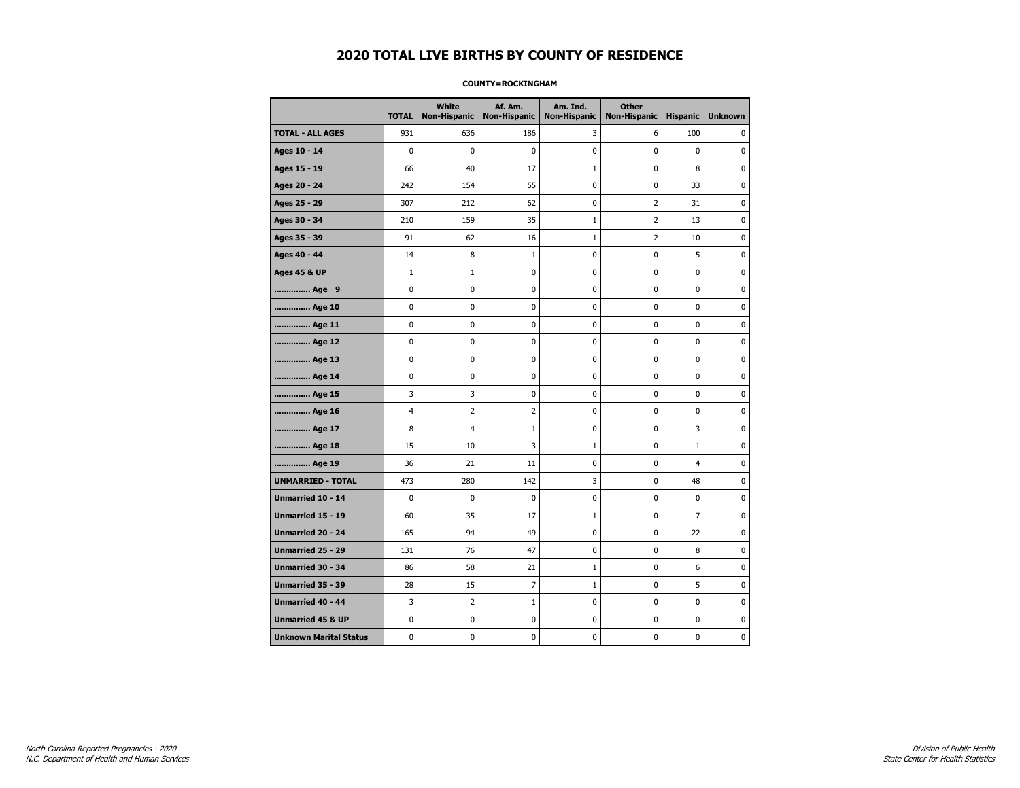#### **COUNTY=ROCKINGHAM**

|                               | <b>TOTAL</b> | White<br>Non-Hispanic | Af. Am.<br><b>Non-Hispanic</b> | Am. Ind.<br><b>Non-Hispanic</b> | <b>Other</b><br><b>Non-Hispanic</b> | <b>Hispanic</b> | <b>Unknown</b> |
|-------------------------------|--------------|-----------------------|--------------------------------|---------------------------------|-------------------------------------|-----------------|----------------|
| <b>TOTAL - ALL AGES</b>       | 931          | 636                   | 186                            | 3                               | 6                                   | 100             | 0              |
| Ages 10 - 14                  | 0            | 0                     | $\mathbf 0$                    | 0                               | 0                                   | $\mathbf 0$     | 0              |
| Ages 15 - 19                  | 66           | 40                    | 17                             | $\mathbf{1}$                    | 0                                   | 8               | $\mathbf 0$    |
| Ages 20 - 24                  | 242          | 154                   | 55                             | $\pmb{0}$                       | 0                                   | 33              | 0              |
| Ages 25 - 29                  | 307          | 212                   | 62                             | 0                               | $\overline{2}$                      | 31              | $\pmb{0}$      |
| Ages 30 - 34                  | 210          | 159                   | 35                             | $\mathbf{1}$                    | 2                                   | 13              | 0              |
| Ages 35 - 39                  | 91           | 62                    | 16                             | $\mathbf 1$                     | 2                                   | 10              | 0              |
| Ages 40 - 44                  | 14           | 8                     | $\mathbf{1}$                   | 0                               | 0                                   | 5               | 0              |
| <b>Ages 45 &amp; UP</b>       | $\mathbf 1$  | $\mathbf{1}$          | $\mathbf 0$                    | $\mathbf 0$                     | 0                                   | $\mathbf 0$     | 0              |
| Age 9                         | 0            | 0                     | 0                              | 0                               | 0                                   | 0               | 0              |
| Age 10                        | 0            | 0                     | $\mathbf 0$                    | 0                               | 0                                   | $\mathbf 0$     | 0              |
| Age 11                        | 0            | 0                     | 0                              | 0                               | 0                                   | 0               | 0              |
| Age 12                        | 0            | 0                     | 0                              | 0                               | 0                                   | 0               | 0              |
| Age 13                        | 0            | 0                     | $\mathbf 0$                    | $\mathbf 0$                     | 0                                   | 0               | $\bf{0}$       |
| Age 14                        | $\mathbf 0$  | $\mathbf 0$           | $\mathbf 0$                    | $\mathbf 0$                     | 0                                   | $\mathbf 0$     | $\mathbf 0$    |
| Age 15                        | 3            | 3                     | $\mathbf 0$                    | $\pmb{0}$                       | 0                                   | $\pmb{0}$       | $\pmb{0}$      |
| Age 16                        | 4            | $\overline{2}$        | $\overline{2}$                 | 0                               | 0                                   | 0               | 0              |
| Age 17                        | 8            | 4                     | 1                              | 0                               | 0                                   | 3               | 0              |
| Age 18                        | 15           | 10                    | 3                              | $\mathbf{1}$                    | 0                                   | $\mathbf{1}$    | 0              |
| Age 19                        | 36           | 21                    | 11                             | $\mathbf 0$                     | 0                                   | 4               | 0              |
| <b>UNMARRIED - TOTAL</b>      | 473          | 280                   | 142                            | 3                               | 0                                   | 48              | 0              |
| Unmarried 10 - 14             | 0            | $\mathbf 0$           | $\bf{0}$                       | $\pmb{0}$                       | 0                                   | 0               | $\bf{0}$       |
| Unmarried 15 - 19             | 60           | 35                    | 17                             | $\mathbf 1$                     | 0                                   | 7               | 0              |
| Unmarried 20 - 24             | 165          | 94                    | 49                             | 0                               | 0                                   | 22              | 0              |
| <b>Unmarried 25 - 29</b>      | 131          | 76                    | 47                             | $\mathbf 0$                     | 0                                   | 8               | $\mathbf 0$    |
| <b>Unmarried 30 - 34</b>      | 86           | 58                    | 21                             | $\mathbf{1}$                    | 0                                   | 6               | $\mathbf 0$    |
| Unmarried 35 - 39             | 28           | 15                    | $\overline{7}$                 | $\mathbf{1}$                    | 0                                   | 5               | $\pmb{0}$      |
| Unmarried 40 - 44             | 3            | $\overline{2}$        | $\mathbf 1$                    | 0                               | 0                                   | 0               | 0              |
| <b>Unmarried 45 &amp; UP</b>  | 0            | 0                     | 0                              | 0                               | 0                                   | 0               | 0              |
| <b>Unknown Marital Status</b> | 0            | 0                     | $\pmb{0}$                      | 0                               | 0                                   | 0               | 0              |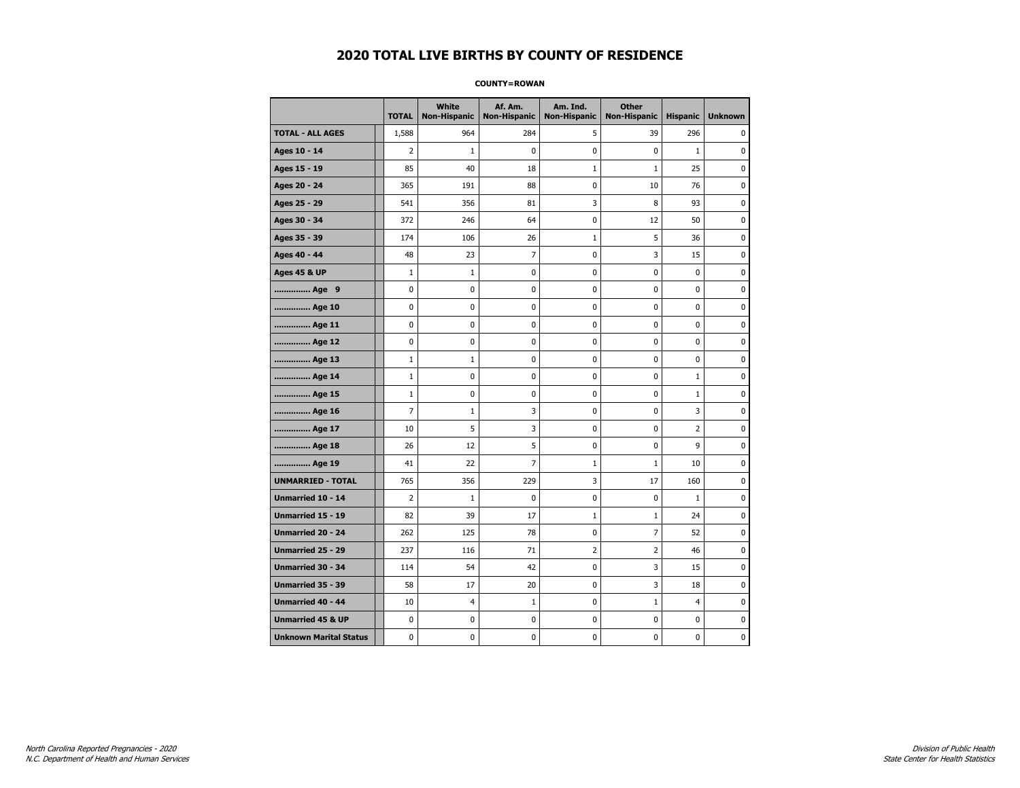#### **COUNTY=ROWAN**

|                               | <b>TOTAL</b> | <b>White</b><br>Non-Hispanic | Af. Am.<br><b>Non-Hispanic</b> | Am. Ind.<br><b>Non-Hispanic</b> | <b>Other</b><br><b>Non-Hispanic</b> | <b>Hispanic</b> | <b>Unknown</b> |
|-------------------------------|--------------|------------------------------|--------------------------------|---------------------------------|-------------------------------------|-----------------|----------------|
| <b>TOTAL - ALL AGES</b>       | 1,588        | 964                          | 284                            | 5                               | 39                                  | 296             | 0              |
| Ages 10 - 14                  | 2            | $\mathbf{1}$                 | 0                              | 0                               | 0                                   | $\mathbf{1}$    | 0              |
| Ages 15 - 19                  | 85           | 40                           | 18                             | $\mathbf 1$                     | $\mathbf{1}$                        | 25              | $\mathbf 0$    |
| Ages 20 - 24                  | 365          | 191                          | 88                             | $\mathbf 0$                     | 10                                  | 76              | $\mathbf 0$    |
| Ages 25 - 29                  | 541          | 356                          | 81                             | 3                               | 8                                   | 93              | $\pmb{0}$      |
| Ages 30 - 34                  | 372          | 246                          | 64                             | $\pmb{0}$                       | 12                                  | 50              | 0              |
| Ages 35 - 39                  | 174          | 106                          | 26                             | 1                               | 5                                   | 36              | 0              |
| Ages 40 - 44                  | 48           | 23                           | 7                              | 0                               | 3                                   | 15              | 0              |
| <b>Ages 45 &amp; UP</b>       | $\mathbf{1}$ | $\mathbf 1$                  | 0                              | 0                               | 0                                   | 0               | 0              |
| Age 9                         | 0            | 0                            | 0                              | 0                               | 0                                   | 0               | 0              |
| Age 10                        | 0            | 0                            | 0                              | $\mathbf 0$                     | $\mathbf 0$                         | $\mathbf 0$     | $\mathbf 0$    |
| Age 11                        | 0            | 0                            | 0                              | $\mathbf 0$                     | $\mathbf 0$                         | $\mathbf 0$     | 0              |
| Age 12                        | 0            | 0                            | 0                              | 0                               | 0                                   | $\pmb{0}$       | 0              |
| Age 13                        | $\mathbf{1}$ | $\mathbf 1$                  | 0                              | 0                               | 0                                   | 0               | 0              |
| Age 14                        | $\mathbf{1}$ | 0                            | 0                              | 0                               | 0                                   | $\mathbf{1}$    | $\mathbf 0$    |
| Age 15                        | $\mathbf{1}$ | 0                            | 0                              | 0                               | 0                                   | $\mathbf{1}$    | 0              |
| Age 16                        | 7            | $1\,$                        | 3                              | 0                               | 0                                   | 3               | 0              |
| Age 17                        | 10           | 5                            | 3                              | 0                               | 0                                   | 2               | $\mathbf 0$    |
| Age 18                        | 26           | 12                           | 5                              | $\mathbf 0$                     | 0                                   | 9               | $\mathbf 0$    |
| Age 19                        | 41           | 22                           | $\overline{7}$                 | $\mathbf 1$                     | $\mathbf{1}$                        | 10              | $\pmb{0}$      |
| <b>UNMARRIED - TOTAL</b>      | 765          | 356                          | 229                            | 3                               | 17                                  | 160             | 0              |
| Unmarried 10 - 14             | 2            | $\mathbf{1}$                 | 0                              | 0                               | 0                                   | $\mathbf{1}$    | 0              |
| Unmarried 15 - 19             | 82           | 39                           | 17                             | $\mathbf{1}$                    | 1                                   | 24              | 0              |
| <b>Unmarried 20 - 24</b>      | 262          | 125                          | 78                             | 0                               | 7                                   | 52              | 0              |
| <b>Unmarried 25 - 29</b>      | 237          | 116                          | 71                             | $\overline{2}$                  | $\overline{2}$                      | 46              | $\bf{0}$       |
| <b>Unmarried 30 - 34</b>      | 114          | 54                           | 42                             | $\mathbf 0$                     | 3                                   | 15              | $\mathbf 0$    |
| Unmarried 35 - 39             | 58           | 17                           | 20                             | $\pmb{0}$                       | 3                                   | 18              | $\pmb{0}$      |
| <b>Unmarried 40 - 44</b>      | 10           | 4                            | $1\,$                          | 0                               | $\mathbf{1}$                        | $\overline{4}$  | 0              |
| <b>Unmarried 45 &amp; UP</b>  | 0            | 0                            | 0                              | 0                               | 0                                   | 0               | 0              |
| <b>Unknown Marital Status</b> | 0            | 0                            | 0                              | 0                               | 0                                   | 0               | 0              |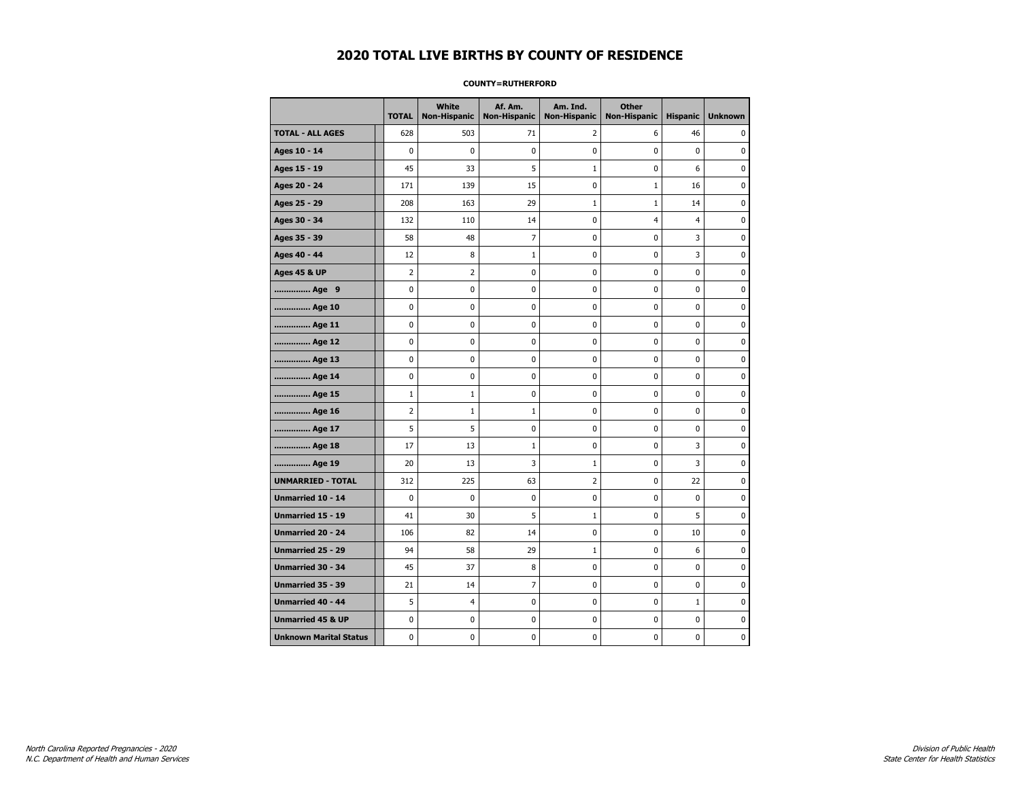#### **COUNTY=RUTHERFORD**

|                               | <b>TOTAL</b> | <b>White</b><br>Non-Hispanic | Af. Am.<br><b>Non-Hispanic</b> | Am. Ind.<br><b>Non-Hispanic</b> | <b>Other</b><br><b>Non-Hispanic</b> | <b>Hispanic</b> | <b>Unknown</b> |
|-------------------------------|--------------|------------------------------|--------------------------------|---------------------------------|-------------------------------------|-----------------|----------------|
| <b>TOTAL - ALL AGES</b>       | 628          | 503                          | 71                             | 2                               | 6                                   | 46              | 0              |
| Ages 10 - 14                  | 0            | 0                            | 0                              | 0                               | 0                                   | 0               | 0              |
| Ages 15 - 19                  | 45           | 33                           | 5                              | $\mathbf{1}$                    | 0                                   | 6               | $\mathbf 0$    |
| Ages 20 - 24                  | 171          | 139                          | 15                             | $\mathbf 0$                     | $\mathbf{1}$                        | 16              | $\mathbf 0$    |
| Ages 25 - 29                  | 208          | 163                          | 29                             | $\mathbf 1$                     | $\mathbf{1}$                        | 14              | $\pmb{0}$      |
| Ages 30 - 34                  | 132          | 110                          | 14                             | $\pmb{0}$                       | $\overline{4}$                      | $\overline{4}$  | 0              |
| Ages 35 - 39                  | 58           | 48                           | 7                              | 0                               | 0                                   | 3               | 0              |
| Ages 40 - 44                  | 12           | 8                            | $\mathbf{1}$                   | 0                               | 0                                   | 3               | 0              |
| <b>Ages 45 &amp; UP</b>       | 2            | 2                            | 0                              | 0                               | 0                                   | $\pmb{0}$       | 0              |
| Age 9                         | 0            | 0                            | 0                              | 0                               | 0                                   | 0               | 0              |
| Age 10                        | 0            | 0                            | 0                              | $\mathbf 0$                     | $\mathbf 0$                         | $\mathbf 0$     | 0              |
| Age 11                        | 0            | 0                            | 0                              | $\mathbf 0$                     | $\mathbf 0$                         | $\mathbf 0$     | 0              |
| Age 12                        | 0            | 0                            | 0                              | 0                               | 0                                   | 0               | 0              |
| Age 13                        | 0            | 0                            | 0                              | 0                               | 0                                   | 0               | 0              |
| Age 14                        | 0            | 0                            | 0                              | 0                               | 0                                   | $\mathbf 0$     | $\mathbf 0$    |
| Age 15                        | $\mathbf{1}$ | $\mathbf{1}$                 | 0                              | 0                               | 0                                   | 0               | 0              |
| Age 16                        | 2            | $1\,$                        | $\mathbf 1$                    | 0                               | 0                                   | $\mathbf 0$     | 0              |
| Age 17                        | 5            | 5                            | 0                              | 0                               | 0                                   | $\mathbf 0$     | $\mathbf 0$    |
| Age 18                        | 17           | 13                           | $\mathbf{1}$                   | $\mathbf 0$                     | $\mathbf 0$                         | 3               | 0              |
| Age 19                        | 20           | 13                           | 3                              | $\mathbf 1$                     | $\pmb{0}$                           | 3               | $\pmb{0}$      |
| <b>UNMARRIED - TOTAL</b>      | 312          | 225                          | 63                             | $\overline{2}$                  | 0                                   | 22              | 0              |
| Unmarried 10 - 14             | 0            | $\mathbf 0$                  | 0                              | 0                               | 0                                   | $\mathbf 0$     | 0              |
| Unmarried 15 - 19             | 41           | 30                           | 5                              | $\mathbf{1}$                    | 0                                   | 5               | 0              |
| <b>Unmarried 20 - 24</b>      | 106          | 82                           | 14                             | 0                               | 0                                   | 10              | 0              |
| <b>Unmarried 25 - 29</b>      | 94           | 58                           | 29                             | $\mathbf 1$                     | 0                                   | 6               | $\mathbf 0$    |
| <b>Unmarried 30 - 34</b>      | 45           | 37                           | 8                              | 0                               | 0                                   | $\mathbf 0$     | $\mathbf 0$    |
| Unmarried 35 - 39             | 21           | 14                           | $\overline{7}$                 | $\pmb{0}$                       | $\pmb{0}$                           | $\pmb{0}$       | $\pmb{0}$      |
| <b>Unmarried 40 - 44</b>      | 5            | 4                            | 0                              | 0                               | 0                                   | $\mathbf 1$     | 0              |
| <b>Unmarried 45 &amp; UP</b>  | 0            | 0                            | 0                              | 0                               | 0                                   | 0               | 0              |
| <b>Unknown Marital Status</b> | 0            | 0                            | 0                              | 0                               | 0                                   | 0               | 0              |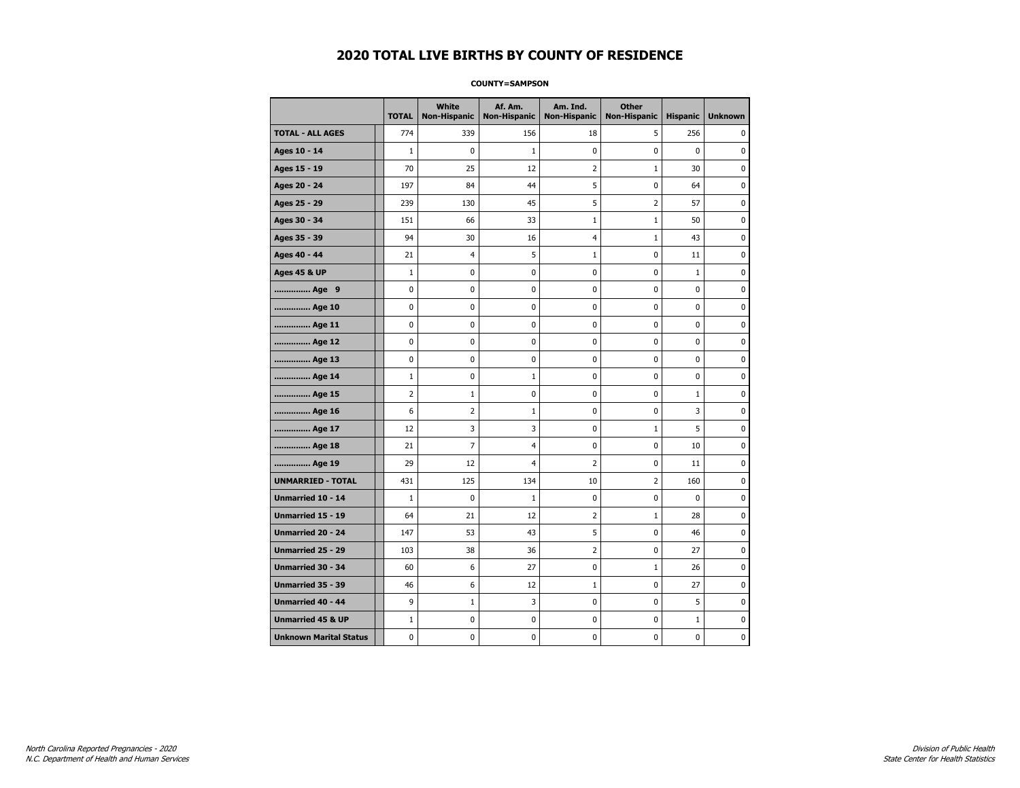#### **COUNTY=SAMPSON**

|                               | <b>TOTAL</b>   | White<br><b>Non-Hispanic</b> | Af. Am.<br><b>Non-Hispanic</b> | Am. Ind.<br><b>Non-Hispanic</b> | <b>Other</b><br><b>Non-Hispanic</b> | <b>Hispanic</b> | <b>Unknown</b> |
|-------------------------------|----------------|------------------------------|--------------------------------|---------------------------------|-------------------------------------|-----------------|----------------|
| <b>TOTAL - ALL AGES</b>       | 774            | 339                          | 156                            | 18                              | 5                                   | 256             | 0              |
| Ages 10 - 14                  | $\mathbf{1}$   | $\mathbf 0$                  | $\mathbf{1}$                   | $\mathbf 0$                     | $\mathbf 0$                         | $\mathbf 0$     | 0              |
| Ages 15 - 19                  | 70             | 25                           | 12                             | $\overline{2}$                  | $\mathbf{1}$                        | 30              | 0              |
| Ages 20 - 24                  | 197            | 84                           | 44                             | 5                               | $\pmb{0}$                           | 64              | 0              |
| Ages 25 - 29                  | 239            | 130                          | 45                             | 5                               | $\overline{2}$                      | 57              | 0              |
| Ages 30 - 34                  | 151            | 66                           | 33                             | $\mathbf{1}$                    | $\mathbf{1}$                        | 50              | 0              |
| Ages 35 - 39                  | 94             | 30                           | 16                             | 4                               | 1                                   | 43              | 0              |
| Ages 40 - 44                  | 21             | 4                            | 5                              | $\mathbf 1$                     | 0                                   | 11              | 0              |
| <b>Ages 45 &amp; UP</b>       | $1\,$          | 0                            | $\pmb{0}$                      | $\pmb{0}$                       | $\pmb{0}$                           | $1\,$           | 0              |
| Age 9                         | $\mathbf 0$    | 0                            | 0                              | 0                               | $\mathbf 0$                         | 0               | 0              |
| Age 10                        | $\mathbf 0$    | 0                            | $\mathbf 0$                    | $\mathbf 0$                     | $\mathbf 0$                         | $\mathbf 0$     | 0              |
| Age 11                        | $\mathbf 0$    | 0                            | $\mathbf 0$                    | $\pmb{0}$                       | $\mathbf 0$                         | $\mathbf 0$     | 0              |
| Age 12                        | $\pmb{0}$      | 0                            | $\pmb{0}$                      | 0                               | 0                                   | 0               | 0              |
| Age 13                        | $\mathbf 0$    | 0                            | $\mathbf 0$                    | 0                               | $\mathbf 0$                         | $\mathbf 0$     | 0              |
| Age 14                        | $1\,$          | 0                            | 1                              | 0                               | 0                                   | 0               | 0              |
| Age 15                        | $\overline{2}$ | $\mathbf{1}$                 | $\pmb{0}$                      | 0                               | $\mathbf 0$                         | $\mathbf{1}$    | 0              |
| Age 16                        | 6              | $\overline{2}$               | $\mathbf{1}$                   | $\mathbf 0$                     | $\mathbf 0$                         | 3               | 0              |
| Age 17                        | 12             | 3                            | 3                              | $\pmb{0}$                       | $\mathbf{1}$                        | 5               | 0              |
| Age 18                        | 21             | 7                            | $\overline{4}$                 | 0                               | 0                                   | 10              | 0              |
| Age 19                        | 29             | 12                           | $\overline{4}$                 | 2                               | 0                                   | 11              | 0              |
| <b>UNMARRIED - TOTAL</b>      | 431            | 125                          | 134                            | 10                              | $\overline{2}$                      | 160             | 0              |
| Unmarried 10 - 14             | $\mathbf{1}$   | 0                            | $\mathbf{1}$                   | $\mathbf 0$                     | $\mathbf 0$                         | $\mathbf{0}$    | 0              |
| Unmarried 15 - 19             | 64             | 21                           | 12                             | $\mathbf 2$                     | $\mathbf{1}$                        | 28              | 0              |
| Unmarried 20 - 24             | 147            | 53                           | 43                             | 5                               | 0                                   | 46              | 0              |
| Unmarried 25 - 29             | 103            | 38                           | 36                             | $\overline{2}$                  | 0                                   | 27              | 0              |
| <b>Unmarried 30 - 34</b>      | 60             | 6                            | 27                             | $\pmb{0}$                       | $\mathbf{1}$                        | 26              | 0              |
| <b>Unmarried 35 - 39</b>      | 46             | 6                            | 12                             | $\mathbf{1}$                    | $\mathbf 0$                         | 27              | $\pmb{0}$      |
| <b>Unmarried 40 - 44</b>      | 9              | $\mathbf 1$                  | 3                              | $\pmb{0}$                       | $\pmb{0}$                           | 5               | 0              |
| <b>Unmarried 45 &amp; UP</b>  | $\mathbf{1}$   | 0                            | 0                              | 0                               | 0                                   | $\mathbf{1}$    | 0              |
| <b>Unknown Marital Status</b> | $\mathbf 0$    | 0                            | $\mathbf 0$                    | 0                               | $\mathbf 0$                         | $\mathbf 0$     | 0              |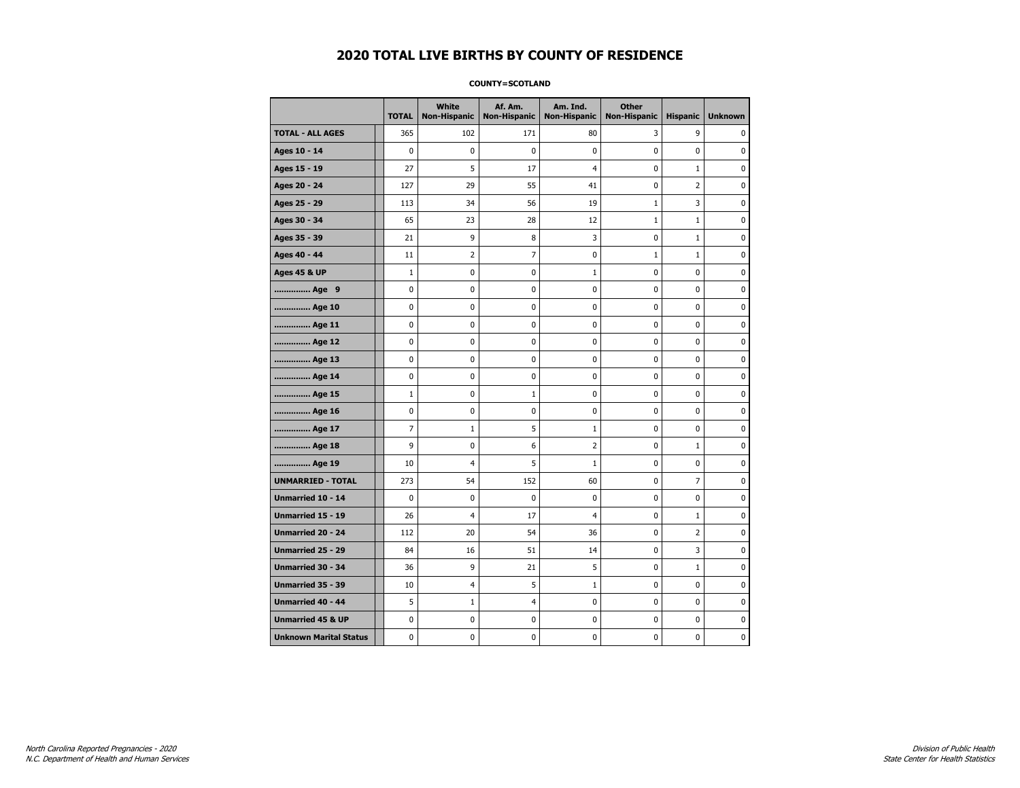#### **COUNTY=SCOTLAND**

|                               | <b>TOTAL</b> | White<br>Non-Hispanic | Af. Am.<br><b>Non-Hispanic</b> | Am. Ind.<br><b>Non-Hispanic</b> | <b>Other</b><br><b>Non-Hispanic</b> | <b>Hispanic</b> | <b>Unknown</b> |
|-------------------------------|--------------|-----------------------|--------------------------------|---------------------------------|-------------------------------------|-----------------|----------------|
| <b>TOTAL - ALL AGES</b>       | 365          | 102                   | 171                            | 80                              | 3                                   | 9               | 0              |
| Ages 10 - 14                  | $\mathbf 0$  | 0                     | $\mathbf 0$                    | $\mathbf 0$                     | 0                                   | 0               | $\mathbf 0$    |
| Ages 15 - 19                  | 27           | 5                     | 17                             | $\overline{4}$                  | 0                                   | $\mathbf{1}$    | 0              |
| Ages 20 - 24                  | 127          | 29                    | 55                             | 41                              | 0                                   | $\overline{2}$  | $\mathbf 0$    |
| Ages 25 - 29                  | 113          | 34                    | 56                             | 19                              | $1\,$                               | 3               | 0              |
| Ages 30 - 34                  | 65           | 23                    | 28                             | 12                              | $1\,$                               | $\mathbf{1}$    | 0              |
| Ages 35 - 39                  | 21           | 9                     | 8                              | 3                               | 0                                   | $\mathbf{1}$    | 0              |
| Ages 40 - 44                  | 11           | $\overline{2}$        | $\overline{7}$                 | $\mathbf 0$                     | $1\,$                               | $\mathbf{1}$    | 0              |
| <b>Ages 45 &amp; UP</b>       | $\mathbf 1$  | 0                     | $\mathbf 0$                    | $1\,$                           | 0                                   | $\mathbf 0$     | $\mathbf 0$    |
| Age 9                         | 0            | 0                     | $\pmb{0}$                      | 0                               | 0                                   | 0               | $\pmb{0}$      |
| Age 10                        | 0            | $\mathbf 0$           | $\mathbf 0$                    | $\pmb{0}$                       | 0                                   | 0               | $\mathbf 0$    |
| Age 11                        | 0            | 0                     | 0                              | 0                               | 0                                   | 0               | 0              |
| Age 12                        | 0            | 0                     | 0                              | 0                               | 0                                   | 0               | 0              |
| Age 13                        | 0            | $\mathbf 0$           | $\mathbf 0$                    | 0                               | 0                                   | $\mathbf 0$     | 0              |
| Age 14                        | $\mathbf 0$  | 0                     | 0                              | $\mathbf 0$                     | 0                                   | $\mathbf 0$     | $\mathbf 0$    |
| Age 15                        | $\mathbf 1$  | 0                     | $\mathbf 1$                    | 0                               | $\pmb{0}$                           | 0               | 0              |
| Age 16                        | 0            | 0                     | 0                              | $\pmb{0}$                       | 0                                   | 0               | 0              |
| Age 17                        | 7            | $\mathbf{1}$          | 5                              | 1                               | 0                                   | 0               | 0              |
| Age 18                        | 9            | $\mathbf 0$           | 6                              | $\overline{2}$                  | 0                                   | $\mathbf{1}$    | 0              |
| Age 19                        | 10           | $\overline{4}$        | 5                              | $\mathbf{1}$                    | 0                                   | 0               | 0              |
| <b>UNMARRIED - TOTAL</b>      | 273          | 54                    | 152                            | 60                              | 0                                   | $\overline{7}$  | 0              |
| Unmarried 10 - 14             | 0            | 0                     | $\mathbf 0$                    | $\pmb{0}$                       | 0                                   | 0               | $\mathbf 0$    |
| Unmarried 15 - 19             | 26           | 4                     | 17                             | $\overline{4}$                  | 0                                   | $\mathbf{1}$    | 0              |
| Unmarried 20 - 24             | 112          | 20                    | 54                             | 36                              | 0                                   | 2               | 0              |
| Unmarried 25 - 29             | 84           | 16                    | 51                             | 14                              | 0                                   | 3               | 0              |
| Unmarried 30 - 34             | 36           | 9                     | 21                             | 5                               | 0                                   | $\mathbf{1}$    | $\mathbf 0$    |
| <b>Unmarried 35 - 39</b>      | 10           | 4                     | 5                              | $\mathbf{1}$                    | 0                                   | $\mathbf 0$     | $\mathbf 0$    |
| Unmarried 40 - 44             | 5            | $1\,$                 | 4                              | 0                               | 0                                   | 0               | 0              |
| <b>Unmarried 45 &amp; UP</b>  | 0            | 0                     | 0                              | 0                               | 0                                   | 0               | 0              |
| <b>Unknown Marital Status</b> | 0            | 0                     | $\pmb{0}$                      | 0                               | 0                                   | 0               | 0              |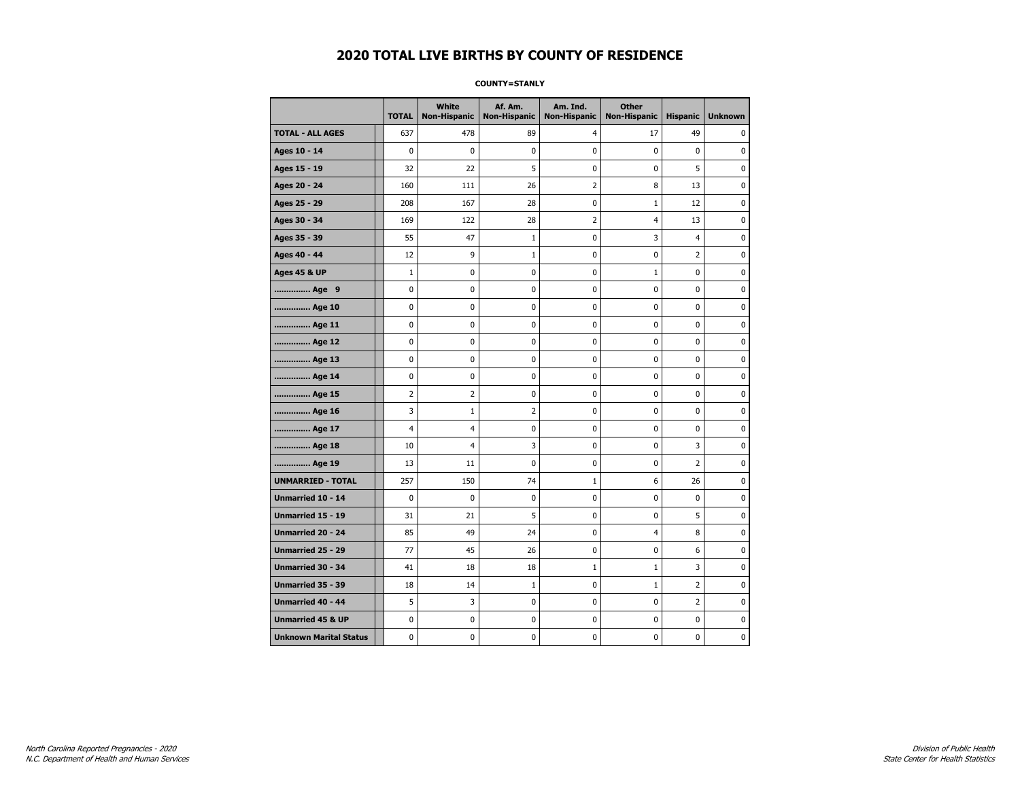#### **COUNTY=STANLY**

|                               | <b>TOTAL</b>   | <b>White</b><br>Non-Hispanic | Af. Am.<br><b>Non-Hispanic</b> | Am. Ind.<br><b>Non-Hispanic</b> | <b>Other</b><br><b>Non-Hispanic</b> | <b>Hispanic</b> | <b>Unknown</b> |
|-------------------------------|----------------|------------------------------|--------------------------------|---------------------------------|-------------------------------------|-----------------|----------------|
| <b>TOTAL - ALL AGES</b>       | 637            | 478                          | 89                             | $\overline{4}$                  | 17                                  | 49              | 0              |
| Ages 10 - 14                  | $\mathbf 0$    | 0                            | 0                              | 0                               | $\mathbf 0$                         | $\mathbf 0$     | 0              |
| Ages 15 - 19                  | 32             | 22                           | 5                              | $\mathbf 0$                     | $\mathbf 0$                         | 5               | 0              |
| Ages 20 - 24                  | 160            | 111                          | 26                             | $\overline{2}$                  | 8                                   | 13              | 0              |
| Ages 25 - 29                  | 208            | 167                          | 28                             | 0                               | $\mathbf{1}$                        | 12              | 0              |
| Ages 30 - 34                  | 169            | 122                          | 28                             | 2                               | 4                                   | 13              | 0              |
| Ages 35 - 39                  | 55             | 47                           | 1                              | 0                               | 3                                   | $\overline{4}$  | 0              |
| Ages 40 - 44                  | 12             | 9                            | $\mathbf{1}$                   | 0                               | $\mathbf 0$                         | $\overline{2}$  | 0              |
| <b>Ages 45 &amp; UP</b>       | $\mathbf 1$    | 0                            | 0                              | 0                               | $1\,$                               | $\mathbf 0$     | 0              |
| Age 9                         | $\pmb{0}$      | 0                            | 0                              | 0                               | $\pmb{0}$                           | 0               | 0              |
| Age 10                        | $\mathbf 0$    | 0                            | 0                              | 0                               | $\mathbf 0$                         | $\mathbf 0$     | 0              |
| Age 11                        | 0              | 0                            | 0                              | 0                               | 0                                   | 0               | 0              |
| Age 12                        | 0              | 0                            | 0                              | 0                               | 0                                   | 0               | 0              |
| Age 13                        | 0              | 0                            | 0                              | $\mathbf 0$                     | $\mathbf 0$                         | $\mathbf 0$     | 0              |
| Age 14                        | 0              | 0                            | $\mathbf 0$                    | $\mathbf 0$                     | $\mathbf 0$                         | $\mathbf 0$     | $\mathbf 0$    |
| Age 15                        | $\overline{2}$ | 2                            | $\pmb{0}$                      | 0                               | $\pmb{0}$                           | 0               | 0              |
| Age 16                        | 3              | $\mathbf 1$                  | $\overline{2}$                 | 0                               | 0                                   | 0               | 0              |
| Age 17                        | $\overline{4}$ | 4                            | 0                              | 0                               | 0                                   | $\mathbf 0$     | 0              |
| Age 18                        | 10             | 4                            | 3                              | 0                               | 0                                   | 3               | 0              |
| Age 19                        | 13             | 11                           | 0                              | 0                               | 0                                   | $\overline{2}$  | 0              |
| <b>UNMARRIED - TOTAL</b>      | 257            | 150                          | 74                             | $\mathbf{1}$                    | 6                                   | 26              | 0              |
| Unmarried 10 - 14             | $\mathbf 0$    | $\mathbf 0$                  | 0                              | $\pmb{0}$                       | $\pmb{0}$                           | $\mathbf 0$     | 0              |
| Unmarried 15 - 19             | 31             | 21                           | 5                              | 0                               | 0                                   | 5               | 0              |
| Unmarried 20 - 24             | 85             | 49                           | 24                             | 0                               | 4                                   | 8               | 0              |
| <b>Unmarried 25 - 29</b>      | 77             | 45                           | 26                             | $\mathbf 0$                     | $\mathbf 0$                         | 6               | 0              |
| <b>Unmarried 30 - 34</b>      | 41             | 18                           | 18                             | $1\,$                           | $\mathbf 1$                         | 3               | $\mathbf 0$    |
| Unmarried 35 - 39             | 18             | 14                           | $1\,$                          | $\pmb{0}$                       | $1\,$                               | $\overline{2}$  | $\pmb{0}$      |
| Unmarried 40 - 44             | 5              | 3                            | 0                              | 0                               | $\pmb{0}$                           | $\overline{2}$  | 0              |
| <b>Unmarried 45 &amp; UP</b>  | 0              | 0                            | 0                              | 0                               | 0                                   | $\mathbf 0$     | 0              |
| <b>Unknown Marital Status</b> | 0              | 0                            | 0                              | 0                               | 0                                   | 0               | 0              |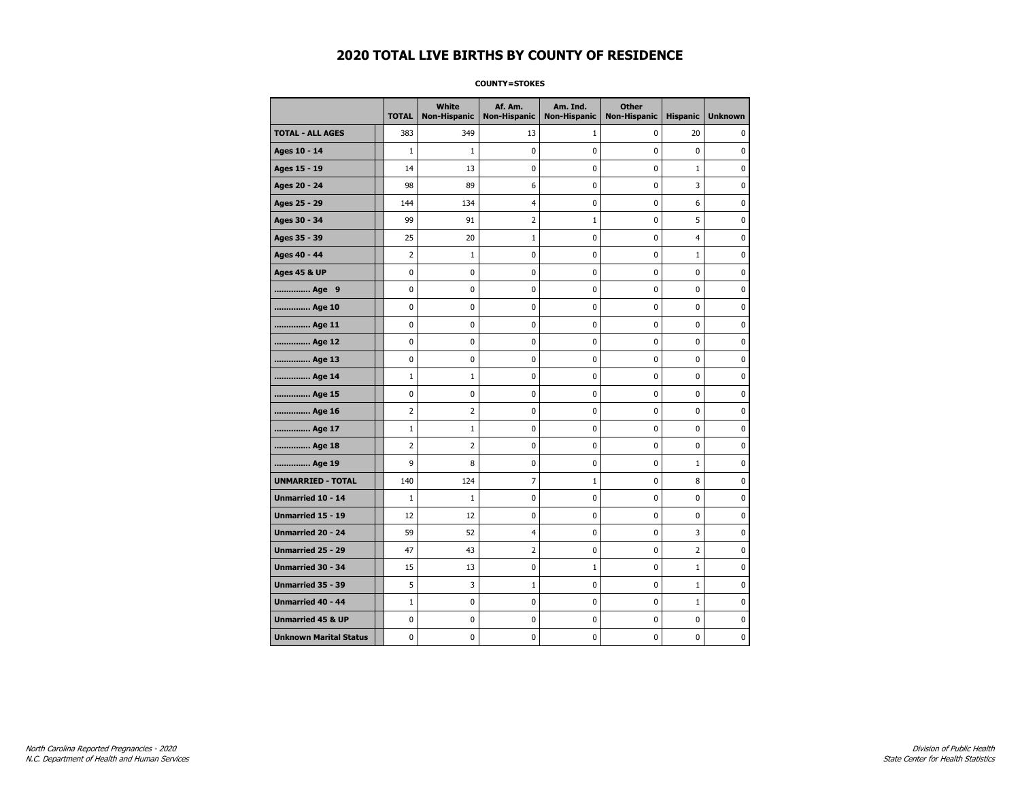#### **COUNTY=STOKES**

|                               | <b>TOTAL</b>   | <b>White</b><br>Non-Hispanic | Af. Am.<br><b>Non-Hispanic</b> | Am. Ind.<br><b>Non-Hispanic</b> | <b>Other</b><br><b>Non-Hispanic</b> | <b>Hispanic</b> | <b>Unknown</b> |
|-------------------------------|----------------|------------------------------|--------------------------------|---------------------------------|-------------------------------------|-----------------|----------------|
| <b>TOTAL - ALL AGES</b>       | 383            | 349                          | 13                             | 1                               | 0                                   | 20              | 0              |
| Ages 10 - 14                  | $\mathbf{1}$   | $\mathbf{1}$                 | 0                              | $\pmb{0}$                       | $\mathbf 0$                         | 0               | 0              |
| Ages 15 - 19                  | 14             | 13                           | 0                              | $\mathbf 0$                     | $\mathbf 0$                         | $\mathbf 1$     | 0              |
| Ages 20 - 24                  | 98             | 89                           | 6                              | $\mathbf 0$                     | $\mathbf 0$                         | 3               | $\mathbf 0$    |
| Ages 25 - 29                  | 144            | 134                          | $\overline{4}$                 | 0                               | $\pmb{0}$                           | 6               | 0              |
| Ages 30 - 34                  | 99             | 91                           | $\overline{2}$                 | $1\,$                           | $\pmb{0}$                           | 5               | 0              |
| Ages 35 - 39                  | 25             | 20                           | $\mathbf{1}$                   | 0                               | 0                                   | $\overline{4}$  | 0              |
| Ages 40 - 44                  | 2              | $\mathbf{1}$                 | 0                              | 0                               | 0                                   | $\mathbf{1}$    | 0              |
| <b>Ages 45 &amp; UP</b>       | $\mathbf 0$    | 0                            | 0                              | 0                               | 0                                   | 0               | 0              |
| Age 9                         | 0              | 0                            | 0                              | 0                               | 0                                   | 0               | 0              |
| Age 10                        | 0              | 0                            | 0                              | $\mathbf 0$                     | $\mathbf 0$                         | $\mathbf 0$     | 0              |
| Age 11                        | 0              | 0                            | 0                              | 0                               | $\mathbf 0$                         | $\mathbf 0$     | 0              |
| Age 12                        | $\pmb{0}$      | 0                            | 0                              | 0                               | $\pmb{0}$                           | 0               | 0              |
| Age 13                        | 0              | 0                            | 0                              | 0                               | 0                                   | 0               | 0              |
| Age 14                        | $\mathbf 1$    | $\mathbf{1}$                 | 0                              | 0                               | 0                                   | $\mathbf 0$     | 0              |
| Age 15                        | 0              | 0                            | 0                              | 0                               | 0                                   | 0               | 0              |
| Age 16                        | $\overline{2}$ | 2                            | 0                              | $\mathbf 0$                     | $\mathbf 0$                         | $\mathbf 0$     | 0              |
| Age 17                        | $\mathbf{1}$   | $\mathbf{1}$                 | 0                              | 0                               | $\mathbf 0$                         | $\mathbf 0$     | 0              |
| Age 18                        | $\overline{2}$ | $\overline{2}$               | 0                              | $\mathbf 0$                     | $\mathbf 0$                         | $\mathbf 0$     | 0              |
| Age 19                        | 9              | 8                            | $\bf{0}$                       | $\pmb{0}$                       | $\pmb{0}$                           | $\mathbf 1$     | 0              |
| <b>UNMARRIED - TOTAL</b>      | 140            | 124                          | $\overline{7}$                 | $\mathbf 1$                     | $\pmb{0}$                           | 8               | 0              |
| Unmarried 10 - 14             | $\mathbf{1}$   | $1\,$                        | 0                              | 0                               | $\mathbf 0$                         | $\mathbf 0$     | 0              |
| Unmarried 15 - 19             | 12             | 12                           | 0                              | 0                               | 0                                   | 0               | 0              |
| Unmarried 20 - 24             | 59             | 52                           | $\overline{4}$                 | 0                               | $\mathbf 0$                         | 3               | 0              |
| <b>Unmarried 25 - 29</b>      | 47             | 43                           | $\overline{2}$                 | 0                               | $\mathbf 0$                         | $\overline{2}$  | 0              |
| <b>Unmarried 30 - 34</b>      | 15             | 13                           | $\mathbf 0$                    | $\mathbf{1}$                    | $\mathbf 0$                         | $\mathbf{1}$    | 0              |
| Unmarried 35 - 39             | 5              | 3                            | $\mathbf 1$                    | $\pmb{0}$                       | $\pmb{0}$                           | $\mathbf 1$     | $\pmb{0}$      |
| Unmarried 40 - 44             | $\mathbf 1$    | 0                            | 0                              | 0                               | 0                                   | $1\,$           | 0              |
| <b>Unmarried 45 &amp; UP</b>  | 0              | 0                            | 0                              | 0                               | 0                                   | $\mathbf 0$     | 0              |
| <b>Unknown Marital Status</b> | 0              | 0                            | 0                              | 0                               | 0                                   | 0               | 0              |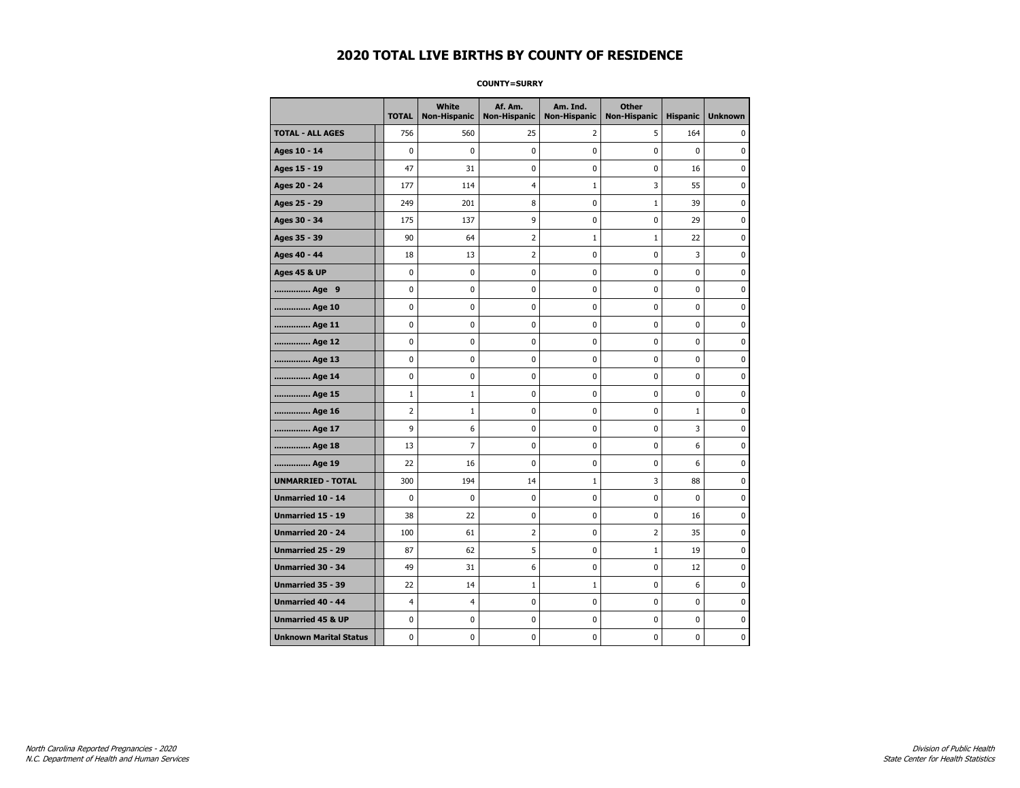#### **COUNTY=SURRY**

|                               | <b>TOTAL</b> | White<br>Non-Hispanic | Af. Am.<br><b>Non-Hispanic</b> | Am. Ind.<br><b>Non-Hispanic</b> | <b>Other</b><br><b>Non-Hispanic</b> | <b>Hispanic</b> | <b>Unknown</b> |
|-------------------------------|--------------|-----------------------|--------------------------------|---------------------------------|-------------------------------------|-----------------|----------------|
| <b>TOTAL - ALL AGES</b>       | 756          | 560                   | 25                             | 2                               | 5                                   | 164             | 0              |
| Ages 10 - 14                  | $\mathbf 0$  | 0                     | $\mathbf 0$                    | 0                               | 0                                   | $\mathbf 0$     | 0              |
| Ages 15 - 19                  | 47           | 31                    | $\mathbf 0$                    | $\mathbf 0$                     | 0                                   | 16              | $\mathbf 0$    |
| Ages 20 - 24                  | 177          | 114                   | $\overline{4}$                 | $\mathbf{1}$                    | 3                                   | 55              | 0              |
| Ages 25 - 29                  | 249          | 201                   | 8                              | 0                               | $\mathbf 1$                         | 39              | $\pmb{0}$      |
| Ages 30 - 34                  | 175          | 137                   | 9                              | 0                               | 0                                   | 29              | 0              |
| Ages 35 - 39                  | 90           | 64                    | 2                              | 1                               | 1                                   | 22              | 0              |
| Ages 40 - 44                  | 18           | 13                    | $\overline{2}$                 | 0                               | 0                                   | 3               | $\mathbf 0$    |
| <b>Ages 45 &amp; UP</b>       | 0            | 0                     | $\mathbf 0$                    | $\mathbf 0$                     | 0                                   | $\mathbf 0$     | 0              |
| Age 9                         | 0            | 0                     | 0                              | 0                               | 0                                   | 0               | 0              |
| Age 10                        | 0            | 0                     | $\mathbf 0$                    | 0                               | 0                                   | $\mathbf 0$     | 0              |
| Age 11                        | 0            | 0                     | 0                              | 0                               | 0                                   | 0               | 0              |
| Age 12                        | 0            | 0                     | 0                              | 0                               | 0                                   | 0               | 0              |
| Age 13                        | 0            | 0                     | $\mathbf 0$                    | $\mathbf 0$                     | 0                                   | 0               | $\mathbf 0$    |
| Age 14                        | $\mathbf 0$  | $\mathbf 0$           | $\mathbf 0$                    | $\mathbf 0$                     | 0                                   | $\mathbf 0$     | $\mathbf 0$    |
| Age 15                        | $\mathbf 1$  | $1\,$                 | $\mathbf 0$                    | $\pmb{0}$                       | 0                                   | $\pmb{0}$       | $\pmb{0}$      |
| Age 16                        | 2            | $1\,$                 | 0                              | 0                               | 0                                   | $\mathbf{1}$    | 0              |
| Age 17                        | 9            | 6                     | 0                              | 0                               | 0                                   | 3               | 0              |
| Age 18                        | 13           | 7                     | $\mathbf 0$                    | 0                               | 0                                   | 6               | 0              |
| Age 19                        | 22           | 16                    | $\mathbf 0$                    | $\mathbf 0$                     | 0                                   | 6               | 0              |
| <b>UNMARRIED - TOTAL</b>      | 300          | 194                   | 14                             | $\mathbf{1}$                    | 3                                   | 88              | 0              |
| Unmarried 10 - 14             | 0            | $\mathbf 0$           | 0                              | $\pmb{0}$                       | 0                                   | $\mathbf 0$     | $\bf{0}$       |
| Unmarried 15 - 19             | 38           | 22                    | 0                              | 0                               | 0                                   | 16              | 0              |
| Unmarried 20 - 24             | 100          | 61                    | 2                              | 0                               | 2                                   | 35              | 0              |
| <b>Unmarried 25 - 29</b>      | 87           | 62                    | 5                              | $\mathbf 0$                     | $1\,$                               | 19              | $\mathbf 0$    |
| <b>Unmarried 30 - 34</b>      | 49           | 31                    | 6                              | 0                               | 0                                   | 12              | $\mathbf 0$    |
| Unmarried 35 - 39             | 22           | 14                    | $\mathbf 1$                    | $\mathbf 1$                     | $\pmb{0}$                           | 6               | $\pmb{0}$      |
| Unmarried 40 - 44             | 4            | 4                     | 0                              | 0                               | 0                                   | 0               | 0              |
| <b>Unmarried 45 &amp; UP</b>  | 0            | 0                     | 0                              | 0                               | 0                                   | 0               | 0              |
| <b>Unknown Marital Status</b> | 0            | 0                     | $\pmb{0}$                      | 0                               | 0                                   | 0               | 0              |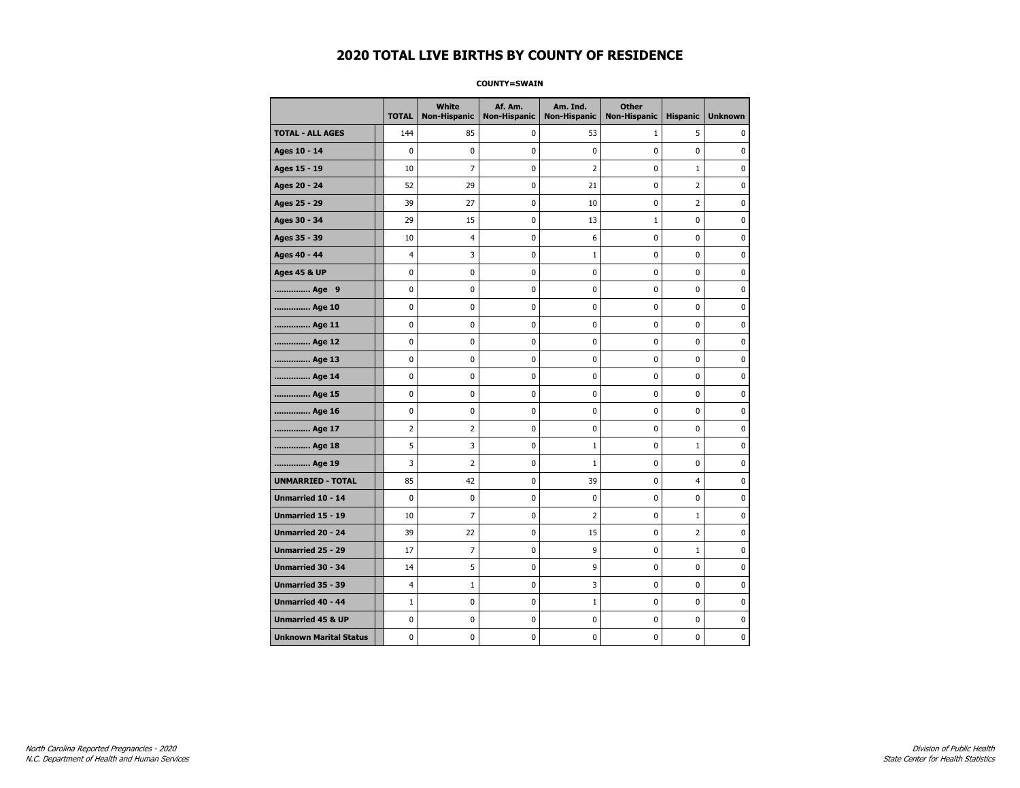#### **COUNTY=SWAIN**

|                               | <b>TOTAL</b>   | White<br>Non-Hispanic | Af. Am.<br><b>Non-Hispanic</b> | Am. Ind.<br><b>Non-Hispanic</b> | <b>Other</b><br>Non-Hispanic | <b>Hispanic</b> | <b>Unknown</b> |
|-------------------------------|----------------|-----------------------|--------------------------------|---------------------------------|------------------------------|-----------------|----------------|
| <b>TOTAL - ALL AGES</b>       | 144            | 85                    | 0                              | 53                              | $\mathbf{1}$                 | 5               | 0              |
| Ages 10 - 14                  | $\mathbf 0$    | $\mathbf 0$           | $\mathbf 0$                    | $\mathbf 0$                     | $\mathbf 0$                  | $\mathbf 0$     | 0              |
| Ages 15 - 19                  | 10             | $\overline{7}$        | $\mathbf 0$                    | $\overline{2}$                  | $\mathbf 0$                  | $\mathbf{1}$    | 0              |
| Ages 20 - 24                  | 52             | 29                    | $\pmb{0}$                      | 21                              | $\pmb{0}$                    | $\overline{2}$  | 0              |
| Ages 25 - 29                  | 39             | 27                    | $\pmb{0}$                      | 10                              | $\pmb{0}$                    | $\overline{2}$  | 0              |
| Ages 30 - 34                  | 29             | 15                    | 0                              | 13                              | $\mathbf{1}$                 | 0               | 0              |
| Ages 35 - 39                  | 10             | 4                     | 0                              | 6                               | $\mathbf 0$                  | $\mathbf 0$     | 0              |
| Ages 40 - 44                  | $\overline{4}$ | 3                     | $\mathbf 0$                    | $\mathbf{1}$                    | $\mathbf 0$                  | $\mathbf 0$     | 0              |
| <b>Ages 45 &amp; UP</b>       | $\mathbf 0$    | 0                     | $\mathbf 0$                    | $\mathbf 0$                     | $\mathbf 0$                  | $\mathbf 0$     | 0              |
| Age 9                         | $\pmb{0}$      | 0                     | $\pmb{0}$                      | 0                               | 0                            | 0               | 0              |
| Age 10                        | $\mathbf 0$    | 0                     | $\mathbf 0$                    | 0                               | $\mathbf 0$                  | $\mathbf 0$     | 0              |
| Age 11                        | 0              | 0                     | 0                              | 0                               | 0                            | 0               | 0              |
| Age 12                        | $\mathbf 0$    | 0                     | $\pmb{0}$                      | 0                               | 0                            | 0               | 0              |
| Age 13                        | $\mathbf 0$    | 0                     | $\mathbf 0$                    | $\mathbf 0$                     | $\mathbf 0$                  | $\mathbf 0$     | 0              |
| Age 14                        | $\mathbf 0$    | $\mathbf 0$           | $\mathbf 0$                    | $\mathbf 0$                     | $\mathbf 0$                  | $\mathbf 0$     | 0              |
| Age 15                        | $\pmb{0}$      | 0                     | $\pmb{0}$                      | $\pmb{0}$                       | $\pmb{0}$                    | $\pmb{0}$       | 0              |
| Age 16                        | 0              | 0                     | $\pmb{0}$                      | 0                               | 0                            | 0               | 0              |
| Age 17                        | $\overline{2}$ | $\overline{2}$        | 0                              | 0                               | $\mathbf 0$                  | $\mathbf 0$     | 0              |
| Age 18                        | 5              | 3                     | $\mathbf 0$                    | $\mathbf{1}$                    | 0                            | $\mathbf{1}$    | 0              |
| Age 19                        | 3              | $\overline{2}$        | $\mathbf 0$                    | $\mathbf{1}$                    | $\mathbf 0$                  | $\mathbf 0$     | 0              |
| <b>UNMARRIED - TOTAL</b>      | 85             | 42                    | $\mathbf 0$                    | 39                              | $\mathbf 0$                  | $\overline{4}$  | 0              |
| Unmarried 10 - 14             | $\mathbf 0$    | 0                     | $\pmb{0}$                      | $\pmb{0}$                       | $\mathbf 0$                  | $\mathbf 0$     | 0              |
| Unmarried 15 - 19             | 10             | 7                     | 0                              | 2                               | 0                            | $\mathbf{1}$    | 0              |
| <b>Unmarried 20 - 24</b>      | 39             | 22                    | 0                              | 15                              | 0                            | 2               | 0              |
| <b>Unmarried 25 - 29</b>      | 17             | $\overline{7}$        | $\mathbf 0$                    | 9                               | $\mathbf 0$                  | $\mathbf 1$     | 0              |
| <b>Unmarried 30 - 34</b>      | 14             | 5                     | $\mathbf 0$                    | 9                               | 0                            | 0               | 0              |
| Unmarried 35 - 39             | $\overline{4}$ | $1\,$                 | $\pmb{0}$                      | 3                               | $\pmb{0}$                    | $\pmb{0}$       | 0              |
| <b>Unmarried 40 - 44</b>      | $1\,$          | 0                     | $\pmb{0}$                      | $\mathbf{1}$                    | $\pmb{0}$                    | 0               | 0              |
| <b>Unmarried 45 &amp; UP</b>  | $\mathbf 0$    | 0                     | 0                              | 0                               | $\mathbf 0$                  | $\mathbf 0$     | 0              |
| <b>Unknown Marital Status</b> | $\mathbf 0$    | 0                     | $\pmb{0}$                      | 0                               | $\mathbf 0$                  | 0               | 0              |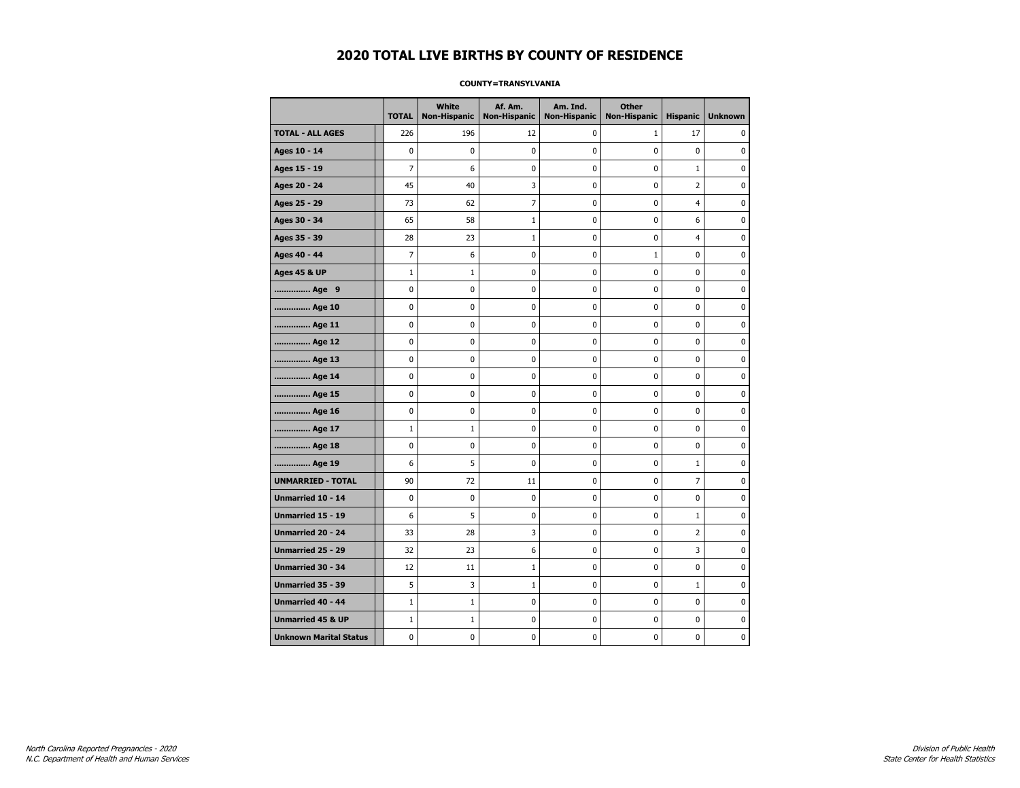#### **COUNTY=TRANSYLVANIA**

|                               | <b>TOTAL</b>   | <b>White</b> | Af. Am.<br>Non-Hispanic   Non-Hispanic | Am. Ind.<br><b>Non-Hispanic</b> | <b>Other</b><br><b>Non-Hispanic</b> | <b>Hispanic</b> | <b>Unknown</b> |
|-------------------------------|----------------|--------------|----------------------------------------|---------------------------------|-------------------------------------|-----------------|----------------|
| <b>TOTAL - ALL AGES</b>       | 226            | 196          | 12                                     | 0                               | 1                                   | 17              | 0              |
| Ages 10 - 14                  | 0              | $\mathbf 0$  | 0                                      | 0                               | 0                                   | 0               | $\mathbf 0$    |
| Ages 15 - 19                  | $\overline{7}$ | 6            | 0                                      | $\mathbf 0$                     | 0                                   | $\mathbf{1}$    | 0              |
| Ages 20 - 24                  | 45             | 40           | 3                                      | $\mathbf 0$                     | 0                                   | $\overline{2}$  | $\mathbf 0$    |
| Ages 25 - 29                  | 73             | 62           | $\overline{7}$                         | 0                               | $\pmb{0}$                           | 4               | 0              |
| Ages 30 - 34                  | 65             | 58           | $\mathbf{1}$                           | 0                               | 0                                   | 6               | 0              |
| Ages 35 - 39                  | 28             | 23           | 1                                      | 0                               | 0                                   | 4               | 0              |
| Ages 40 - 44                  | $\overline{7}$ | 6            | 0                                      | $\mathbf 0$                     | $\mathbf{1}$                        | $\mathbf 0$     | 0              |
| <b>Ages 45 &amp; UP</b>       | $\mathbf{1}$   | $\mathbf 1$  | 0                                      | $\pmb{0}$                       | $\mathbf 0$                         | $\mathbf 0$     | 0              |
| Age 9                         | 0              | 0            | 0                                      | 0                               | 0                                   | 0               | 0              |
| Age 10                        | 0              | $\mathbf 0$  | $\mathbf 0$                            | $\pmb{0}$                       | 0                                   | 0               | $\mathbf 0$    |
| Age 11                        | 0              | 0            | 0                                      | 0                               | 0                                   | 0               | 0              |
| Age 12                        | 0              | 0            | 0                                      | 0                               | 0                                   | 0               | 0              |
| Age 13                        | 0              | $\mathbf 0$  | 0                                      | 0                               | 0                                   | $\mathbf 0$     | 0              |
| Age 14                        | 0              | 0            | 0                                      | 0                               | 0                                   | $\mathbf 0$     | $\mathbf 0$    |
| Age 15                        | 0              | 0            | 0                                      | 0                               | 0                                   | 0               | 0              |
| Age 16                        | 0              | 0            | 0                                      | $\pmb{0}$                       | $\pmb{0}$                           | $\pmb{0}$       | 0              |
| Age 17                        | $\mathbf{1}$   | $\mathbf{1}$ | 0                                      | 0                               | 0                                   | 0               | 0              |
| Age 18                        | 0              | 0            | 0                                      | $\mathbf 0$                     | 0                                   | $\mathbf 0$     | 0              |
| Age 19                        | 6              | 5            | 0                                      | $\pmb{0}$                       | $\pmb{0}$                           | $\mathbf{1}$    | 0              |
| <b>UNMARRIED - TOTAL</b>      | 90             | 72           | 11                                     | 0                               | 0                                   | $\overline{7}$  | 0              |
| Unmarried 10 - 14             | 0              | $\bf{0}$     | $\bf{0}$                               | $\pmb{0}$                       | 0                                   | 0               | $\bf{0}$       |
| Unmarried 15 - 19             | 6              | 5            | 0                                      | 0                               | 0                                   | $\mathbf{1}$    | 0              |
| <b>Unmarried 20 - 24</b>      | 33             | 28           | 3                                      | 0                               | 0                                   | 2               | 0              |
| Unmarried 25 - 29             | 32             | 23           | 6                                      | 0                               | 0                                   | 3               | 0              |
| <b>Unmarried 30 - 34</b>      | 12             | 11           | 1                                      | 0                               | 0                                   | $\mathbf 0$     | $\mathbf 0$    |
| <b>Unmarried 35 - 39</b>      | 5              | 3            | $1\,$                                  | 0                               | $\mathbf 0$                         | $\mathbf{1}$    | $\mathbf 0$    |
| <b>Unmarried 40 - 44</b>      | $\mathbf{1}$   | $\mathbf 1$  | 0                                      | 0                               | 0                                   | 0               | 0              |
| <b>Unmarried 45 &amp; UP</b>  | $\mathbf{1}$   | $\mathbf 1$  | 0                                      | 0                               | 0                                   | 0               | 0              |
| <b>Unknown Marital Status</b> | 0              | 0            | 0                                      | 0                               | 0                                   | 0               | 0              |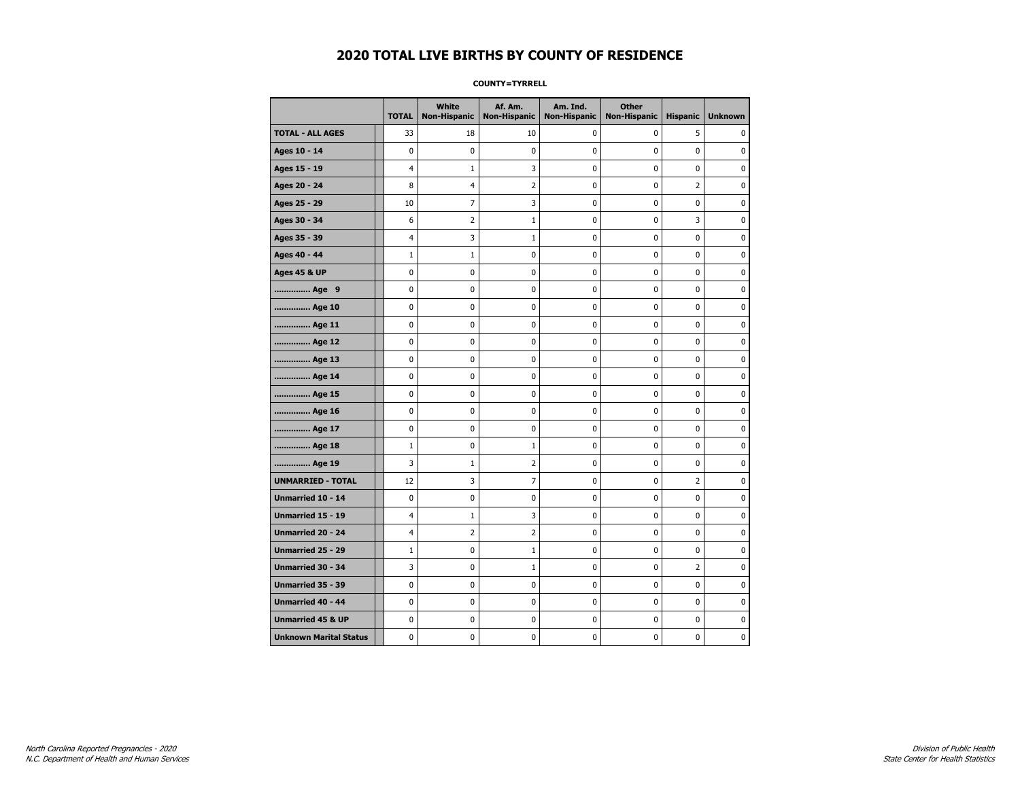#### **COUNTY=TYRRELL**

|                               | <b>TOTAL</b>   | White<br><b>Non-Hispanic</b> | Af. Am.<br><b>Non-Hispanic</b> | Am. Ind.<br><b>Non-Hispanic</b> | <b>Other</b><br><b>Non-Hispanic</b> | <b>Hispanic</b> | <b>Unknown</b> |
|-------------------------------|----------------|------------------------------|--------------------------------|---------------------------------|-------------------------------------|-----------------|----------------|
| <b>TOTAL - ALL AGES</b>       | 33             | 18                           | 10                             | 0                               | 0                                   | 5               | 0              |
| Ages 10 - 14                  | $\mathbf 0$    | 0                            | $\pmb{0}$                      | 0                               | $\mathbf 0$                         | 0               | 0              |
| Ages 15 - 19                  | $\overline{4}$ | $\mathbf{1}$                 | 3                              | $\mathbf 0$                     | $\mathbf 0$                         | $\mathbf 0$     | 0              |
| Ages 20 - 24                  | 8              | 4                            | $\overline{2}$                 | 0                               | 0                                   | $\overline{2}$  | 0              |
| Ages 25 - 29                  | 10             | $\overline{7}$               | 3                              | 0                               | $\mathbf 0$                         | $\mathbf 0$     | 0              |
| Ages 30 - 34                  | 6              | $\overline{2}$               | $\mathbf{1}$                   | $\mathbf 0$                     | $\mathbf 0$                         | 3               | 0              |
| Ages 35 - 39                  | $\overline{4}$ | 3                            | $\mathbf{1}$                   | $\pmb{0}$                       | $\mathbf 0$                         | $\pmb{0}$       | 0              |
| Ages 40 - 44                  | $1\,$          | $\mathbf{1}$                 | $\pmb{0}$                      | 0                               | 0                                   | 0               | 0              |
| <b>Ages 45 &amp; UP</b>       | 0              | 0                            | 0                              | 0                               | 0                                   | 0               | 0              |
| Age 9                         | $\mathbf 0$    | 0                            | 0                              | 0                               | $\mathbf 0$                         | 0               | 0              |
| Age 10                        | $\mathbf 0$    | 0                            | $\mathbf 0$                    | $\mathbf 0$                     | $\mathbf 0$                         | $\mathbf 0$     | 0              |
| Age 11                        | 0              | 0                            | 0                              | 0                               | 0                                   | 0               | 0              |
| Age 12                        | $\mathbf 0$    | 0                            | $\mathbf 0$                    | 0                               | 0                                   | $\mathbf 0$     | 0              |
| Age 13                        | $\mathbf 0$    | $\mathbf 0$                  | $\mathbf 0$                    | $\mathbf 0$                     | $\mathbf 0$                         | $\mathbf 0$     | 0              |
| Age 14                        | $\mathbf 0$    | $\mathbf 0$                  | $\mathbf 0$                    | $\mathbf 0$                     | $\mathbf 0$                         | $\mathbf 0$     | 0              |
| Age 15                        | $\pmb{0}$      | 0                            | $\pmb{0}$                      | $\pmb{0}$                       | $\pmb{0}$                           | $\pmb{0}$       | 0              |
| Age 16                        | $\pmb{0}$      | 0                            | $\pmb{0}$                      | $\pmb{0}$                       | $\pmb{0}$                           | 0               | 0              |
| Age 17                        | $\mathbf 0$    | 0                            | $\pmb{0}$                      | 0                               | $\mathbf 0$                         | $\mathbf 0$     | 0              |
| Age 18                        | $\mathbf{1}$   | 0                            | $\mathbf{1}$                   | 0                               | 0                                   | 0               | 0              |
| Age 19                        | 3              | $\mathbf 1$                  | $\overline{2}$                 | 0                               | 0                                   | 0               | 0              |
| <b>UNMARRIED - TOTAL</b>      | 12             | 3                            | 7                              | 0                               | 0                                   | $\overline{2}$  | 0              |
| Unmarried 10 - 14             | $\mathbf 0$    | 0                            | $\mathbf 0$                    | $\mathbf 0$                     | $\mathbf 0$                         | $\mathbf 0$     | 0              |
| Unmarried 15 - 19             | $\overline{4}$ | $\mathbf{1}$                 | 3                              | 0                               | 0                                   | $\mathbf 0$     | 0              |
| <b>Unmarried 20 - 24</b>      | $\overline{4}$ | $\overline{2}$               | $\overline{2}$                 | 0                               | $\mathbf 0$                         | $\mathbf 0$     | 0              |
| Unmarried 25 - 29             | $1\,$          | $\bf{0}$                     | $\mathbf{1}$                   | $\pmb{0}$                       | $\pmb{0}$                           | $\pmb{0}$       | 0              |
| Unmarried 30 - 34             | 3              | 0                            | $\mathbf{1}$                   | $\pmb{0}$                       | $\pmb{0}$                           | $\overline{2}$  | 0              |
| Unmarried 35 - 39             | 0              | 0                            | $\pmb{0}$                      | 0                               | 0                                   | 0               | 0              |
| Unmarried 40 - 44             | 0              | 0                            | 0                              | 0                               | 0                                   | 0               | 0              |
| <b>Unmarried 45 &amp; UP</b>  | $\mathbf 0$    | 0                            | 0                              | 0                               | 0                                   | $\mathbf 0$     | 0              |
| <b>Unknown Marital Status</b> | $\mathbf 0$    | 0                            | $\pmb{0}$                      | 0                               | $\mathbf 0$                         | 0               | 0              |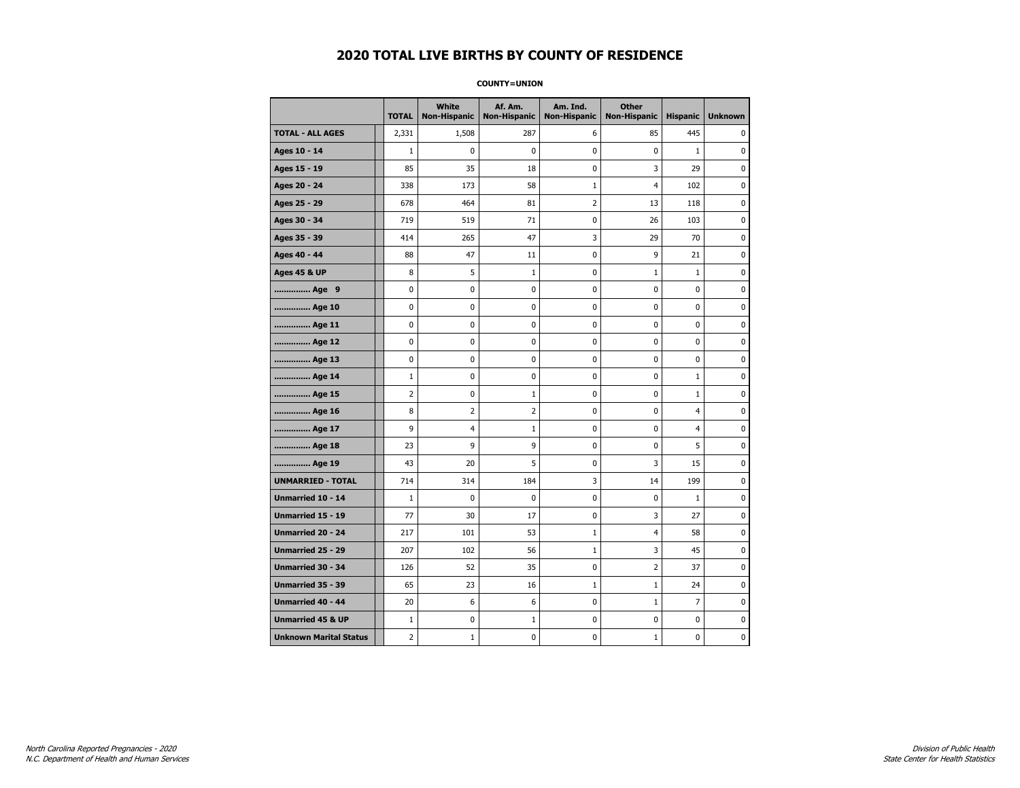**COUNTY=UNION** 

|                               | <b>TOTAL</b>   | White<br><b>Non-Hispanic</b> | Af. Am.<br><b>Non-Hispanic</b> | Am. Ind.<br><b>Non-Hispanic</b> | <b>Other</b><br><b>Non-Hispanic</b> | <b>Hispanic</b> | <b>Unknown</b> |
|-------------------------------|----------------|------------------------------|--------------------------------|---------------------------------|-------------------------------------|-----------------|----------------|
| <b>TOTAL - ALL AGES</b>       | 2,331          | 1,508                        | 287                            | 6                               | 85                                  | 445             | 0              |
| Ages 10 - 14                  | $\mathbf{1}$   | $\mathbf 0$                  | 0                              | 0                               | 0                                   | $\mathbf{1}$    | $\mathbf 0$    |
| Ages 15 - 19                  | 85             | 35                           | 18                             | 0                               | 3                                   | 29              | $\mathbf 0$    |
| Ages 20 - 24                  | 338            | 173                          | 58                             | $\mathbf 1$                     | $\overline{4}$                      | 102             | 0              |
| Ages 25 - 29                  | 678            | 464                          | 81                             | $\overline{2}$                  | 13                                  | 118             | 0              |
| Ages 30 - 34                  | 719            | 519                          | 71                             | 0                               | 26                                  | 103             | $\mathbf 0$    |
| Ages 35 - 39                  | 414            | 265                          | 47                             | 3                               | 29                                  | 70              | $\mathbf 0$    |
| Ages 40 - 44                  | 88             | 47                           | 11                             | 0                               | 9                                   | 21              | 0              |
| <b>Ages 45 &amp; UP</b>       | 8              | 5                            | $\mathbf{1}$                   | 0                               | $\mathbf{1}$                        | $\mathbf{1}$    | $\mathbf 0$    |
| Age 9                         | 0              | 0                            | 0                              | 0                               | 0                                   | 0               | 0              |
| Age 10                        | 0              | $\mathbf 0$                  | 0                              | 0                               | 0                                   | 0               | $\mathbf 0$    |
| Age 11                        | 0              | 0                            | 0                              | 0                               | 0                                   | 0               | $\pmb{0}$      |
| Age 12                        | 0              | 0                            | 0                              | 0                               | 0                                   | 0               | 0              |
| Age 13                        | 0              | 0                            | 0                              | 0                               | 0                                   | 0               | 0              |
| Age 14                        | $\mathbf{1}$   | 0                            | 0                              | 0                               | 0                                   | $\mathbf{1}$    | $\mathbf 0$    |
| Age 15                        | $\overline{2}$ | 0                            | $\mathbf{1}$                   | 0                               | 0                                   | $\mathbf{1}$    | $\pmb{0}$      |
| Age 16                        | 8              | 2                            | 2                              | 0                               | 0                                   | $\overline{4}$  | 0              |
| Age 17                        | 9              | 4                            | 1                              | 0                               | 0                                   | 4               | 0              |
| Age 18                        | 23             | 9                            | 9                              | 0                               | 0                                   | 5               | $\mathbf 0$    |
| Age 19                        | 43             | 20                           | 5                              | 0                               | 3                                   | 15              | $\pmb{0}$      |
| <b>UNMARRIED - TOTAL</b>      | 714            | 314                          | 184                            | 3                               | 14                                  | 199             | $\pmb{0}$      |
| Unmarried 10 - 14             | $\mathbf{1}$   | 0                            | 0                              | 0                               | 0                                   | $\mathbf{1}$    | 0              |
| Unmarried 15 - 19             | 77             | 30                           | 17                             | 0                               | 3                                   | 27              | $\mathbf 0$    |
| Unmarried 20 - 24             | 217            | 101                          | 53                             | $\mathbf{1}$                    | 4                                   | 58              | $\pmb{0}$      |
| Unmarried 25 - 29             | 207            | 102                          | 56                             | $\mathbf 1$                     | 3                                   | 45              | 0              |
| <b>Unmarried 30 - 34</b>      | 126            | 52                           | 35                             | 0                               | 2                                   | 37              | 0              |
| Unmarried 35 - 39             | 65             | 23                           | 16                             | $\mathbf{1}$                    | $1\,$                               | 24              | $\mathbf 0$    |
| <b>Unmarried 40 - 44</b>      | 20             | 6                            | 6                              | 0                               | $\mathbf{1}$                        | $\overline{7}$  | $\mathbf 0$    |
| <b>Unmarried 45 &amp; UP</b>  | $1\,$          | 0                            | 1                              | 0                               | 0                                   | 0               | 0              |
| <b>Unknown Marital Status</b> | $\overline{2}$ | $\mathbf{1}$                 | 0                              | 0                               | $1\,$                               | 0               | 0              |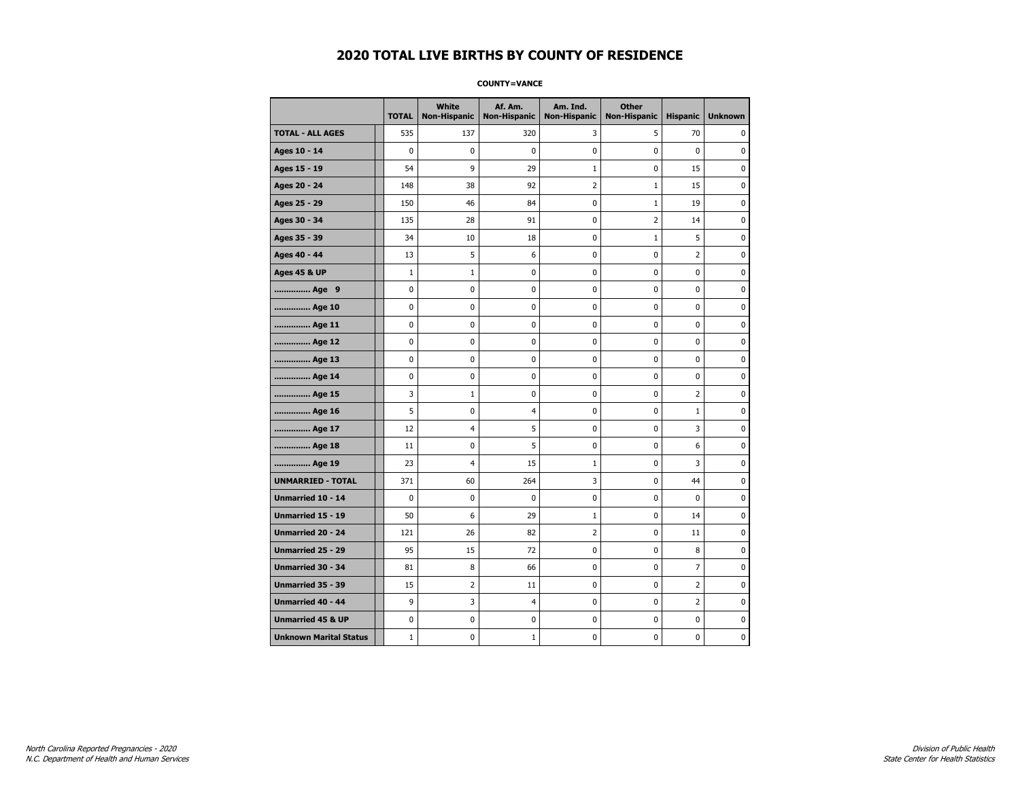#### **COUNTY=VANCE**

|                               | <b>TOTAL</b> | White<br>Non-Hispanic | Af. Am.<br><b>Non-Hispanic</b> | Am. Ind.<br><b>Non-Hispanic</b> | <b>Other</b><br><b>Non-Hispanic</b> | <b>Hispanic</b> | <b>Unknown</b> |
|-------------------------------|--------------|-----------------------|--------------------------------|---------------------------------|-------------------------------------|-----------------|----------------|
| <b>TOTAL - ALL AGES</b>       | 535          | 137                   | 320                            | 3                               | 5                                   | 70              | 0              |
| Ages 10 - 14                  | $\mathbf 0$  | 0                     | 0                              | $\mathbf 0$                     | $\mathbf 0$                         | $\mathbf 0$     | 0              |
| Ages 15 - 19                  | 54           | 9                     | 29                             | $\mathbf{1}$                    | 0                                   | 15              | $\pmb{0}$      |
| Ages 20 - 24                  | 148          | 38                    | 92                             | $\overline{2}$                  | $\mathbf{1}$                        | 15              | 0              |
| Ages 25 - 29                  | 150          | 46                    | 84                             | 0                               | $\mathbf{1}$                        | 19              | 0              |
| Ages 30 - 34                  | 135          | 28                    | 91                             | 0                               | $\overline{2}$                      | 14              | 0              |
| Ages 35 - 39                  | 34           | 10                    | 18                             | $\mathbf 0$                     | $\mathbf{1}$                        | 5               | $\mathbf 0$    |
| Ages 40 - 44                  | 13           | 5                     | 6                              | 0                               | 0                                   | 2               | 0              |
| <b>Ages 45 &amp; UP</b>       | $\mathbf 1$  | $1\,$                 | 0                              | $\pmb{0}$                       | 0                                   | 0               | 0              |
| Age 9                         | 0            | 0                     | 0                              | 0                               | 0                                   | 0               | 0              |
| Age 10                        | $\mathbf 0$  | 0                     | 0                              | $\mathbf 0$                     | 0                                   | 0               | 0              |
| Age 11                        | $\mathbf 0$  | 0                     | 0                              | $\mathbf 0$                     | 0                                   | 0               | 0              |
| Age 12                        | $\pmb{0}$    | 0                     | 0                              | 0                               | 0                                   | 0               | 0              |
| Age 13                        | 0            | 0                     | 0                              | 0                               | 0                                   | 0               | 0              |
| Age 14                        | 0            | 0                     | 0                              | 0                               | 0                                   | 0               | 0              |
| Age 15                        | 3            | 1                     | 0                              | 0                               | $\mathbf 0$                         | 2               | 0              |
| Age 16                        | 5            | 0                     | 4                              | $\mathbf 0$                     | 0                                   | $\mathbf{1}$    | 0              |
| Age 17                        | 12           | $\overline{4}$        | 5                              | 0                               | 0                                   | 3               | $\bf{0}$       |
| Age 18                        | 11           | 0                     | 5                              | $\pmb{0}$                       | 0                                   | 6               | 0              |
| Age 19                        | 23           | $\overline{4}$        | 15                             | 1                               | 0                                   | 3               | 0              |
| <b>UNMARRIED - TOTAL</b>      | 371          | 60                    | 264                            | 3                               | 0                                   | 44              | 0              |
| Unmarried 10 - 14             | $\mathbf 0$  | 0                     | 0                              | 0                               | 0                                   | 0               | 0              |
| Unmarried 15 - 19             | 50           | 6                     | 29                             | $\mathbf 1$                     | $\pmb{0}$                           | 14              | $\pmb{0}$      |
| Unmarried 20 - 24             | 121          | 26                    | 82                             | 2                               | 0                                   | 11              | 0              |
| Unmarried 25 - 29             | 95           | 15                    | 72                             | 0                               | 0                                   | 8               | 0              |
| <b>Unmarried 30 - 34</b>      | 81           | 8                     | 66                             | $\pmb{0}$                       | $\pmb{0}$                           | $\overline{7}$  | 0              |
| <b>Unmarried 35 - 39</b>      | 15           | $\overline{2}$        | 11                             | 0                               | $\mathbf 0$                         | $\overline{2}$  | 0              |
| <b>Unmarried 40 - 44</b>      | 9            | 3                     | 4                              | 0                               | 0                                   | 2               | $\bf{0}$       |
| <b>Unmarried 45 &amp; UP</b>  | 0            | 0                     | 0                              | 0                               | 0                                   | 0               | 0              |
| <b>Unknown Marital Status</b> | $\mathbf{1}$ | 0                     | 1                              | 0                               | 0                                   | 0               | 0              |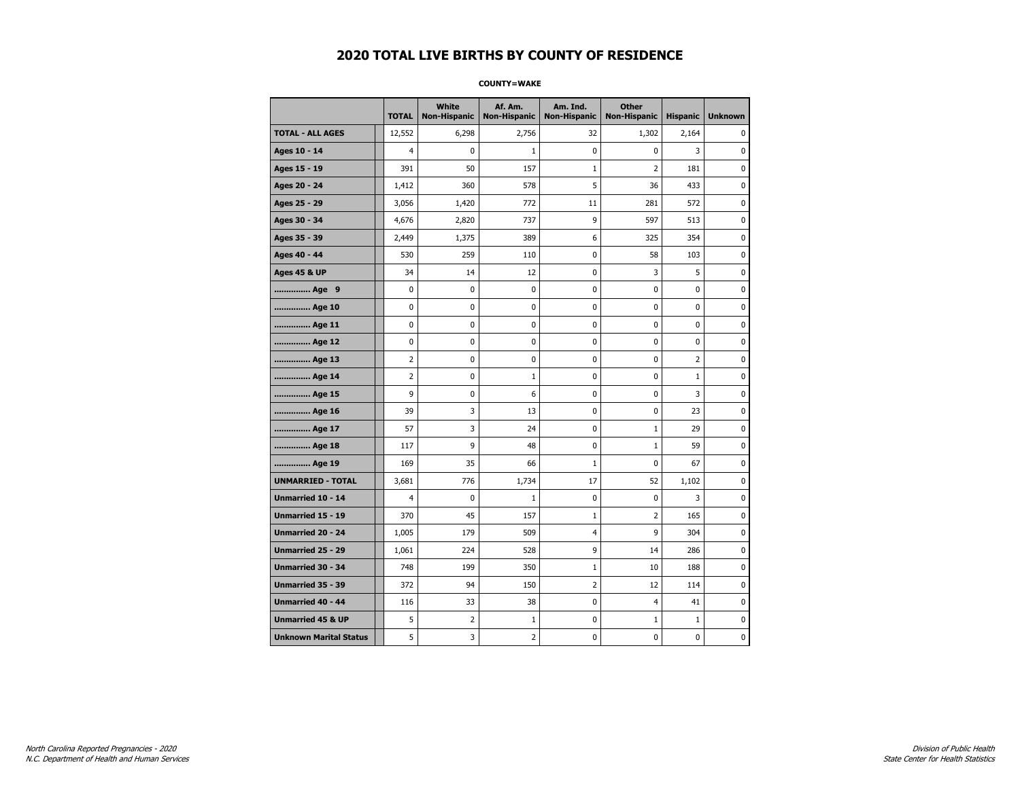#### **COUNTY=WAKE**

|                               | <b>TOTAL</b>   | <b>White</b><br><b>Non-Hispanic</b> | Af. Am.<br><b>Non-Hispanic</b> | Am. Ind.<br><b>Non-Hispanic</b> | <b>Other</b><br>Non-Hispanic | <b>Hispanic</b> | <b>Unknown</b> |
|-------------------------------|----------------|-------------------------------------|--------------------------------|---------------------------------|------------------------------|-----------------|----------------|
| <b>TOTAL - ALL AGES</b>       | 12,552         | 6,298                               | 2,756                          | 32                              | 1,302                        | 2,164           | 0              |
| Ages 10 - 14                  | $\overline{4}$ | $\mathbf 0$                         | 1                              | $\pmb{0}$                       | $\mathbf 0$                  | 3               | 0              |
| Ages 15 - 19                  | 391            | 50                                  | 157                            | $1\,$                           | $\overline{2}$               | 181             | 0              |
| Ages 20 - 24                  | 1,412          | 360                                 | 578                            | 5                               | 36                           | 433             | $\mathbf 0$    |
| Ages 25 - 29                  | 3,056          | 1,420                               | 772                            | 11                              | 281                          | 572             | $\pmb{0}$      |
| Ages 30 - 34                  | 4,676          | 2,820                               | 737                            | 9                               | 597                          | 513             | 0              |
| Ages 35 - 39                  | 2,449          | 1,375                               | 389                            | 6                               | 325                          | 354             | 0              |
| Ages 40 - 44                  | 530            | 259                                 | 110                            | 0                               | 58                           | 103             | 0              |
| <b>Ages 45 &amp; UP</b>       | 34             | 14                                  | 12                             | 0                               | 3                            | 5               | 0              |
| Age 9                         | 0              | 0                                   | 0                              | 0                               | $\mathbf 0$                  | 0               | 0              |
| Age 10                        | 0              | 0                                   | 0                              | $\mathbf 0$                     | $\mathbf 0$                  | $\mathbf 0$     | 0              |
| Age 11                        | 0              | 0                                   | 0                              | $\mathbf 0$                     | $\mathbf 0$                  | $\mathbf 0$     | 0              |
| Age 12                        | $\pmb{0}$      | 0                                   | 0                              | 0                               | 0                            | 0               | 0              |
| Age 13                        | $\overline{2}$ | 0                                   | 0                              | 0                               | 0                            | $\overline{2}$  | 0              |
| Age 14                        | $\overline{2}$ | 0                                   | 1                              | 0                               | 0                            | $\mathbf{1}$    | 0              |
| Age 15                        | 9              | 0                                   | 6                              | 0                               | 0                            | 3               | 0              |
| Age 16                        | 39             | 3                                   | 13                             | $\mathbf 0$                     | $\mathbf 0$                  | 23              | 0              |
| Age 17                        | 57             | 3                                   | 24                             | $\mathbf 0$                     | $\mathbf{1}$                 | 29              | $\mathbf 0$    |
| Age 18                        | 117            | 9                                   | 48                             | $\mathbf 0$                     | $\mathbf{1}$                 | 59              | 0              |
| Age 19                        | 169            | 35                                  | 66                             | $\mathbf 1$                     | $\mathbf 0$                  | 67              | $\pmb{0}$      |
| <b>UNMARRIED - TOTAL</b>      | 3,681          | 776                                 | 1,734                          | 17                              | 52                           | 1,102           | 0              |
| Unmarried 10 - 14             | $\overline{4}$ | 0                                   | $\mathbf{1}$                   | $\mathbf 0$                     | $\mathbf 0$                  | 3               | 0              |
| Unmarried 15 - 19             | 370            | 45                                  | 157                            | $\mathbf{1}$                    | 2                            | 165             | 0              |
| <b>Unmarried 20 - 24</b>      | 1,005          | 179                                 | 509                            | $\overline{4}$                  | 9                            | 304             | 0              |
| <b>Unmarried 25 - 29</b>      | 1,061          | 224                                 | 528                            | 9                               | 14                           | 286             | 0              |
| <b>Unmarried 30 - 34</b>      | 748            | 199                                 | 350                            | $\mathbf{1}$                    | 10                           | 188             | 0              |
| Unmarried 35 - 39             | 372            | 94                                  | 150                            | $\overline{2}$                  | 12                           | 114             | $\pmb{0}$      |
| Unmarried 40 - 44             | 116            | 33                                  | 38                             | 0                               | 4                            | 41              | 0              |
| <b>Unmarried 45 &amp; UP</b>  | 5              | 2                                   | 1                              | 0                               | $\mathbf{1}$                 | $\mathbf{1}$    | 0              |
| <b>Unknown Marital Status</b> | 5              | 3                                   | 2                              | 0                               | 0                            | 0               | 0              |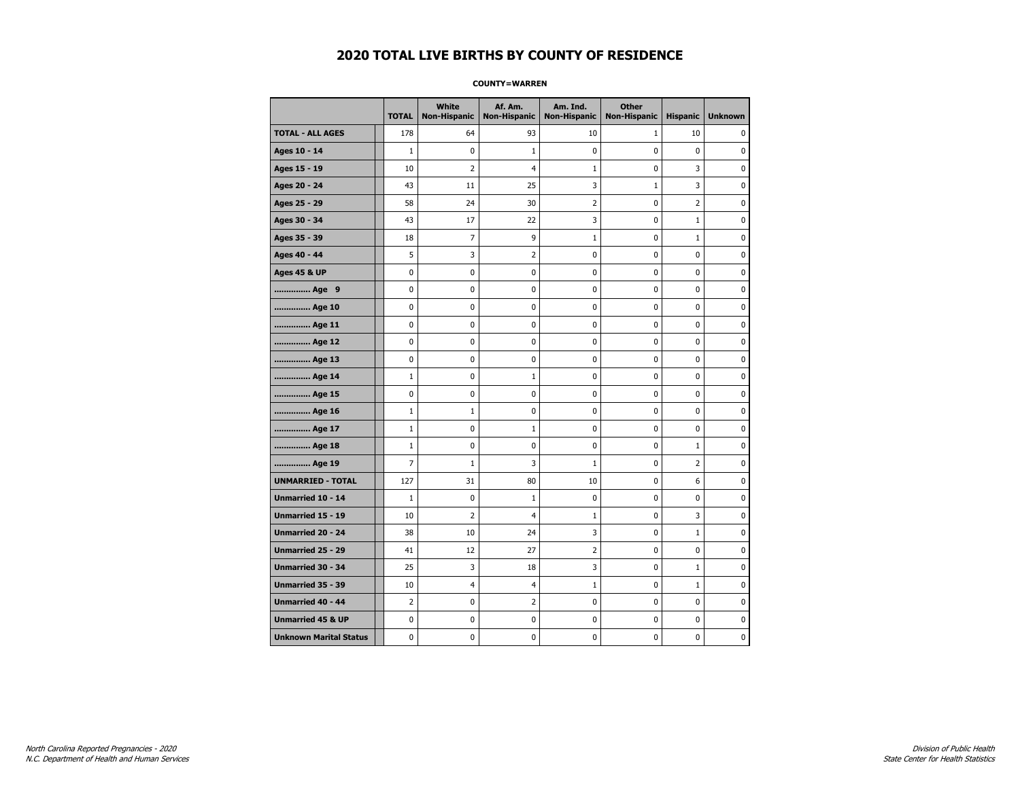#### **COUNTY=WARREN**

|                               | <b>TOTAL</b>   | White<br><b>Non-Hispanic</b> | Af. Am.<br><b>Non-Hispanic</b> | Am. Ind.<br><b>Non-Hispanic</b> | <b>Other</b><br><b>Non-Hispanic</b> | <b>Hispanic</b> | <b>Unknown</b> |
|-------------------------------|----------------|------------------------------|--------------------------------|---------------------------------|-------------------------------------|-----------------|----------------|
| <b>TOTAL - ALL AGES</b>       | 178            | 64                           | 93                             | 10                              | $\mathbf{1}$                        | 10              | 0              |
| Ages 10 - 14                  | $\mathbf{1}$   | 0                            | 1                              | 0                               | $\mathbf 0$                         | $\mathbf 0$     | 0              |
| Ages 15 - 19                  | 10             | $\overline{2}$               | 4                              | 1                               | $\mathbf 0$                         | 3               | $\mathbf 0$    |
| Ages 20 - 24                  | 43             | 11                           | 25                             | 3                               | $\mathbf 1$                         | 3               | 0              |
| Ages 25 - 29                  | 58             | 24                           | 30                             | 2                               | 0                                   | 2               | 0              |
| Ages 30 - 34                  | 43             | 17                           | 22                             | 3                               | 0                                   | $\mathbf{1}$    | 0              |
| Ages 35 - 39                  | 18             | 7                            | 9                              | $\mathbf{1}$                    | 0                                   | $\mathbf{1}$    | 0              |
| Ages 40 - 44                  | 5              | 3                            | 2                              | $\pmb{0}$                       | 0                                   | $\mathbf 0$     | 0              |
| <b>Ages 45 &amp; UP</b>       | $\mathbf 0$    | 0                            | 0                              | $\mathbf 0$                     | $\mathbf 0$                         | 0               | 0              |
| Age 9                         | $\mathbf 0$    | 0                            | 0                              | 0                               | 0                                   | 0               | 0              |
| Age 10                        | $\mathbf 0$    | 0                            | 0                              | 0                               | 0                                   | 0               | 0              |
| Age 11                        | $\mathbf 0$    | 0                            | 0                              | 0                               | 0                                   | $\mathbf 0$     | 0              |
| Age 12                        | $\mathbf 0$    | 0                            | 0                              | 0                               | 0                                   | 0               | 0              |
| Age 13                        | 0              | 0                            | 0                              | $\mathbf 0$                     | $\mathbf 0$                         | 0               | $\mathbf 0$    |
| Age 14                        | $\mathbf{1}$   | 0                            | $\mathbf{1}$                   | 0                               | 0                                   | $\mathbf 0$     | 0              |
| Age 15                        | $\pmb{0}$      | 0                            | 0                              | 0                               | $\pmb{0}$                           | 0               | 0              |
| Age 16                        | 1              | $\mathbf{1}$                 | 0                              | 0                               | 0                                   | 0               | 0              |
| Age 17                        | $\mathbf{1}$   | 0                            | 1                              | 0                               | 0                                   | 0               | 0              |
| Age 18                        | $\mathbf{1}$   | 0                            | 0                              | 0                               | 0                                   | $\mathbf{1}$    | 0              |
| Age 19                        | $\overline{7}$ | $\mathbf{1}$                 | 3                              | $\mathbf{1}$                    | $\mathbf 0$                         | $\overline{2}$  | 0              |
| <b>UNMARRIED - TOTAL</b>      | 127            | 31                           | 80                             | 10                              | 0                                   | 6               | 0              |
| Unmarried 10 - 14             | $1\,$          | 0                            | $\mathbf{1}$                   | 0                               | $\pmb{0}$                           | 0               | $\pmb{0}$      |
| Unmarried 15 - 19             | 10             | $\overline{2}$               | 4                              | $\mathbf 1$                     | 0                                   | 3               | 0              |
| Unmarried 20 - 24             | 38             | 10                           | 24                             | 3                               | 0                                   | $\mathbf{1}$    | 0              |
| Unmarried 25 - 29             | 41             | 12                           | 27                             | $\overline{2}$                  | 0                                   | 0               | 0              |
| <b>Unmarried 30 - 34</b>      | 25             | 3                            | 18                             | 3                               | $\mathbf 0$                         | $\mathbf{1}$    | 0              |
| Unmarried 35 - 39             | 10             | $\overline{\mathcal{A}}$     | 4                              | 1                               | 0                                   | $\mathbf{1}$    | 0              |
| <b>Unmarried 40 - 44</b>      | $\overline{2}$ | 0                            | 2                              | 0                               | 0                                   | 0               | 0              |
| <b>Unmarried 45 &amp; UP</b>  | 0              | 0                            | 0                              | 0                               | 0                                   | 0               | 0              |
| <b>Unknown Marital Status</b> | 0              | 0                            | 0                              | 0                               | 0                                   | 0               | 0              |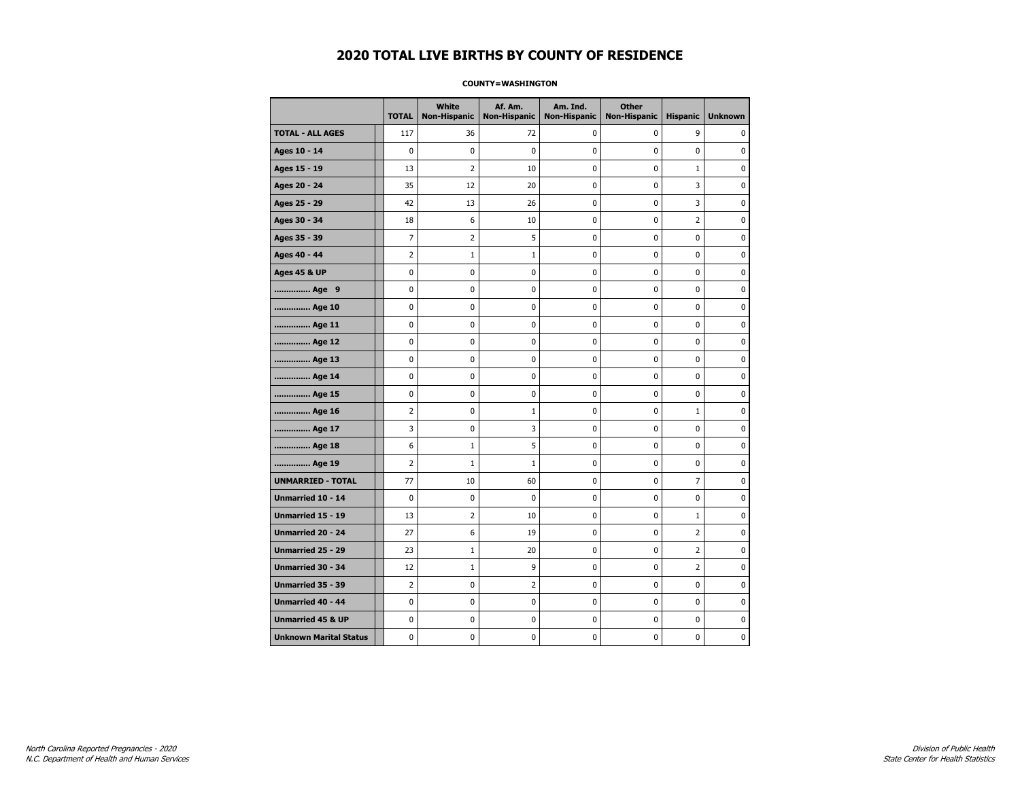#### **COUNTY=WASHINGTON**

|                               | <b>TOTAL</b>   | <b>White</b><br>Non-Hispanic | Af. Am.<br><b>Non-Hispanic</b> | Am. Ind.<br><b>Non-Hispanic</b> | <b>Other</b><br><b>Non-Hispanic</b> | <b>Hispanic</b> | <b>Unknown</b> |
|-------------------------------|----------------|------------------------------|--------------------------------|---------------------------------|-------------------------------------|-----------------|----------------|
| <b>TOTAL - ALL AGES</b>       | 117            | 36                           | 72                             | 0                               | 0                                   | 9               | 0              |
| Ages 10 - 14                  | $\mathbf 0$    | $\mathbf 0$                  | $\mathbf 0$                    | $\mathbf 0$                     | 0                                   | 0               | $\mathbf 0$    |
| Ages 15 - 19                  | 13             | $\overline{2}$               | 10                             | 0                               | 0                                   | $\mathbf 1$     | $\pmb{0}$      |
| Ages 20 - 24                  | 35             | 12                           | 20                             | $\pmb{0}$                       | 0                                   | 3               | 0              |
| Ages 25 - 29                  | 42             | 13                           | 26                             | 0                               | 0                                   | 3               | 0              |
| Ages 30 - 34                  | 18             | 6                            | 10                             | 0                               | 0                                   | $\overline{2}$  | 0              |
| Ages 35 - 39                  | $\overline{7}$ | $\overline{2}$               | 5                              | 0                               | 0                                   | 0               | $\mathbf 0$    |
| Ages 40 - 44                  | $\overline{2}$ | $\mathbf{1}$                 | $\mathbf 1$                    | 0                               | 0                                   | 0               | 0              |
| <b>Ages 45 &amp; UP</b>       | $\pmb{0}$      | 0                            | 0                              | 0                               | 0                                   | 0               | 0              |
| Age 9                         | 0              | 0                            | 0                              | 0                               | 0                                   | 0               | 0              |
| Age 10                        | $\mathbf 0$    | 0                            | 0                              | 0                               | 0                                   | 0               | $\mathbf 0$    |
| Age 11                        | 0              | 0                            | $\mathbf 0$                    | $\mathbf 0$                     | 0                                   | 0               | $\mathbf 0$    |
| Age 12                        | $\pmb{0}$      | 0                            | 0                              | 0                               | 0                                   | 0               | 0              |
| Age 13                        | 0              | 0                            | 0                              | 0                               | 0                                   | 0               | 0              |
| Age 14                        | 0              | 0                            | 0                              | 0                               | 0                                   | 0               | 0              |
| Age 15                        | $\mathbf 0$    | 0                            | $\mathbf 0$                    | 0                               | 0                                   | 0               | 0              |
| Age 16                        | $\overline{2}$ | 0                            | 1                              | 0                               | 0                                   | $\mathbf 1$     | $\mathbf 0$    |
| Age 17                        | 3              | 0                            | 3                              | 0                               | 0                                   | 0               | 0              |
| Age 18                        | 6              | $\mathbf{1}$                 | 5                              | 0                               | 0                                   | 0               | 0              |
| Age 19                        | $\overline{2}$ | $\mathbf{1}$                 | 1                              | 0                               | 0                                   | 0               | 0              |
| <b>UNMARRIED - TOTAL</b>      | 77             | 10                           | 60                             | 0                               | 0                                   | 7               | 0              |
| <b>Unmarried 10 - 14</b>      | $\mathbf 0$    | $\mathbf 0$                  | 0                              | 0                               | 0                                   | 0               | $\mathbf 0$    |
| Unmarried 15 - 19             | 13             | $\overline{2}$               | 10                             | $\pmb{0}$                       | 0                                   | $\mathbf 1$     | 0              |
| Unmarried 20 - 24             | 27             | 6                            | 19                             | 0                               | 0                                   | 2               | 0              |
| <b>Unmarried 25 - 29</b>      | 23             | $1\,$                        | 20                             | 0                               | 0                                   | $\overline{2}$  | 0              |
| Unmarried 30 - 34             | 12             | $\mathbf{1}$                 | 9                              | $\pmb{0}$                       | 0                                   | $\overline{2}$  | $\mathbf 0$    |
| <b>Unmarried 35 - 39</b>      | $\overline{2}$ | $\mathbf 0$                  | $\overline{2}$                 | 0                               | 0                                   | 0               | 0              |
| <b>Unmarried 40 - 44</b>      | 0              | $\pmb{0}$                    | $\bf{0}$                       | 0                               | 0                                   | 0               | $\pmb{0}$      |
| <b>Unmarried 45 &amp; UP</b>  | 0              | 0                            | 0                              | 0                               | 0                                   | 0               | 0              |
| <b>Unknown Marital Status</b> | $\mathbf 0$    | 0                            | 0                              | 0                               | 0                                   | 0               | 0              |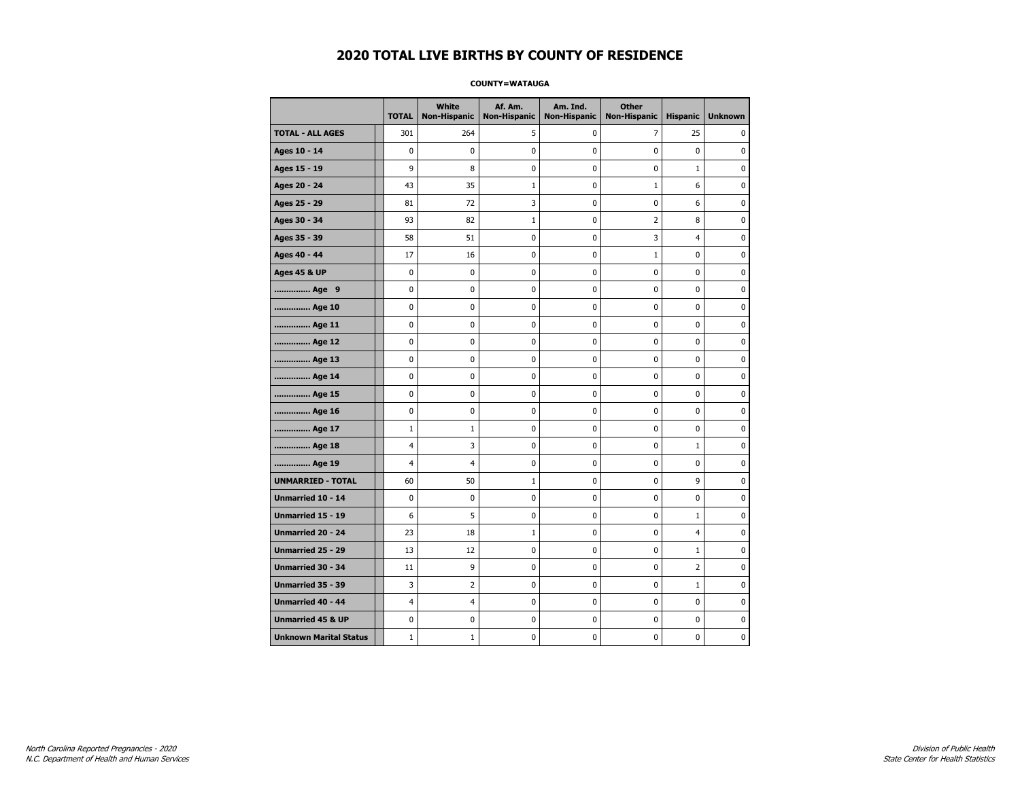#### **COUNTY=WATAUGA**

|                               | <b>TOTAL</b>   | White<br>Non-Hispanic | Af. Am.<br><b>Non-Hispanic</b> | Am. Ind.<br><b>Non-Hispanic</b> | <b>Other</b><br>Non-Hispanic | <b>Hispanic</b> | <b>Unknown</b> |
|-------------------------------|----------------|-----------------------|--------------------------------|---------------------------------|------------------------------|-----------------|----------------|
| <b>TOTAL - ALL AGES</b>       | 301            | 264                   | 5                              | 0                               | 7                            | 25              | 0              |
| Ages 10 - 14                  | $\mathbf 0$    | $\mathbf 0$           | $\pmb{0}$                      | 0                               | $\mathbf 0$                  | $\mathbf 0$     | 0              |
| Ages 15 - 19                  | 9              | 8                     | $\mathbf 0$                    | $\mathbf 0$                     | $\mathbf 0$                  | $\mathbf 1$     | 0              |
| Ages 20 - 24                  | 43             | 35                    | $\mathbf{1}$                   | $\mathbf 0$                     | $\mathbf{1}$                 | 6               | 0              |
| Ages 25 - 29                  | 81             | 72                    | 3                              | $\pmb{0}$                       | $\pmb{0}$                    | 6               | 0              |
| Ages 30 - 34                  | 93             | 82                    | $\mathbf{1}$                   | $\pmb{0}$                       | $\overline{2}$               | 8               | 0              |
| Ages 35 - 39                  | 58             | 51                    | $\mathbf 0$                    | 0                               | 3                            | $\overline{4}$  | 0              |
| Ages 40 - 44                  | 17             | 16                    | $\pmb{0}$                      | 0                               | $\mathbf{1}$                 | 0               | 0              |
| <b>Ages 45 &amp; UP</b>       | 0              | 0                     | 0                              | 0                               | 0                            | 0               | 0              |
| Age 9                         | $\mathbf 0$    | 0                     | $\pmb{0}$                      | 0                               | $\mathbf 0$                  | 0               | 0              |
| Age 10                        | $\mathbf 0$    | 0                     | $\mathbf 0$                    | $\mathbf 0$                     | $\mathbf 0$                  | $\mathbf 0$     | 0              |
| Age 11                        | $\mathbf 0$    | 0                     | $\mathbf 0$                    | $\mathbf 0$                     | $\mathbf 0$                  | $\mathbf 0$     | 0              |
| Age 12                        | $\pmb{0}$      | 0                     | $\pmb{0}$                      | 0                               | 0                            | 0               | 0              |
| Age 13                        | 0              | 0                     | $\pmb{0}$                      | 0                               | 0                            | 0               | 0              |
| Age 14                        | $\mathbf 0$    | 0                     | $\mathbf 0$                    | 0                               | $\mathbf 0$                  | $\mathbf 0$     | 0              |
| Age 15                        | 0              | 0                     | 0                              | 0                               | 0                            | 0               | 0              |
| Age 16                        | $\mathbf 0$    | 0                     | $\mathbf 0$                    | $\mathbf 0$                     | $\mathbf 0$                  | $\mathbf 0$     | 0              |
| Age 17                        | $\mathbf{1}$   | $\mathbf{1}$          | $\mathbf 0$                    | 0                               | $\mathbf 0$                  | $\mathbf 0$     | 0              |
| Age 18                        | $\overline{4}$ | 3                     | $\mathbf 0$                    | $\mathbf 0$                     | $\mathbf 0$                  | $\mathbf{1}$    | 0              |
| Age 19                        | 4              | 4                     | $\pmb{0}$                      | $\pmb{0}$                       | $\pmb{0}$                    | $\pmb{0}$       | 0              |
| <b>UNMARRIED - TOTAL</b>      | 60             | 50                    | $\mathbf{1}$                   | $\pmb{0}$                       | $\pmb{0}$                    | 9               | 0              |
| Unmarried 10 - 14             | $\mathbf 0$    | 0                     | $\mathbf 0$                    | 0                               | $\mathbf 0$                  | $\mathbf 0$     | 0              |
| Unmarried 15 - 19             | 6              | 5                     | 0                              | 0                               | 0                            | $\mathbf 1$     | 0              |
| Unmarried 20 - 24             | 23             | 18                    | 1                              | 0                               | $\mathbf 0$                  | 4               | 0              |
| Unmarried 25 - 29             | 13             | 12                    | $\mathbf 0$                    | $\mathbf 0$                     | $\mathbf 0$                  | $\mathbf 1$     | 0              |
| <b>Unmarried 30 - 34</b>      | 11             | 9                     | $\mathbf 0$                    | $\mathbf 0$                     | $\mathbf 0$                  | $\overline{2}$  | 0              |
| Unmarried 35 - 39             | 3              | $\overline{2}$        | $\pmb{0}$                      | $\pmb{0}$                       | $\pmb{0}$                    | $\mathbf 1$     | 0              |
| Unmarried 40 - 44             | $\overline{4}$ | 4                     | $\pmb{0}$                      | 0                               | 0                            | 0               | 0              |
| <b>Unmarried 45 &amp; UP</b>  | $\mathbf 0$    | 0                     | 0                              | 0                               | 0                            | 0               | 0              |
| <b>Unknown Marital Status</b> | $1\,$          | $\mathbf{1}$          | $\pmb{0}$                      | 0                               | $\mathbf 0$                  | 0               | 0              |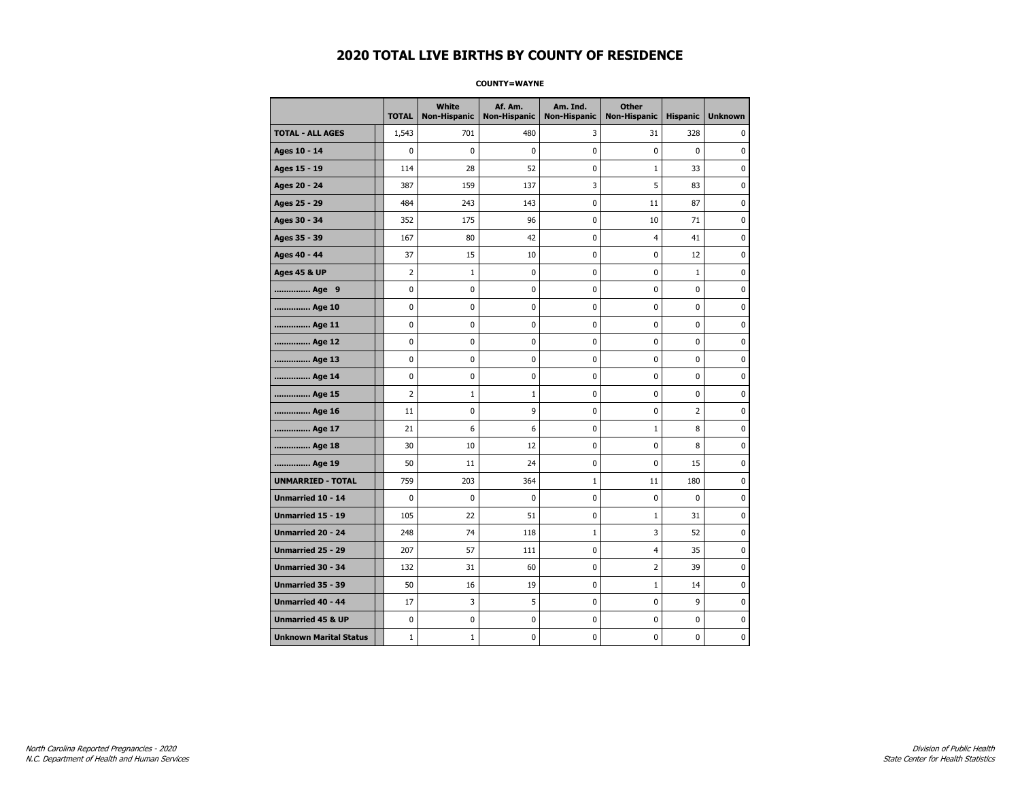#### **COUNTY=WAYNE**

|                               | <b>TOTAL</b>   | White<br><b>Non-Hispanic</b> | Af. Am.<br><b>Non-Hispanic</b> | Am. Ind.<br><b>Non-Hispanic</b> | <b>Other</b><br><b>Non-Hispanic</b> | <b>Hispanic</b> | <b>Unknown</b> |
|-------------------------------|----------------|------------------------------|--------------------------------|---------------------------------|-------------------------------------|-----------------|----------------|
| <b>TOTAL - ALL AGES</b>       | 1,543          | 701                          | 480                            | 3                               | 31                                  | 328             | 0              |
| Ages 10 - 14                  | 0              | 0                            | $\mathbf 0$                    | 0                               | 0                                   | $\mathbf 0$     | 0              |
| Ages 15 - 19                  | 114            | 28                           | 52                             | $\mathbf 0$                     | $\mathbf{1}$                        | 33              | $\mathbf 0$    |
| Ages 20 - 24                  | 387            | 159                          | 137                            | 3                               | 5                                   | 83              | $\mathbf 0$    |
| Ages 25 - 29                  | 484            | 243                          | 143                            | $\pmb{0}$                       | 11                                  | 87              | $\pmb{0}$      |
| Ages 30 - 34                  | 352            | 175                          | 96                             | 0                               | 10                                  | 71              | 0              |
| Ages 35 - 39                  | 167            | 80                           | 42                             | 0                               | 4                                   | 41              | 0              |
| Ages 40 - 44                  | 37             | 15                           | 10                             | 0                               | 0                                   | 12              | 0              |
| <b>Ages 45 &amp; UP</b>       | $\overline{2}$ | $\mathbf{1}$                 | 0                              | 0                               | 0                                   | $\mathbf 1$     | 0              |
| Age 9                         | 0              | 0                            | 0                              | 0                               | 0                                   | 0               | 0              |
| Age 10                        | 0              | 0                            | $\mathbf 0$                    | $\mathbf 0$                     | 0                                   | $\mathbf 0$     | $\mathbf 0$    |
| Age 11                        | 0              | 0                            | $\mathbf 0$                    | $\mathbf 0$                     | 0                                   | $\mathbf 0$     | 0              |
| Age 12                        | 0              | 0                            | $\pmb{0}$                      | 0                               | 0                                   | 0               | 0              |
| Age 13                        | 0              | 0                            | 0                              | 0                               | 0                                   | 0               | 0              |
| Age 14                        | 0              | 0                            | $\mathbf 0$                    | 0                               | 0                                   | $\mathbf 0$     | 0              |
| Age 15                        | $\overline{2}$ | $\mathbf{1}$                 | $\mathbf{1}$                   | 0                               | 0                                   | 0               | 0              |
| Age 16                        | 11             | 0                            | 9                              | $\mathbf 0$                     | 0                                   | 2               | 0              |
| Age 17                        | 21             | 6                            | 6                              | 0                               | $\mathbf{1}$                        | 8               | $\mathbf 0$    |
| Age 18                        | 30             | 10                           | 12                             | $\mathbf 0$                     | 0                                   | 8               | $\mathbf 0$    |
| Age 19                        | 50             | 11                           | 24                             | $\pmb{0}$                       | 0                                   | 15              | $\pmb{0}$      |
| <b>UNMARRIED - TOTAL</b>      | 759            | 203                          | 364                            | $\mathbf{1}$                    | 11                                  | 180             | $\pmb{0}$      |
| Unmarried 10 - 14             | 0              | 0                            | $\mathbf 0$                    | 0                               | 0                                   | $\mathbf 0$     | 0              |
| Unmarried 15 - 19             | 105            | 22                           | 51                             | 0                               | $\mathbf{1}$                        | 31              | 0              |
| <b>Unmarried 20 - 24</b>      | 248            | 74                           | 118                            | 1                               | 3                                   | 52              | 0              |
| <b>Unmarried 25 - 29</b>      | 207            | 57                           | 111                            | $\mathbf 0$                     | 4                                   | 35              | $\bf{0}$       |
| <b>Unmarried 30 - 34</b>      | 132            | 31                           | 60                             | $\mathbf 0$                     | $\overline{2}$                      | 39              | $\mathbf 0$    |
| Unmarried 35 - 39             | 50             | 16                           | 19                             | $\pmb{0}$                       | $\mathbf 1$                         | 14              | $\pmb{0}$      |
| Unmarried 40 - 44             | 17             | 3                            | 5                              | 0                               | 0                                   | 9               | 0              |
| <b>Unmarried 45 &amp; UP</b>  | 0              | 0                            | 0                              | 0                               | 0                                   | 0               | 0              |
| <b>Unknown Marital Status</b> | $1\,$          | $1\,$                        | $\pmb{0}$                      | 0                               | 0                                   | 0               | 0              |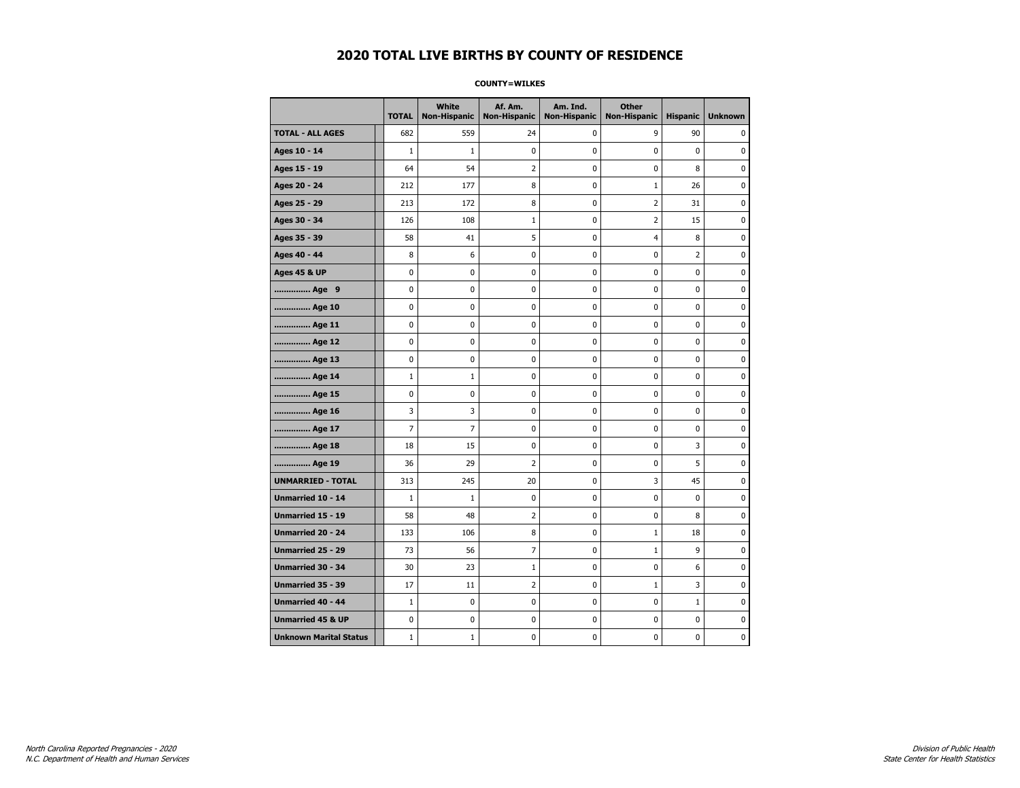#### **COUNTY=WILKES**

|                               | <b>TOTAL</b>   | <b>White</b><br>Non-Hispanic | Af. Am.<br><b>Non-Hispanic</b> | Am. Ind.<br><b>Non-Hispanic</b> | <b>Other</b><br><b>Non-Hispanic</b> | <b>Hispanic</b> | <b>Unknown</b> |
|-------------------------------|----------------|------------------------------|--------------------------------|---------------------------------|-------------------------------------|-----------------|----------------|
| <b>TOTAL - ALL AGES</b>       | 682            | 559                          | 24                             | 0                               | 9                                   | 90              | 0              |
| Ages 10 - 14                  | $\mathbf{1}$   | $1\,$                        | 0                              | 0                               | $\mathbf 0$                         | $\mathbf 0$     | 0              |
| Ages 15 - 19                  | 64             | 54                           | $\overline{2}$                 | $\mathbf 0$                     | $\mathbf 0$                         | 8               | 0              |
| Ages 20 - 24                  | 212            | 177                          | 8                              | $\mathbf 0$                     | $\mathbf{1}$                        | 26              | $\mathbf 0$    |
| Ages 25 - 29                  | 213            | 172                          | 8                              | 0                               | $\overline{2}$                      | 31              | 0              |
| Ages 30 - 34                  | 126            | 108                          | $\mathbf 1$                    | 0                               | $\overline{2}$                      | 15              | 0              |
| Ages 35 - 39                  | 58             | 41                           | 5                              | 0                               | 4                                   | 8               | 0              |
| Ages 40 - 44                  | 8              | 6                            | 0                              | 0                               | 0                                   | $\overline{2}$  | 0              |
| <b>Ages 45 &amp; UP</b>       | $\mathbf 0$    | 0                            | 0                              | 0                               | 0                                   | 0               | 0              |
| Age 9                         | 0              | 0                            | 0                              | 0                               | 0                                   | 0               | 0              |
| Age 10                        | 0              | 0                            | 0                              | $\mathbf 0$                     | $\mathbf 0$                         | $\mathbf 0$     | 0              |
| Age 11                        | 0              | 0                            | 0                              | 0                               | $\mathbf 0$                         | $\mathbf 0$     | 0              |
| Age 12                        | $\pmb{0}$      | 0                            | 0                              | 0                               | $\pmb{0}$                           | 0               | 0              |
| Age 13                        | 0              | 0                            | 0                              | 0                               | 0                                   | 0               | 0              |
| Age 14                        | $\mathbf 1$    | $\mathbf{1}$                 | 0                              | 0                               | 0                                   | $\mathbf 0$     | 0              |
| Age 15                        | 0              | 0                            | 0                              | 0                               | 0                                   | 0               | 0              |
| Age 16                        | 3              | 3                            | 0                              | 0                               | $\mathbf 0$                         | $\mathbf 0$     | 0              |
| Age 17                        | $\overline{7}$ | $\overline{7}$               | 0                              | 0                               | $\mathbf 0$                         | $\mathbf 0$     | 0              |
| Age 18                        | 18             | 15                           | 0                              | $\mathbf 0$                     | $\mathbf 0$                         | 3               | 0              |
| Age 19                        | 36             | 29                           | $\overline{2}$                 | $\pmb{0}$                       | $\pmb{0}$                           | 5               | 0              |
| <b>UNMARRIED - TOTAL</b>      | 313            | 245                          | 20                             | 0                               | 3                                   | 45              | 0              |
| Unmarried 10 - 14             | $\mathbf{1}$   | $\mathbf{1}$                 | 0                              | $\mathbf 0$                     | $\mathbf 0$                         | $\mathbf 0$     | 0              |
| Unmarried 15 - 19             | 58             | 48                           | $\overline{2}$                 | 0                               | 0                                   | 8               | 0              |
| Unmarried 20 - 24             | 133            | 106                          | 8                              | 0                               | $\mathbf{1}$                        | 18              | 0              |
| <b>Unmarried 25 - 29</b>      | 73             | 56                           | $\overline{7}$                 | $\mathbf 0$                     | $1\,$                               | 9               | 0              |
| <b>Unmarried 30 - 34</b>      | 30             | 23                           | $\mathbf{1}$                   | $\mathbf 0$                     | $\mathbf 0$                         | 6               | 0              |
| Unmarried 35 - 39             | 17             | 11                           | $\mathbf 2$                    | 0                               | $\mathbf 1$                         | 3               | $\pmb{0}$      |
| Unmarried 40 - 44             | $\mathbf 1$    | 0                            | 0                              | 0                               | 0                                   | $1\,$           | 0              |
| <b>Unmarried 45 &amp; UP</b>  | 0              | 0                            | 0                              | 0                               | 0                                   | 0               | 0              |
| <b>Unknown Marital Status</b> | $\mathbf 1$    | $1\,$                        | 0                              | 0                               | 0                                   | 0               | 0              |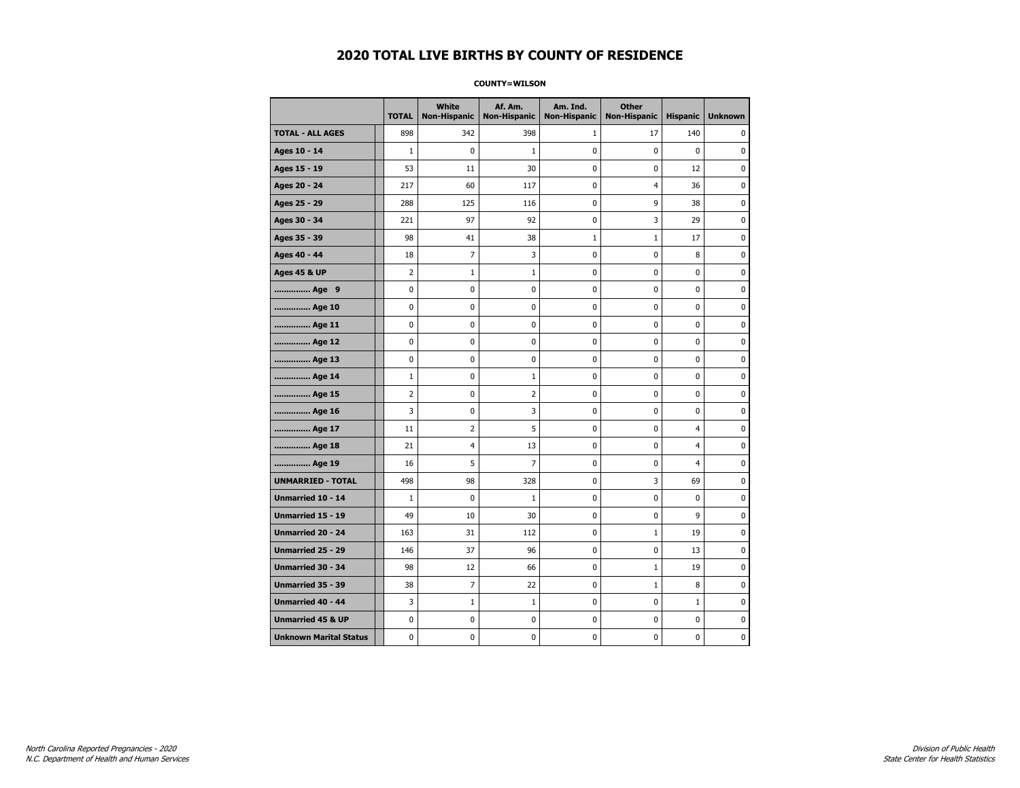#### **COUNTY=WILSON**

|                               | <b>TOTAL</b>   | <b>White</b><br>Non-Hispanic | Af. Am.<br><b>Non-Hispanic</b> | Am. Ind.<br><b>Non-Hispanic</b> | <b>Other</b><br><b>Non-Hispanic</b> | <b>Hispanic</b> | <b>Unknown</b> |
|-------------------------------|----------------|------------------------------|--------------------------------|---------------------------------|-------------------------------------|-----------------|----------------|
| <b>TOTAL - ALL AGES</b>       | 898            | 342                          | 398                            | 1                               | 17                                  | 140             | 0              |
| Ages 10 - 14                  | $\mathbf{1}$   | 0                            | $\mathbf{1}$                   | 0                               | $\mathbf 0$                         | $\mathbf 0$     | 0              |
| Ages 15 - 19                  | 53             | 11                           | 30                             | $\mathbf 0$                     | $\mathbf 0$                         | 12              | 0              |
| Ages 20 - 24                  | 217            | 60                           | 117                            | $\pmb{0}$                       | 4                                   | 36              | 0              |
| Ages 25 - 29                  | 288            | 125                          | 116                            | 0                               | 9                                   | 38              | 0              |
| Ages 30 - 34                  | 221            | 97                           | 92                             | 0                               | 3                                   | 29              | 0              |
| Ages 35 - 39                  | 98             | 41                           | 38                             | $\mathbf 1$                     | $\mathbf 1$                         | 17              | 0              |
| Ages 40 - 44                  | 18             | 7                            | 3                              | 0                               | $\mathbf 0$                         | 8               | 0              |
| <b>Ages 45 &amp; UP</b>       | $\overline{2}$ | $\mathbf{1}$                 | $\mathbf{1}$                   | 0                               | $\mathbf 0$                         | $\mathbf 0$     | 0              |
| Age 9                         | $\pmb{0}$      | 0                            | 0                              | 0                               | $\pmb{0}$                           | 0               | 0              |
| Age 10                        | $\mathbf 0$    | 0                            | 0                              | 0                               | $\mathbf 0$                         | $\mathbf 0$     | 0              |
| Age 11                        | 0              | 0                            | 0                              | 0                               | 0                                   | 0               | 0              |
| Age 12                        | 0              | 0                            | 0                              | 0                               | 0                                   | 0               | 0              |
| Age 13                        | 0              | 0                            | 0                              | $\mathbf 0$                     | $\mathbf 0$                         | $\mathbf 0$     | 0              |
| Age 14                        | $\mathbf{1}$   | 0                            | $\mathbf{1}$                   | $\mathbf 0$                     | $\mathbf 0$                         | $\mathbf 0$     | $\mathbf 0$    |
| Age 15                        | $\overline{2}$ | 0                            | $\mathbf 2$                    | 0                               | $\pmb{0}$                           | 0               | 0              |
| Age 16                        | 3              | 0                            | 3                              | 0                               | 0                                   | 0               | 0              |
| Age 17                        | 11             | 2                            | 5                              | 0                               | 0                                   | 4               | 0              |
| Age 18                        | 21             | 4                            | 13                             | 0                               | 0                                   | $\overline{4}$  | 0              |
| Age 19                        | 16             | 5                            | $\overline{7}$                 | 0                               | 0                                   | $\overline{4}$  | 0              |
| <b>UNMARRIED - TOTAL</b>      | 498            | 98                           | 328                            | 0                               | 3                                   | 69              | 0              |
| Unmarried 10 - 14             | $\mathbf{1}$   | 0                            | $\mathbf{1}$                   | 0                               | $\pmb{0}$                           | $\mathbf 0$     | 0              |
| Unmarried 15 - 19             | 49             | 10                           | 30                             | 0                               | 0                                   | 9               | 0              |
| Unmarried 20 - 24             | 163            | 31                           | 112                            | 0                               | $\mathbf{1}$                        | 19              | 0              |
| <b>Unmarried 25 - 29</b>      | 146            | 37                           | 96                             | $\mathbf 0$                     | $\mathbf 0$                         | 13              | 0              |
| <b>Unmarried 30 - 34</b>      | 98             | 12                           | 66                             | 0                               | $\mathbf 1$                         | 19              | $\mathbf 0$    |
| Unmarried 35 - 39             | 38             | $\overline{7}$               | 22                             | $\pmb{0}$                       | $1\,$                               | 8               | $\pmb{0}$      |
| Unmarried 40 - 44             | 3              | $\mathbf 1$                  | $1\,$                          | 0                               | $\pmb{0}$                           | $\mathbf 1$     | 0              |
| <b>Unmarried 45 &amp; UP</b>  | 0              | 0                            | 0                              | 0                               | 0                                   | 0               | 0              |
| <b>Unknown Marital Status</b> | 0              | 0                            | 0                              | 0                               | 0                                   | 0               | 0              |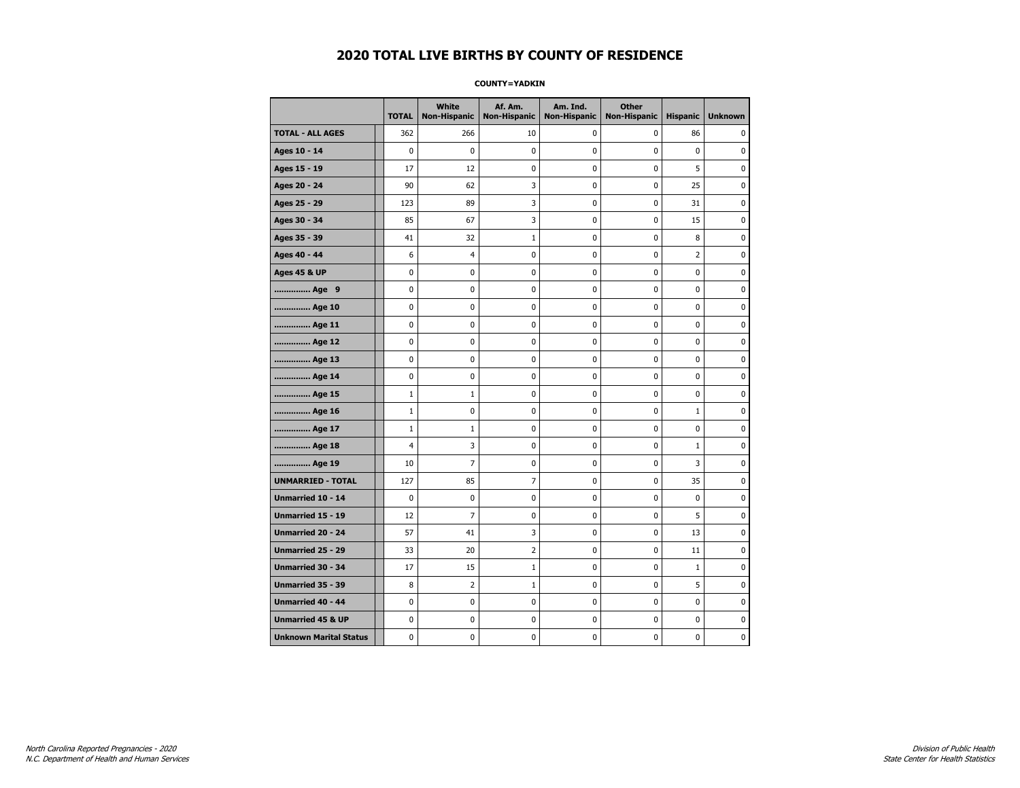#### **COUNTY=YADKIN**

|                               | <b>TOTAL</b>   | White<br>Non-Hispanic | Af. Am.<br><b>Non-Hispanic</b> | Am. Ind.<br><b>Non-Hispanic</b> | <b>Other</b><br><b>Non-Hispanic</b> | <b>Hispanic</b> | <b>Unknown</b> |
|-------------------------------|----------------|-----------------------|--------------------------------|---------------------------------|-------------------------------------|-----------------|----------------|
| <b>TOTAL - ALL AGES</b>       | 362            | 266                   | 10                             | 0                               | 0                                   | 86              | 0              |
| Ages 10 - 14                  | $\mathbf 0$    | $\mathbf 0$           | $\pmb{0}$                      | 0                               | $\mathbf 0$                         | $\mathbf 0$     | 0              |
| Ages 15 - 19                  | 17             | 12                    | $\mathbf 0$                    | $\mathbf 0$                     | $\mathbf 0$                         | 5               | 0              |
| Ages 20 - 24                  | 90             | 62                    | 3                              | $\mathbf 0$                     | $\mathbf 0$                         | 25              | 0              |
| Ages 25 - 29                  | 123            | 89                    | 3                              | $\pmb{0}$                       | $\pmb{0}$                           | 31              | 0              |
| Ages 30 - 34                  | 85             | 67                    | 3                              | $\pmb{0}$                       | $\pmb{0}$                           | 15              | 0              |
| Ages 35 - 39                  | 41             | 32                    | 1                              | 0                               | $\mathbf 0$                         | 8               | 0              |
| Ages 40 - 44                  | 6              | 4                     | $\pmb{0}$                      | 0                               | 0                                   | $\overline{2}$  | 0              |
| <b>Ages 45 &amp; UP</b>       | 0              | 0                     | $\pmb{0}$                      | 0                               | 0                                   | 0               | 0              |
| Age 9                         | $\mathbf 0$    | 0                     | $\mathbf 0$                    | 0                               | $\mathbf 0$                         | 0               | 0              |
| Age 10                        | $\mathbf 0$    | 0                     | $\mathbf 0$                    | $\mathbf 0$                     | $\mathbf 0$                         | $\mathbf 0$     | 0              |
| Age 11                        | $\mathbf 0$    | 0                     | $\mathbf 0$                    | $\mathbf 0$                     | $\mathbf 0$                         | $\mathbf 0$     | 0              |
| Age 12                        | $\pmb{0}$      | 0                     | $\pmb{0}$                      | 0                               | 0                                   | 0               | 0              |
| Age 13                        | 0              | 0                     | $\pmb{0}$                      | 0                               | 0                                   | 0               | 0              |
| Age 14                        | $\mathbf 0$    | 0                     | $\mathbf 0$                    | 0                               | $\mathbf 0$                         | $\mathbf 0$     | 0              |
| Age 15                        | $\mathbf{1}$   | $\mathbf{1}$          | 0                              | 0                               | 0                                   | 0               | 0              |
| Age 16                        | $1\,$          | 0                     | $\mathbf 0$                    | $\mathbf 0$                     | $\mathbf 0$                         | $\mathbf{1}$    | 0              |
| Age 17                        | $\mathbf{1}$   | $\mathbf{1}$          | $\mathbf 0$                    | 0                               | $\mathbf 0$                         | $\mathbf 0$     | 0              |
| Age 18                        | $\overline{4}$ | 3                     | $\mathbf 0$                    | $\mathbf 0$                     | $\mathbf 0$                         | $\mathbf{1}$    | 0              |
| Age 19                        | 10             | $\overline{7}$        | $\pmb{0}$                      | $\pmb{0}$                       | $\pmb{0}$                           | 3               | 0              |
| <b>UNMARRIED - TOTAL</b>      | 127            | 85                    | 7                              | $\pmb{0}$                       | $\pmb{0}$                           | 35              | 0              |
| Unmarried 10 - 14             | $\mathbf 0$    | 0                     | $\mathbf 0$                    | 0                               | $\mathbf 0$                         | $\mathbf 0$     | 0              |
| Unmarried 15 - 19             | 12             | 7                     | 0                              | 0                               | 0                                   | 5               | 0              |
| Unmarried 20 - 24             | 57             | 41                    | 3                              | 0                               | $\mathbf 0$                         | 13              | 0              |
| Unmarried 25 - 29             | 33             | 20                    | $\overline{2}$                 | $\mathbf 0$                     | $\mathbf 0$                         | 11              | 0              |
| <b>Unmarried 30 - 34</b>      | 17             | 15                    | $\mathbf{1}$                   | $\mathbf 0$                     | $\mathbf 0$                         | $\mathbf{1}$    | 0              |
| Unmarried 35 - 39             | 8              | $\overline{2}$        | $1\,$                          | $\pmb{0}$                       | $\pmb{0}$                           | 5               | 0              |
| Unmarried 40 - 44             | 0              | 0                     | $\pmb{0}$                      | 0                               | 0                                   | 0               | 0              |
| <b>Unmarried 45 &amp; UP</b>  | $\mathbf 0$    | 0                     | 0                              | 0                               | 0                                   | 0               | 0              |
| <b>Unknown Marital Status</b> | $\mathbf 0$    | 0                     | $\pmb{0}$                      | 0                               | $\mathbf 0$                         | 0               | 0              |